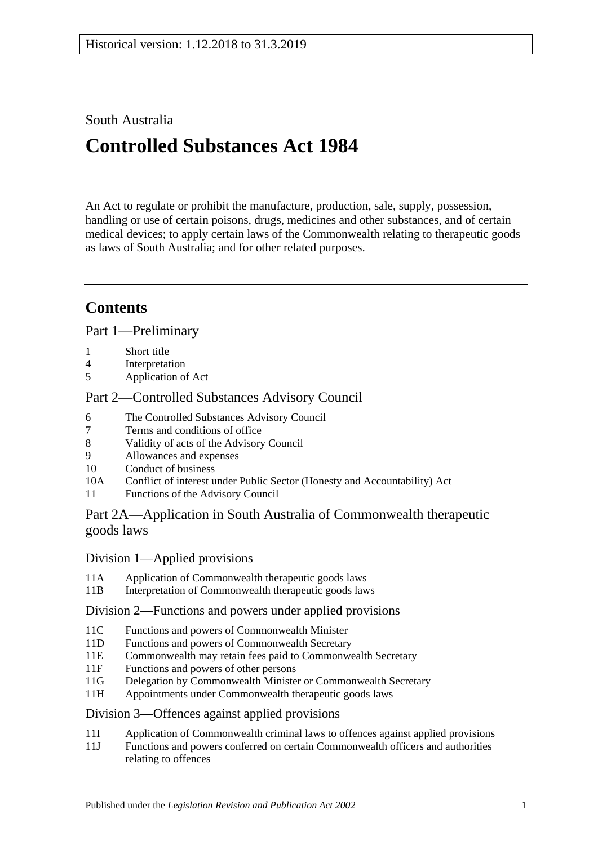## South Australia

# **Controlled Substances Act 1984**

An Act to regulate or prohibit the manufacture, production, sale, supply, possession, handling or use of certain poisons, drugs, medicines and other substances, and of certain medical devices; to apply certain laws of the Commonwealth relating to therapeutic goods as laws of South Australia; and for other related purposes.

## **Contents**

[Part 1—Preliminary](#page-5-0)

- 1 [Short title](#page-5-1)
- 4 [Interpretation](#page-5-2)
- 5 [Application of Act](#page-12-0)

## [Part 2—Controlled Substances Advisory Council](#page-12-1)

- 6 [The Controlled Substances Advisory Council](#page-12-2)
- 7 [Terms and conditions of office](#page-13-0)
- 8 [Validity of acts of the Advisory Council](#page-13-1)
- 9 [Allowances and expenses](#page-13-2)<br>10 Conduct of business
- [Conduct of business](#page-13-3)
- 10A Conflict of interest [under Public Sector \(Honesty and Accountability\) Act](#page-14-0)
- 11 [Functions of the Advisory Council](#page-14-1)

## [Part 2A—Application in South Australia of Commonwealth therapeutic](#page-15-0)  [goods laws](#page-15-0)

## Division [1—Applied provisions](#page-15-1)

- 11A [Application of Commonwealth therapeutic goods laws](#page-15-2)
- 11B [Interpretation of Commonwealth therapeutic goods laws](#page-15-3)

## Division [2—Functions and powers under applied provisions](#page-15-4)

- 11C [Functions and powers of Commonwealth Minister](#page-15-5)<br>11D Functions and powers of Commonwealth Secretary
- [Functions and powers of Commonwealth Secretary](#page-15-6)
- 11E [Commonwealth may retain fees paid to Commonwealth Secretary](#page-16-0)
- 11F [Functions and powers of other persons](#page-16-1)
- 11G [Delegation by Commonwealth Minister or Commonwealth Secretary](#page-16-2)
- 11H [Appointments under Commonwealth therapeutic goods laws](#page-16-3)

## Division [3—Offences against applied provisions](#page-16-4)

- 11I [Application of Commonwealth criminal laws to offences against applied provisions](#page-16-5)
- 11J [Functions and powers conferred on certain Commonwealth officers and authorities](#page-17-0)  [relating to offences](#page-17-0)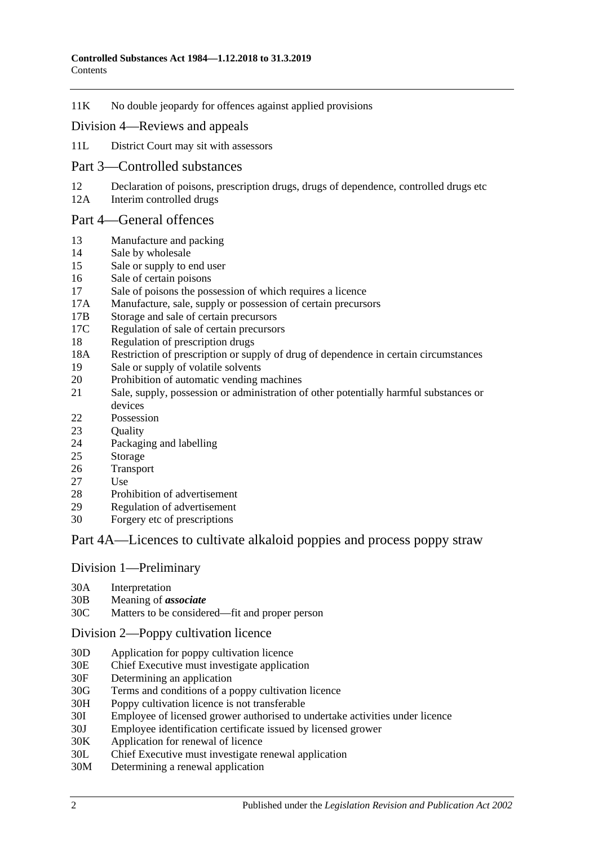11K [No double jeopardy for offences against applied provisions](#page-17-1)

#### Division [4—Reviews and appeals](#page-17-2)

- 11L [District Court may sit with assessors](#page-17-3)
- [Part 3—Controlled substances](#page-18-0)
- 12 [Declaration of poisons, prescription drugs, drugs of dependence, controlled drugs etc](#page-18-1)
- 12A [Interim controlled drugs](#page-18-2)

#### [Part 4—General offences](#page-19-0)

- 13 [Manufacture and packing](#page-19-1)
- 14 [Sale by wholesale](#page-19-2)
- 15 [Sale or supply to end user](#page-20-0)
- 16 [Sale of certain poisons](#page-20-1)
- 17 [Sale of poisons the possession of which requires a licence](#page-20-2)
- 17A [Manufacture, sale, supply or possession of certain precursors](#page-20-3)
- 17B [Storage and sale of certain precursors](#page-21-0)
- 17C [Regulation of sale of certain precursors](#page-22-0)
- 18 [Regulation of prescription drugs](#page-23-0)
- 18A [Restriction of prescription or supply of drug of dependence in certain circumstances](#page-26-0)
- 19 [Sale or supply of volatile solvents](#page-28-0)
- 20 [Prohibition of automatic vending machines](#page-29-0)
- 21 [Sale, supply, possession or administration of other potentially harmful substances or](#page-29-1)  [devices](#page-29-1)
- 22 [Possession](#page-29-2)
- 23 Ouality
- 24 [Packaging and](#page-30-0) labelling
- 25 [Storage](#page-30-1)
- 26 [Transport](#page-30-2)
- 27 [Use](#page-30-3)
- 28 [Prohibition of advertisement](#page-30-4)<br>29 Regulation of advertisement
- [Regulation of advertisement](#page-30-5)
- 30 Forgery [etc of prescriptions](#page-31-0)

## [Part 4A—Licences to cultivate alkaloid poppies and process poppy straw](#page-31-1)

#### Division [1—Preliminary](#page-31-2)

- 30A [Interpretation](#page-31-3)
- 30B [Meaning of](#page-33-0) *associate*
- 30C [Matters to be considered—fit and proper person](#page-34-0)

#### Division [2—Poppy cultivation licence](#page-36-0)

- 30D [Application for poppy cultivation licence](#page-36-1)
- 30E [Chief Executive must investigate application](#page-37-0)
- 30F [Determining an application](#page-37-1)
- 30G [Terms and conditions of a poppy cultivation licence](#page-38-0)
- 30H [Poppy cultivation licence is not transferable](#page-39-0)
- 30I [Employee of licensed grower authorised to undertake activities under licence](#page-39-1)
- 30J [Employee identification certificate issued by licensed grower](#page-39-2)
- 30K [Application for renewal of licence](#page-39-3)
- 30L [Chief Executive must investigate renewal application](#page-40-0)
- 30M [Determining a renewal application](#page-40-1)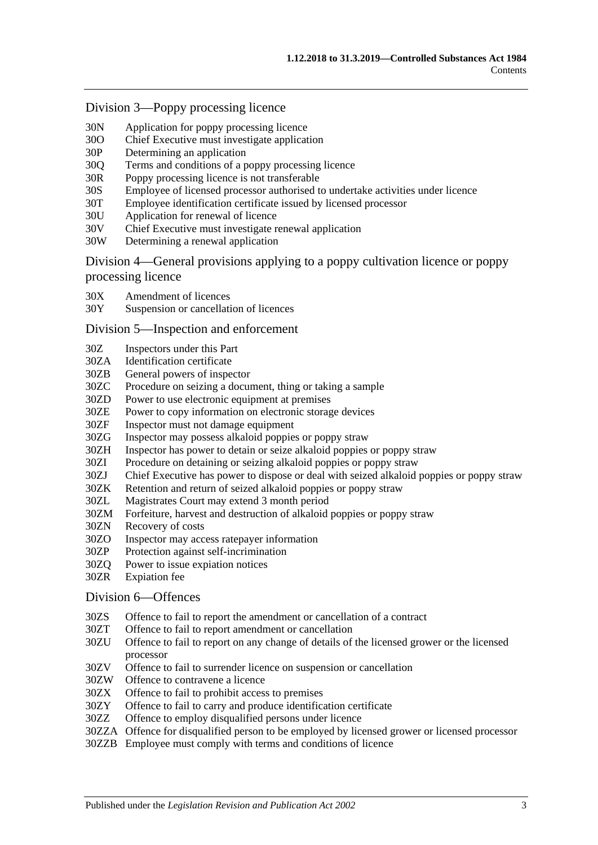#### Division [3—Poppy processing licence](#page-41-0)

- 30N [Application for poppy processing licence](#page-41-1)
- 30O [Chief Executive must investigate application](#page-42-0)
- 30P [Determining an application](#page-42-1)
- 30Q [Terms and conditions of a poppy processing licence](#page-43-0)
- 30R [Poppy processing licence is not transferable](#page-43-1)
- 30S [Employee of licensed processor authorised to undertake activities under licence](#page-44-0)
- 30T [Employee identification certificate issued by licensed processor](#page-44-1)
- 30U [Application for renewal of licence](#page-44-2)
- 30V [Chief Executive must investigate renewal application](#page-45-0)
- 30W [Determining a renewal application](#page-45-1)

Division [4—General provisions applying to a poppy cultivation licence or poppy](#page-46-0)  [processing licence](#page-46-0)

- 30X [Amendment of licences](#page-46-1)
- 30Y [Suspension or cancellation of licences](#page-46-2)

#### Division [5—Inspection and enforcement](#page-47-0)

- 30Z [Inspectors under this Part](#page-47-1)
- 30ZA [Identification certificate](#page-48-0)
- 30ZB [General powers of inspector](#page-48-1)
- 30ZC [Procedure on seizing a document, thing or taking a sample](#page-49-0)
- 30ZD [Power to use electronic equipment at premises](#page-49-1)
- 30ZE [Power to copy information on electronic storage devices](#page-50-0)
- 30ZF [Inspector must not damage equipment](#page-50-1)
- 30ZG [Inspector may possess alkaloid poppies or poppy straw](#page-50-2)
- 30ZH [Inspector has power to detain or seize alkaloid poppies or poppy straw](#page-50-3)
- 30ZI [Procedure on detaining or seizing alkaloid poppies or poppy straw](#page-50-4)
- 30ZJ [Chief Executive has power to dispose or deal with seized alkaloid poppies or poppy straw](#page-51-0)<br>30ZK Retention and return of seized alkaloid poppies or poppy straw
- 30ZK [Retention and return of seized alkaloid poppies or poppy straw](#page-51-1)<br>30ZL Magistrates Court may extend 3 month period
- [Magistrates Court may extend 3 month period](#page-52-0)
- 30ZM [Forfeiture, harvest and destruction of alkaloid poppies or poppy straw](#page-52-1)
- 30ZN [Recovery of costs](#page-53-0)
- 30ZO [Inspector may access ratepayer information](#page-53-1)
- 30ZP [Protection against self-incrimination](#page-53-2)
- 30ZQ [Power to issue expiation notices](#page-53-3)
- 30ZR [Expiation fee](#page-53-4)

#### Division [6—Offences](#page-54-0)

- 30ZS [Offence to fail to report the amendment or cancellation of a contract](#page-54-1)
- 30ZT [Offence to fail to report amendment or cancellation](#page-54-2)
- 30ZU [Offence to fail to report on any change of details of the licensed grower or the licensed](#page-54-3)  [processor](#page-54-3)
- 30ZV [Offence to fail to surrender licence on suspension or cancellation](#page-55-0)
- 30ZW [Offence to contravene a licence](#page-55-1)
- 30ZX [Offence to fail to prohibit access to premises](#page-55-2)
- 30ZY [Offence to fail to carry and produce identification certificate](#page-56-0)
- 30ZZ [Offence to employ disqualified persons under licence](#page-56-1)
- 30ZZA [Offence for disqualified person to be employed by licensed grower or licensed processor](#page-57-0)
- 30ZZB Employee [must comply with terms and conditions of licence](#page-57-1)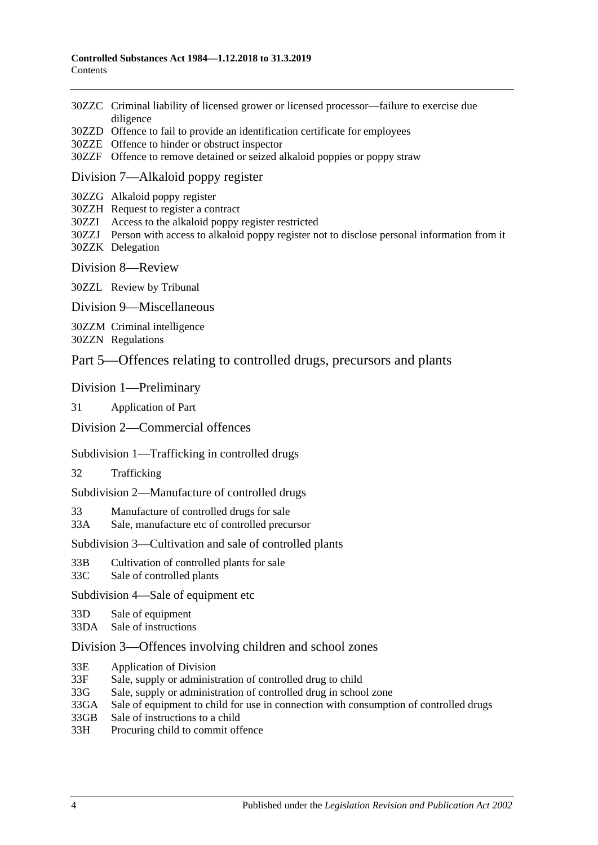- 30ZZC [Criminal liability of licensed grower or licensed processor—failure to exercise due](#page-58-0)  [diligence](#page-58-0)
- 30ZZD [Offence to fail to provide an identification certificate for employees](#page-58-1)
- 30ZZE [Offence to hinder or obstruct inspector](#page-58-2)
- 30ZZF [Offence to remove detained or seized alkaloid poppies or poppy straw](#page-59-0)

#### Division [7—Alkaloid poppy register](#page-59-1)

- 30ZZG [Alkaloid poppy register](#page-59-2)
- 30ZZH [Request to register a contract](#page-59-3)
- 30ZZI [Access to the alkaloid poppy register restricted](#page-60-0)
- 30ZZJ [Person with access to alkaloid poppy register not to disclose personal information from it](#page-60-1) 30ZZK [Delegation](#page-60-2)
- Division [8—Review](#page-61-0)

30ZZL [Review by Tribunal](#page-61-1)

Division [9—Miscellaneous](#page-61-2)

30ZZM [Criminal intelligence](#page-61-3) 30ZZN [Regulations](#page-62-0)

## [Part 5—Offences relating to controlled drugs, precursors and plants](#page-63-0)

#### [Division 1—Preliminary](#page-63-1)

31 [Application of Part](#page-63-2)

#### [Division 2—Commercial offences](#page-65-0)

#### [Subdivision 1—Trafficking in controlled drugs](#page-65-1)

32 [Trafficking](#page-65-2)

[Subdivision 2—Manufacture of controlled drugs](#page-67-0)

33 [Manufacture of controlled drugs for sale](#page-67-1)

33A [Sale, manufacture etc of controlled precursor](#page-68-0)

#### [Subdivision 3—Cultivation and sale of controlled plants](#page-69-0)

- 33B [Cultivation of controlled plants for sale](#page-69-1)
- 33C [Sale of controlled plants](#page-70-0)

[Subdivision 4—Sale of equipment etc](#page-70-1)

- 33D [Sale of equipment](#page-70-2)
- 33DA [Sale of instructions](#page-71-0)

#### [Division 3—Offences involving children and school zones](#page-71-1)

- 33E [Application of Division](#page-71-2)
- 33F [Sale, supply or administration of controlled drug to child](#page-71-3)
- 33G [Sale, supply or administration of controlled drug in school zone](#page-71-4)
- 33GA [Sale of equipment to child for use in connection with consumption of controlled drugs](#page-72-0)
- 33GB [Sale of instructions to a child](#page-72-1)
- 33H [Procuring child to commit offence](#page-72-2)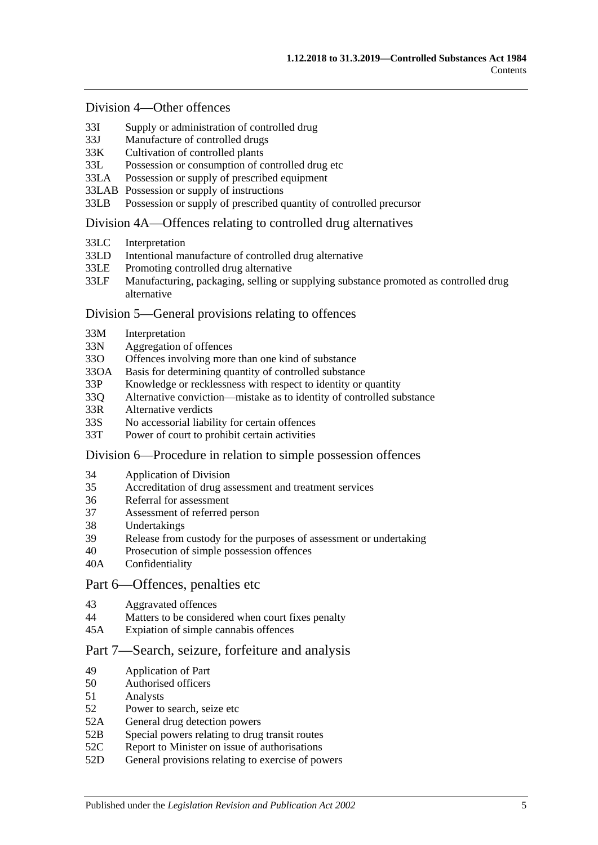#### [Division 4—Other offences](#page-73-0)

- 33I [Supply or administration of controlled drug](#page-73-1)
- 33J [Manufacture of controlled drugs](#page-73-2)
- 33K [Cultivation of controlled plants](#page-73-3)
- 33L [Possession or consumption of controlled drug etc](#page-74-0)
- 33LA [Possession or supply of prescribed equipment](#page-74-1)
- 33LAB [Possession or supply of instructions](#page-74-2)
- 33LB [Possession or supply of prescribed quantity of controlled precursor](#page-75-0)

#### [Division 4A—Offences relating to controlled drug alternatives](#page-76-0)

- 33LC [Interpretation](#page-76-1)
- 33LD [Intentional manufacture of controlled drug alternative](#page-76-2)
- 33LE [Promoting controlled drug alternative](#page-77-0)<br>33LE Manufacturing packaging selling or s
- Manufacturing, packaging, selling or supplying substance promoted as controlled drug [alternative](#page-77-1)

#### [Division 5—General provisions relating to offences](#page-78-0)

- 33M [Interpretation](#page-78-1)
- 33N [Aggregation of offences](#page-78-2)
- 33O [Offences involving more than one kind of substance](#page-79-0)
- 33OA [Basis for determining quantity of controlled substance](#page-79-1)
- 33P [Knowledge or recklessness with respect to identity or quantity](#page-80-0)
- 33Q [Alternative conviction—mistake as to identity of controlled substance](#page-80-1)
- 33R [Alternative verdicts](#page-81-0)
- 33S [No accessorial liability for certain offences](#page-81-1)
- 33T [Power of court to prohibit certain activities](#page-81-2)

#### [Division 6—Procedure in relation to simple possession offences](#page-81-3)

- 34 [Application of Division](#page-81-4)
- 35 [Accreditation of drug assessment and treatment services](#page-82-0)
- 36 [Referral for assessment](#page-82-1)<br>37 Assessment of referred
- [Assessment of referred person](#page-82-2)
- 38 [Undertakings](#page-83-0)
- 39 [Release from custody for the purposes of assessment or undertaking](#page-84-0)
- 40 [Prosecution of simple possession offences](#page-84-1)
- 40A [Confidentiality](#page-85-0)

#### [Part 6—Offences, penalties etc](#page-85-1)

- 43 [Aggravated offences](#page-85-2)
- 44 [Matters to be considered when court fixes penalty](#page-86-0)
- 45A [Expiation of simple cannabis offences](#page-87-0)

### [Part 7—Search, seizure, forfeiture and analysis](#page-87-1)

- 49 [Application of Part](#page-87-2)
- 50 [Authorised officers](#page-87-3)
- 51 [Analysts](#page-88-0)
- 52 [Power to search, seize etc](#page-88-1)
- 52A [General drug detection powers](#page-89-0)
- 52B [Special powers relating to drug transit routes](#page-91-0)
- 52C Report to Minister on issue of authorisations<br>52D General provisions relating to exercise of poy
- [General provisions relating to exercise of powers](#page-93-0)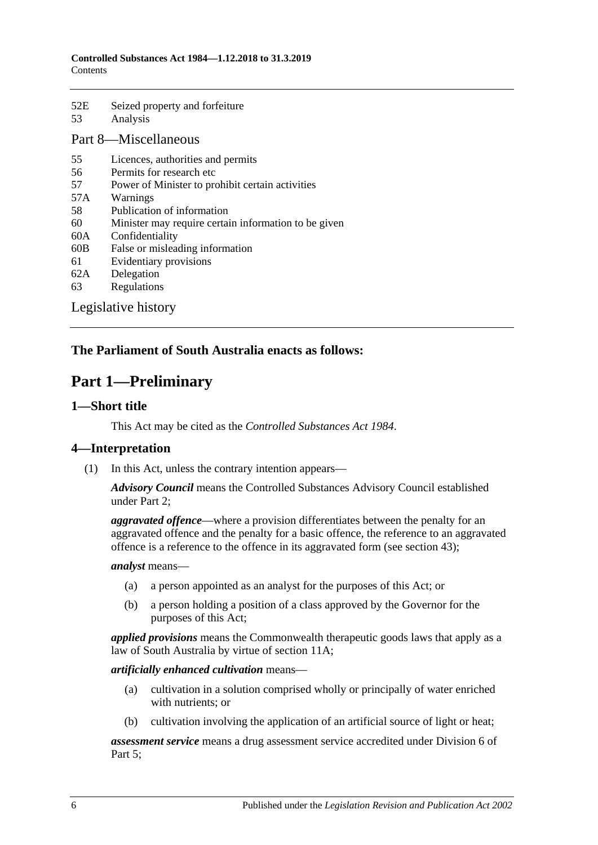52E [Seized property and forfeiture](#page-93-1) 53 [Analysis](#page-95-0)

## [Part 8—Miscellaneous](#page-95-1)

- 55 [Licences, authorities and permits](#page-95-2)
- 56 [Permits for research etc](#page-96-0)
- 57 [Power of Minister to prohibit certain activities](#page-96-1)
- 57A [Warnings](#page-97-0)
- 58 [Publication of information](#page-98-0)
- 60 [Minister may require certain information to be given](#page-98-1)
- 60A [Confidentiality](#page-99-0)
- 60B [False or misleading information](#page-100-0)
- 61 [Evidentiary provisions](#page-100-1)
- 62A [Delegation](#page-100-2)
- 63 [Regulations](#page-101-0)

[Legislative history](#page-103-0)

## <span id="page-5-0"></span>**The Parliament of South Australia enacts as follows:**

## **Part 1—Preliminary**

## <span id="page-5-1"></span>**1—Short title**

This Act may be cited as the *Controlled Substances Act 1984*.

## <span id="page-5-2"></span>**4—Interpretation**

(1) In this Act, unless the contrary intention appears—

*Advisory Council* means the Controlled Substances Advisory Council established under [Part 2;](#page-12-1)

*aggravated offence*—where a provision differentiates between the penalty for an aggravated offence and the penalty for a basic offence, the reference to an aggravated offence is a reference to the offence in its aggravated form (see [section](#page-85-2) 43);

#### *analyst* means—

- (a) a person appointed as an analyst for the purposes of this Act; or
- (b) a person holding a position of a class approved by the Governor for the purposes of this Act;

*applied provisions* means the Commonwealth therapeutic goods laws that apply as a law of South Australia by virtue of [section](#page-15-2) 11A;

#### *artificially enhanced cultivation* means—

- (a) cultivation in a solution comprised wholly or principally of water enriched with nutrients; or
- (b) cultivation involving the application of an artificial source of light or heat;

*assessment service* means a drug assessment service accredited under [Division](#page-81-3) 6 of [Part 5;](#page-63-0)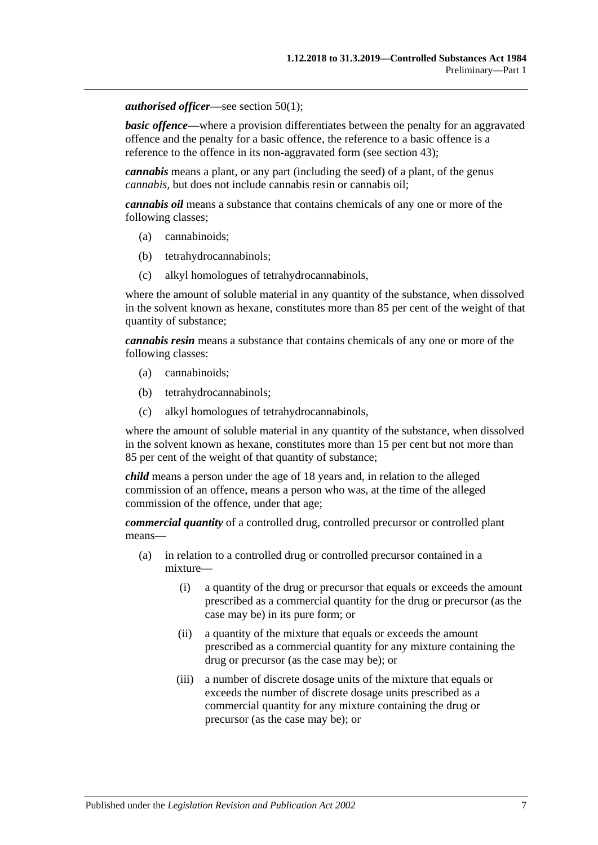#### *authorised officer*—see [section](#page-87-4) 50(1);

**basic offence—where a provision differentiates between the penalty for an aggravated** offence and the penalty for a basic offence, the reference to a basic offence is a reference to the offence in its non-aggravated form (see [section](#page-85-2) 43);

*cannabis* means a plant, or any part (including the seed) of a plant, of the genus *cannabis*, but does not include cannabis resin or cannabis oil;

*cannabis oil* means a substance that contains chemicals of any one or more of the following classes;

- (a) cannabinoids;
- (b) tetrahydrocannabinols;
- (c) alkyl homologues of tetrahydrocannabinols,

where the amount of soluble material in any quantity of the substance, when dissolved in the solvent known as hexane, constitutes more than 85 per cent of the weight of that quantity of substance;

*cannabis resin* means a substance that contains chemicals of any one or more of the following classes:

- (a) cannabinoids;
- (b) tetrahydrocannabinols;
- (c) alkyl homologues of tetrahydrocannabinols,

where the amount of soluble material in any quantity of the substance, when dissolved in the solvent known as hexane, constitutes more than 15 per cent but not more than 85 per cent of the weight of that quantity of substance;

*child* means a person under the age of 18 years and, in relation to the alleged commission of an offence, means a person who was, at the time of the alleged commission of the offence, under that age;

*commercial quantity* of a controlled drug, controlled precursor or controlled plant means—

- (a) in relation to a controlled drug or controlled precursor contained in a mixture—
	- (i) a quantity of the drug or precursor that equals or exceeds the amount prescribed as a commercial quantity for the drug or precursor (as the case may be) in its pure form; or
	- (ii) a quantity of the mixture that equals or exceeds the amount prescribed as a commercial quantity for any mixture containing the drug or precursor (as the case may be); or
	- (iii) a number of discrete dosage units of the mixture that equals or exceeds the number of discrete dosage units prescribed as a commercial quantity for any mixture containing the drug or precursor (as the case may be); or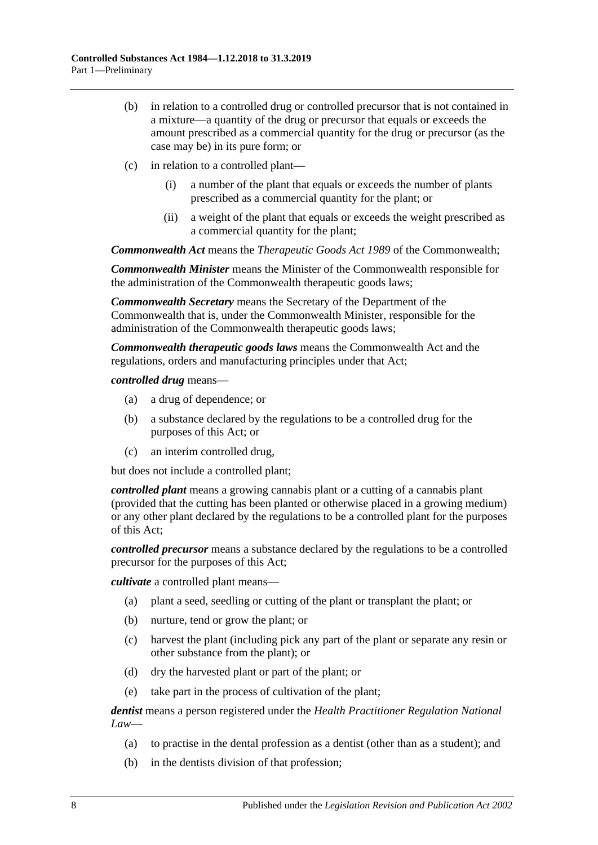- (b) in relation to a controlled drug or controlled precursor that is not contained in a mixture—a quantity of the drug or precursor that equals or exceeds the amount prescribed as a commercial quantity for the drug or precursor (as the case may be) in its pure form; or
- (c) in relation to a controlled plant—
	- (i) a number of the plant that equals or exceeds the number of plants prescribed as a commercial quantity for the plant; or
	- (ii) a weight of the plant that equals or exceeds the weight prescribed as a commercial quantity for the plant;

*Commonwealth Act* means the *Therapeutic Goods Act 1989* of the Commonwealth;

*Commonwealth Minister* means the Minister of the Commonwealth responsible for the administration of the Commonwealth therapeutic goods laws;

*Commonwealth Secretary* means the Secretary of the Department of the Commonwealth that is, under the Commonwealth Minister, responsible for the administration of the Commonwealth therapeutic goods laws;

*Commonwealth therapeutic goods laws* means the Commonwealth Act and the regulations, orders and manufacturing principles under that Act;

*controlled drug* means—

- (a) a drug of dependence; or
- (b) a substance declared by the regulations to be a controlled drug for the purposes of this Act; or
- (c) an interim controlled drug,

but does not include a controlled plant;

*controlled plant* means a growing cannabis plant or a cutting of a cannabis plant (provided that the cutting has been planted or otherwise placed in a growing medium) or any other plant declared by the regulations to be a controlled plant for the purposes of this Act;

*controlled precursor* means a substance declared by the regulations to be a controlled precursor for the purposes of this Act;

*cultivate* a controlled plant means—

- (a) plant a seed, seedling or cutting of the plant or transplant the plant; or
- (b) nurture, tend or grow the plant; or
- (c) harvest the plant (including pick any part of the plant or separate any resin or other substance from the plant); or
- (d) dry the harvested plant or part of the plant; or
- (e) take part in the process of cultivation of the plant;

*dentist* means a person registered under the *Health Practitioner Regulation National Law*—

- (a) to practise in the dental profession as a dentist (other than as a student); and
- (b) in the dentists division of that profession;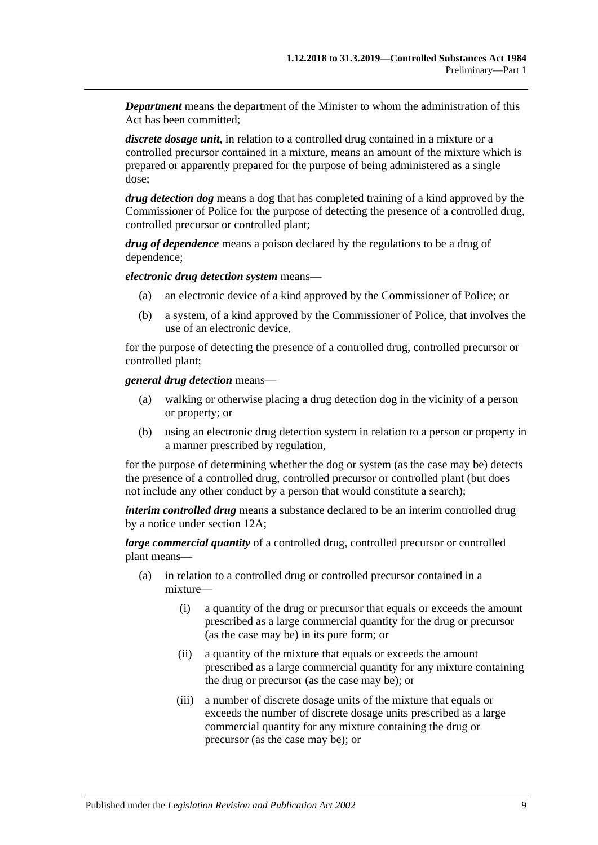*Department* means the department of the Minister to whom the administration of this Act has been committed;

*discrete dosage unit*, in relation to a controlled drug contained in a mixture or a controlled precursor contained in a mixture, means an amount of the mixture which is prepared or apparently prepared for the purpose of being administered as a single dose;

*drug detection dog* means a dog that has completed training of a kind approved by the Commissioner of Police for the purpose of detecting the presence of a controlled drug, controlled precursor or controlled plant;

*drug of dependence* means a poison declared by the regulations to be a drug of dependence;

*electronic drug detection system* means—

- (a) an electronic device of a kind approved by the Commissioner of Police; or
- (b) a system, of a kind approved by the Commissioner of Police, that involves the use of an electronic device,

for the purpose of detecting the presence of a controlled drug, controlled precursor or controlled plant;

*general drug detection* means—

- (a) walking or otherwise placing a drug detection dog in the vicinity of a person or property; or
- (b) using an electronic drug detection system in relation to a person or property in a manner prescribed by regulation,

for the purpose of determining whether the dog or system (as the case may be) detects the presence of a controlled drug, controlled precursor or controlled plant (but does not include any other conduct by a person that would constitute a search);

*interim controlled drug* means a substance declared to be an interim controlled drug by a notice under [section](#page-18-2) 12A;

*large commercial quantity* of a controlled drug, controlled precursor or controlled plant means—

- (a) in relation to a controlled drug or controlled precursor contained in a mixture—
	- (i) a quantity of the drug or precursor that equals or exceeds the amount prescribed as a large commercial quantity for the drug or precursor (as the case may be) in its pure form; or
	- (ii) a quantity of the mixture that equals or exceeds the amount prescribed as a large commercial quantity for any mixture containing the drug or precursor (as the case may be); or
	- (iii) a number of discrete dosage units of the mixture that equals or exceeds the number of discrete dosage units prescribed as a large commercial quantity for any mixture containing the drug or precursor (as the case may be); or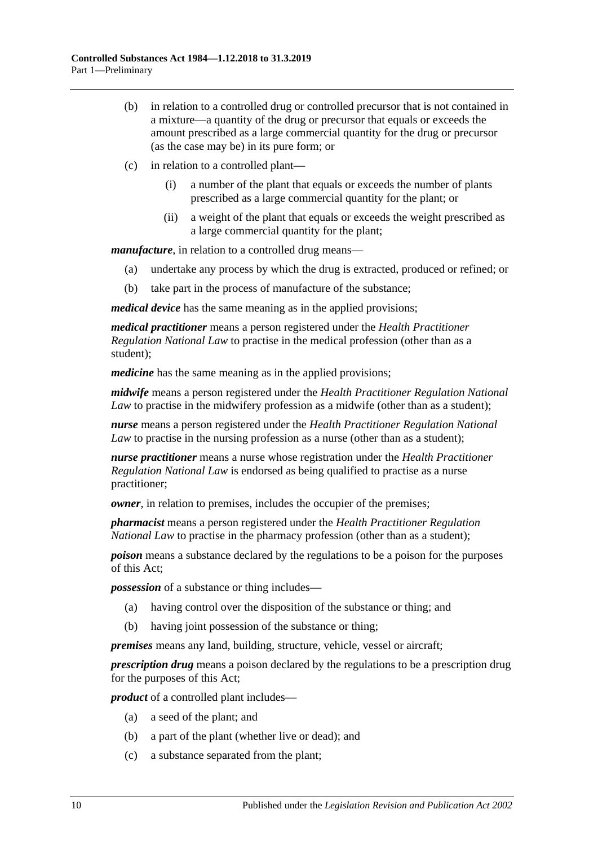- (b) in relation to a controlled drug or controlled precursor that is not contained in a mixture—a quantity of the drug or precursor that equals or exceeds the amount prescribed as a large commercial quantity for the drug or precursor (as the case may be) in its pure form; or
- (c) in relation to a controlled plant—
	- (i) a number of the plant that equals or exceeds the number of plants prescribed as a large commercial quantity for the plant; or
	- (ii) a weight of the plant that equals or exceeds the weight prescribed as a large commercial quantity for the plant;

*manufacture*, in relation to a controlled drug means—

- (a) undertake any process by which the drug is extracted, produced or refined; or
- (b) take part in the process of manufacture of the substance;

*medical device* has the same meaning as in the applied provisions;

*medical practitioner* means a person registered under the *Health Practitioner Regulation National Law* to practise in the medical profession (other than as a student);

*medicine* has the same meaning as in the applied provisions;

*midwife* means a person registered under the *Health Practitioner Regulation National Law* to practise in the midwifery profession as a midwife (other than as a student);

*nurse* means a person registered under the *Health Practitioner Regulation National Law* to practise in the nursing profession as a nurse (other than as a student);

*nurse practitioner* means a nurse whose registration under the *Health Practitioner Regulation National Law* is endorsed as being qualified to practise as a nurse practitioner;

*owner*, in relation to premises, includes the occupier of the premises;

*pharmacist* means a person registered under the *Health Practitioner Regulation National Law* to practise in the pharmacy profession (other than as a student);

*poison* means a substance declared by the regulations to be a poison for the purposes of this Act;

*possession* of a substance or thing includes—

- (a) having control over the disposition of the substance or thing; and
- (b) having joint possession of the substance or thing;

*premises* means any land, building, structure, vehicle, vessel or aircraft;

*prescription drug* means a poison declared by the regulations to be a prescription drug for the purposes of this Act;

*product* of a controlled plant includes—

- (a) a seed of the plant; and
- (b) a part of the plant (whether live or dead); and
- (c) a substance separated from the plant;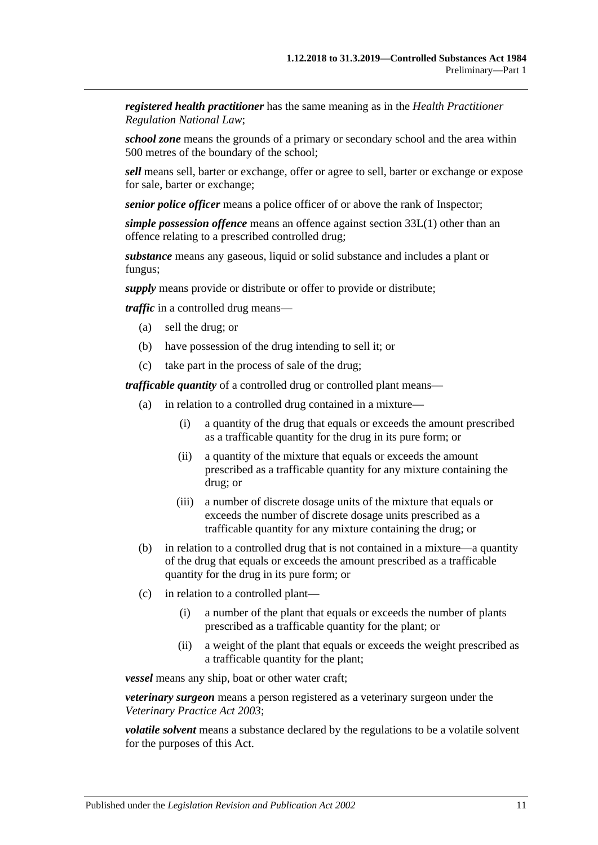*registered health practitioner* has the same meaning as in the *Health Practitioner Regulation National Law*;

*school zone* means the grounds of a primary or secondary school and the area within 500 metres of the boundary of the school;

*sell* means sell, barter or exchange, offer or agree to sell, barter or exchange or expose for sale, barter or exchange;

*senior police officer* means a police officer of or above the rank of Inspector;

*simple possession offence* means an offence against [section](#page-74-3) 33L(1) other than an offence relating to a prescribed controlled drug;

*substance* means any gaseous, liquid or solid substance and includes a plant or fungus;

*supply* means provide or distribute or offer to provide or distribute;

*traffic* in a controlled drug means—

- (a) sell the drug; or
- (b) have possession of the drug intending to sell it; or
- (c) take part in the process of sale of the drug;

*trafficable quantity* of a controlled drug or controlled plant means—

- (a) in relation to a controlled drug contained in a mixture—
	- (i) a quantity of the drug that equals or exceeds the amount prescribed as a trafficable quantity for the drug in its pure form; or
	- (ii) a quantity of the mixture that equals or exceeds the amount prescribed as a trafficable quantity for any mixture containing the drug; or
	- (iii) a number of discrete dosage units of the mixture that equals or exceeds the number of discrete dosage units prescribed as a trafficable quantity for any mixture containing the drug; or
- (b) in relation to a controlled drug that is not contained in a mixture—a quantity of the drug that equals or exceeds the amount prescribed as a trafficable quantity for the drug in its pure form; or
- (c) in relation to a controlled plant—
	- (i) a number of the plant that equals or exceeds the number of plants prescribed as a trafficable quantity for the plant; or
	- (ii) a weight of the plant that equals or exceeds the weight prescribed as a trafficable quantity for the plant;

*vessel* means any ship, boat or other water craft;

*veterinary surgeon* means a person registered as a veterinary surgeon under the *[Veterinary Practice Act](http://www.legislation.sa.gov.au/index.aspx?action=legref&type=act&legtitle=Veterinary%20Practice%20Act%202003) 2003*;

*volatile solvent* means a substance declared by the regulations to be a volatile solvent for the purposes of this Act.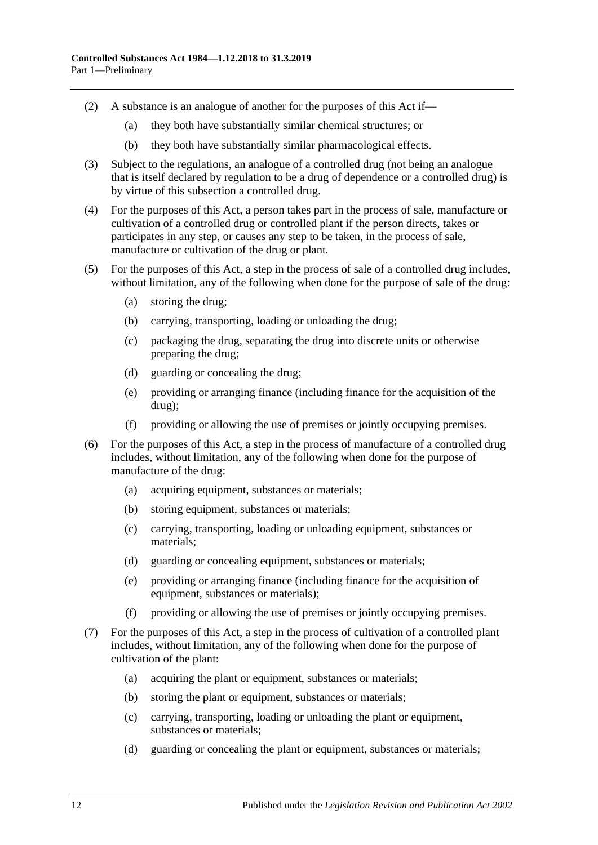- (2) A substance is an analogue of another for the purposes of this Act if—
	- (a) they both have substantially similar chemical structures; or
	- (b) they both have substantially similar pharmacological effects.
- (3) Subject to the regulations, an analogue of a controlled drug (not being an analogue that is itself declared by regulation to be a drug of dependence or a controlled drug) is by virtue of this subsection a controlled drug.
- (4) For the purposes of this Act, a person takes part in the process of sale, manufacture or cultivation of a controlled drug or controlled plant if the person directs, takes or participates in any step, or causes any step to be taken, in the process of sale, manufacture or cultivation of the drug or plant.
- (5) For the purposes of this Act, a step in the process of sale of a controlled drug includes, without limitation, any of the following when done for the purpose of sale of the drug:
	- (a) storing the drug;
	- (b) carrying, transporting, loading or unloading the drug;
	- (c) packaging the drug, separating the drug into discrete units or otherwise preparing the drug;
	- (d) guarding or concealing the drug;
	- (e) providing or arranging finance (including finance for the acquisition of the drug);
	- (f) providing or allowing the use of premises or jointly occupying premises.
- (6) For the purposes of this Act, a step in the process of manufacture of a controlled drug includes, without limitation, any of the following when done for the purpose of manufacture of the drug:
	- (a) acquiring equipment, substances or materials;
	- (b) storing equipment, substances or materials;
	- (c) carrying, transporting, loading or unloading equipment, substances or materials;
	- (d) guarding or concealing equipment, substances or materials;
	- (e) providing or arranging finance (including finance for the acquisition of equipment, substances or materials);
	- (f) providing or allowing the use of premises or jointly occupying premises.
- <span id="page-11-0"></span>(7) For the purposes of this Act, a step in the process of cultivation of a controlled plant includes, without limitation, any of the following when done for the purpose of cultivation of the plant:
	- (a) acquiring the plant or equipment, substances or materials;
	- (b) storing the plant or equipment, substances or materials;
	- (c) carrying, transporting, loading or unloading the plant or equipment, substances or materials;
	- (d) guarding or concealing the plant or equipment, substances or materials;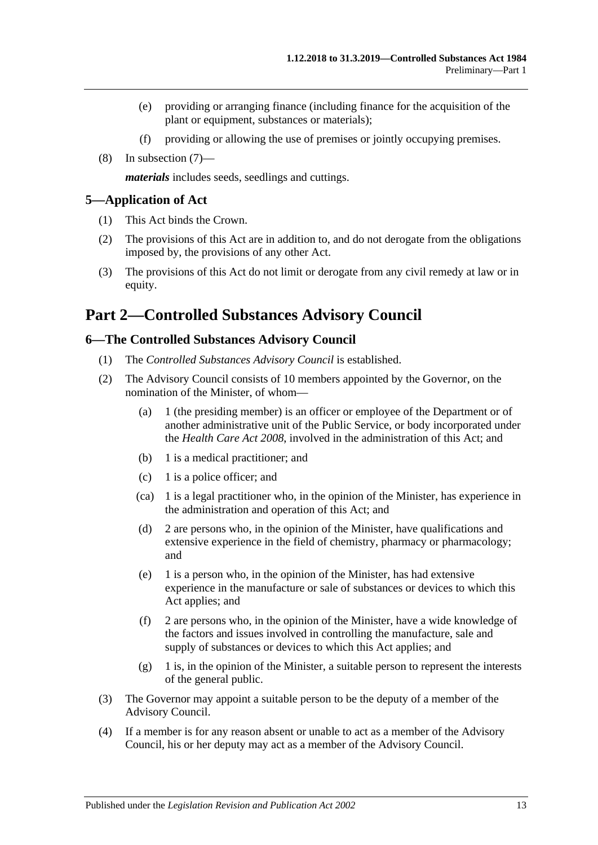- (e) providing or arranging finance (including finance for the acquisition of the plant or equipment, substances or materials);
- (f) providing or allowing the use of premises or jointly occupying premises.
- (8) In [subsection](#page-11-0) (7)—

*materials* includes seeds, seedlings and cuttings.

#### <span id="page-12-0"></span>**5—Application of Act**

- (1) This Act binds the Crown.
- (2) The provisions of this Act are in addition to, and do not derogate from the obligations imposed by, the provisions of any other Act.
- (3) The provisions of this Act do not limit or derogate from any civil remedy at law or in equity.

## <span id="page-12-1"></span>**Part 2—Controlled Substances Advisory Council**

### <span id="page-12-2"></span>**6—The Controlled Substances Advisory Council**

- (1) The *Controlled Substances Advisory Council* is established.
- (2) The Advisory Council consists of 10 members appointed by the Governor, on the nomination of the Minister, of whom—
	- (a) 1 (the presiding member) is an officer or employee of the Department or of another administrative unit of the Public Service, or body incorporated under the *[Health Care Act](http://www.legislation.sa.gov.au/index.aspx?action=legref&type=act&legtitle=Health%20Care%20Act%202008) 2008*, involved in the administration of this Act; and
	- (b) 1 is a medical practitioner; and
	- (c) 1 is a police officer; and
	- (ca) 1 is a legal practitioner who, in the opinion of the Minister, has experience in the administration and operation of this Act; and
	- (d) 2 are persons who, in the opinion of the Minister, have qualifications and extensive experience in the field of chemistry, pharmacy or pharmacology; and
	- (e) 1 is a person who, in the opinion of the Minister, has had extensive experience in the manufacture or sale of substances or devices to which this Act applies; and
	- (f) 2 are persons who, in the opinion of the Minister, have a wide knowledge of the factors and issues involved in controlling the manufacture, sale and supply of substances or devices to which this Act applies; and
	- (g) 1 is, in the opinion of the Minister, a suitable person to represent the interests of the general public.
- (3) The Governor may appoint a suitable person to be the deputy of a member of the Advisory Council.
- (4) If a member is for any reason absent or unable to act as a member of the Advisory Council, his or her deputy may act as a member of the Advisory Council.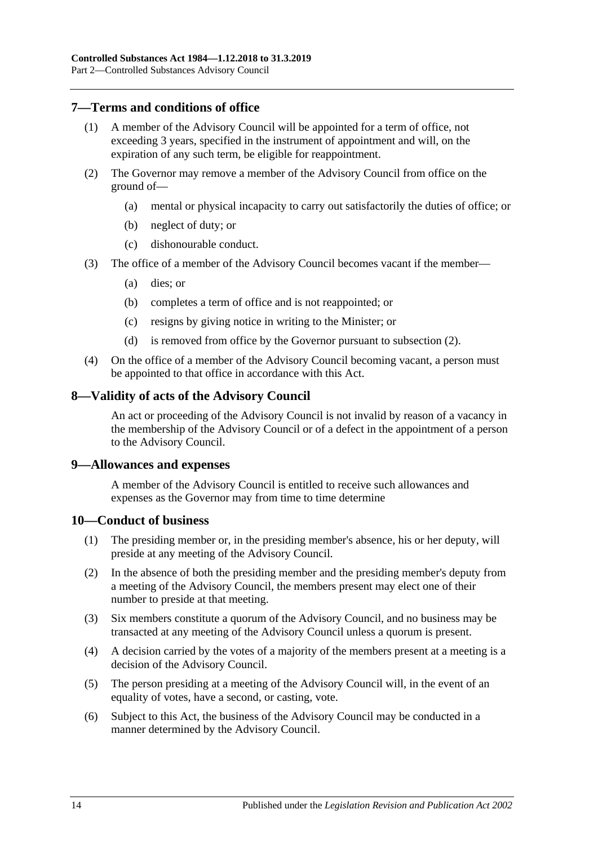## <span id="page-13-0"></span>**7—Terms and conditions of office**

- (1) A member of the Advisory Council will be appointed for a term of office, not exceeding 3 years, specified in the instrument of appointment and will, on the expiration of any such term, be eligible for reappointment.
- <span id="page-13-4"></span>(2) The Governor may remove a member of the Advisory Council from office on the ground of—
	- (a) mental or physical incapacity to carry out satisfactorily the duties of office; or
	- (b) neglect of duty; or
	- (c) dishonourable conduct.
- (3) The office of a member of the Advisory Council becomes vacant if the member—
	- (a) dies; or
	- (b) completes a term of office and is not reappointed; or
	- (c) resigns by giving notice in writing to the Minister; or
	- (d) is removed from office by the Governor pursuant to [subsection](#page-13-4) (2).
- (4) On the office of a member of the Advisory Council becoming vacant, a person must be appointed to that office in accordance with this Act.

#### <span id="page-13-1"></span>**8—Validity of acts of the Advisory Council**

An act or proceeding of the Advisory Council is not invalid by reason of a vacancy in the membership of the Advisory Council or of a defect in the appointment of a person to the Advisory Council.

#### <span id="page-13-2"></span>**9—Allowances and expenses**

A member of the Advisory Council is entitled to receive such allowances and expenses as the Governor may from time to time determine

#### <span id="page-13-3"></span>**10—Conduct of business**

- (1) The presiding member or, in the presiding member's absence, his or her deputy, will preside at any meeting of the Advisory Council.
- (2) In the absence of both the presiding member and the presiding member's deputy from a meeting of the Advisory Council, the members present may elect one of their number to preside at that meeting.
- (3) Six members constitute a quorum of the Advisory Council, and no business may be transacted at any meeting of the Advisory Council unless a quorum is present.
- (4) A decision carried by the votes of a majority of the members present at a meeting is a decision of the Advisory Council.
- (5) The person presiding at a meeting of the Advisory Council will, in the event of an equality of votes, have a second, or casting, vote.
- (6) Subject to this Act, the business of the Advisory Council may be conducted in a manner determined by the Advisory Council.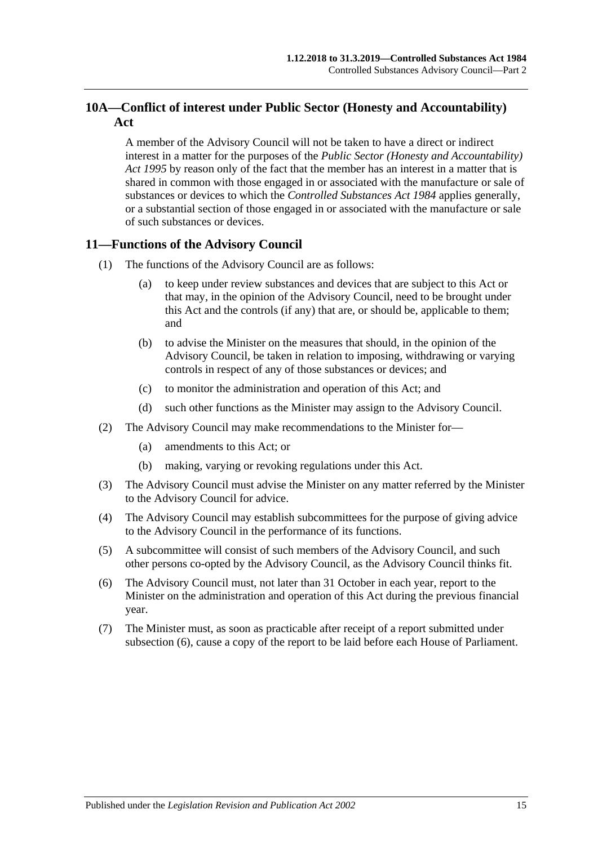## <span id="page-14-0"></span>**10A—Conflict of interest under Public Sector (Honesty and Accountability) Act**

A member of the Advisory Council will not be taken to have a direct or indirect interest in a matter for the purposes of the *[Public Sector \(Honesty and Accountability\)](http://www.legislation.sa.gov.au/index.aspx?action=legref&type=act&legtitle=Public%20Sector%20(Honesty%20and%20Accountability)%20Act%201995)  Act [1995](http://www.legislation.sa.gov.au/index.aspx?action=legref&type=act&legtitle=Public%20Sector%20(Honesty%20and%20Accountability)%20Act%201995)* by reason only of the fact that the member has an interest in a matter that is shared in common with those engaged in or associated with the manufacture or sale of substances or devices to which the *[Controlled Substances Act](http://www.legislation.sa.gov.au/index.aspx?action=legref&type=act&legtitle=Controlled%20Substances%20Act%201984) 1984* applies generally, or a substantial section of those engaged in or associated with the manufacture or sale of such substances or devices.

## <span id="page-14-1"></span>**11—Functions of the Advisory Council**

- (1) The functions of the Advisory Council are as follows:
	- (a) to keep under review substances and devices that are subject to this Act or that may, in the opinion of the Advisory Council, need to be brought under this Act and the controls (if any) that are, or should be, applicable to them; and
	- (b) to advise the Minister on the measures that should, in the opinion of the Advisory Council, be taken in relation to imposing, withdrawing or varying controls in respect of any of those substances or devices; and
	- (c) to monitor the administration and operation of this Act; and
	- (d) such other functions as the Minister may assign to the Advisory Council.
- (2) The Advisory Council may make recommendations to the Minister for—
	- (a) amendments to this Act; or
	- (b) making, varying or revoking regulations under this Act.
- (3) The Advisory Council must advise the Minister on any matter referred by the Minister to the Advisory Council for advice.
- (4) The Advisory Council may establish subcommittees for the purpose of giving advice to the Advisory Council in the performance of its functions.
- (5) A subcommittee will consist of such members of the Advisory Council, and such other persons co-opted by the Advisory Council, as the Advisory Council thinks fit.
- <span id="page-14-2"></span>(6) The Advisory Council must, not later than 31 October in each year, report to the Minister on the administration and operation of this Act during the previous financial year.
- (7) The Minister must, as soon as practicable after receipt of a report submitted under [subsection](#page-14-2) (6), cause a copy of the report to be laid before each House of Parliament.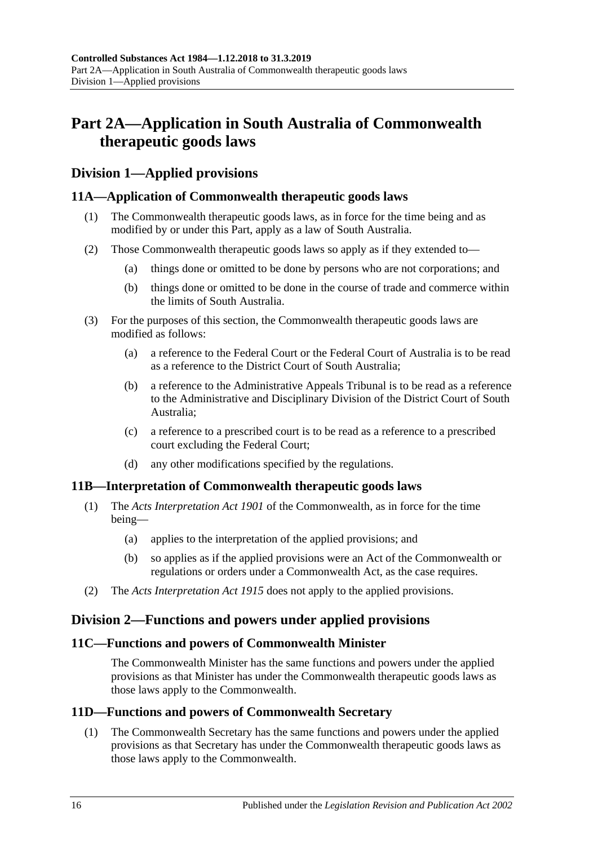## <span id="page-15-0"></span>**Part 2A—Application in South Australia of Commonwealth therapeutic goods laws**

## <span id="page-15-1"></span>**Division 1—Applied provisions**

## <span id="page-15-2"></span>**11A—Application of Commonwealth therapeutic goods laws**

- (1) The Commonwealth therapeutic goods laws, as in force for the time being and as modified by or under this Part, apply as a law of South Australia.
- (2) Those Commonwealth therapeutic goods laws so apply as if they extended to—
	- (a) things done or omitted to be done by persons who are not corporations; and
	- (b) things done or omitted to be done in the course of trade and commerce within the limits of South Australia.
- (3) For the purposes of this section, the Commonwealth therapeutic goods laws are modified as follows:
	- (a) a reference to the Federal Court or the Federal Court of Australia is to be read as a reference to the District Court of South Australia;
	- (b) a reference to the Administrative Appeals Tribunal is to be read as a reference to the Administrative and Disciplinary Division of the District Court of South Australia;
	- (c) a reference to a prescribed court is to be read as a reference to a prescribed court excluding the Federal Court;
	- (d) any other modifications specified by the regulations.

## <span id="page-15-3"></span>**11B—Interpretation of Commonwealth therapeutic goods laws**

- (1) The *Acts Interpretation Act 1901* of the Commonwealth, as in force for the time being—
	- (a) applies to the interpretation of the applied provisions; and
	- (b) so applies as if the applied provisions were an Act of the Commonwealth or regulations or orders under a Commonwealth Act, as the case requires.
- (2) The *[Acts Interpretation Act](http://www.legislation.sa.gov.au/index.aspx?action=legref&type=act&legtitle=Acts%20Interpretation%20Act%201915) 1915* does not apply to the applied provisions.

## <span id="page-15-4"></span>**Division 2—Functions and powers under applied provisions**

## <span id="page-15-5"></span>**11C—Functions and powers of Commonwealth Minister**

The Commonwealth Minister has the same functions and powers under the applied provisions as that Minister has under the Commonwealth therapeutic goods laws as those laws apply to the Commonwealth.

## <span id="page-15-7"></span><span id="page-15-6"></span>**11D—Functions and powers of Commonwealth Secretary**

(1) The Commonwealth Secretary has the same functions and powers under the applied provisions as that Secretary has under the Commonwealth therapeutic goods laws as those laws apply to the Commonwealth.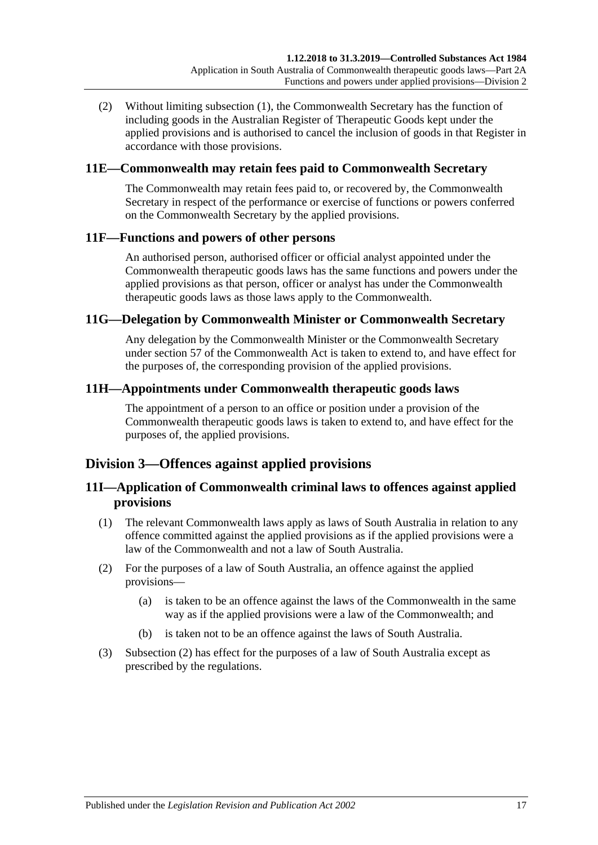(2) Without limiting [subsection](#page-15-7) (1), the Commonwealth Secretary has the function of including goods in the Australian Register of Therapeutic Goods kept under the applied provisions and is authorised to cancel the inclusion of goods in that Register in accordance with those provisions.

## <span id="page-16-0"></span>**11E—Commonwealth may retain fees paid to Commonwealth Secretary**

The Commonwealth may retain fees paid to, or recovered by, the Commonwealth Secretary in respect of the performance or exercise of functions or powers conferred on the Commonwealth Secretary by the applied provisions.

## <span id="page-16-1"></span>**11F—Functions and powers of other persons**

An authorised person, authorised officer or official analyst appointed under the Commonwealth therapeutic goods laws has the same functions and powers under the applied provisions as that person, officer or analyst has under the Commonwealth therapeutic goods laws as those laws apply to the Commonwealth.

### <span id="page-16-2"></span>**11G—Delegation by Commonwealth Minister or Commonwealth Secretary**

Any delegation by the Commonwealth Minister or the Commonwealth Secretary under section 57 of the Commonwealth Act is taken to extend to, and have effect for the purposes of, the corresponding provision of the applied provisions.

### <span id="page-16-3"></span>**11H—Appointments under Commonwealth therapeutic goods laws**

The appointment of a person to an office or position under a provision of the Commonwealth therapeutic goods laws is taken to extend to, and have effect for the purposes of, the applied provisions.

## <span id="page-16-4"></span>**Division 3—Offences against applied provisions**

## <span id="page-16-5"></span>**11I—Application of Commonwealth criminal laws to offences against applied provisions**

- (1) The relevant Commonwealth laws apply as laws of South Australia in relation to any offence committed against the applied provisions as if the applied provisions were a law of the Commonwealth and not a law of South Australia.
- <span id="page-16-6"></span>(2) For the purposes of a law of South Australia, an offence against the applied provisions—
	- (a) is taken to be an offence against the laws of the Commonwealth in the same way as if the applied provisions were a law of the Commonwealth; and
	- (b) is taken not to be an offence against the laws of South Australia.
- (3) [Subsection](#page-16-6) (2) has effect for the purposes of a law of South Australia except as prescribed by the regulations.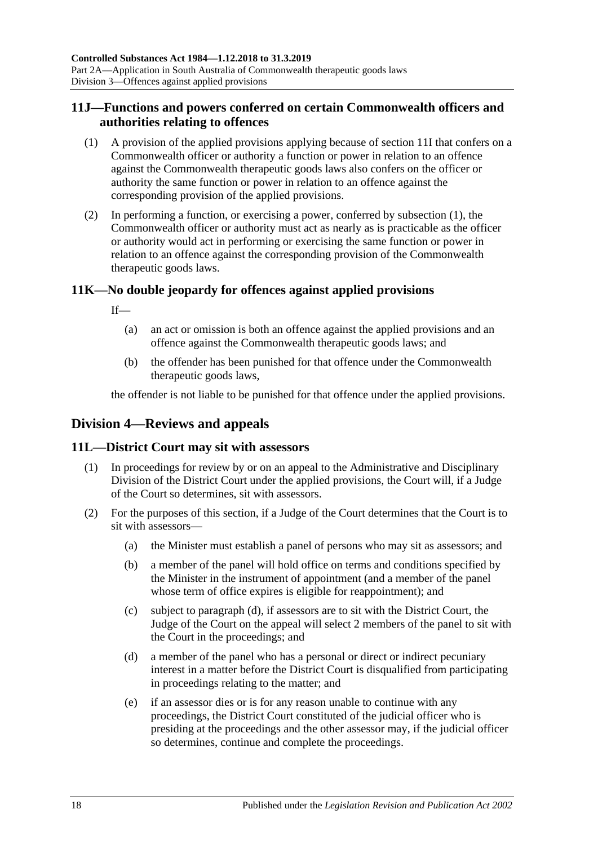## <span id="page-17-0"></span>**11J—Functions and powers conferred on certain Commonwealth officers and authorities relating to offences**

- <span id="page-17-4"></span>(1) A provision of the applied provisions applying because of [section](#page-16-5) 11I that confers on a Commonwealth officer or authority a function or power in relation to an offence against the Commonwealth therapeutic goods laws also confers on the officer or authority the same function or power in relation to an offence against the corresponding provision of the applied provisions.
- (2) In performing a function, or exercising a power, conferred by [subsection](#page-17-4) (1), the Commonwealth officer or authority must act as nearly as is practicable as the officer or authority would act in performing or exercising the same function or power in relation to an offence against the corresponding provision of the Commonwealth therapeutic goods laws.

## <span id="page-17-1"></span>**11K—No double jeopardy for offences against applied provisions**

If—

- (a) an act or omission is both an offence against the applied provisions and an offence against the Commonwealth therapeutic goods laws; and
- (b) the offender has been punished for that offence under the Commonwealth therapeutic goods laws,

the offender is not liable to be punished for that offence under the applied provisions.

## <span id="page-17-2"></span>**Division 4—Reviews and appeals**

## <span id="page-17-3"></span>**11L—District Court may sit with assessors**

- (1) In proceedings for review by or on an appeal to the Administrative and Disciplinary Division of the District Court under the applied provisions, the Court will, if a Judge of the Court so determines, sit with assessors.
- <span id="page-17-5"></span>(2) For the purposes of this section, if a Judge of the Court determines that the Court is to sit with assessors—
	- (a) the Minister must establish a panel of persons who may sit as assessors; and
	- (b) a member of the panel will hold office on terms and conditions specified by the Minister in the instrument of appointment (and a member of the panel whose term of office expires is eligible for reappointment); and
	- (c) subject to [paragraph](#page-17-5) (d), if assessors are to sit with the District Court, the Judge of the Court on the appeal will select 2 members of the panel to sit with the Court in the proceedings; and
	- (d) a member of the panel who has a personal or direct or indirect pecuniary interest in a matter before the District Court is disqualified from participating in proceedings relating to the matter; and
	- (e) if an assessor dies or is for any reason unable to continue with any proceedings, the District Court constituted of the judicial officer who is presiding at the proceedings and the other assessor may, if the judicial officer so determines, continue and complete the proceedings.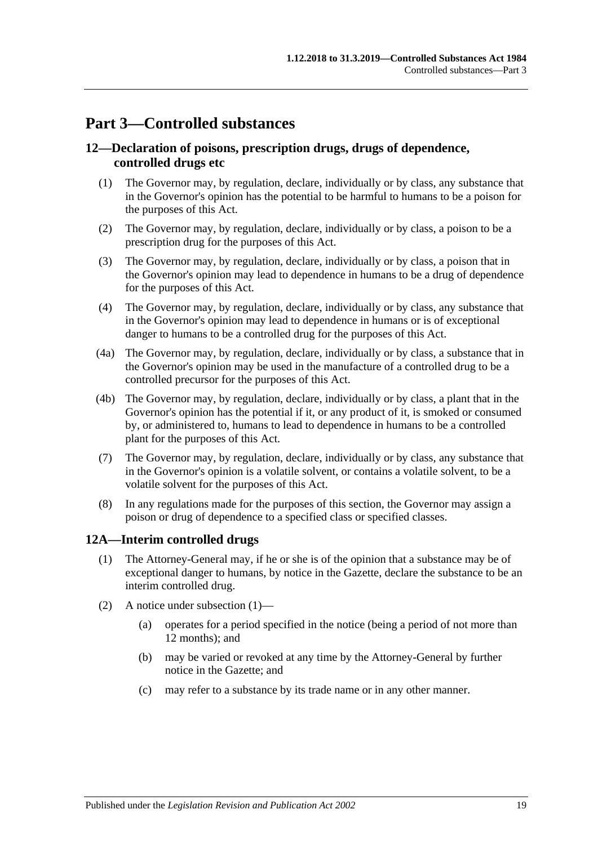## <span id="page-18-0"></span>**Part 3—Controlled substances**

## <span id="page-18-1"></span>**12—Declaration of poisons, prescription drugs, drugs of dependence, controlled drugs etc**

- (1) The Governor may, by regulation, declare, individually or by class, any substance that in the Governor's opinion has the potential to be harmful to humans to be a poison for the purposes of this Act.
- (2) The Governor may, by regulation, declare, individually or by class, a poison to be a prescription drug for the purposes of this Act.
- (3) The Governor may, by regulation, declare, individually or by class, a poison that in the Governor's opinion may lead to dependence in humans to be a drug of dependence for the purposes of this Act.
- (4) The Governor may, by regulation, declare, individually or by class, any substance that in the Governor's opinion may lead to dependence in humans or is of exceptional danger to humans to be a controlled drug for the purposes of this Act.
- (4a) The Governor may, by regulation, declare, individually or by class, a substance that in the Governor's opinion may be used in the manufacture of a controlled drug to be a controlled precursor for the purposes of this Act.
- (4b) The Governor may, by regulation, declare, individually or by class, a plant that in the Governor's opinion has the potential if it, or any product of it, is smoked or consumed by, or administered to, humans to lead to dependence in humans to be a controlled plant for the purposes of this Act.
- (7) The Governor may, by regulation, declare, individually or by class, any substance that in the Governor's opinion is a volatile solvent, or contains a volatile solvent, to be a volatile solvent for the purposes of this Act.
- (8) In any regulations made for the purposes of this section, the Governor may assign a poison or drug of dependence to a specified class or specified classes.

## <span id="page-18-3"></span><span id="page-18-2"></span>**12A—Interim controlled drugs**

- (1) The Attorney-General may, if he or she is of the opinion that a substance may be of exceptional danger to humans, by notice in the Gazette, declare the substance to be an interim controlled drug.
- (2) A notice under [subsection](#page-18-3) (1)—
	- (a) operates for a period specified in the notice (being a period of not more than 12 months); and
	- (b) may be varied or revoked at any time by the Attorney-General by further notice in the Gazette; and
	- (c) may refer to a substance by its trade name or in any other manner.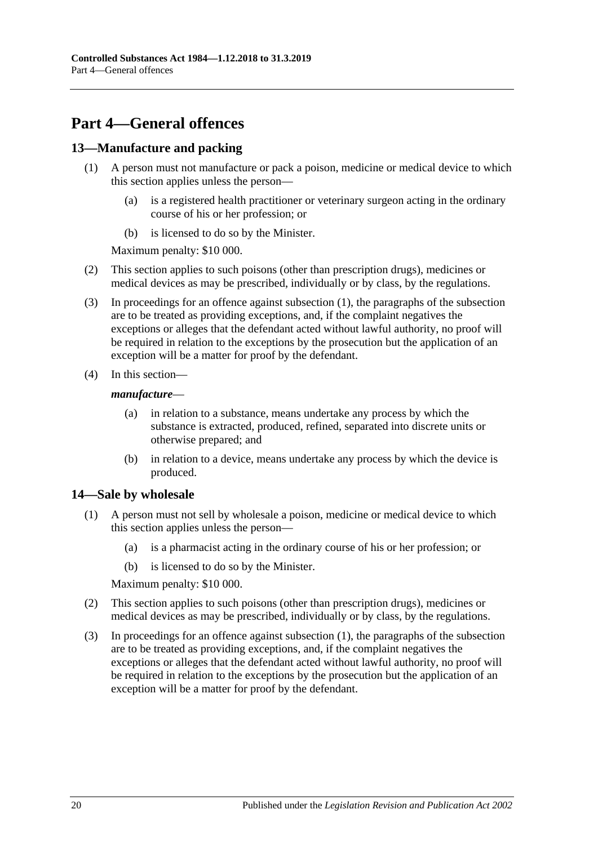## <span id="page-19-0"></span>**Part 4—General offences**

## <span id="page-19-3"></span><span id="page-19-1"></span>**13—Manufacture and packing**

- (1) A person must not manufacture or pack a poison, medicine or medical device to which this section applies unless the person—
	- (a) is a registered health practitioner or veterinary surgeon acting in the ordinary course of his or her profession; or
	- (b) is licensed to do so by the Minister.

Maximum penalty: \$10 000.

- (2) This section applies to such poisons (other than prescription drugs), medicines or medical devices as may be prescribed, individually or by class, by the regulations.
- (3) In proceedings for an offence against [subsection](#page-19-3) (1), the paragraphs of the subsection are to be treated as providing exceptions, and, if the complaint negatives the exceptions or alleges that the defendant acted without lawful authority, no proof will be required in relation to the exceptions by the prosecution but the application of an exception will be a matter for proof by the defendant.
- (4) In this section—

#### *manufacture*—

- (a) in relation to a substance, means undertake any process by which the substance is extracted, produced, refined, separated into discrete units or otherwise prepared; and
- (b) in relation to a device, means undertake any process by which the device is produced.

## <span id="page-19-4"></span><span id="page-19-2"></span>**14—Sale by wholesale**

- (1) A person must not sell by wholesale a poison, medicine or medical device to which this section applies unless the person—
	- (a) is a pharmacist acting in the ordinary course of his or her profession; or
	- (b) is licensed to do so by the Minister.

Maximum penalty: \$10 000.

- (2) This section applies to such poisons (other than prescription drugs), medicines or medical devices as may be prescribed, individually or by class, by the regulations.
- (3) In proceedings for an offence against [subsection](#page-19-4) (1), the paragraphs of the subsection are to be treated as providing exceptions, and, if the complaint negatives the exceptions or alleges that the defendant acted without lawful authority, no proof will be required in relation to the exceptions by the prosecution but the application of an exception will be a matter for proof by the defendant.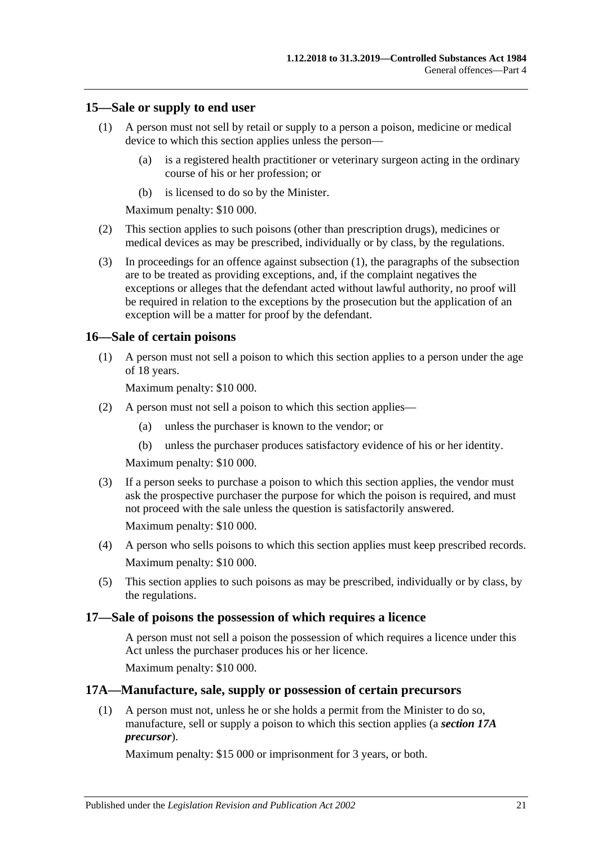#### <span id="page-20-4"></span><span id="page-20-0"></span>**15—Sale or supply to end user**

- (1) A person must not sell by retail or supply to a person a poison, medicine or medical device to which this section applies unless the person—
	- (a) is a registered health practitioner or veterinary surgeon acting in the ordinary course of his or her profession; or
	- (b) is licensed to do so by the Minister.

Maximum penalty: \$10 000.

- (2) This section applies to such poisons (other than prescription drugs), medicines or medical devices as may be prescribed, individually or by class, by the regulations.
- (3) In proceedings for an offence against [subsection](#page-20-4) (1), the paragraphs of the subsection are to be treated as providing exceptions, and, if the complaint negatives the exceptions or alleges that the defendant acted without lawful authority, no proof will be required in relation to the exceptions by the prosecution but the application of an exception will be a matter for proof by the defendant.

### <span id="page-20-1"></span>**16—Sale of certain poisons**

(1) A person must not sell a poison to which this section applies to a person under the age of 18 years.

Maximum penalty: \$10 000.

- (2) A person must not sell a poison to which this section applies—
	- (a) unless the purchaser is known to the vendor; or
	- (b) unless the purchaser produces satisfactory evidence of his or her identity.

Maximum penalty: \$10 000.

(3) If a person seeks to purchase a poison to which this section applies, the vendor must ask the prospective purchaser the purpose for which the poison is required, and must not proceed with the sale unless the question is satisfactorily answered.

Maximum penalty: \$10 000.

- (4) A person who sells poisons to which this section applies must keep prescribed records. Maximum penalty: \$10 000.
- (5) This section applies to such poisons as may be prescribed, individually or by class, by the regulations.

#### <span id="page-20-2"></span>**17—Sale of poisons the possession of which requires a licence**

A person must not sell a poison the possession of which requires a licence under this Act unless the purchaser produces his or her licence.

Maximum penalty: \$10 000.

#### <span id="page-20-3"></span>**17A—Manufacture, sale, supply or possession of certain precursors**

(1) A person must not, unless he or she holds a permit from the Minister to do so, manufacture, sell or supply a poison to which this section applies (a *section 17A precursor*).

Maximum penalty: \$15 000 or imprisonment for 3 years, or both.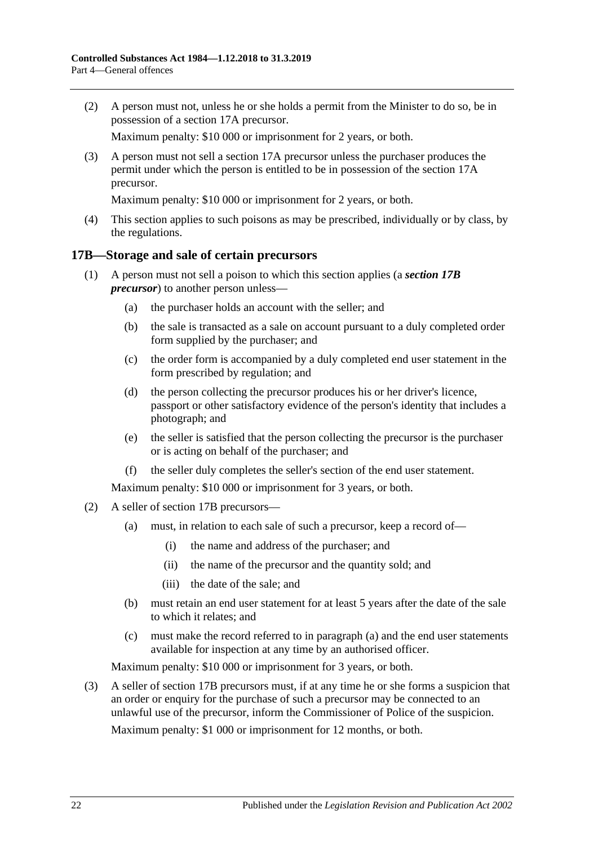(2) A person must not, unless he or she holds a permit from the Minister to do so, be in possession of a section 17A precursor.

Maximum penalty: \$10 000 or imprisonment for 2 years, or both.

(3) A person must not sell a section 17A precursor unless the purchaser produces the permit under which the person is entitled to be in possession of the section 17A precursor.

Maximum penalty: \$10 000 or imprisonment for 2 years, or both.

(4) This section applies to such poisons as may be prescribed, individually or by class, by the regulations.

### <span id="page-21-0"></span>**17B—Storage and sale of certain precursors**

- (1) A person must not sell a poison to which this section applies (a *section 17B precursor*) to another person unless—
	- (a) the purchaser holds an account with the seller; and
	- (b) the sale is transacted as a sale on account pursuant to a duly completed order form supplied by the purchaser; and
	- (c) the order form is accompanied by a duly completed end user statement in the form prescribed by regulation; and
	- (d) the person collecting the precursor produces his or her driver's licence, passport or other satisfactory evidence of the person's identity that includes a photograph; and
	- (e) the seller is satisfied that the person collecting the precursor is the purchaser or is acting on behalf of the purchaser; and
	- (f) the seller duly completes the seller's section of the end user statement.

Maximum penalty: \$10 000 or imprisonment for 3 years, or both.

- <span id="page-21-1"></span>(2) A seller of section 17B precursors—
	- (a) must, in relation to each sale of such a precursor, keep a record of—
		- (i) the name and address of the purchaser; and
		- (ii) the name of the precursor and the quantity sold; and
		- (iii) the date of the sale; and
	- (b) must retain an end user statement for at least 5 years after the date of the sale to which it relates; and
	- (c) must make the record referred to in [paragraph](#page-21-1) (a) and the end user statements available for inspection at any time by an authorised officer.

Maximum penalty: \$10 000 or imprisonment for 3 years, or both.

(3) A seller of section 17B precursors must, if at any time he or she forms a suspicion that an order or enquiry for the purchase of such a precursor may be connected to an unlawful use of the precursor, inform the Commissioner of Police of the suspicion.

Maximum penalty: \$1 000 or imprisonment for 12 months, or both.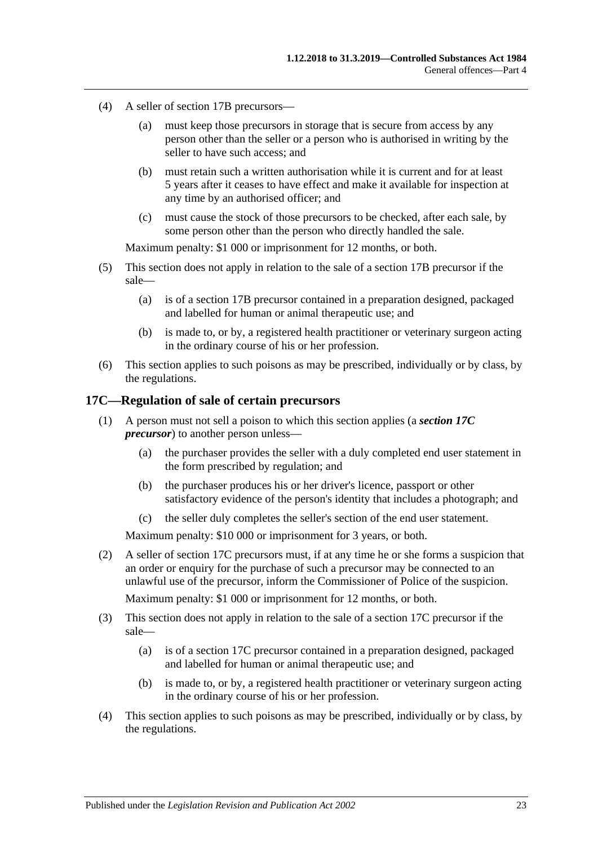- (4) A seller of section 17B precursors—
	- (a) must keep those precursors in storage that is secure from access by any person other than the seller or a person who is authorised in writing by the seller to have such access; and
	- (b) must retain such a written authorisation while it is current and for at least 5 years after it ceases to have effect and make it available for inspection at any time by an authorised officer; and
	- (c) must cause the stock of those precursors to be checked, after each sale, by some person other than the person who directly handled the sale.

Maximum penalty: \$1 000 or imprisonment for 12 months, or both.

- (5) This section does not apply in relation to the sale of a section 17B precursor if the sale—
	- (a) is of a section 17B precursor contained in a preparation designed, packaged and labelled for human or animal therapeutic use; and
	- (b) is made to, or by, a registered health practitioner or veterinary surgeon acting in the ordinary course of his or her profession.
- (6) This section applies to such poisons as may be prescribed, individually or by class, by the regulations.

### <span id="page-22-0"></span>**17C—Regulation of sale of certain precursors**

- (1) A person must not sell a poison to which this section applies (a *section 17C precursor*) to another person unless—
	- (a) the purchaser provides the seller with a duly completed end user statement in the form prescribed by regulation; and
	- (b) the purchaser produces his or her driver's licence, passport or other satisfactory evidence of the person's identity that includes a photograph; and
	- (c) the seller duly completes the seller's section of the end user statement.

Maximum penalty: \$10 000 or imprisonment for 3 years, or both.

(2) A seller of section 17C precursors must, if at any time he or she forms a suspicion that an order or enquiry for the purchase of such a precursor may be connected to an unlawful use of the precursor, inform the Commissioner of Police of the suspicion.

Maximum penalty: \$1 000 or imprisonment for 12 months, or both.

- (3) This section does not apply in relation to the sale of a section 17C precursor if the sale—
	- (a) is of a section 17C precursor contained in a preparation designed, packaged and labelled for human or animal therapeutic use; and
	- (b) is made to, or by, a registered health practitioner or veterinary surgeon acting in the ordinary course of his or her profession.
- (4) This section applies to such poisons as may be prescribed, individually or by class, by the regulations.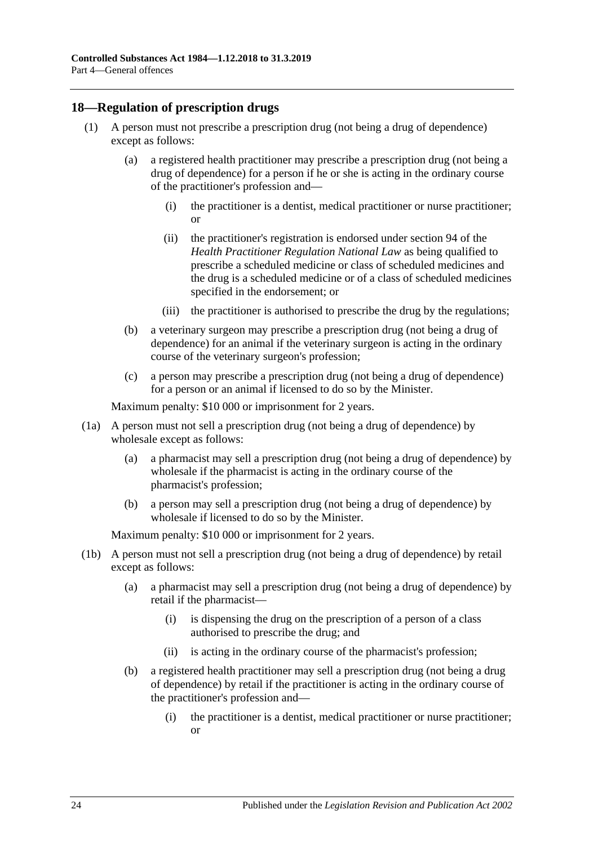## <span id="page-23-1"></span><span id="page-23-0"></span>**18—Regulation of prescription drugs**

- (1) A person must not prescribe a prescription drug (not being a drug of dependence) except as follows:
	- (a) a registered health practitioner may prescribe a prescription drug (not being a drug of dependence) for a person if he or she is acting in the ordinary course of the practitioner's profession and—
		- (i) the practitioner is a dentist, medical practitioner or nurse practitioner; or
		- (ii) the practitioner's registration is endorsed under section 94 of the *Health Practitioner Regulation National Law* as being qualified to prescribe a scheduled medicine or class of scheduled medicines and the drug is a scheduled medicine or of a class of scheduled medicines specified in the endorsement; or
		- (iii) the practitioner is authorised to prescribe the drug by the regulations;
	- (b) a veterinary surgeon may prescribe a prescription drug (not being a drug of dependence) for an animal if the veterinary surgeon is acting in the ordinary course of the veterinary surgeon's profession;
	- (c) a person may prescribe a prescription drug (not being a drug of dependence) for a person or an animal if licensed to do so by the Minister.

Maximum penalty: \$10 000 or imprisonment for 2 years.

- (1a) A person must not sell a prescription drug (not being a drug of dependence) by wholesale except as follows:
	- (a) a pharmacist may sell a prescription drug (not being a drug of dependence) by wholesale if the pharmacist is acting in the ordinary course of the pharmacist's profession;
	- (b) a person may sell a prescription drug (not being a drug of dependence) by wholesale if licensed to do so by the Minister.

- (1b) A person must not sell a prescription drug (not being a drug of dependence) by retail except as follows:
	- (a) a pharmacist may sell a prescription drug (not being a drug of dependence) by retail if the pharmacist—
		- (i) is dispensing the drug on the prescription of a person of a class authorised to prescribe the drug; and
		- (ii) is acting in the ordinary course of the pharmacist's profession;
	- (b) a registered health practitioner may sell a prescription drug (not being a drug of dependence) by retail if the practitioner is acting in the ordinary course of the practitioner's profession and—
		- (i) the practitioner is a dentist, medical practitioner or nurse practitioner; or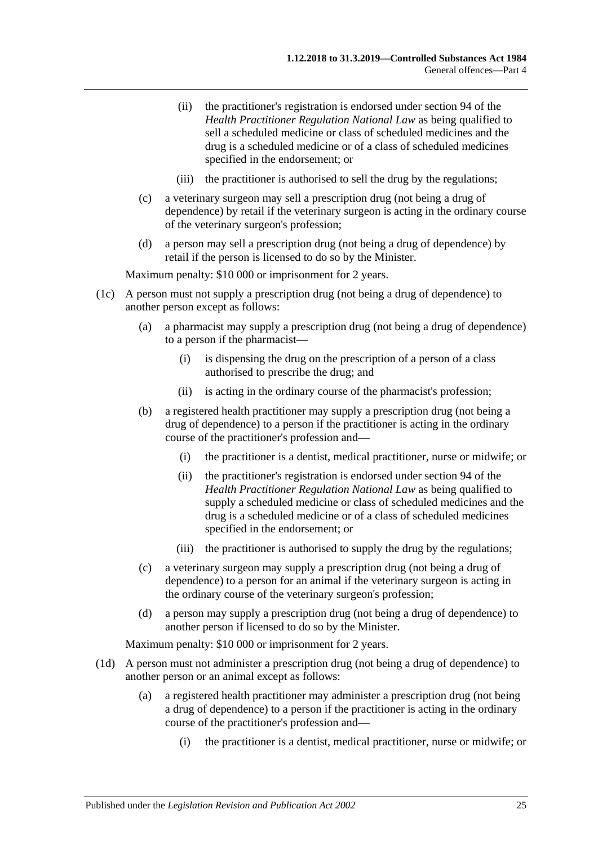- (ii) the practitioner's registration is endorsed under section 94 of the *Health Practitioner Regulation National Law* as being qualified to sell a scheduled medicine or class of scheduled medicines and the drug is a scheduled medicine or of a class of scheduled medicines specified in the endorsement; or
- (iii) the practitioner is authorised to sell the drug by the regulations;
- (c) a veterinary surgeon may sell a prescription drug (not being a drug of dependence) by retail if the veterinary surgeon is acting in the ordinary course of the veterinary surgeon's profession;
- (d) a person may sell a prescription drug (not being a drug of dependence) by retail if the person is licensed to do so by the Minister.

- (1c) A person must not supply a prescription drug (not being a drug of dependence) to another person except as follows:
	- (a) a pharmacist may supply a prescription drug (not being a drug of dependence) to a person if the pharmacist—
		- (i) is dispensing the drug on the prescription of a person of a class authorised to prescribe the drug; and
		- (ii) is acting in the ordinary course of the pharmacist's profession;
	- (b) a registered health practitioner may supply a prescription drug (not being a drug of dependence) to a person if the practitioner is acting in the ordinary course of the practitioner's profession and—
		- (i) the practitioner is a dentist, medical practitioner, nurse or midwife; or
		- (ii) the practitioner's registration is endorsed under section 94 of the *Health Practitioner Regulation National Law* as being qualified to supply a scheduled medicine or class of scheduled medicines and the drug is a scheduled medicine or of a class of scheduled medicines specified in the endorsement; or
		- (iii) the practitioner is authorised to supply the drug by the regulations;
	- (c) a veterinary surgeon may supply a prescription drug (not being a drug of dependence) to a person for an animal if the veterinary surgeon is acting in the ordinary course of the veterinary surgeon's profession;
	- (d) a person may supply a prescription drug (not being a drug of dependence) to another person if licensed to do so by the Minister.

- (1d) A person must not administer a prescription drug (not being a drug of dependence) to another person or an animal except as follows:
	- (a) a registered health practitioner may administer a prescription drug (not being a drug of dependence) to a person if the practitioner is acting in the ordinary course of the practitioner's profession and—
		- (i) the practitioner is a dentist, medical practitioner, nurse or midwife; or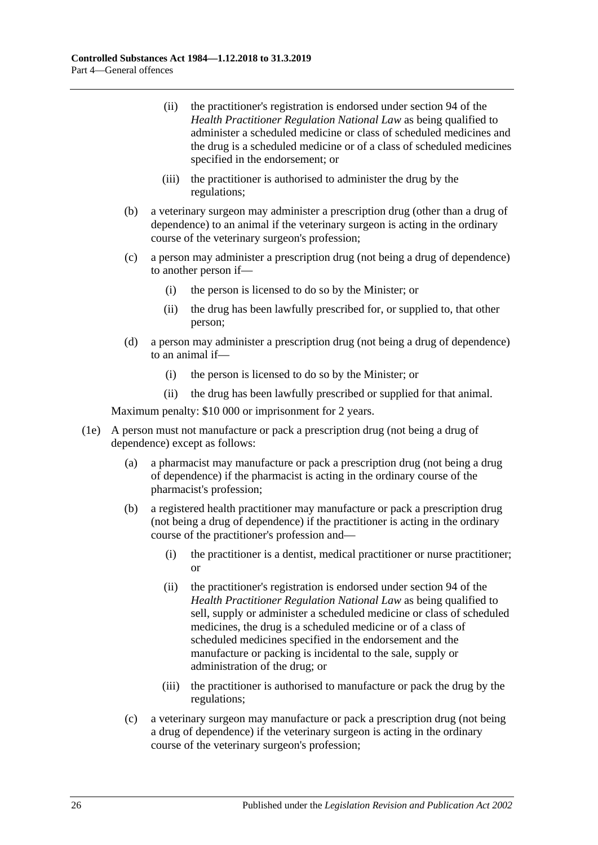- (ii) the practitioner's registration is endorsed under section 94 of the *Health Practitioner Regulation National Law* as being qualified to administer a scheduled medicine or class of scheduled medicines and the drug is a scheduled medicine or of a class of scheduled medicines specified in the endorsement; or
- (iii) the practitioner is authorised to administer the drug by the regulations;
- (b) a veterinary surgeon may administer a prescription drug (other than a drug of dependence) to an animal if the veterinary surgeon is acting in the ordinary course of the veterinary surgeon's profession;
- (c) a person may administer a prescription drug (not being a drug of dependence) to another person if—
	- (i) the person is licensed to do so by the Minister; or
	- (ii) the drug has been lawfully prescribed for, or supplied to, that other person;
- (d) a person may administer a prescription drug (not being a drug of dependence) to an animal if—
	- (i) the person is licensed to do so by the Minister; or
	- (ii) the drug has been lawfully prescribed or supplied for that animal.

- (1e) A person must not manufacture or pack a prescription drug (not being a drug of dependence) except as follows:
	- (a) a pharmacist may manufacture or pack a prescription drug (not being a drug of dependence) if the pharmacist is acting in the ordinary course of the pharmacist's profession;
	- (b) a registered health practitioner may manufacture or pack a prescription drug (not being a drug of dependence) if the practitioner is acting in the ordinary course of the practitioner's profession and—
		- (i) the practitioner is a dentist, medical practitioner or nurse practitioner; or
		- (ii) the practitioner's registration is endorsed under section 94 of the *Health Practitioner Regulation National Law* as being qualified to sell, supply or administer a scheduled medicine or class of scheduled medicines, the drug is a scheduled medicine or of a class of scheduled medicines specified in the endorsement and the manufacture or packing is incidental to the sale, supply or administration of the drug; or
		- (iii) the practitioner is authorised to manufacture or pack the drug by the regulations;
	- (c) a veterinary surgeon may manufacture or pack a prescription drug (not being a drug of dependence) if the veterinary surgeon is acting in the ordinary course of the veterinary surgeon's profession;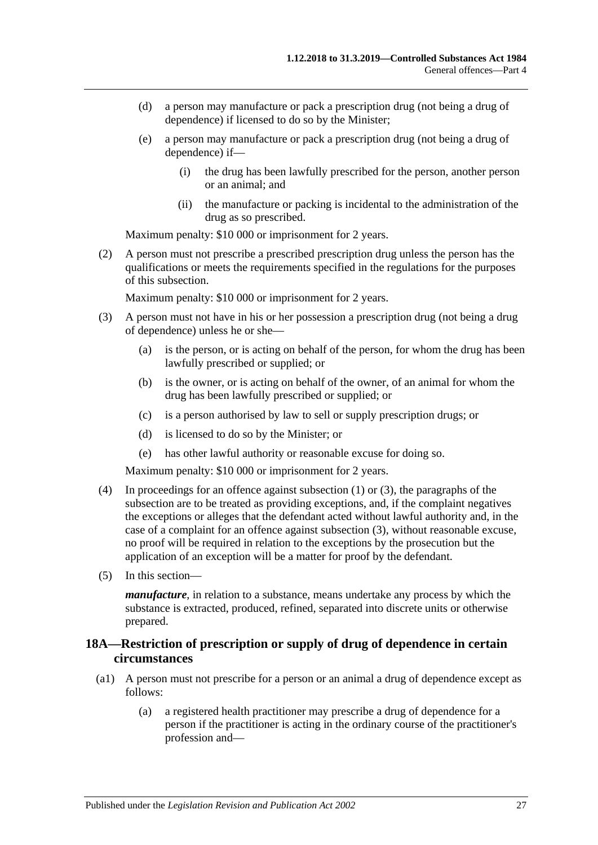- (d) a person may manufacture or pack a prescription drug (not being a drug of dependence) if licensed to do so by the Minister;
- (e) a person may manufacture or pack a prescription drug (not being a drug of dependence) if—
	- (i) the drug has been lawfully prescribed for the person, another person or an animal; and
	- (ii) the manufacture or packing is incidental to the administration of the drug as so prescribed.

(2) A person must not prescribe a prescribed prescription drug unless the person has the qualifications or meets the requirements specified in the regulations for the purposes of this subsection.

Maximum penalty: \$10 000 or imprisonment for 2 years.

- <span id="page-26-1"></span>(3) A person must not have in his or her possession a prescription drug (not being a drug of dependence) unless he or she—
	- (a) is the person, or is acting on behalf of the person, for whom the drug has been lawfully prescribed or supplied; or
	- (b) is the owner, or is acting on behalf of the owner, of an animal for whom the drug has been lawfully prescribed or supplied; or
	- (c) is a person authorised by law to sell or supply prescription drugs; or
	- (d) is licensed to do so by the Minister; or
	- (e) has other lawful authority or reasonable excuse for doing so.

Maximum penalty: \$10 000 or imprisonment for 2 years.

- (4) In proceedings for an offence against [subsection](#page-23-1) (1) or [\(3\),](#page-26-1) the paragraphs of the subsection are to be treated as providing exceptions, and, if the complaint negatives the exceptions or alleges that the defendant acted without lawful authority and, in the case of a complaint for an offence against [subsection](#page-26-1) (3), without reasonable excuse, no proof will be required in relation to the exceptions by the prosecution but the application of an exception will be a matter for proof by the defendant.
- (5) In this section—

*manufacture*, in relation to a substance, means undertake any process by which the substance is extracted, produced, refined, separated into discrete units or otherwise prepared.

## <span id="page-26-0"></span>**18A—Restriction of prescription or supply of drug of dependence in certain circumstances**

- (a1) A person must not prescribe for a person or an animal a drug of dependence except as follows:
	- (a) a registered health practitioner may prescribe a drug of dependence for a person if the practitioner is acting in the ordinary course of the practitioner's profession and—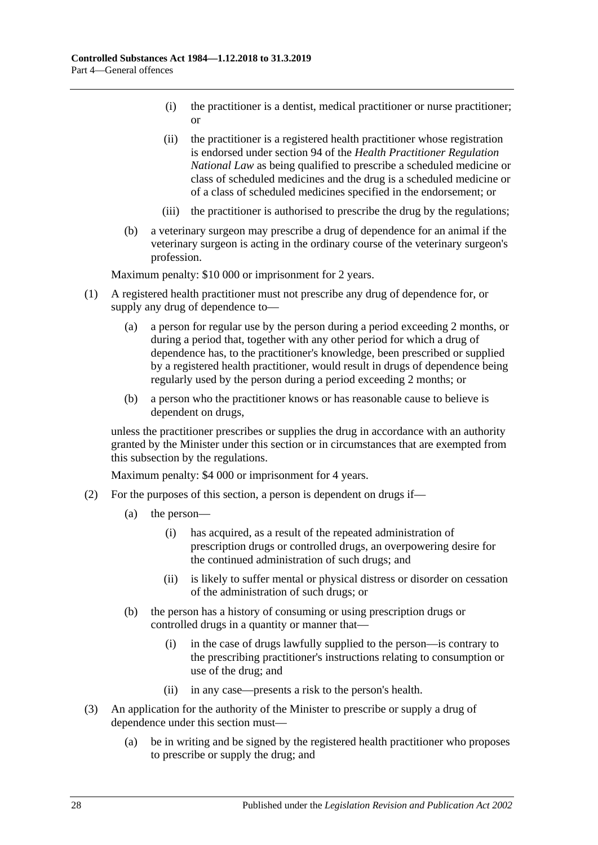- (i) the practitioner is a dentist, medical practitioner or nurse practitioner; or
- (ii) the practitioner is a registered health practitioner whose registration is endorsed under section 94 of the *Health Practitioner Regulation National Law* as being qualified to prescribe a scheduled medicine or class of scheduled medicines and the drug is a scheduled medicine or of a class of scheduled medicines specified in the endorsement; or
- (iii) the practitioner is authorised to prescribe the drug by the regulations;
- (b) a veterinary surgeon may prescribe a drug of dependence for an animal if the veterinary surgeon is acting in the ordinary course of the veterinary surgeon's profession.

- (1) A registered health practitioner must not prescribe any drug of dependence for, or supply any drug of dependence to—
	- (a) a person for regular use by the person during a period exceeding 2 months, or during a period that, together with any other period for which a drug of dependence has, to the practitioner's knowledge, been prescribed or supplied by a registered health practitioner, would result in drugs of dependence being regularly used by the person during a period exceeding 2 months; or
	- (b) a person who the practitioner knows or has reasonable cause to believe is dependent on drugs,

unless the practitioner prescribes or supplies the drug in accordance with an authority granted by the Minister under this section or in circumstances that are exempted from this subsection by the regulations.

- (2) For the purposes of this section, a person is dependent on drugs if—
	- (a) the person—
		- (i) has acquired, as a result of the repeated administration of prescription drugs or controlled drugs, an overpowering desire for the continued administration of such drugs; and
		- (ii) is likely to suffer mental or physical distress or disorder on cessation of the administration of such drugs; or
	- (b) the person has a history of consuming or using prescription drugs or controlled drugs in a quantity or manner that—
		- (i) in the case of drugs lawfully supplied to the person—is contrary to the prescribing practitioner's instructions relating to consumption or use of the drug; and
		- (ii) in any case—presents a risk to the person's health.
- (3) An application for the authority of the Minister to prescribe or supply a drug of dependence under this section must—
	- (a) be in writing and be signed by the registered health practitioner who proposes to prescribe or supply the drug; and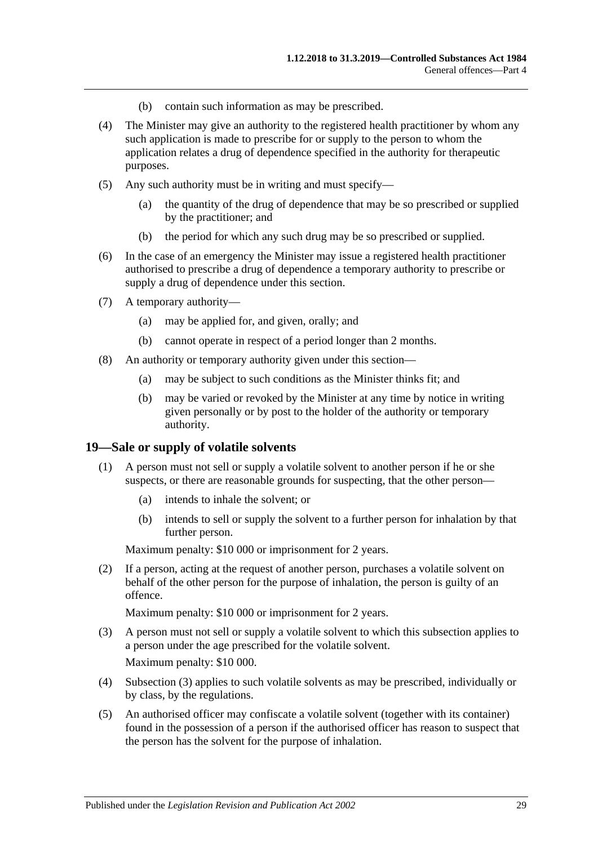- (b) contain such information as may be prescribed.
- (4) The Minister may give an authority to the registered health practitioner by whom any such application is made to prescribe for or supply to the person to whom the application relates a drug of dependence specified in the authority for therapeutic purposes.
- (5) Any such authority must be in writing and must specify—
	- (a) the quantity of the drug of dependence that may be so prescribed or supplied by the practitioner; and
	- (b) the period for which any such drug may be so prescribed or supplied.
- (6) In the case of an emergency the Minister may issue a registered health practitioner authorised to prescribe a drug of dependence a temporary authority to prescribe or supply a drug of dependence under this section.
- (7) A temporary authority—
	- (a) may be applied for, and given, orally; and
	- (b) cannot operate in respect of a period longer than 2 months.
- (8) An authority or temporary authority given under this section—
	- (a) may be subject to such conditions as the Minister thinks fit; and
	- (b) may be varied or revoked by the Minister at any time by notice in writing given personally or by post to the holder of the authority or temporary authority.

#### <span id="page-28-0"></span>**19—Sale or supply of volatile solvents**

- (1) A person must not sell or supply a volatile solvent to another person if he or she suspects, or there are reasonable grounds for suspecting, that the other person—
	- (a) intends to inhale the solvent; or
	- (b) intends to sell or supply the solvent to a further person for inhalation by that further person.

Maximum penalty: \$10 000 or imprisonment for 2 years.

(2) If a person, acting at the request of another person, purchases a volatile solvent on behalf of the other person for the purpose of inhalation, the person is guilty of an offence.

- <span id="page-28-1"></span>(3) A person must not sell or supply a volatile solvent to which this subsection applies to a person under the age prescribed for the volatile solvent. Maximum penalty: \$10 000.
- (4) [Subsection](#page-28-1) (3) applies to such volatile solvents as may be prescribed, individually or by class, by the regulations.
- <span id="page-28-2"></span>(5) An authorised officer may confiscate a volatile solvent (together with its container) found in the possession of a person if the authorised officer has reason to suspect that the person has the solvent for the purpose of inhalation.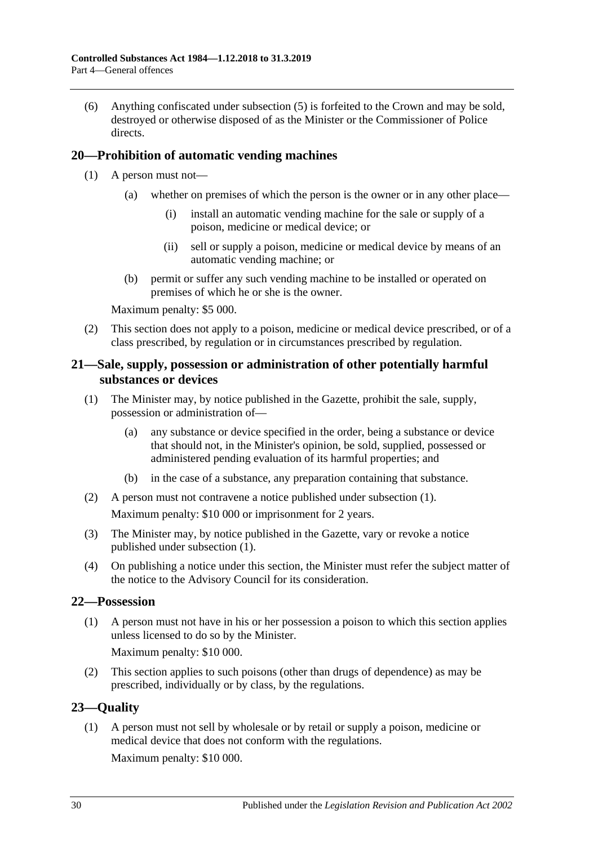(6) Anything confiscated under [subsection](#page-28-2) (5) is forfeited to the Crown and may be sold, destroyed or otherwise disposed of as the Minister or the Commissioner of Police directs.

## <span id="page-29-0"></span>**20—Prohibition of automatic vending machines**

- (1) A person must not—
	- (a) whether on premises of which the person is the owner or in any other place—
		- (i) install an automatic vending machine for the sale or supply of a poison, medicine or medical device; or
		- (ii) sell or supply a poison, medicine or medical device by means of an automatic vending machine; or
	- (b) permit or suffer any such vending machine to be installed or operated on premises of which he or she is the owner.

Maximum penalty: \$5 000.

(2) This section does not apply to a poison, medicine or medical device prescribed, or of a class prescribed, by regulation or in circumstances prescribed by regulation.

## <span id="page-29-1"></span>**21—Sale, supply, possession or administration of other potentially harmful substances or devices**

- <span id="page-29-4"></span>(1) The Minister may, by notice published in the Gazette, prohibit the sale, supply, possession or administration of—
	- (a) any substance or device specified in the order, being a substance or device that should not, in the Minister's opinion, be sold, supplied, possessed or administered pending evaluation of its harmful properties; and
	- (b) in the case of a substance, any preparation containing that substance.
- (2) A person must not contravene a notice published under [subsection](#page-29-4) (1). Maximum penalty: \$10 000 or imprisonment for 2 years.
- (3) The Minister may, by notice published in the Gazette, vary or revoke a notice published under [subsection](#page-29-4) (1).
- (4) On publishing a notice under this section, the Minister must refer the subject matter of the notice to the Advisory Council for its consideration.

#### <span id="page-29-2"></span>**22—Possession**

(1) A person must not have in his or her possession a poison to which this section applies unless licensed to do so by the Minister.

Maximum penalty: \$10 000.

(2) This section applies to such poisons (other than drugs of dependence) as may be prescribed, individually or by class, by the regulations.

## <span id="page-29-3"></span>**23—Quality**

(1) A person must not sell by wholesale or by retail or supply a poison, medicine or medical device that does not conform with the regulations.

Maximum penalty: \$10 000.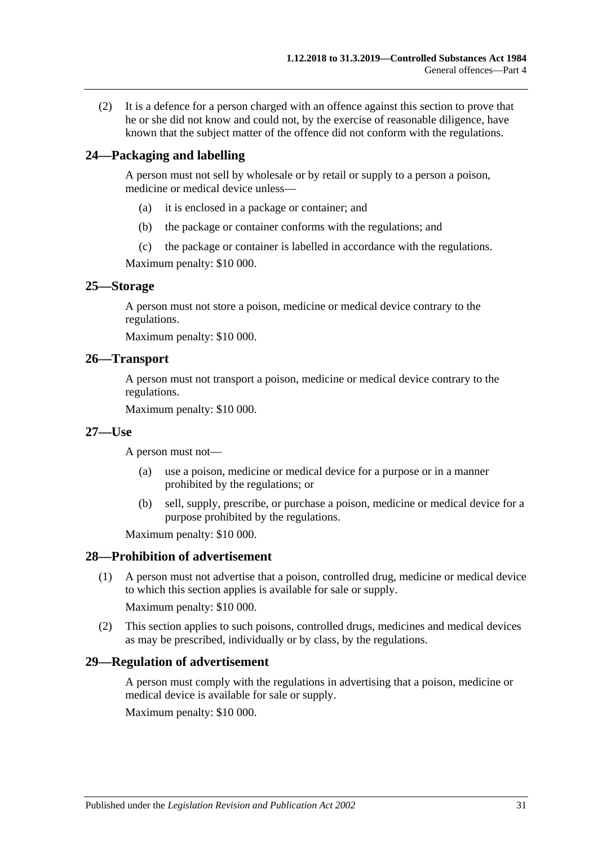(2) It is a defence for a person charged with an offence against this section to prove that he or she did not know and could not, by the exercise of reasonable diligence, have known that the subject matter of the offence did not conform with the regulations.

### <span id="page-30-0"></span>**24—Packaging and labelling**

A person must not sell by wholesale or by retail or supply to a person a poison, medicine or medical device unless—

- (a) it is enclosed in a package or container; and
- (b) the package or container conforms with the regulations; and
- (c) the package or container is labelled in accordance with the regulations.

Maximum penalty: \$10 000.

#### <span id="page-30-1"></span>**25—Storage**

A person must not store a poison, medicine or medical device contrary to the regulations.

Maximum penalty: \$10 000.

#### <span id="page-30-2"></span>**26—Transport**

A person must not transport a poison, medicine or medical device contrary to the regulations.

Maximum penalty: \$10 000.

#### <span id="page-30-3"></span>**27—Use**

A person must not—

- (a) use a poison, medicine or medical device for a purpose or in a manner prohibited by the regulations; or
- (b) sell, supply, prescribe, or purchase a poison, medicine or medical device for a purpose prohibited by the regulations.

Maximum penalty: \$10 000.

#### <span id="page-30-4"></span>**28—Prohibition of advertisement**

(1) A person must not advertise that a poison, controlled drug, medicine or medical device to which this section applies is available for sale or supply.

Maximum penalty: \$10 000.

(2) This section applies to such poisons, controlled drugs, medicines and medical devices as may be prescribed, individually or by class, by the regulations.

#### <span id="page-30-5"></span>**29—Regulation of advertisement**

A person must comply with the regulations in advertising that a poison, medicine or medical device is available for sale or supply.

Maximum penalty: \$10 000.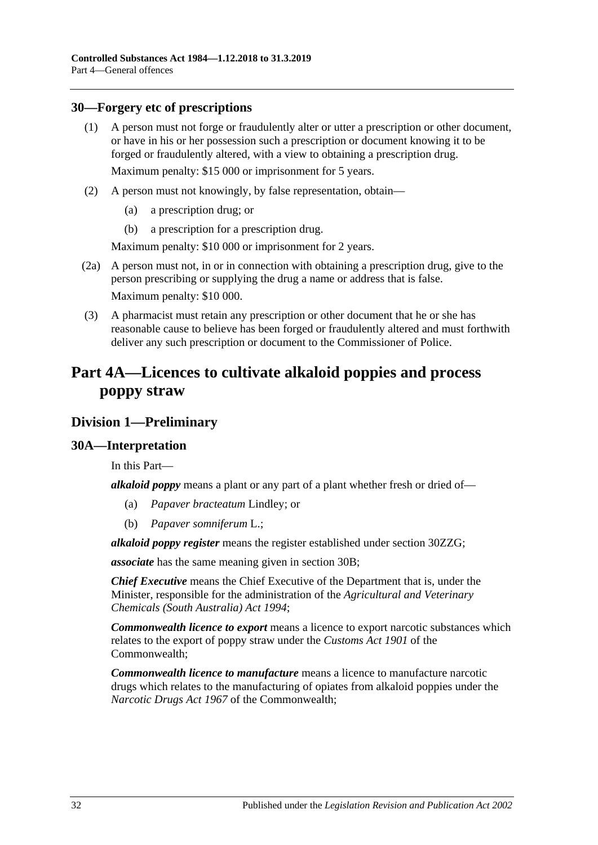### <span id="page-31-0"></span>**30—Forgery etc of prescriptions**

- (1) A person must not forge or fraudulently alter or utter a prescription or other document, or have in his or her possession such a prescription or document knowing it to be forged or fraudulently altered, with a view to obtaining a prescription drug. Maximum penalty: \$15 000 or imprisonment for 5 years.
- (2) A person must not knowingly, by false representation, obtain—
	- (a) a prescription drug; or
	- (b) a prescription for a prescription drug.

Maximum penalty: \$10 000 or imprisonment for 2 years.

- (2a) A person must not, in or in connection with obtaining a prescription drug, give to the person prescribing or supplying the drug a name or address that is false. Maximum penalty: \$10 000.
- (3) A pharmacist must retain any prescription or other document that he or she has reasonable cause to believe has been forged or fraudulently altered and must forthwith deliver any such prescription or document to the Commissioner of Police.

## <span id="page-31-1"></span>**Part 4A—Licences to cultivate alkaloid poppies and process poppy straw**

## <span id="page-31-2"></span>**Division 1—Preliminary**

## <span id="page-31-3"></span>**30A—Interpretation**

In this Part—

*alkaloid poppy* means a plant or any part of a plant whether fresh or dried of—

- (a) *Papaver bracteatum* Lindley; or
- (b) *Papaver somniferum* L.;

*alkaloid poppy register* means the register established under section [30ZZG;](#page-59-2)

*associate* has the same meaning given in [section](#page-33-0) 30B;

*Chief Executive* means the Chief Executive of the Department that is, under the Minister, responsible for the administration of the *[Agricultural and Veterinary](http://www.legislation.sa.gov.au/index.aspx?action=legref&type=act&legtitle=Agricultural%20and%20Veterinary%20Chemicals%20(South%20Australia)%20Act%201994)  [Chemicals \(South Australia\) Act](http://www.legislation.sa.gov.au/index.aspx?action=legref&type=act&legtitle=Agricultural%20and%20Veterinary%20Chemicals%20(South%20Australia)%20Act%201994) 1994*;

*Commonwealth licence to export* means a licence to export narcotic substances which relates to the export of poppy straw under the *Customs Act 1901* of the Commonwealth;

*Commonwealth licence to manufacture* means a licence to manufacture narcotic drugs which relates to the manufacturing of opiates from alkaloid poppies under the *Narcotic Drugs Act 1967* of the Commonwealth;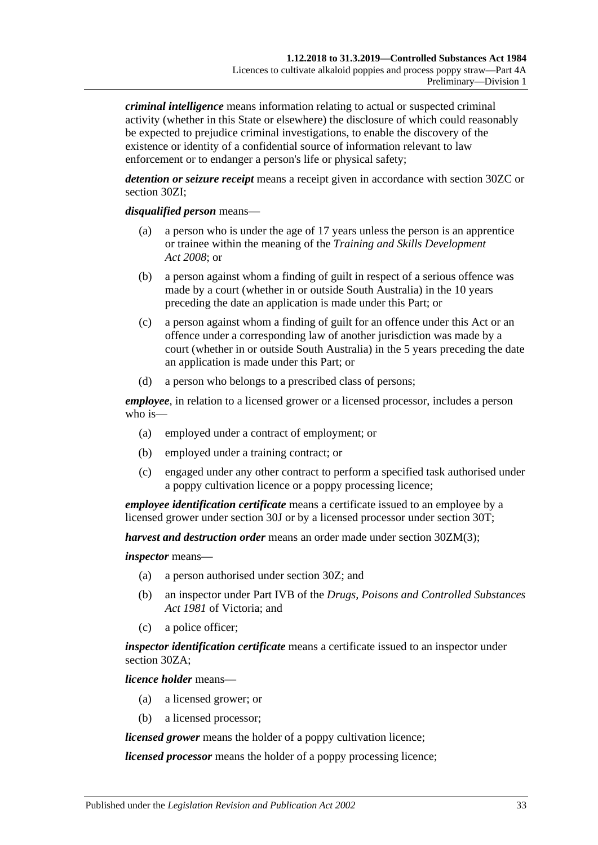*criminal intelligence* means information relating to actual or suspected criminal activity (whether in this State or elsewhere) the disclosure of which could reasonably be expected to prejudice criminal investigations, to enable the discovery of the existence or identity of a confidential source of information relevant to law enforcement or to endanger a person's life or physical safety;

*detention or seizure receipt* means a receipt given in accordance with [section](#page-49-0) 30ZC or [section](#page-50-4) 30ZI;

#### *disqualified person* means—

- (a) a person who is under the age of 17 years unless the person is an apprentice or trainee within the meaning of the *[Training and Skills Development](http://www.legislation.sa.gov.au/index.aspx?action=legref&type=act&legtitle=Training%20and%20Skills%20Development%20Act%202008)  Act [2008](http://www.legislation.sa.gov.au/index.aspx?action=legref&type=act&legtitle=Training%20and%20Skills%20Development%20Act%202008)*; or
- (b) a person against whom a finding of guilt in respect of a serious offence was made by a court (whether in or outside South Australia) in the 10 years preceding the date an application is made under this Part; or
- (c) a person against whom a finding of guilt for an offence under this Act or an offence under a corresponding law of another jurisdiction was made by a court (whether in or outside South Australia) in the 5 years preceding the date an application is made under this Part; or
- (d) a person who belongs to a prescribed class of persons;

*employee*, in relation to a licensed grower or a licensed processor, includes a person who is—

- (a) employed under a contract of employment; or
- (b) employed under a training contract; or
- (c) engaged under any other contract to perform a specified task authorised under a poppy cultivation licence or a poppy processing licence;

*employee identification certificate* means a certificate issued to an employee by a licensed grower under [section](#page-39-2) 30J or by a licensed processor under [section](#page-44-1) 30T;

*harvest and destruction order* means an order made under section [30ZM\(3\);](#page-52-2)

#### *inspector* means—

- (a) a person authorised under [section](#page-47-1) 30Z; and
- (b) an inspector under Part IVB of the *Drugs, Poisons and Controlled Substances Act 1981* of Victoria; and
- (c) a police officer;

*inspector identification certificate* means a certificate issued to an inspector under [section](#page-48-0) 30ZA;

*licence holder* means—

- (a) a licensed grower; or
- (b) a licensed processor;

*licensed grower* means the holder of a poppy cultivation licence;

*licensed processor* means the holder of a poppy processing licence;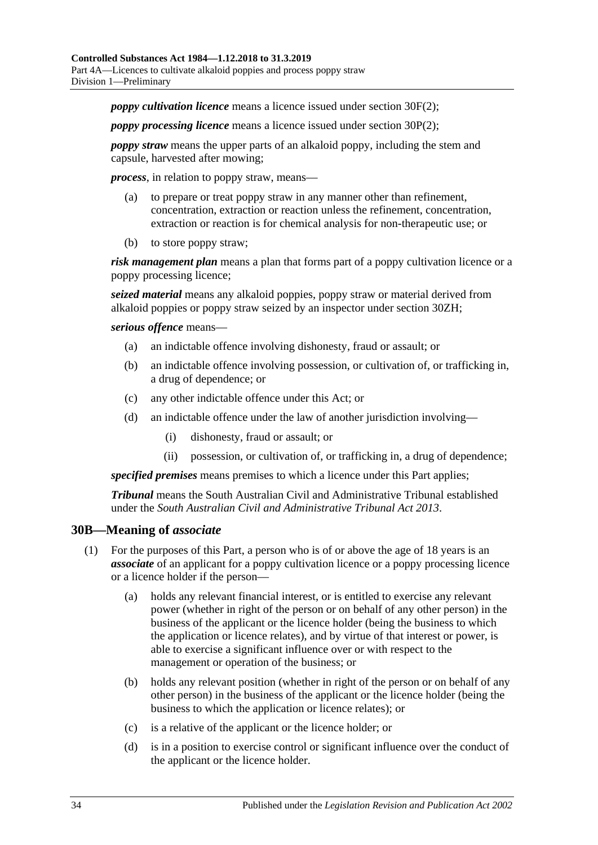*poppy cultivation licence* means a licence issued under [section](#page-37-2) 30F(2);

*poppy processing licence* means a licence issued under [section](#page-42-2) 30P(2);

*poppy straw* means the upper parts of an alkaloid poppy, including the stem and capsule, harvested after mowing;

*process*, in relation to poppy straw, means—

- (a) to prepare or treat poppy straw in any manner other than refinement, concentration, extraction or reaction unless the refinement, concentration, extraction or reaction is for chemical analysis for non-therapeutic use; or
- (b) to store poppy straw;

*risk management plan* means a plan that forms part of a poppy cultivation licence or a poppy processing licence;

*seized material* means any alkaloid poppies, poppy straw or material derived from alkaloid poppies or poppy straw seized by an inspector under [section](#page-50-3) 30ZH;

*serious offence* means—

- (a) an indictable offence involving dishonesty, fraud or assault; or
- (b) an indictable offence involving possession, or cultivation of, or trafficking in, a drug of dependence; or
- (c) any other indictable offence under this Act; or
- (d) an indictable offence under the law of another jurisdiction involving—
	- (i) dishonesty, fraud or assault; or
	- (ii) possession, or cultivation of, or trafficking in, a drug of dependence;

*specified premises* means premises to which a licence under this Part applies;

*Tribunal* means the South Australian Civil and Administrative Tribunal established under the *[South Australian Civil and Administrative Tribunal Act](http://www.legislation.sa.gov.au/index.aspx?action=legref&type=act&legtitle=South%20Australian%20Civil%20and%20Administrative%20Tribunal%20Act%202013) 2013*.

#### <span id="page-33-0"></span>**30B—Meaning of** *associate*

- (1) For the purposes of this Part, a person who is of or above the age of 18 years is an *associate* of an applicant for a poppy cultivation licence or a poppy processing licence or a licence holder if the person—
	- (a) holds any relevant financial interest, or is entitled to exercise any relevant power (whether in right of the person or on behalf of any other person) in the business of the applicant or the licence holder (being the business to which the application or licence relates), and by virtue of that interest or power, is able to exercise a significant influence over or with respect to the management or operation of the business; or
	- (b) holds any relevant position (whether in right of the person or on behalf of any other person) in the business of the applicant or the licence holder (being the business to which the application or licence relates); or
	- (c) is a relative of the applicant or the licence holder; or
	- (d) is in a position to exercise control or significant influence over the conduct of the applicant or the licence holder.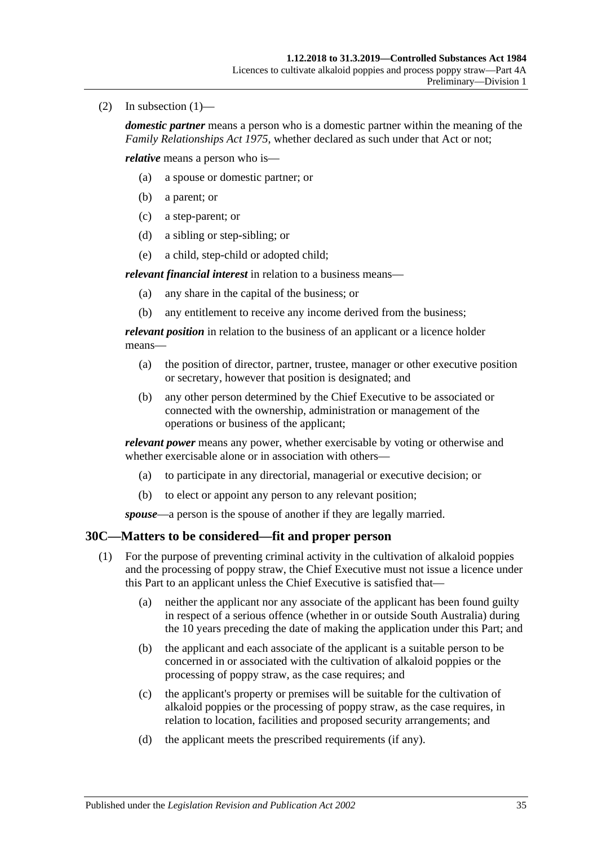(2) In subsection  $(1)$ —

*domestic partner* means a person who is a domestic partner within the meaning of the *[Family Relationships Act](http://www.legislation.sa.gov.au/index.aspx?action=legref&type=act&legtitle=Family%20Relationships%20Act%201975) 1975*, whether declared as such under that Act or not;

*relative* means a person who is—

- (a) a spouse or domestic partner; or
- (b) a parent; or
- (c) a step-parent; or
- (d) a sibling or step-sibling; or
- (e) a child, step-child or adopted child;

*relevant financial interest* in relation to a business means—

- (a) any share in the capital of the business; or
- (b) any entitlement to receive any income derived from the business;

*relevant position* in relation to the business of an applicant or a licence holder means—

- (a) the position of director, partner, trustee, manager or other executive position or secretary, however that position is designated; and
- (b) any other person determined by the Chief Executive to be associated or connected with the ownership, administration or management of the operations or business of the applicant;

*relevant power* means any power, whether exercisable by voting or otherwise and whether exercisable alone or in association with others—

- (a) to participate in any directorial, managerial or executive decision; or
- (b) to elect or appoint any person to any relevant position;

*spouse*—a person is the spouse of another if they are legally married.

## <span id="page-34-1"></span><span id="page-34-0"></span>**30C—Matters to be considered—fit and proper person**

- (1) For the purpose of preventing criminal activity in the cultivation of alkaloid poppies and the processing of poppy straw, the Chief Executive must not issue a licence under this Part to an applicant unless the Chief Executive is satisfied that—
	- (a) neither the applicant nor any associate of the applicant has been found guilty in respect of a serious offence (whether in or outside South Australia) during the 10 years preceding the date of making the application under this Part; and
	- (b) the applicant and each associate of the applicant is a suitable person to be concerned in or associated with the cultivation of alkaloid poppies or the processing of poppy straw, as the case requires; and
	- (c) the applicant's property or premises will be suitable for the cultivation of alkaloid poppies or the processing of poppy straw, as the case requires, in relation to location, facilities and proposed security arrangements; and
	- (d) the applicant meets the prescribed requirements (if any).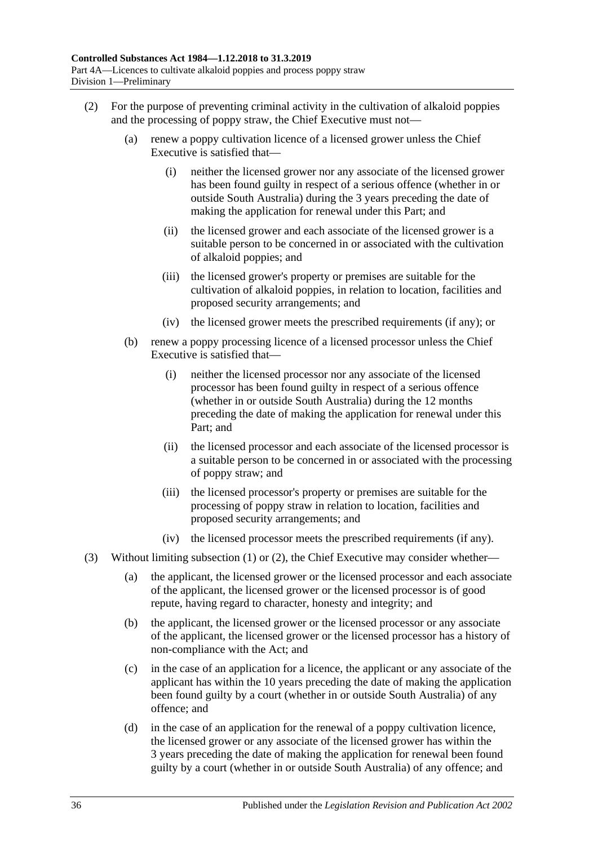- <span id="page-35-0"></span>(2) For the purpose of preventing criminal activity in the cultivation of alkaloid poppies and the processing of poppy straw, the Chief Executive must not—
	- (a) renew a poppy cultivation licence of a licensed grower unless the Chief Executive is satisfied that—
		- (i) neither the licensed grower nor any associate of the licensed grower has been found guilty in respect of a serious offence (whether in or outside South Australia) during the 3 years preceding the date of making the application for renewal under this Part; and
		- (ii) the licensed grower and each associate of the licensed grower is a suitable person to be concerned in or associated with the cultivation of alkaloid poppies; and
		- (iii) the licensed grower's property or premises are suitable for the cultivation of alkaloid poppies, in relation to location, facilities and proposed security arrangements; and
		- (iv) the licensed grower meets the prescribed requirements (if any); or
	- (b) renew a poppy processing licence of a licensed processor unless the Chief Executive is satisfied that—
		- (i) neither the licensed processor nor any associate of the licensed processor has been found guilty in respect of a serious offence (whether in or outside South Australia) during the 12 months preceding the date of making the application for renewal under this Part; and
		- (ii) the licensed processor and each associate of the licensed processor is a suitable person to be concerned in or associated with the processing of poppy straw; and
		- (iii) the licensed processor's property or premises are suitable for the processing of poppy straw in relation to location, facilities and proposed security arrangements; and
		- (iv) the licensed processor meets the prescribed requirements (if any).
- (3) Without limiting [subsection](#page-34-1) (1) or [\(2\),](#page-35-0) the Chief Executive may consider whether—
	- (a) the applicant, the licensed grower or the licensed processor and each associate of the applicant, the licensed grower or the licensed processor is of good repute, having regard to character, honesty and integrity; and
	- (b) the applicant, the licensed grower or the licensed processor or any associate of the applicant, the licensed grower or the licensed processor has a history of non-compliance with the Act; and
	- (c) in the case of an application for a licence, the applicant or any associate of the applicant has within the 10 years preceding the date of making the application been found guilty by a court (whether in or outside South Australia) of any offence; and
	- (d) in the case of an application for the renewal of a poppy cultivation licence, the licensed grower or any associate of the licensed grower has within the 3 years preceding the date of making the application for renewal been found guilty by a court (whether in or outside South Australia) of any offence; and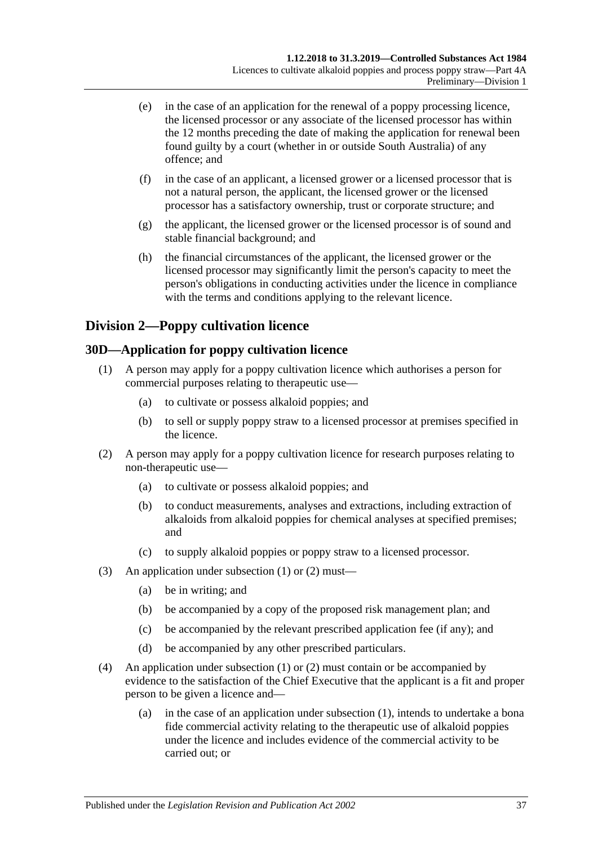- (e) in the case of an application for the renewal of a poppy processing licence, the licensed processor or any associate of the licensed processor has within the 12 months preceding the date of making the application for renewal been found guilty by a court (whether in or outside South Australia) of any offence; and
- (f) in the case of an applicant, a licensed grower or a licensed processor that is not a natural person, the applicant, the licensed grower or the licensed processor has a satisfactory ownership, trust or corporate structure; and
- (g) the applicant, the licensed grower or the licensed processor is of sound and stable financial background; and
- (h) the financial circumstances of the applicant, the licensed grower or the licensed processor may significantly limit the person's capacity to meet the person's obligations in conducting activities under the licence in compliance with the terms and conditions applying to the relevant licence.

# **Division 2—Poppy cultivation licence**

# <span id="page-36-2"></span><span id="page-36-0"></span>**30D—Application for poppy cultivation licence**

- (1) A person may apply for a poppy cultivation licence which authorises a person for commercial purposes relating to therapeutic use—
	- (a) to cultivate or possess alkaloid poppies; and
	- (b) to sell or supply poppy straw to a licensed processor at premises specified in the licence.
- <span id="page-36-1"></span>(2) A person may apply for a poppy cultivation licence for research purposes relating to non-therapeutic use—
	- (a) to cultivate or possess alkaloid poppies; and
	- (b) to conduct measurements, analyses and extractions, including extraction of alkaloids from alkaloid poppies for chemical analyses at specified premises; and
	- (c) to supply alkaloid poppies or poppy straw to a licensed processor.
- (3) An application under [subsection](#page-36-0) (1) or [\(2\)](#page-36-1) must—
	- (a) be in writing; and
	- (b) be accompanied by a copy of the proposed risk management plan; and
	- (c) be accompanied by the relevant prescribed application fee (if any); and
	- (d) be accompanied by any other prescribed particulars.
- (4) An application under [subsection](#page-36-0) (1) or [\(2\)](#page-36-1) must contain or be accompanied by evidence to the satisfaction of the Chief Executive that the applicant is a fit and proper person to be given a licence and—
	- (a) in the case of an application under [subsection](#page-36-0) (1), intends to undertake a bona fide commercial activity relating to the therapeutic use of alkaloid poppies under the licence and includes evidence of the commercial activity to be carried out; or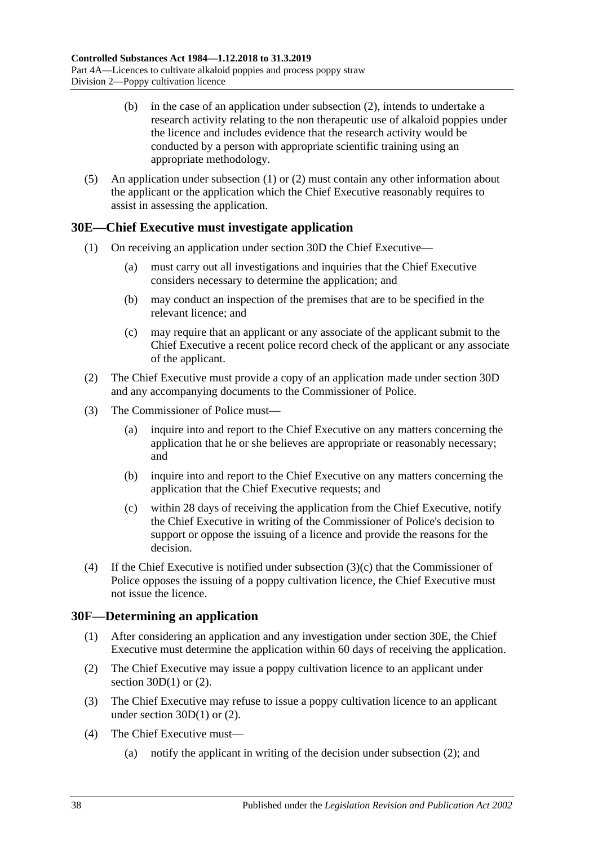- (b) in the case of an application under [subsection](#page-36-1) (2), intends to undertake a research activity relating to the non therapeutic use of alkaloid poppies under the licence and includes evidence that the research activity would be conducted by a person with appropriate scientific training using an appropriate methodology.
- (5) An application under [subsection](#page-36-0) (1) or [\(2\)](#page-36-1) must contain any other information about the applicant or the application which the Chief Executive reasonably requires to assist in assessing the application.

# <span id="page-37-1"></span>**30E—Chief Executive must investigate application**

- (1) On receiving an application under [section](#page-36-2) 30D the Chief Executive—
	- (a) must carry out all investigations and inquiries that the Chief Executive considers necessary to determine the application; and
	- (b) may conduct an inspection of the premises that are to be specified in the relevant licence; and
	- (c) may require that an applicant or any associate of the applicant submit to the Chief Executive a recent police record check of the applicant or any associate of the applicant.
- (2) The Chief Executive must provide a copy of an application made under [section](#page-36-2) 30D and any accompanying documents to the Commissioner of Police.
- (3) The Commissioner of Police must—
	- (a) inquire into and report to the Chief Executive on any matters concerning the application that he or she believes are appropriate or reasonably necessary; and
	- (b) inquire into and report to the Chief Executive on any matters concerning the application that the Chief Executive requests; and
	- (c) within 28 days of receiving the application from the Chief Executive, notify the Chief Executive in writing of the Commissioner of Police's decision to support or oppose the issuing of a licence and provide the reasons for the decision.
- <span id="page-37-0"></span>(4) If the Chief Executive is notified under [subsection](#page-37-0)  $(3)(c)$  that the Commissioner of Police opposes the issuing of a poppy cultivation licence, the Chief Executive must not issue the licence.

## **30F—Determining an application**

- (1) After considering an application and any investigation under [section](#page-37-1) 30E, the Chief Executive must determine the application within 60 days of receiving the application.
- <span id="page-37-2"></span>(2) The Chief Executive may issue a poppy cultivation licence to an applicant under section  $30D(1)$  or  $(2)$ .
- <span id="page-37-3"></span>(3) The Chief Executive may refuse to issue a poppy cultivation licence to an applicant under [section](#page-36-0)  $30D(1)$  or  $(2)$ .
- (4) The Chief Executive must—
	- (a) notify the applicant in writing of the decision under [subsection](#page-37-2) (2); and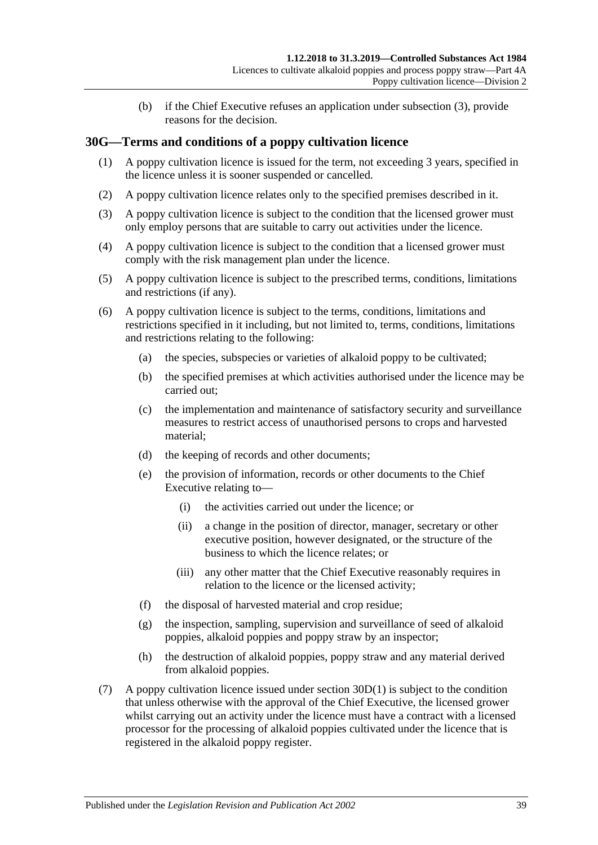(b) if the Chief Executive refuses an application under [subsection](#page-37-3) (3), provide reasons for the decision.

## **30G—Terms and conditions of a poppy cultivation licence**

- (1) A poppy cultivation licence is issued for the term, not exceeding 3 years, specified in the licence unless it is sooner suspended or cancelled.
- (2) A poppy cultivation licence relates only to the specified premises described in it.
- (3) A poppy cultivation licence is subject to the condition that the licensed grower must only employ persons that are suitable to carry out activities under the licence.
- (4) A poppy cultivation licence is subject to the condition that a licensed grower must comply with the risk management plan under the licence.
- (5) A poppy cultivation licence is subject to the prescribed terms, conditions, limitations and restrictions (if any).
- (6) A poppy cultivation licence is subject to the terms, conditions, limitations and restrictions specified in it including, but not limited to, terms, conditions, limitations and restrictions relating to the following:
	- (a) the species, subspecies or varieties of alkaloid poppy to be cultivated;
	- (b) the specified premises at which activities authorised under the licence may be carried out;
	- (c) the implementation and maintenance of satisfactory security and surveillance measures to restrict access of unauthorised persons to crops and harvested material;
	- (d) the keeping of records and other documents;
	- (e) the provision of information, records or other documents to the Chief Executive relating to—
		- (i) the activities carried out under the licence; or
		- (ii) a change in the position of director, manager, secretary or other executive position, however designated, or the structure of the business to which the licence relates; or
		- (iii) any other matter that the Chief Executive reasonably requires in relation to the licence or the licensed activity;
	- (f) the disposal of harvested material and crop residue;
	- (g) the inspection, sampling, supervision and surveillance of seed of alkaloid poppies, alkaloid poppies and poppy straw by an inspector;
	- (h) the destruction of alkaloid poppies, poppy straw and any material derived from alkaloid poppies.
- (7) A poppy cultivation licence issued under [section](#page-36-0) 30D(1) is subject to the condition that unless otherwise with the approval of the Chief Executive, the licensed grower whilst carrying out an activity under the licence must have a contract with a licensed processor for the processing of alkaloid poppies cultivated under the licence that is registered in the alkaloid poppy register.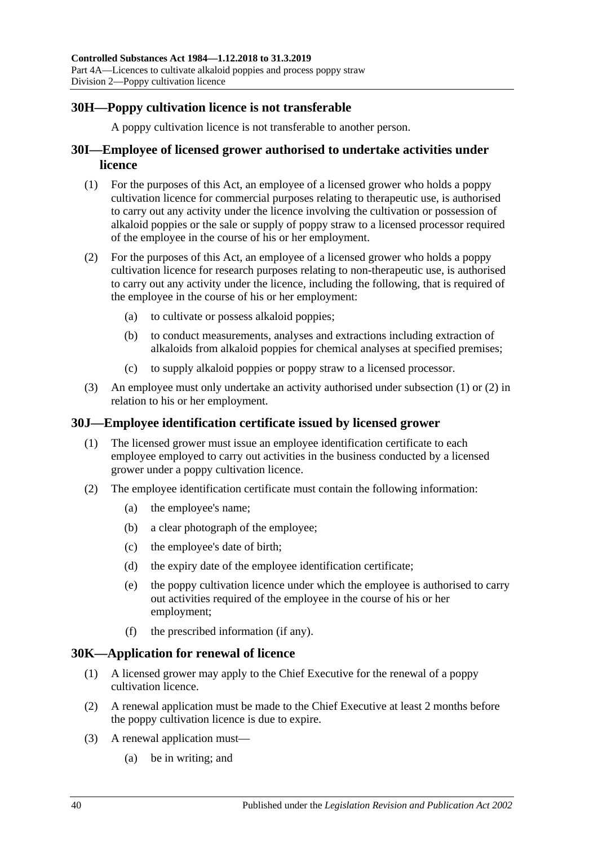# **30H—Poppy cultivation licence is not transferable**

A poppy cultivation licence is not transferable to another person.

## **30I—Employee of licensed grower authorised to undertake activities under licence**

- <span id="page-39-0"></span>(1) For the purposes of this Act, an employee of a licensed grower who holds a poppy cultivation licence for commercial purposes relating to therapeutic use, is authorised to carry out any activity under the licence involving the cultivation or possession of alkaloid poppies or the sale or supply of poppy straw to a licensed processor required of the employee in the course of his or her employment.
- <span id="page-39-1"></span>(2) For the purposes of this Act, an employee of a licensed grower who holds a poppy cultivation licence for research purposes relating to non-therapeutic use, is authorised to carry out any activity under the licence, including the following, that is required of the employee in the course of his or her employment:
	- (a) to cultivate or possess alkaloid poppies;
	- (b) to conduct measurements, analyses and extractions including extraction of alkaloids from alkaloid poppies for chemical analyses at specified premises;
	- (c) to supply alkaloid poppies or poppy straw to a licensed processor.
- (3) An employee must only undertake an activity authorised under [subsection](#page-39-0) (1) or [\(2\)](#page-39-1) in relation to his or her employment.

## **30J—Employee identification certificate issued by licensed grower**

- (1) The licensed grower must issue an employee identification certificate to each employee employed to carry out activities in the business conducted by a licensed grower under a poppy cultivation licence.
- <span id="page-39-3"></span>(2) The employee identification certificate must contain the following information:
	- (a) the employee's name;
	- (b) a clear photograph of the employee;
	- (c) the employee's date of birth;
	- (d) the expiry date of the employee identification certificate;
	- (e) the poppy cultivation licence under which the employee is authorised to carry out activities required of the employee in the course of his or her employment;
	- (f) the prescribed information (if any).

### <span id="page-39-2"></span>**30K—Application for renewal of licence**

- (1) A licensed grower may apply to the Chief Executive for the renewal of a poppy cultivation licence.
- (2) A renewal application must be made to the Chief Executive at least 2 months before the poppy cultivation licence is due to expire.
- (3) A renewal application must—
	- (a) be in writing; and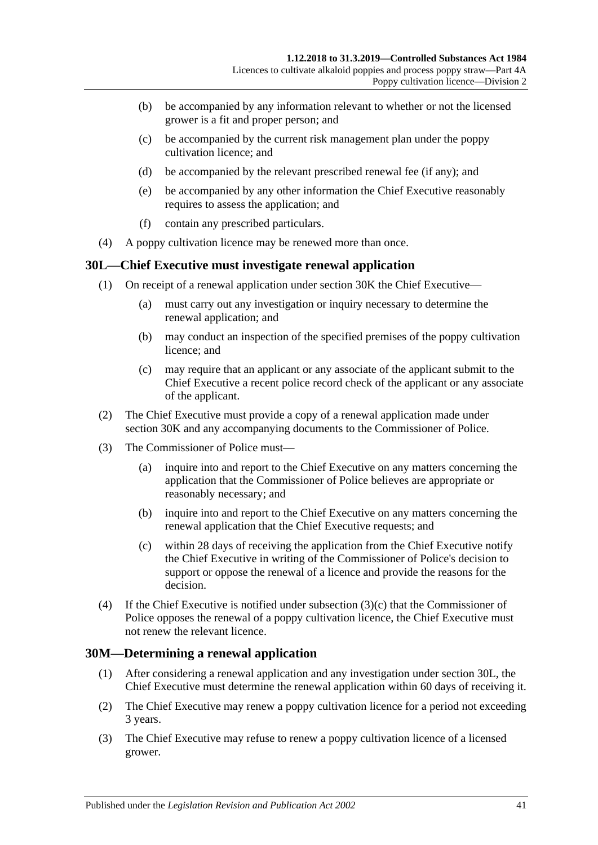- (b) be accompanied by any information relevant to whether or not the licensed grower is a fit and proper person; and
- (c) be accompanied by the current risk management plan under the poppy cultivation licence; and
- (d) be accompanied by the relevant prescribed renewal fee (if any); and
- (e) be accompanied by any other information the Chief Executive reasonably requires to assess the application; and
- (f) contain any prescribed particulars.
- (4) A poppy cultivation licence may be renewed more than once.

### <span id="page-40-1"></span>**30L—Chief Executive must investigate renewal application**

- (1) On receipt of a renewal application under [section](#page-39-2) 30K the Chief Executive—
	- (a) must carry out any investigation or inquiry necessary to determine the renewal application; and
	- (b) may conduct an inspection of the specified premises of the poppy cultivation licence; and
	- (c) may require that an applicant or any associate of the applicant submit to the Chief Executive a recent police record check of the applicant or any associate of the applicant.
- (2) The Chief Executive must provide a copy of a renewal application made under [section](#page-39-2) 30K and any accompanying documents to the Commissioner of Police.
- (3) The Commissioner of Police must—
	- (a) inquire into and report to the Chief Executive on any matters concerning the application that the Commissioner of Police believes are appropriate or reasonably necessary; and
	- (b) inquire into and report to the Chief Executive on any matters concerning the renewal application that the Chief Executive requests; and
	- (c) within 28 days of receiving the application from the Chief Executive notify the Chief Executive in writing of the Commissioner of Police's decision to support or oppose the renewal of a licence and provide the reasons for the decision.
- <span id="page-40-0"></span>(4) If the Chief Executive is notified under [subsection](#page-40-0)  $(3)(c)$  that the Commissioner of Police opposes the renewal of a poppy cultivation licence, the Chief Executive must not renew the relevant licence.

## **30M—Determining a renewal application**

- (1) After considering a renewal application and any investigation under [section](#page-40-1) 30L, the Chief Executive must determine the renewal application within 60 days of receiving it.
- <span id="page-40-2"></span>(2) The Chief Executive may renew a poppy cultivation licence for a period not exceeding 3 years.
- <span id="page-40-3"></span>(3) The Chief Executive may refuse to renew a poppy cultivation licence of a licensed grower.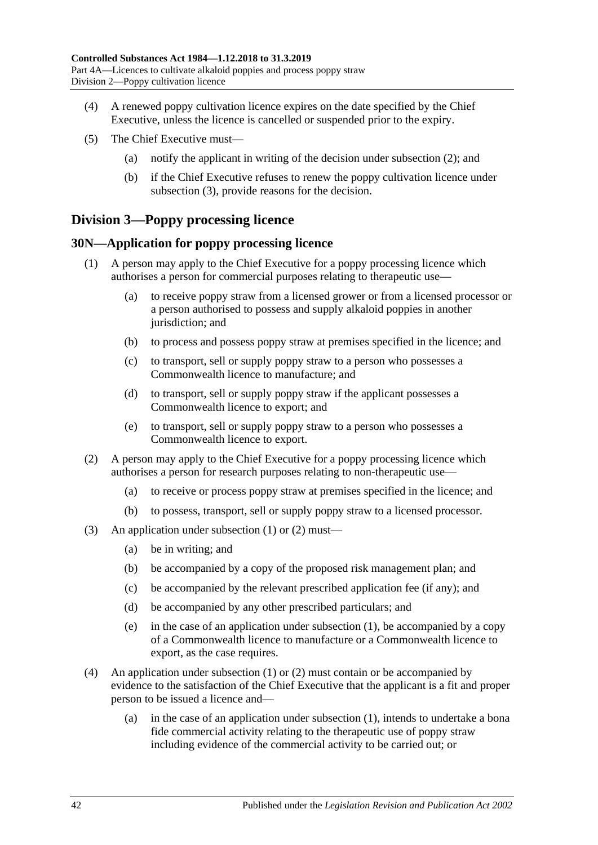- (4) A renewed poppy cultivation licence expires on the date specified by the Chief Executive, unless the licence is cancelled or suspended prior to the expiry.
- (5) The Chief Executive must—
	- (a) notify the applicant in writing of the decision under [subsection](#page-40-2) (2); and
	- (b) if the Chief Executive refuses to renew the poppy cultivation licence under [subsection](#page-40-3) (3), provide reasons for the decision.

# **Division 3—Poppy processing licence**

#### <span id="page-41-2"></span><span id="page-41-0"></span>**30N—Application for poppy processing licence**

- (1) A person may apply to the Chief Executive for a poppy processing licence which authorises a person for commercial purposes relating to therapeutic use—
	- (a) to receive poppy straw from a licensed grower or from a licensed processor or a person authorised to possess and supply alkaloid poppies in another jurisdiction; and
	- (b) to process and possess poppy straw at premises specified in the licence; and
	- (c) to transport, sell or supply poppy straw to a person who possesses a Commonwealth licence to manufacture; and
	- (d) to transport, sell or supply poppy straw if the applicant possesses a Commonwealth licence to export; and
	- (e) to transport, sell or supply poppy straw to a person who possesses a Commonwealth licence to export.
- <span id="page-41-1"></span>(2) A person may apply to the Chief Executive for a poppy processing licence which authorises a person for research purposes relating to non-therapeutic use—
	- (a) to receive or process poppy straw at premises specified in the licence; and
	- (b) to possess, transport, sell or supply poppy straw to a licensed processor.
- (3) An application under [subsection](#page-41-0) (1) or [\(2\)](#page-41-1) must—
	- (a) be in writing; and
	- (b) be accompanied by a copy of the proposed risk management plan; and
	- (c) be accompanied by the relevant prescribed application fee (if any); and
	- (d) be accompanied by any other prescribed particulars; and
	- (e) in the case of an application under [subsection](#page-41-0) (1), be accompanied by a copy of a Commonwealth licence to manufacture or a Commonwealth licence to export, as the case requires.
- (4) An application under [subsection](#page-41-0) (1) or [\(2\)](#page-41-1) must contain or be accompanied by evidence to the satisfaction of the Chief Executive that the applicant is a fit and proper person to be issued a licence and—
	- (a) in the case of an application under [subsection](#page-41-0) (1), intends to undertake a bona fide commercial activity relating to the therapeutic use of poppy straw including evidence of the commercial activity to be carried out; or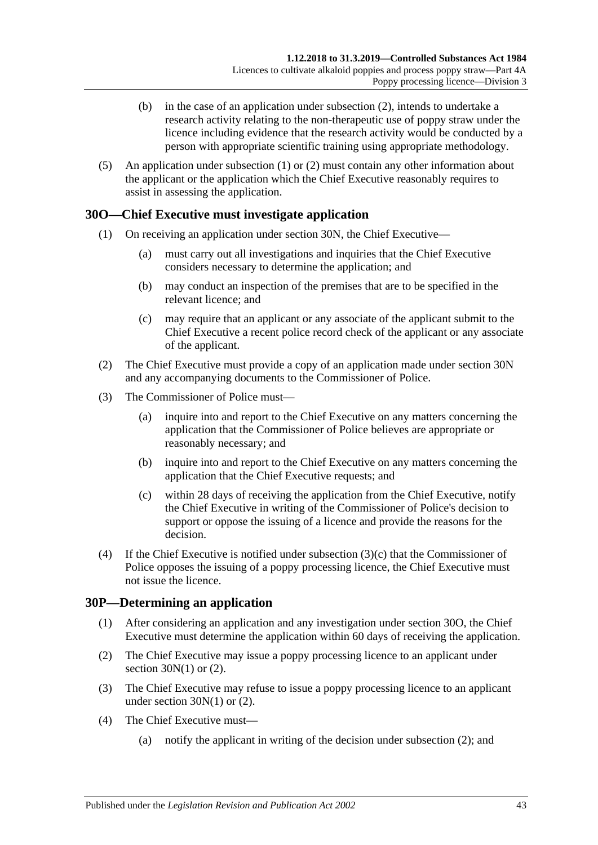- (b) in the case of an application under [subsection](#page-41-1) (2), intends to undertake a research activity relating to the non-therapeutic use of poppy straw under the licence including evidence that the research activity would be conducted by a person with appropriate scientific training using appropriate methodology.
- (5) An application under [subsection](#page-41-0) (1) or [\(2\)](#page-41-1) must contain any other information about the applicant or the application which the Chief Executive reasonably requires to assist in assessing the application.

## <span id="page-42-1"></span>**30O—Chief Executive must investigate application**

- (1) On receiving an application under [section](#page-41-2) 30N, the Chief Executive—
	- (a) must carry out all investigations and inquiries that the Chief Executive considers necessary to determine the application; and
	- (b) may conduct an inspection of the premises that are to be specified in the relevant licence; and
	- (c) may require that an applicant or any associate of the applicant submit to the Chief Executive a recent police record check of the applicant or any associate of the applicant.
- (2) The Chief Executive must provide a copy of an application made under [section](#page-41-2) 30N and any accompanying documents to the Commissioner of Police.
- (3) The Commissioner of Police must—
	- (a) inquire into and report to the Chief Executive on any matters concerning the application that the Commissioner of Police believes are appropriate or reasonably necessary; and
	- (b) inquire into and report to the Chief Executive on any matters concerning the application that the Chief Executive requests; and
	- (c) within 28 days of receiving the application from the Chief Executive, notify the Chief Executive in writing of the Commissioner of Police's decision to support or oppose the issuing of a licence and provide the reasons for the decision.
- <span id="page-42-0"></span>(4) If the Chief Executive is notified under [subsection](#page-42-0) (3)(c) that the Commissioner of Police opposes the issuing of a poppy processing licence, the Chief Executive must not issue the licence.

#### **30P—Determining an application**

- (1) After considering an application and any investigation under [section](#page-42-1) 30O, the Chief Executive must determine the application within 60 days of receiving the application.
- <span id="page-42-2"></span>(2) The Chief Executive may issue a poppy processing licence to an applicant under section  $30N(1)$  or  $(2)$ .
- <span id="page-42-3"></span>(3) The Chief Executive may refuse to issue a poppy processing licence to an applicant under [section](#page-41-0)  $30N(1)$  or  $(2)$ .
- (4) The Chief Executive must—
	- (a) notify the applicant in writing of the decision under [subsection](#page-42-2) (2); and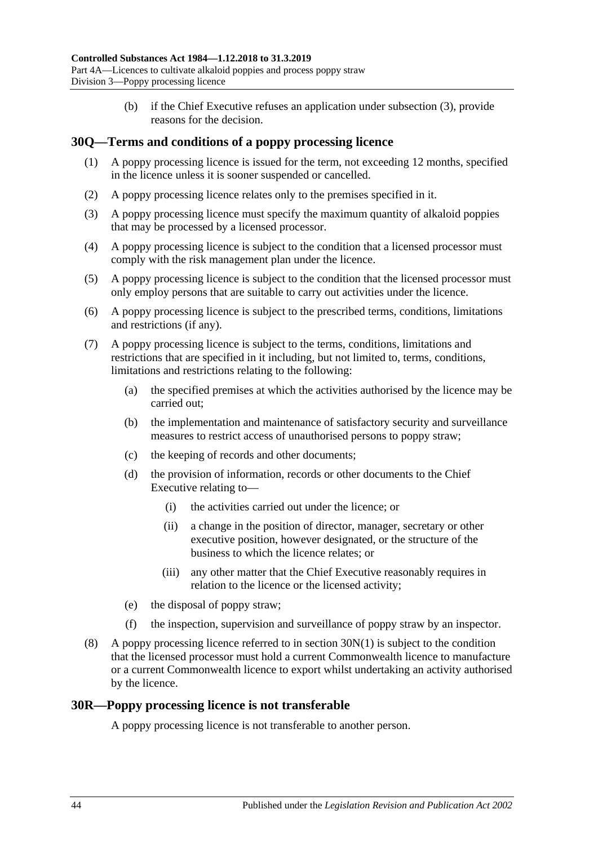(b) if the Chief Executive refuses an application under [subsection](#page-42-3) (3), provide reasons for the decision.

## **30Q—Terms and conditions of a poppy processing licence**

- (1) A poppy processing licence is issued for the term, not exceeding 12 months, specified in the licence unless it is sooner suspended or cancelled.
- (2) A poppy processing licence relates only to the premises specified in it.
- (3) A poppy processing licence must specify the maximum quantity of alkaloid poppies that may be processed by a licensed processor.
- (4) A poppy processing licence is subject to the condition that a licensed processor must comply with the risk management plan under the licence.
- (5) A poppy processing licence is subject to the condition that the licensed processor must only employ persons that are suitable to carry out activities under the licence.
- (6) A poppy processing licence is subject to the prescribed terms, conditions, limitations and restrictions (if any).
- (7) A poppy processing licence is subject to the terms, conditions, limitations and restrictions that are specified in it including, but not limited to, terms, conditions, limitations and restrictions relating to the following:
	- (a) the specified premises at which the activities authorised by the licence may be carried out;
	- (b) the implementation and maintenance of satisfactory security and surveillance measures to restrict access of unauthorised persons to poppy straw;
	- (c) the keeping of records and other documents;
	- (d) the provision of information, records or other documents to the Chief Executive relating to—
		- (i) the activities carried out under the licence; or
		- (ii) a change in the position of director, manager, secretary or other executive position, however designated, or the structure of the business to which the licence relates; or
		- (iii) any other matter that the Chief Executive reasonably requires in relation to the licence or the licensed activity;
	- (e) the disposal of poppy straw;
	- (f) the inspection, supervision and surveillance of poppy straw by an inspector.
- (8) A poppy processing licence referred to in [section](#page-41-0) 30N(1) is subject to the condition that the licensed processor must hold a current Commonwealth licence to manufacture or a current Commonwealth licence to export whilst undertaking an activity authorised by the licence.

#### **30R—Poppy processing licence is not transferable**

A poppy processing licence is not transferable to another person.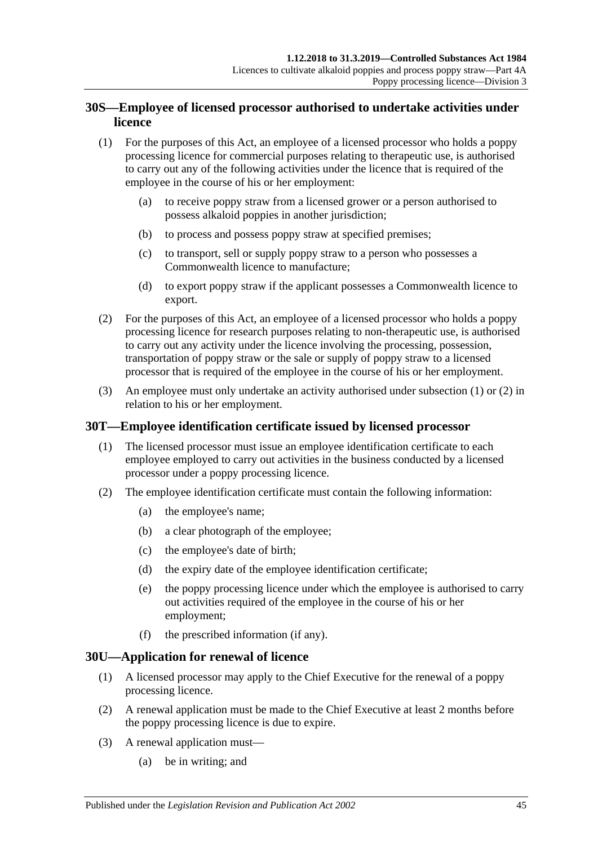# **30S—Employee of licensed processor authorised to undertake activities under licence**

- <span id="page-44-0"></span>(1) For the purposes of this Act, an employee of a licensed processor who holds a poppy processing licence for commercial purposes relating to therapeutic use, is authorised to carry out any of the following activities under the licence that is required of the employee in the course of his or her employment:
	- (a) to receive poppy straw from a licensed grower or a person authorised to possess alkaloid poppies in another jurisdiction;
	- (b) to process and possess poppy straw at specified premises;
	- (c) to transport, sell or supply poppy straw to a person who possesses a Commonwealth licence to manufacture;
	- (d) to export poppy straw if the applicant possesses a Commonwealth licence to export.
- <span id="page-44-1"></span>(2) For the purposes of this Act, an employee of a licensed processor who holds a poppy processing licence for research purposes relating to non-therapeutic use, is authorised to carry out any activity under the licence involving the processing, possession, transportation of poppy straw or the sale or supply of poppy straw to a licensed processor that is required of the employee in the course of his or her employment.
- (3) An employee must only undertake an activity authorised under [subsection](#page-44-0) (1) or [\(2\)](#page-44-1) in relation to his or her employment.

# **30T—Employee identification certificate issued by licensed processor**

- (1) The licensed processor must issue an employee identification certificate to each employee employed to carry out activities in the business conducted by a licensed processor under a poppy processing licence.
- <span id="page-44-3"></span>(2) The employee identification certificate must contain the following information:
	- (a) the employee's name;
	- (b) a clear photograph of the employee;
	- (c) the employee's date of birth;
	- (d) the expiry date of the employee identification certificate;
	- (e) the poppy processing licence under which the employee is authorised to carry out activities required of the employee in the course of his or her employment;
	- (f) the prescribed information (if any).

## <span id="page-44-2"></span>**30U—Application for renewal of licence**

- (1) A licensed processor may apply to the Chief Executive for the renewal of a poppy processing licence.
- (2) A renewal application must be made to the Chief Executive at least 2 months before the poppy processing licence is due to expire.
- (3) A renewal application must—
	- (a) be in writing; and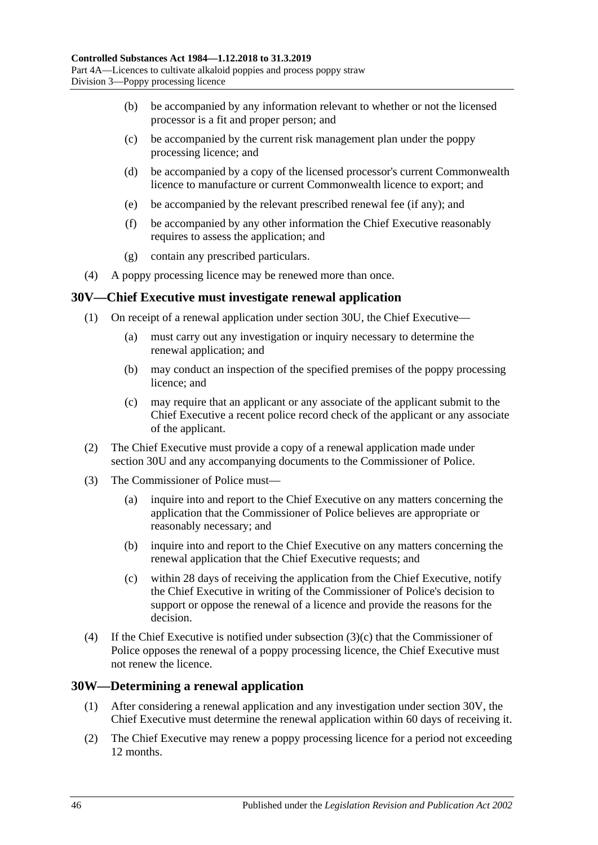- (b) be accompanied by any information relevant to whether or not the licensed processor is a fit and proper person; and
- (c) be accompanied by the current risk management plan under the poppy processing licence; and
- (d) be accompanied by a copy of the licensed processor's current Commonwealth licence to manufacture or current Commonwealth licence to export; and
- (e) be accompanied by the relevant prescribed renewal fee (if any); and
- (f) be accompanied by any other information the Chief Executive reasonably requires to assess the application; and
- (g) contain any prescribed particulars.
- (4) A poppy processing licence may be renewed more than once.

### <span id="page-45-1"></span>**30V—Chief Executive must investigate renewal application**

- (1) On receipt of a renewal application under [section](#page-44-2) 30U, the Chief Executive—
	- (a) must carry out any investigation or inquiry necessary to determine the renewal application; and
	- (b) may conduct an inspection of the specified premises of the poppy processing licence; and
	- (c) may require that an applicant or any associate of the applicant submit to the Chief Executive a recent police record check of the applicant or any associate of the applicant.
- (2) The Chief Executive must provide a copy of a renewal application made under [section](#page-44-2) 30U and any accompanying documents to the Commissioner of Police.
- (3) The Commissioner of Police must—
	- (a) inquire into and report to the Chief Executive on any matters concerning the application that the Commissioner of Police believes are appropriate or reasonably necessary; and
	- (b) inquire into and report to the Chief Executive on any matters concerning the renewal application that the Chief Executive requests; and
	- (c) within 28 days of receiving the application from the Chief Executive, notify the Chief Executive in writing of the Commissioner of Police's decision to support or oppose the renewal of a licence and provide the reasons for the decision.
- <span id="page-45-0"></span>(4) If the Chief Executive is notified under [subsection](#page-45-0) (3)(c) that the Commissioner of Police opposes the renewal of a poppy processing licence, the Chief Executive must not renew the licence.

#### **30W—Determining a renewal application**

- (1) After considering a renewal application and any investigation under [section](#page-45-1) 30V, the Chief Executive must determine the renewal application within 60 days of receiving it.
- <span id="page-45-2"></span>(2) The Chief Executive may renew a poppy processing licence for a period not exceeding 12 months.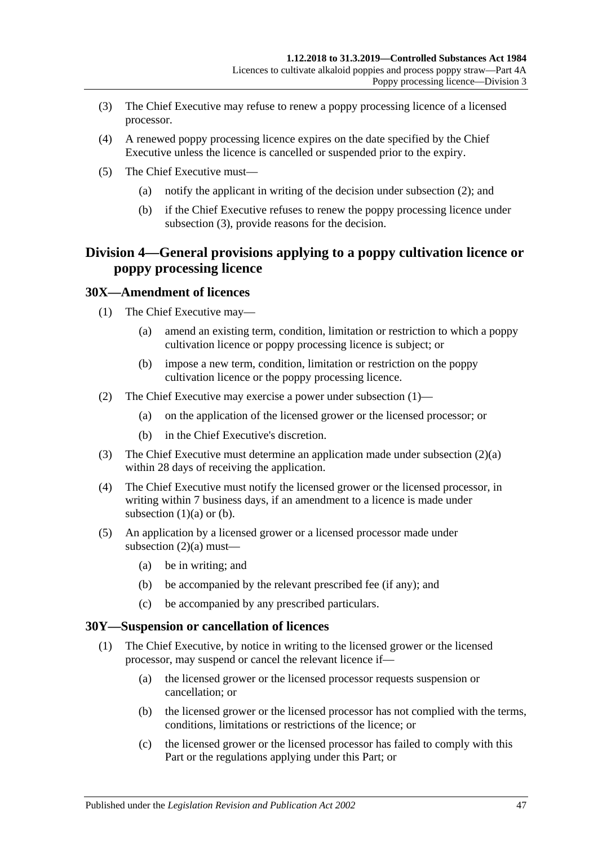- <span id="page-46-0"></span>(3) The Chief Executive may refuse to renew a poppy processing licence of a licensed processor.
- (4) A renewed poppy processing licence expires on the date specified by the Chief Executive unless the licence is cancelled or suspended prior to the expiry.
- (5) The Chief Executive must—
	- (a) notify the applicant in writing of the decision under [subsection](#page-45-2) (2); and
	- (b) if the Chief Executive refuses to renew the poppy processing licence under [subsection](#page-46-0) (3), provide reasons for the decision.

# **Division 4—General provisions applying to a poppy cultivation licence or poppy processing licence**

### <span id="page-46-1"></span>**30X—Amendment of licences**

- <span id="page-46-3"></span>(1) The Chief Executive may—
	- (a) amend an existing term, condition, limitation or restriction to which a poppy cultivation licence or poppy processing licence is subject; or
	- (b) impose a new term, condition, limitation or restriction on the poppy cultivation licence or the poppy processing licence.
- <span id="page-46-4"></span><span id="page-46-2"></span>(2) The Chief Executive may exercise a power under [subsection](#page-46-1) (1)—
	- (a) on the application of the licensed grower or the licensed processor; or
	- (b) in the Chief Executive's discretion.
- (3) The Chief Executive must determine an application made under [subsection](#page-46-2) (2)(a) within 28 days of receiving the application.
- (4) The Chief Executive must notify the licensed grower or the licensed processor, in writing within 7 business days, if an amendment to a licence is made under [subsection](#page-46-3)  $(1)(a)$  or  $(b)$ .
- (5) An application by a licensed grower or a licensed processor made under [subsection](#page-46-2)  $(2)(a)$  must—
	- (a) be in writing; and
	- (b) be accompanied by the relevant prescribed fee (if any); and
	- (c) be accompanied by any prescribed particulars.

#### <span id="page-46-6"></span><span id="page-46-5"></span>**30Y—Suspension or cancellation of licences**

- (1) The Chief Executive, by notice in writing to the licensed grower or the licensed processor, may suspend or cancel the relevant licence if—
	- (a) the licensed grower or the licensed processor requests suspension or cancellation; or
	- (b) the licensed grower or the licensed processor has not complied with the terms, conditions, limitations or restrictions of the licence; or
	- (c) the licensed grower or the licensed processor has failed to comply with this Part or the regulations applying under this Part; or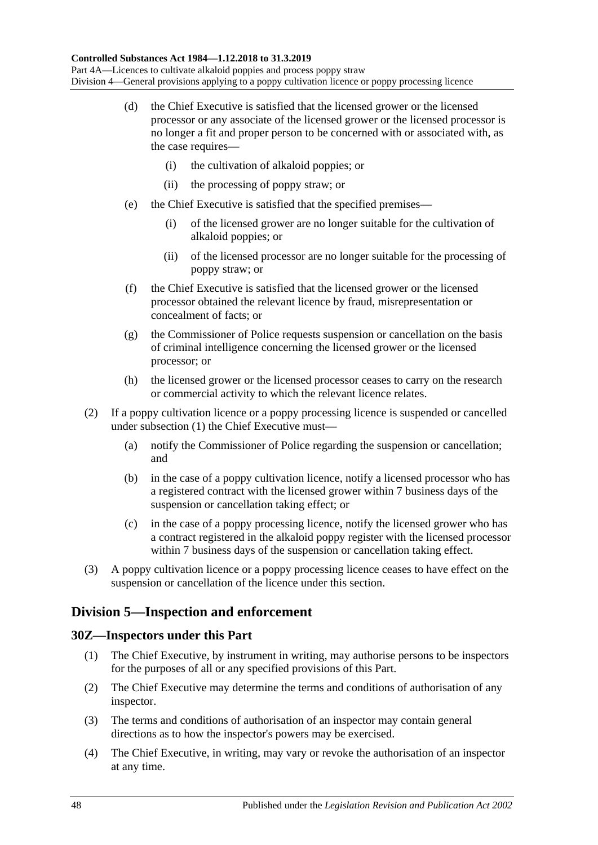- (d) the Chief Executive is satisfied that the licensed grower or the licensed processor or any associate of the licensed grower or the licensed processor is no longer a fit and proper person to be concerned with or associated with, as the case requires-
	- (i) the cultivation of alkaloid poppies; or
	- (ii) the processing of poppy straw; or
- (e) the Chief Executive is satisfied that the specified premises—
	- (i) of the licensed grower are no longer suitable for the cultivation of alkaloid poppies; or
	- (ii) of the licensed processor are no longer suitable for the processing of poppy straw; or
- (f) the Chief Executive is satisfied that the licensed grower or the licensed processor obtained the relevant licence by fraud, misrepresentation or concealment of facts; or
- (g) the Commissioner of Police requests suspension or cancellation on the basis of criminal intelligence concerning the licensed grower or the licensed processor; or
- (h) the licensed grower or the licensed processor ceases to carry on the research or commercial activity to which the relevant licence relates.
- (2) If a poppy cultivation licence or a poppy processing licence is suspended or cancelled under [subsection](#page-46-5) (1) the Chief Executive must—
	- (a) notify the Commissioner of Police regarding the suspension or cancellation; and
	- (b) in the case of a poppy cultivation licence, notify a licensed processor who has a registered contract with the licensed grower within 7 business days of the suspension or cancellation taking effect; or
	- (c) in the case of a poppy processing licence, notify the licensed grower who has a contract registered in the alkaloid poppy register with the licensed processor within 7 business days of the suspension or cancellation taking effect.
- (3) A poppy cultivation licence or a poppy processing licence ceases to have effect on the suspension or cancellation of the licence under this section.

# **Division 5—Inspection and enforcement**

## **30Z—Inspectors under this Part**

- (1) The Chief Executive, by instrument in writing, may authorise persons to be inspectors for the purposes of all or any specified provisions of this Part.
- (2) The Chief Executive may determine the terms and conditions of authorisation of any inspector.
- (3) The terms and conditions of authorisation of an inspector may contain general directions as to how the inspector's powers may be exercised.
- (4) The Chief Executive, in writing, may vary or revoke the authorisation of an inspector at any time.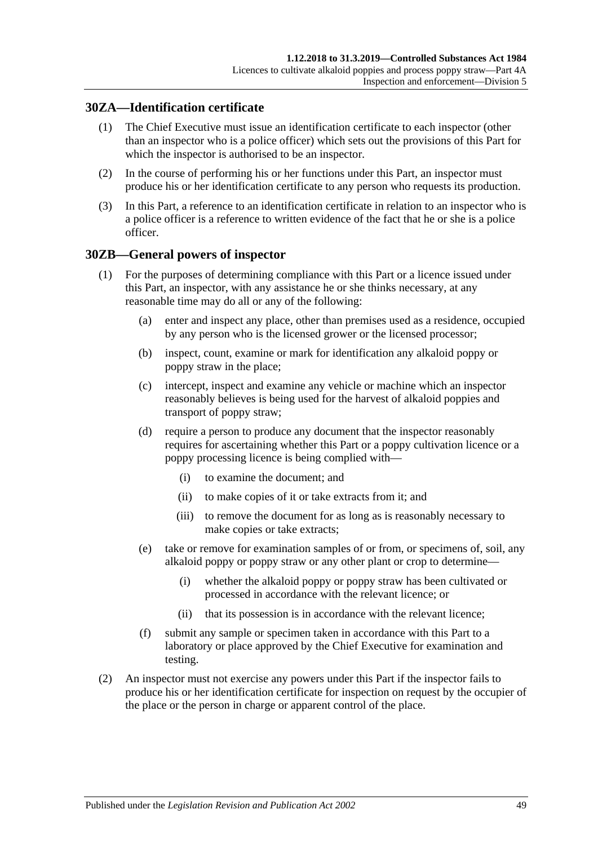## **30ZA—Identification certificate**

- (1) The Chief Executive must issue an identification certificate to each inspector (other than an inspector who is a police officer) which sets out the provisions of this Part for which the inspector is authorised to be an inspector.
- (2) In the course of performing his or her functions under this Part, an inspector must produce his or her identification certificate to any person who requests its production.
- (3) In this Part, a reference to an identification certificate in relation to an inspector who is a police officer is a reference to written evidence of the fact that he or she is a police officer.

### <span id="page-48-1"></span>**30ZB—General powers of inspector**

- (1) For the purposes of determining compliance with this Part or a licence issued under this Part, an inspector, with any assistance he or she thinks necessary, at any reasonable time may do all or any of the following:
	- (a) enter and inspect any place, other than premises used as a residence, occupied by any person who is the licensed grower or the licensed processor;
	- (b) inspect, count, examine or mark for identification any alkaloid poppy or poppy straw in the place;
	- (c) intercept, inspect and examine any vehicle or machine which an inspector reasonably believes is being used for the harvest of alkaloid poppies and transport of poppy straw;
	- (d) require a person to produce any document that the inspector reasonably requires for ascertaining whether this Part or a poppy cultivation licence or a poppy processing licence is being complied with—
		- (i) to examine the document; and
		- (ii) to make copies of it or take extracts from it; and
		- (iii) to remove the document for as long as is reasonably necessary to make copies or take extracts;
	- (e) take or remove for examination samples of or from, or specimens of, soil, any alkaloid poppy or poppy straw or any other plant or crop to determine—
		- (i) whether the alkaloid poppy or poppy straw has been cultivated or processed in accordance with the relevant licence; or
		- (ii) that its possession is in accordance with the relevant licence;
	- (f) submit any sample or specimen taken in accordance with this Part to a laboratory or place approved by the Chief Executive for examination and testing.
- <span id="page-48-0"></span>(2) An inspector must not exercise any powers under this Part if the inspector fails to produce his or her identification certificate for inspection on request by the occupier of the place or the person in charge or apparent control of the place.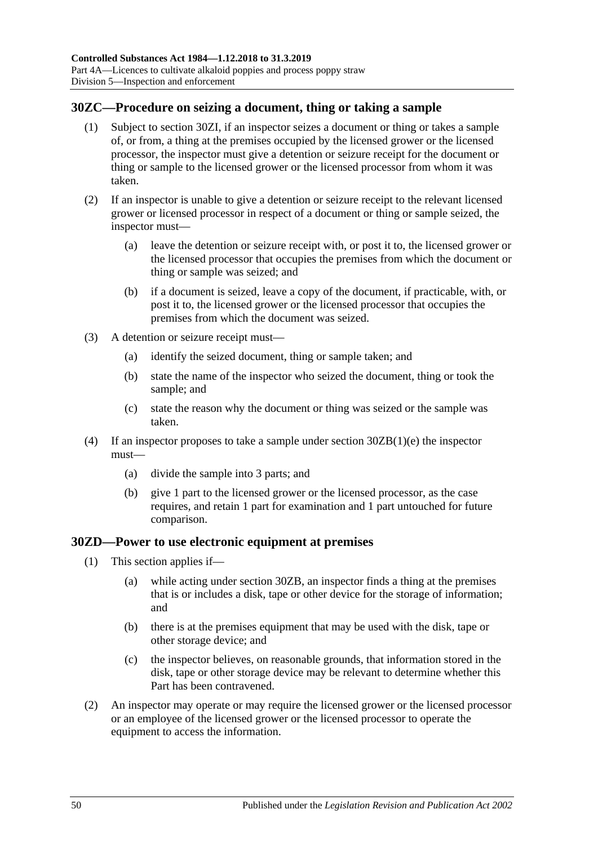# **30ZC—Procedure on seizing a document, thing or taking a sample**

- (1) Subject to [section](#page-50-0) 30ZI, if an inspector seizes a document or thing or takes a sample of, or from, a thing at the premises occupied by the licensed grower or the licensed processor, the inspector must give a detention or seizure receipt for the document or thing or sample to the licensed grower or the licensed processor from whom it was taken.
- (2) If an inspector is unable to give a detention or seizure receipt to the relevant licensed grower or licensed processor in respect of a document or thing or sample seized, the inspector must—
	- (a) leave the detention or seizure receipt with, or post it to, the licensed grower or the licensed processor that occupies the premises from which the document or thing or sample was seized; and
	- (b) if a document is seized, leave a copy of the document, if practicable, with, or post it to, the licensed grower or the licensed processor that occupies the premises from which the document was seized.
- (3) A detention or seizure receipt must—
	- (a) identify the seized document, thing or sample taken; and
	- (b) state the name of the inspector who seized the document, thing or took the sample; and
	- (c) state the reason why the document or thing was seized or the sample was taken.
- (4) If an inspector proposes to take a sample under section [30ZB\(1\)\(e\)](#page-48-0) the inspector must—
	- (a) divide the sample into 3 parts; and
	- (b) give 1 part to the licensed grower or the licensed processor, as the case requires, and retain 1 part for examination and 1 part untouched for future comparison.

## <span id="page-49-0"></span>**30ZD—Power to use electronic equipment at premises**

- (1) This section applies if—
	- (a) while acting under [section](#page-48-1) 30ZB, an inspector finds a thing at the premises that is or includes a disk, tape or other device for the storage of information; and
	- (b) there is at the premises equipment that may be used with the disk, tape or other storage device; and
	- (c) the inspector believes, on reasonable grounds, that information stored in the disk, tape or other storage device may be relevant to determine whether this Part has been contravened.
- (2) An inspector may operate or may require the licensed grower or the licensed processor or an employee of the licensed grower or the licensed processor to operate the equipment to access the information.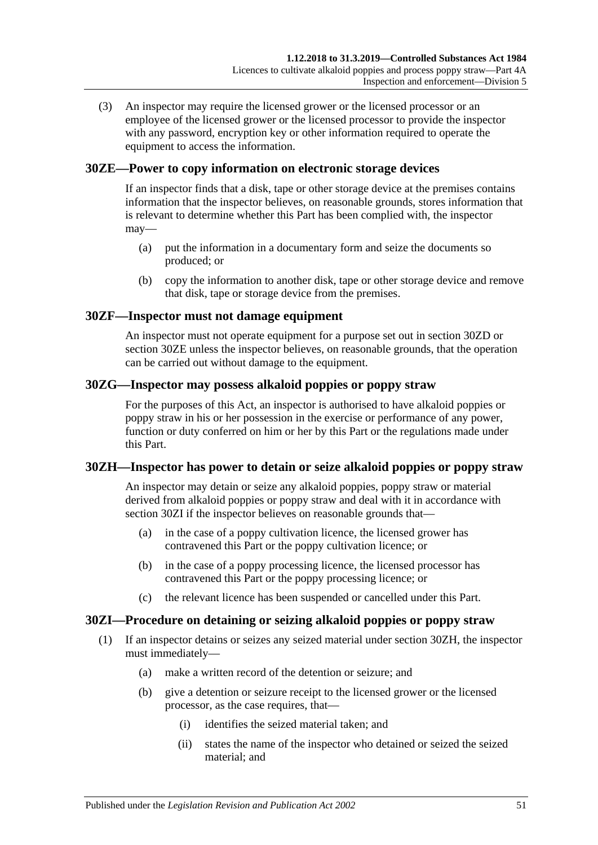(3) An inspector may require the licensed grower or the licensed processor or an employee of the licensed grower or the licensed processor to provide the inspector with any password, encryption key or other information required to operate the equipment to access the information.

## <span id="page-50-1"></span>**30ZE—Power to copy information on electronic storage devices**

If an inspector finds that a disk, tape or other storage device at the premises contains information that the inspector believes, on reasonable grounds, stores information that is relevant to determine whether this Part has been complied with, the inspector may—

- (a) put the information in a documentary form and seize the documents so produced; or
- (b) copy the information to another disk, tape or other storage device and remove that disk, tape or storage device from the premises.

## **30ZF—Inspector must not damage equipment**

An inspector must not operate equipment for a purpose set out in [section](#page-49-0) 30ZD or [section](#page-50-1) 30ZE unless the inspector believes, on reasonable grounds, that the operation can be carried out without damage to the equipment.

## **30ZG—Inspector may possess alkaloid poppies or poppy straw**

For the purposes of this Act, an inspector is authorised to have alkaloid poppies or poppy straw in his or her possession in the exercise or performance of any power, function or duty conferred on him or her by this Part or the regulations made under this Part.

## <span id="page-50-2"></span>**30ZH—Inspector has power to detain or seize alkaloid poppies or poppy straw**

An inspector may detain or seize any alkaloid poppies, poppy straw or material derived from alkaloid poppies or poppy straw and deal with it in accordance with [section](#page-50-0) 30ZI if the inspector believes on reasonable grounds that—

- (a) in the case of a poppy cultivation licence, the licensed grower has contravened this Part or the poppy cultivation licence; or
- (b) in the case of a poppy processing licence, the licensed processor has contravened this Part or the poppy processing licence; or
- (c) the relevant licence has been suspended or cancelled under this Part.

# <span id="page-50-0"></span>**30ZI—Procedure on detaining or seizing alkaloid poppies or poppy straw**

- (1) If an inspector detains or seizes any seized material under [section](#page-50-2) 30ZH, the inspector must immediately—
	- (a) make a written record of the detention or seizure; and
	- (b) give a detention or seizure receipt to the licensed grower or the licensed processor, as the case requires, that—
		- (i) identifies the seized material taken; and
		- (ii) states the name of the inspector who detained or seized the seized material; and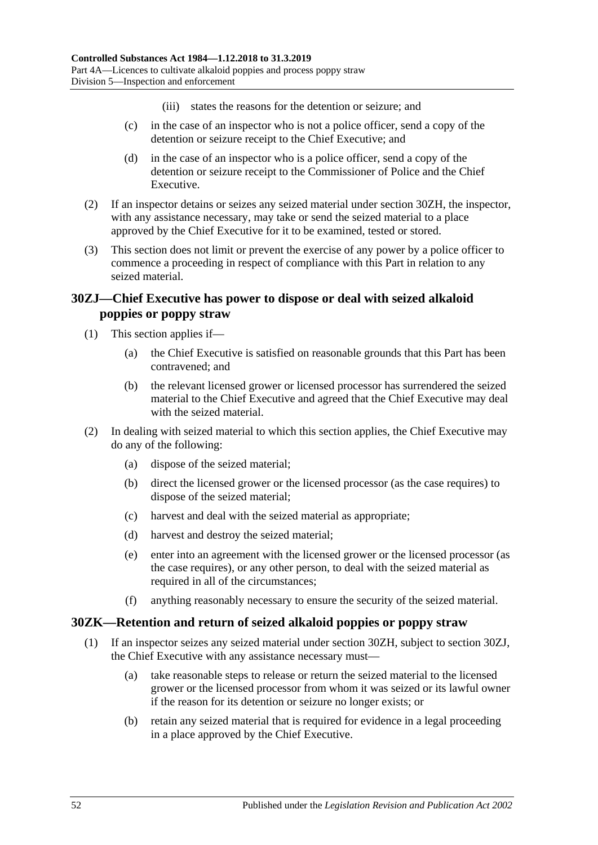- (iii) states the reasons for the detention or seizure; and
- (c) in the case of an inspector who is not a police officer, send a copy of the detention or seizure receipt to the Chief Executive; and
- (d) in the case of an inspector who is a police officer, send a copy of the detention or seizure receipt to the Commissioner of Police and the Chief Executive.
- (2) If an inspector detains or seizes any seized material under [section](#page-50-2) 30ZH, the inspector, with any assistance necessary, may take or send the seized material to a place approved by the Chief Executive for it to be examined, tested or stored.
- (3) This section does not limit or prevent the exercise of any power by a police officer to commence a proceeding in respect of compliance with this Part in relation to any seized material.

# <span id="page-51-0"></span>**30ZJ—Chief Executive has power to dispose or deal with seized alkaloid poppies or poppy straw**

- (1) This section applies if—
	- (a) the Chief Executive is satisfied on reasonable grounds that this Part has been contravened; and
	- (b) the relevant licensed grower or licensed processor has surrendered the seized material to the Chief Executive and agreed that the Chief Executive may deal with the seized material.
- (2) In dealing with seized material to which this section applies, the Chief Executive may do any of the following:
	- (a) dispose of the seized material;
	- (b) direct the licensed grower or the licensed processor (as the case requires) to dispose of the seized material;
	- (c) harvest and deal with the seized material as appropriate;
	- (d) harvest and destroy the seized material;
	- (e) enter into an agreement with the licensed grower or the licensed processor (as the case requires), or any other person, to deal with the seized material as required in all of the circumstances;
	- (f) anything reasonably necessary to ensure the security of the seized material.

## **30ZK—Retention and return of seized alkaloid poppies or poppy straw**

- (1) If an inspector seizes any seized material under [section](#page-50-2) 30ZH, subject to [section](#page-51-0) 30ZJ, the Chief Executive with any assistance necessary must—
	- (a) take reasonable steps to release or return the seized material to the licensed grower or the licensed processor from whom it was seized or its lawful owner if the reason for its detention or seizure no longer exists; or
	- (b) retain any seized material that is required for evidence in a legal proceeding in a place approved by the Chief Executive.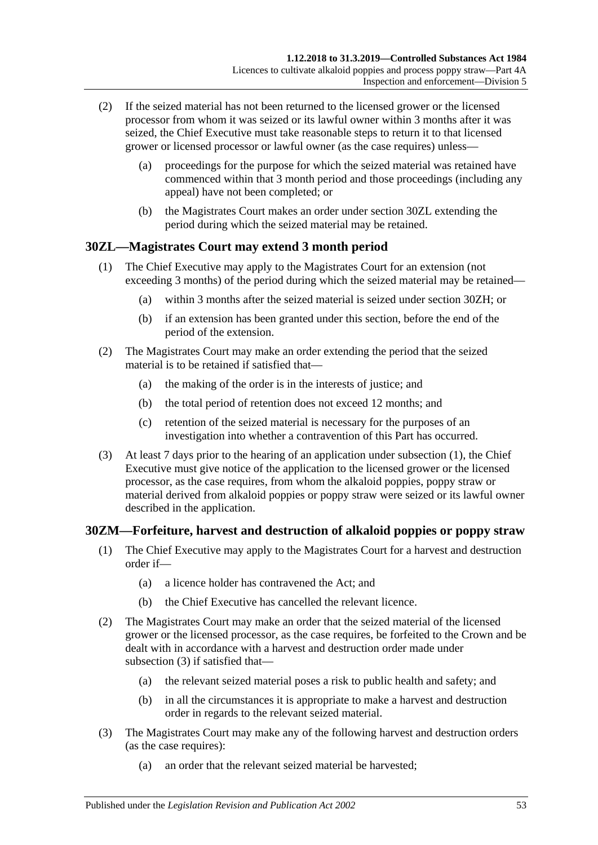- (2) If the seized material has not been returned to the licensed grower or the licensed processor from whom it was seized or its lawful owner within 3 months after it was seized, the Chief Executive must take reasonable steps to return it to that licensed grower or licensed processor or lawful owner (as the case requires) unless—
	- (a) proceedings for the purpose for which the seized material was retained have commenced within that 3 month period and those proceedings (including any appeal) have not been completed; or
	- (b) the Magistrates Court makes an order under [section](#page-52-0) 30ZL extending the period during which the seized material may be retained.

# <span id="page-52-1"></span><span id="page-52-0"></span>**30ZL—Magistrates Court may extend 3 month period**

- (1) The Chief Executive may apply to the Magistrates Court for an extension (not exceeding 3 months) of the period during which the seized material may be retained—
	- (a) within 3 months after the seized material is seized under [section](#page-50-2) 30ZH; or
	- (b) if an extension has been granted under this section, before the end of the period of the extension.
- (2) The Magistrates Court may make an order extending the period that the seized material is to be retained if satisfied that—
	- (a) the making of the order is in the interests of justice; and
	- (b) the total period of retention does not exceed 12 months; and
	- (c) retention of the seized material is necessary for the purposes of an investigation into whether a contravention of this Part has occurred.
- (3) At least 7 days prior to the hearing of an application under [subsection](#page-52-1) (1), the Chief Executive must give notice of the application to the licensed grower or the licensed processor, as the case requires, from whom the alkaloid poppies, poppy straw or material derived from alkaloid poppies or poppy straw were seized or its lawful owner described in the application.

## **30ZM—Forfeiture, harvest and destruction of alkaloid poppies or poppy straw**

- (1) The Chief Executive may apply to the Magistrates Court for a harvest and destruction order if—
	- (a) a licence holder has contravened the Act; and
	- (b) the Chief Executive has cancelled the relevant licence.
- (2) The Magistrates Court may make an order that the seized material of the licensed grower or the licensed processor, as the case requires, be forfeited to the Crown and be dealt with in accordance with a harvest and destruction order made under [subsection](#page-52-2) (3) if satisfied that—
	- (a) the relevant seized material poses a risk to public health and safety; and
	- (b) in all the circumstances it is appropriate to make a harvest and destruction order in regards to the relevant seized material.
- <span id="page-52-2"></span>(3) The Magistrates Court may make any of the following harvest and destruction orders (as the case requires):
	- (a) an order that the relevant seized material be harvested;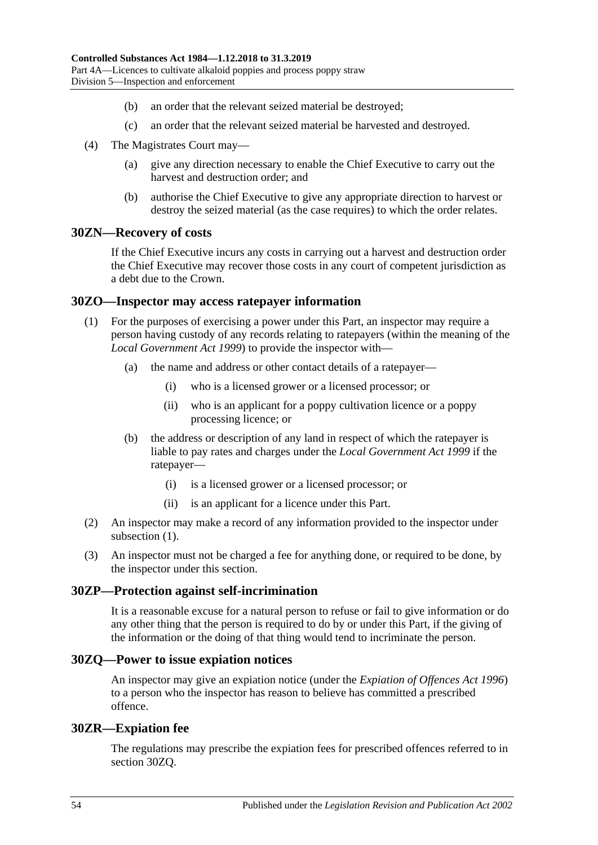- (b) an order that the relevant seized material be destroyed;
- (c) an order that the relevant seized material be harvested and destroyed.
- (4) The Magistrates Court may—
	- (a) give any direction necessary to enable the Chief Executive to carry out the harvest and destruction order; and
	- (b) authorise the Chief Executive to give any appropriate direction to harvest or destroy the seized material (as the case requires) to which the order relates.

## **30ZN—Recovery of costs**

If the Chief Executive incurs any costs in carrying out a harvest and destruction order the Chief Executive may recover those costs in any court of competent jurisdiction as a debt due to the Crown.

#### <span id="page-53-0"></span>**30ZO—Inspector may access ratepayer information**

- (1) For the purposes of exercising a power under this Part, an inspector may require a person having custody of any records relating to ratepayers (within the meaning of the *[Local Government Act](http://www.legislation.sa.gov.au/index.aspx?action=legref&type=act&legtitle=Local%20Government%20Act%201999) 1999*) to provide the inspector with—
	- (a) the name and address or other contact details of a ratepayer—
		- (i) who is a licensed grower or a licensed processor; or
		- (ii) who is an applicant for a poppy cultivation licence or a poppy processing licence; or
	- (b) the address or description of any land in respect of which the ratepayer is liable to pay rates and charges under the *[Local Government Act](http://www.legislation.sa.gov.au/index.aspx?action=legref&type=act&legtitle=Local%20Government%20Act%201999) 1999* if the ratepayer—
		- (i) is a licensed grower or a licensed processor; or
		- (ii) is an applicant for a licence under this Part.
- (2) An inspector may make a record of any information provided to the inspector under [subsection](#page-53-0) (1).
- (3) An inspector must not be charged a fee for anything done, or required to be done, by the inspector under this section.

#### **30ZP—Protection against self-incrimination**

It is a reasonable excuse for a natural person to refuse or fail to give information or do any other thing that the person is required to do by or under this Part, if the giving of the information or the doing of that thing would tend to incriminate the person.

### <span id="page-53-1"></span>**30ZQ—Power to issue expiation notices**

An inspector may give an expiation notice (under the *[Expiation of Offences Act](http://www.legislation.sa.gov.au/index.aspx?action=legref&type=act&legtitle=Expiation%20of%20Offences%20Act%201996) 1996*) to a person who the inspector has reason to believe has committed a prescribed offence.

#### **30ZR—Expiation fee**

The regulations may prescribe the expiation fees for prescribed offences referred to in [section](#page-53-1) 30ZQ.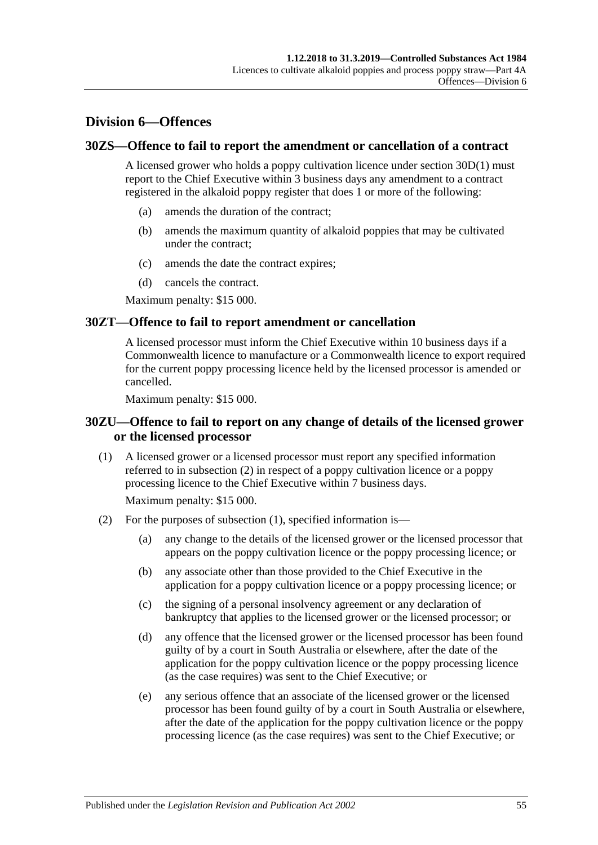# **Division 6—Offences**

## **30ZS—Offence to fail to report the amendment or cancellation of a contract**

A licensed grower who holds a poppy cultivation licence under [section](#page-36-0) 30D(1) must report to the Chief Executive within 3 business days any amendment to a contract registered in the alkaloid poppy register that does 1 or more of the following:

- (a) amends the duration of the contract;
- (b) amends the maximum quantity of alkaloid poppies that may be cultivated under the contract;
- (c) amends the date the contract expires;
- (d) cancels the contract.

Maximum penalty: \$15 000.

### **30ZT—Offence to fail to report amendment or cancellation**

A licensed processor must inform the Chief Executive within 10 business days if a Commonwealth licence to manufacture or a Commonwealth licence to export required for the current poppy processing licence held by the licensed processor is amended or cancelled.

Maximum penalty: \$15 000.

## **30ZU—Offence to fail to report on any change of details of the licensed grower or the licensed processor**

<span id="page-54-1"></span>(1) A licensed grower or a licensed processor must report any specified information referred to in [subsection](#page-54-0) (2) in respect of a poppy cultivation licence or a poppy processing licence to the Chief Executive within 7 business days.

Maximum penalty: \$15 000.

- <span id="page-54-0"></span>(2) For the purposes of [subsection](#page-54-1) (1), specified information is—
	- (a) any change to the details of the licensed grower or the licensed processor that appears on the poppy cultivation licence or the poppy processing licence; or
	- (b) any associate other than those provided to the Chief Executive in the application for a poppy cultivation licence or a poppy processing licence; or
	- (c) the signing of a personal insolvency agreement or any declaration of bankruptcy that applies to the licensed grower or the licensed processor; or
	- (d) any offence that the licensed grower or the licensed processor has been found guilty of by a court in South Australia or elsewhere, after the date of the application for the poppy cultivation licence or the poppy processing licence (as the case requires) was sent to the Chief Executive; or
	- (e) any serious offence that an associate of the licensed grower or the licensed processor has been found guilty of by a court in South Australia or elsewhere, after the date of the application for the poppy cultivation licence or the poppy processing licence (as the case requires) was sent to the Chief Executive; or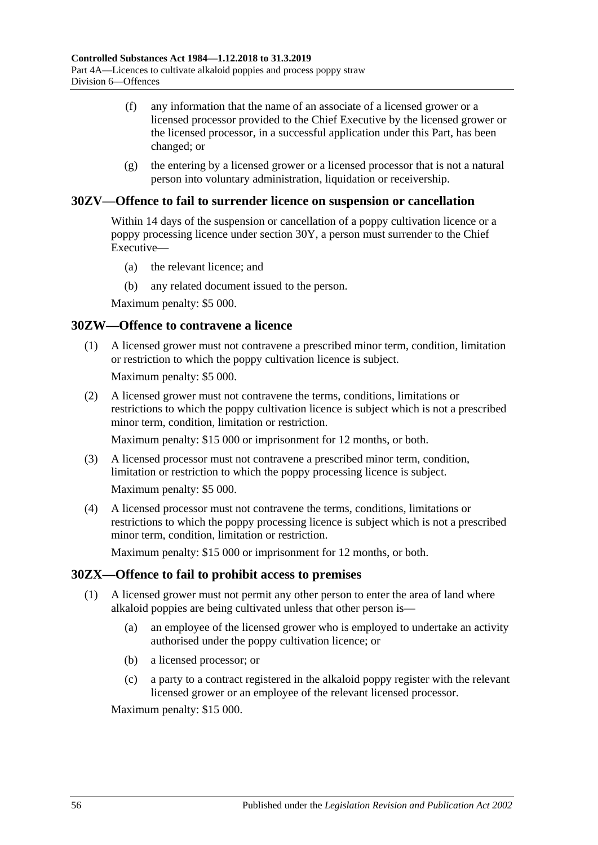- (f) any information that the name of an associate of a licensed grower or a licensed processor provided to the Chief Executive by the licensed grower or the licensed processor, in a successful application under this Part, has been changed; or
- (g) the entering by a licensed grower or a licensed processor that is not a natural person into voluntary administration, liquidation or receivership.

## **30ZV—Offence to fail to surrender licence on suspension or cancellation**

Within 14 days of the suspension or cancellation of a poppy cultivation licence or a poppy processing licence under [section](#page-46-6) 30Y, a person must surrender to the Chief Executive—

- (a) the relevant licence; and
- (b) any related document issued to the person.

Maximum penalty: \$5 000.

### **30ZW—Offence to contravene a licence**

(1) A licensed grower must not contravene a prescribed minor term, condition, limitation or restriction to which the poppy cultivation licence is subject.

Maximum penalty: \$5 000.

(2) A licensed grower must not contravene the terms, conditions, limitations or restrictions to which the poppy cultivation licence is subject which is not a prescribed minor term, condition, limitation or restriction.

Maximum penalty: \$15 000 or imprisonment for 12 months, or both.

(3) A licensed processor must not contravene a prescribed minor term, condition, limitation or restriction to which the poppy processing licence is subject.

Maximum penalty: \$5 000.

(4) A licensed processor must not contravene the terms, conditions, limitations or restrictions to which the poppy processing licence is subject which is not a prescribed minor term, condition, limitation or restriction.

Maximum penalty: \$15 000 or imprisonment for 12 months, or both.

#### **30ZX—Offence to fail to prohibit access to premises**

- (1) A licensed grower must not permit any other person to enter the area of land where alkaloid poppies are being cultivated unless that other person is—
	- (a) an employee of the licensed grower who is employed to undertake an activity authorised under the poppy cultivation licence; or
	- (b) a licensed processor; or
	- (c) a party to a contract registered in the alkaloid poppy register with the relevant licensed grower or an employee of the relevant licensed processor.

Maximum penalty: \$15 000.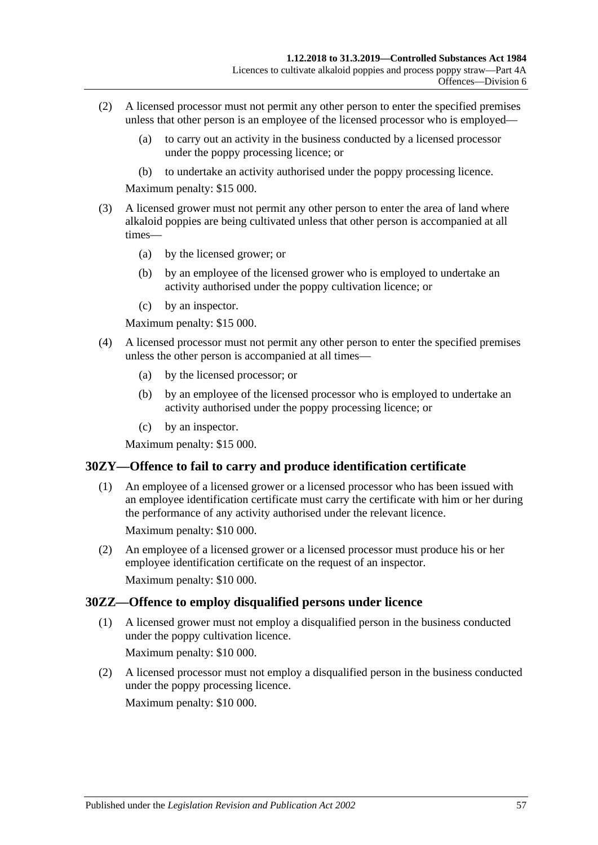- (2) A licensed processor must not permit any other person to enter the specified premises unless that other person is an employee of the licensed processor who is employed—
	- (a) to carry out an activity in the business conducted by a licensed processor under the poppy processing licence; or
	- (b) to undertake an activity authorised under the poppy processing licence.

Maximum penalty: \$15 000.

- (3) A licensed grower must not permit any other person to enter the area of land where alkaloid poppies are being cultivated unless that other person is accompanied at all times—
	- (a) by the licensed grower; or
	- (b) by an employee of the licensed grower who is employed to undertake an activity authorised under the poppy cultivation licence; or
	- (c) by an inspector.

Maximum penalty: \$15 000.

- (4) A licensed processor must not permit any other person to enter the specified premises unless the other person is accompanied at all times—
	- (a) by the licensed processor; or
	- (b) by an employee of the licensed processor who is employed to undertake an activity authorised under the poppy processing licence; or
	- (c) by an inspector.

Maximum penalty: \$15 000.

## **30ZY—Offence to fail to carry and produce identification certificate**

- (1) An employee of a licensed grower or a licensed processor who has been issued with an employee identification certificate must carry the certificate with him or her during the performance of any activity authorised under the relevant licence. Maximum penalty: \$10 000.
- (2) An employee of a licensed grower or a licensed processor must produce his or her employee identification certificate on the request of an inspector. Maximum penalty: \$10 000.

## **30ZZ—Offence to employ disqualified persons under licence**

(1) A licensed grower must not employ a disqualified person in the business conducted under the poppy cultivation licence.

Maximum penalty: \$10 000.

(2) A licensed processor must not employ a disqualified person in the business conducted under the poppy processing licence.

Maximum penalty: \$10 000.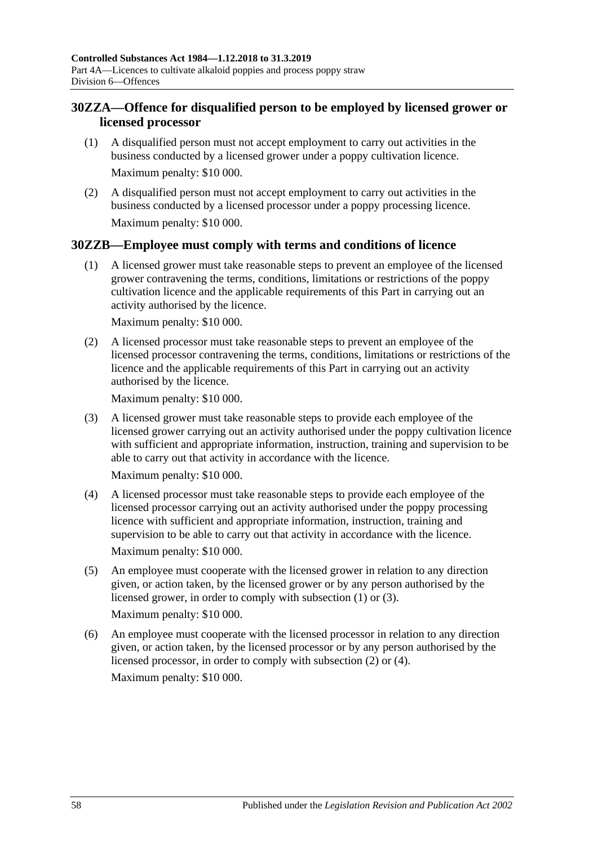# **30ZZA—Offence for disqualified person to be employed by licensed grower or licensed processor**

- (1) A disqualified person must not accept employment to carry out activities in the business conducted by a licensed grower under a poppy cultivation licence. Maximum penalty: \$10 000.
- (2) A disqualified person must not accept employment to carry out activities in the business conducted by a licensed processor under a poppy processing licence. Maximum penalty: \$10 000.

## <span id="page-57-0"></span>**30ZZB—Employee must comply with terms and conditions of licence**

(1) A licensed grower must take reasonable steps to prevent an employee of the licensed grower contravening the terms, conditions, limitations or restrictions of the poppy cultivation licence and the applicable requirements of this Part in carrying out an activity authorised by the licence.

Maximum penalty: \$10 000.

<span id="page-57-2"></span>(2) A licensed processor must take reasonable steps to prevent an employee of the licensed processor contravening the terms, conditions, limitations or restrictions of the licence and the applicable requirements of this Part in carrying out an activity authorised by the licence.

Maximum penalty: \$10 000.

<span id="page-57-1"></span>(3) A licensed grower must take reasonable steps to provide each employee of the licensed grower carrying out an activity authorised under the poppy cultivation licence with sufficient and appropriate information, instruction, training and supervision to be able to carry out that activity in accordance with the licence.

Maximum penalty: \$10 000.

<span id="page-57-3"></span>(4) A licensed processor must take reasonable steps to provide each employee of the licensed processor carrying out an activity authorised under the poppy processing licence with sufficient and appropriate information, instruction, training and supervision to be able to carry out that activity in accordance with the licence.

Maximum penalty: \$10 000.

(5) An employee must cooperate with the licensed grower in relation to any direction given, or action taken, by the licensed grower or by any person authorised by the licensed grower, in order to comply with [subsection](#page-57-0) (1) or [\(3\).](#page-57-1)

Maximum penalty: \$10 000.

(6) An employee must cooperate with the licensed processor in relation to any direction given, or action taken, by the licensed processor or by any person authorised by the licensed processor, in order to comply with [subsection](#page-57-2) (2) or [\(4\).](#page-57-3) Maximum penalty: \$10 000.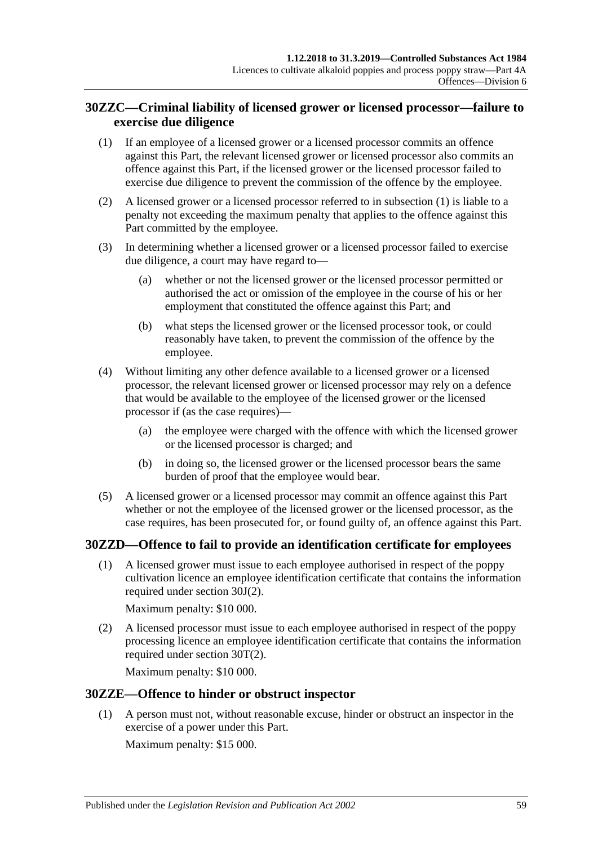# **30ZZC—Criminal liability of licensed grower or licensed processor—failure to exercise due diligence**

- <span id="page-58-0"></span>(1) If an employee of a licensed grower or a licensed processor commits an offence against this Part, the relevant licensed grower or licensed processor also commits an offence against this Part, if the licensed grower or the licensed processor failed to exercise due diligence to prevent the commission of the offence by the employee.
- (2) A licensed grower or a licensed processor referred to in [subsection](#page-58-0) (1) is liable to a penalty not exceeding the maximum penalty that applies to the offence against this Part committed by the employee.
- (3) In determining whether a licensed grower or a licensed processor failed to exercise due diligence, a court may have regard to—
	- (a) whether or not the licensed grower or the licensed processor permitted or authorised the act or omission of the employee in the course of his or her employment that constituted the offence against this Part; and
	- (b) what steps the licensed grower or the licensed processor took, or could reasonably have taken, to prevent the commission of the offence by the employee.
- (4) Without limiting any other defence available to a licensed grower or a licensed processor, the relevant licensed grower or licensed processor may rely on a defence that would be available to the employee of the licensed grower or the licensed processor if (as the case requires)—
	- (a) the employee were charged with the offence with which the licensed grower or the licensed processor is charged; and
	- (b) in doing so, the licensed grower or the licensed processor bears the same burden of proof that the employee would bear.
- (5) A licensed grower or a licensed processor may commit an offence against this Part whether or not the employee of the licensed grower or the licensed processor, as the case requires, has been prosecuted for, or found guilty of, an offence against this Part.

## **30ZZD—Offence to fail to provide an identification certificate for employees**

(1) A licensed grower must issue to each employee authorised in respect of the poppy cultivation licence an employee identification certificate that contains the information required under [section](#page-39-3) 30J(2).

Maximum penalty: \$10 000.

(2) A licensed processor must issue to each employee authorised in respect of the poppy processing licence an employee identification certificate that contains the information required under [section](#page-44-3) 30T(2).

Maximum penalty: \$10 000.

## **30ZZE—Offence to hinder or obstruct inspector**

(1) A person must not, without reasonable excuse, hinder or obstruct an inspector in the exercise of a power under this Part.

Maximum penalty: \$15 000.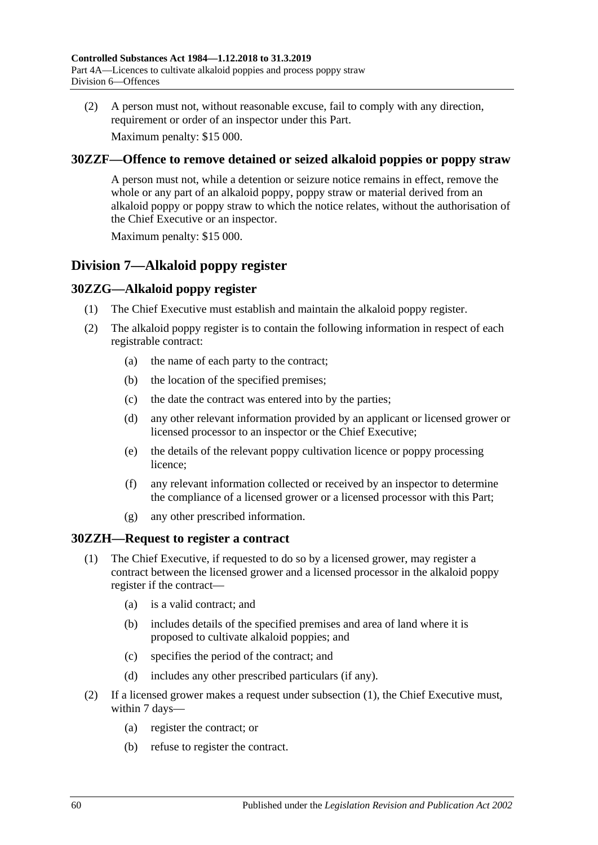(2) A person must not, without reasonable excuse, fail to comply with any direction, requirement or order of an inspector under this Part.

Maximum penalty: \$15 000.

## **30ZZF—Offence to remove detained or seized alkaloid poppies or poppy straw**

A person must not, while a detention or seizure notice remains in effect, remove the whole or any part of an alkaloid poppy, poppy straw or material derived from an alkaloid poppy or poppy straw to which the notice relates, without the authorisation of the Chief Executive or an inspector.

Maximum penalty: \$15 000.

# **Division 7—Alkaloid poppy register**

# **30ZZG—Alkaloid poppy register**

- (1) The Chief Executive must establish and maintain the alkaloid poppy register.
- (2) The alkaloid poppy register is to contain the following information in respect of each registrable contract:
	- (a) the name of each party to the contract;
	- (b) the location of the specified premises;
	- (c) the date the contract was entered into by the parties;
	- (d) any other relevant information provided by an applicant or licensed grower or licensed processor to an inspector or the Chief Executive;
	- (e) the details of the relevant poppy cultivation licence or poppy processing licence;
	- (f) any relevant information collected or received by an inspector to determine the compliance of a licensed grower or a licensed processor with this Part;
	- (g) any other prescribed information.

## <span id="page-59-0"></span>**30ZZH—Request to register a contract**

- (1) The Chief Executive, if requested to do so by a licensed grower, may register a contract between the licensed grower and a licensed processor in the alkaloid poppy register if the contract—
	- (a) is a valid contract; and
	- (b) includes details of the specified premises and area of land where it is proposed to cultivate alkaloid poppies; and
	- (c) specifies the period of the contract; and
	- (d) includes any other prescribed particulars (if any).
- <span id="page-59-2"></span><span id="page-59-1"></span>(2) If a licensed grower makes a request under [subsection](#page-59-0) (1), the Chief Executive must, within 7 days—
	- (a) register the contract; or
	- (b) refuse to register the contract.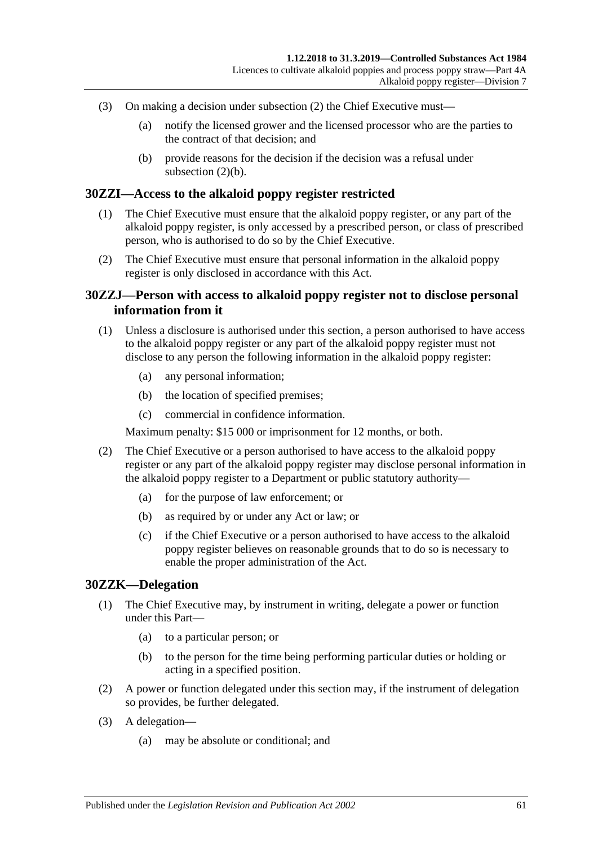- (3) On making a decision under [subsection](#page-59-1) (2) the Chief Executive must—
	- (a) notify the licensed grower and the licensed processor who are the parties to the contract of that decision; and
	- (b) provide reasons for the decision if the decision was a refusal under [subsection](#page-59-2)  $(2)(b)$ .

### **30ZZI—Access to the alkaloid poppy register restricted**

- (1) The Chief Executive must ensure that the alkaloid poppy register, or any part of the alkaloid poppy register, is only accessed by a prescribed person, or class of prescribed person, who is authorised to do so by the Chief Executive.
- (2) The Chief Executive must ensure that personal information in the alkaloid poppy register is only disclosed in accordance with this Act.

## **30ZZJ—Person with access to alkaloid poppy register not to disclose personal information from it**

- (1) Unless a disclosure is authorised under this section, a person authorised to have access to the alkaloid poppy register or any part of the alkaloid poppy register must not disclose to any person the following information in the alkaloid poppy register:
	- (a) any personal information;
	- (b) the location of specified premises;
	- (c) commercial in confidence information.

Maximum penalty: \$15 000 or imprisonment for 12 months, or both.

- (2) The Chief Executive or a person authorised to have access to the alkaloid poppy register or any part of the alkaloid poppy register may disclose personal information in the alkaloid poppy register to a Department or public statutory authority—
	- (a) for the purpose of law enforcement; or
	- (b) as required by or under any Act or law; or
	- (c) if the Chief Executive or a person authorised to have access to the alkaloid poppy register believes on reasonable grounds that to do so is necessary to enable the proper administration of the Act.

#### **30ZZK—Delegation**

- (1) The Chief Executive may, by instrument in writing, delegate a power or function under this Part—
	- (a) to a particular person; or
	- (b) to the person for the time being performing particular duties or holding or acting in a specified position.
- (2) A power or function delegated under this section may, if the instrument of delegation so provides, be further delegated.
- (3) A delegation—
	- (a) may be absolute or conditional; and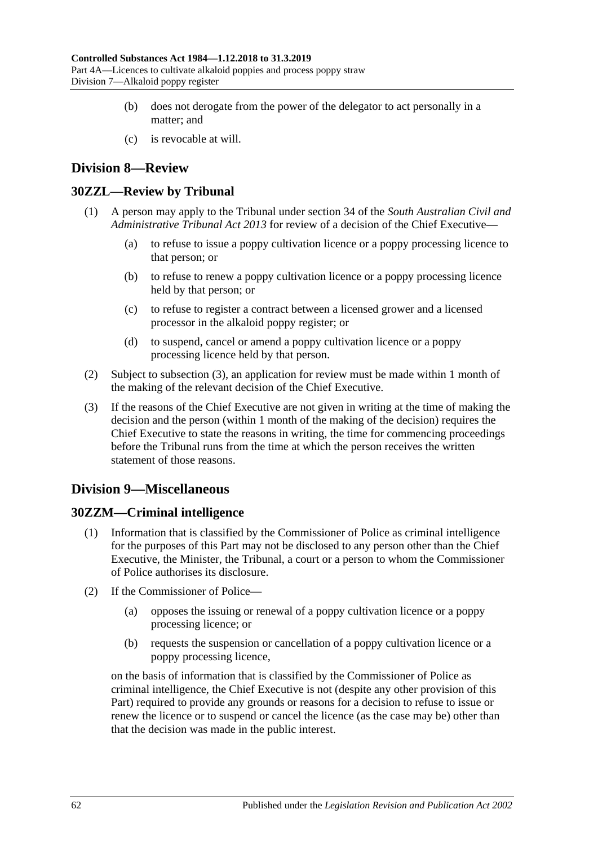- (b) does not derogate from the power of the delegator to act personally in a matter; and
- (c) is revocable at will.

# **Division 8—Review**

# **30ZZL—Review by Tribunal**

- (1) A person may apply to the Tribunal under section 34 of the *[South Australian Civil and](http://www.legislation.sa.gov.au/index.aspx?action=legref&type=act&legtitle=South%20Australian%20Civil%20and%20Administrative%20Tribunal%20Act%202013)  [Administrative Tribunal Act](http://www.legislation.sa.gov.au/index.aspx?action=legref&type=act&legtitle=South%20Australian%20Civil%20and%20Administrative%20Tribunal%20Act%202013) 2013* for review of a decision of the Chief Executive—
	- (a) to refuse to issue a poppy cultivation licence or a poppy processing licence to that person; or
	- (b) to refuse to renew a poppy cultivation licence or a poppy processing licence held by that person; or
	- (c) to refuse to register a contract between a licensed grower and a licensed processor in the alkaloid poppy register; or
	- (d) to suspend, cancel or amend a poppy cultivation licence or a poppy processing licence held by that person.
- (2) Subject to [subsection](#page-61-0) (3), an application for review must be made within 1 month of the making of the relevant decision of the Chief Executive.
- <span id="page-61-0"></span>(3) If the reasons of the Chief Executive are not given in writing at the time of making the decision and the person (within 1 month of the making of the decision) requires the Chief Executive to state the reasons in writing, the time for commencing proceedings before the Tribunal runs from the time at which the person receives the written statement of those reasons.

# **Division 9—Miscellaneous**

# **30ZZM—Criminal intelligence**

- (1) Information that is classified by the Commissioner of Police as criminal intelligence for the purposes of this Part may not be disclosed to any person other than the Chief Executive, the Minister, the Tribunal, a court or a person to whom the Commissioner of Police authorises its disclosure.
- (2) If the Commissioner of Police—
	- (a) opposes the issuing or renewal of a poppy cultivation licence or a poppy processing licence; or
	- (b) requests the suspension or cancellation of a poppy cultivation licence or a poppy processing licence,

on the basis of information that is classified by the Commissioner of Police as criminal intelligence, the Chief Executive is not (despite any other provision of this Part) required to provide any grounds or reasons for a decision to refuse to issue or renew the licence or to suspend or cancel the licence (as the case may be) other than that the decision was made in the public interest.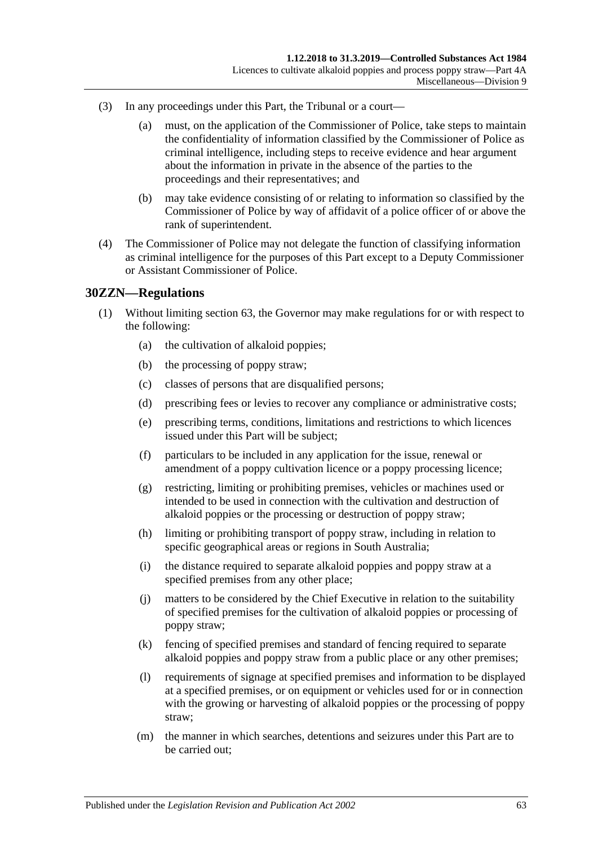- (3) In any proceedings under this Part, the Tribunal or a court—
	- (a) must, on the application of the Commissioner of Police, take steps to maintain the confidentiality of information classified by the Commissioner of Police as criminal intelligence, including steps to receive evidence and hear argument about the information in private in the absence of the parties to the proceedings and their representatives; and
	- (b) may take evidence consisting of or relating to information so classified by the Commissioner of Police by way of affidavit of a police officer of or above the rank of superintendent.
- (4) The Commissioner of Police may not delegate the function of classifying information as criminal intelligence for the purposes of this Part except to a Deputy Commissioner or Assistant Commissioner of Police.

#### **30ZZN—Regulations**

- (1) Without limiting section 63, the Governor may make regulations for or with respect to the following:
	- (a) the cultivation of alkaloid poppies;
	- (b) the processing of poppy straw;
	- (c) classes of persons that are disqualified persons;
	- (d) prescribing fees or levies to recover any compliance or administrative costs;
	- (e) prescribing terms, conditions, limitations and restrictions to which licences issued under this Part will be subject;
	- (f) particulars to be included in any application for the issue, renewal or amendment of a poppy cultivation licence or a poppy processing licence;
	- (g) restricting, limiting or prohibiting premises, vehicles or machines used or intended to be used in connection with the cultivation and destruction of alkaloid poppies or the processing or destruction of poppy straw;
	- (h) limiting or prohibiting transport of poppy straw, including in relation to specific geographical areas or regions in South Australia;
	- (i) the distance required to separate alkaloid poppies and poppy straw at a specified premises from any other place;
	- (j) matters to be considered by the Chief Executive in relation to the suitability of specified premises for the cultivation of alkaloid poppies or processing of poppy straw;
	- (k) fencing of specified premises and standard of fencing required to separate alkaloid poppies and poppy straw from a public place or any other premises;
	- (l) requirements of signage at specified premises and information to be displayed at a specified premises, or on equipment or vehicles used for or in connection with the growing or harvesting of alkaloid poppies or the processing of poppy straw;
	- (m) the manner in which searches, detentions and seizures under this Part are to be carried out;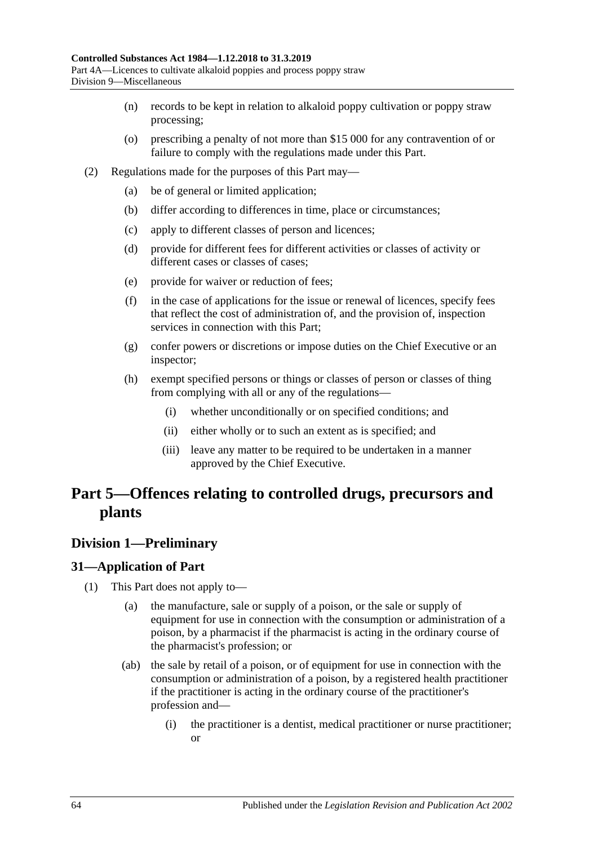- (n) records to be kept in relation to alkaloid poppy cultivation or poppy straw processing;
- (o) prescribing a penalty of not more than \$15 000 for any contravention of or failure to comply with the regulations made under this Part.
- (2) Regulations made for the purposes of this Part may—
	- (a) be of general or limited application;
	- (b) differ according to differences in time, place or circumstances;
	- (c) apply to different classes of person and licences;
	- (d) provide for different fees for different activities or classes of activity or different cases or classes of cases;
	- (e) provide for waiver or reduction of fees;
	- (f) in the case of applications for the issue or renewal of licences, specify fees that reflect the cost of administration of, and the provision of, inspection services in connection with this Part;
	- (g) confer powers or discretions or impose duties on the Chief Executive or an inspector;
	- (h) exempt specified persons or things or classes of person or classes of thing from complying with all or any of the regulations—
		- (i) whether unconditionally or on specified conditions; and
		- (ii) either wholly or to such an extent as is specified; and
		- (iii) leave any matter to be required to be undertaken in a manner approved by the Chief Executive.

# **Part 5—Offences relating to controlled drugs, precursors and plants**

# **Division 1—Preliminary**

## <span id="page-63-0"></span>**31—Application of Part**

- (1) This Part does not apply to—
	- (a) the manufacture, sale or supply of a poison, or the sale or supply of equipment for use in connection with the consumption or administration of a poison, by a pharmacist if the pharmacist is acting in the ordinary course of the pharmacist's profession; or
	- (ab) the sale by retail of a poison, or of equipment for use in connection with the consumption or administration of a poison, by a registered health practitioner if the practitioner is acting in the ordinary course of the practitioner's profession and—
		- (i) the practitioner is a dentist, medical practitioner or nurse practitioner; or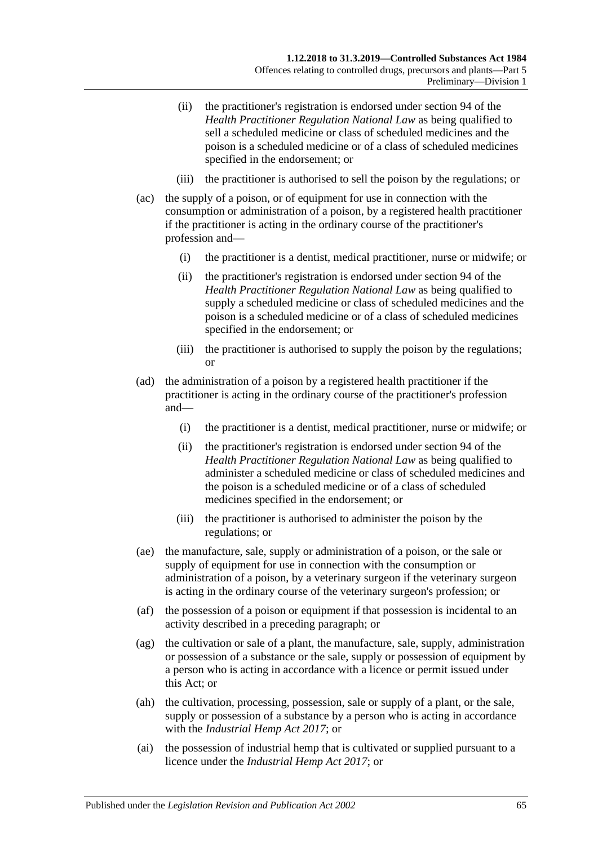- (ii) the practitioner's registration is endorsed under section 94 of the *Health Practitioner Regulation National Law* as being qualified to sell a scheduled medicine or class of scheduled medicines and the poison is a scheduled medicine or of a class of scheduled medicines specified in the endorsement; or
- (iii) the practitioner is authorised to sell the poison by the regulations; or
- (ac) the supply of a poison, or of equipment for use in connection with the consumption or administration of a poison, by a registered health practitioner if the practitioner is acting in the ordinary course of the practitioner's profession and—
	- (i) the practitioner is a dentist, medical practitioner, nurse or midwife; or
	- (ii) the practitioner's registration is endorsed under section 94 of the *Health Practitioner Regulation National Law* as being qualified to supply a scheduled medicine or class of scheduled medicines and the poison is a scheduled medicine or of a class of scheduled medicines specified in the endorsement; or
	- (iii) the practitioner is authorised to supply the poison by the regulations; or
- (ad) the administration of a poison by a registered health practitioner if the practitioner is acting in the ordinary course of the practitioner's profession and—
	- (i) the practitioner is a dentist, medical practitioner, nurse or midwife; or
	- (ii) the practitioner's registration is endorsed under section 94 of the *Health Practitioner Regulation National Law* as being qualified to administer a scheduled medicine or class of scheduled medicines and the poison is a scheduled medicine or of a class of scheduled medicines specified in the endorsement; or
	- (iii) the practitioner is authorised to administer the poison by the regulations; or
- (ae) the manufacture, sale, supply or administration of a poison, or the sale or supply of equipment for use in connection with the consumption or administration of a poison, by a veterinary surgeon if the veterinary surgeon is acting in the ordinary course of the veterinary surgeon's profession; or
- (af) the possession of a poison or equipment if that possession is incidental to an activity described in a preceding paragraph; or
- (ag) the cultivation or sale of a plant, the manufacture, sale, supply, administration or possession of a substance or the sale, supply or possession of equipment by a person who is acting in accordance with a licence or permit issued under this Act; or
- (ah) the cultivation, processing, possession, sale or supply of a plant, or the sale, supply or possession of a substance by a person who is acting in accordance with the *[Industrial Hemp Act](http://www.legislation.sa.gov.au/index.aspx?action=legref&type=act&legtitle=Industrial%20Hemp%20Act%202017) 2017*; or
- (ai) the possession of industrial hemp that is cultivated or supplied pursuant to a licence under the *[Industrial Hemp Act](http://www.legislation.sa.gov.au/index.aspx?action=legref&type=act&legtitle=Industrial%20Hemp%20Act%202017) 2017*; or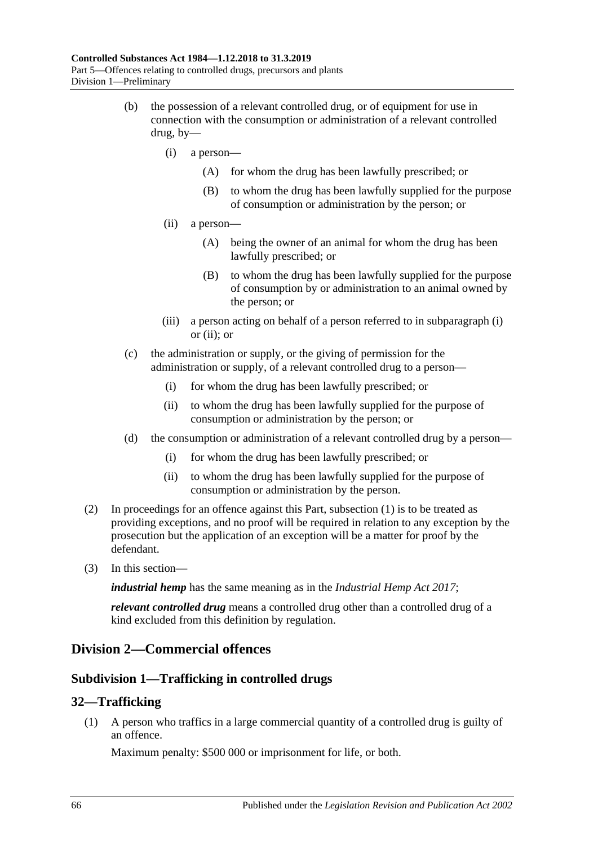- <span id="page-65-1"></span><span id="page-65-0"></span>(b) the possession of a relevant controlled drug, or of equipment for use in connection with the consumption or administration of a relevant controlled drug, by—
	- (i) a person—
		- (A) for whom the drug has been lawfully prescribed; or
		- (B) to whom the drug has been lawfully supplied for the purpose of consumption or administration by the person; or
	- (ii) a person—
		- (A) being the owner of an animal for whom the drug has been lawfully prescribed; or
		- (B) to whom the drug has been lawfully supplied for the purpose of consumption by or administration to an animal owned by the person; or
	- (iii) a person acting on behalf of a person referred to in [subparagraph](#page-65-0) (i) or [\(ii\);](#page-65-1) or
- (c) the administration or supply, or the giving of permission for the administration or supply, of a relevant controlled drug to a person—
	- (i) for whom the drug has been lawfully prescribed; or
	- (ii) to whom the drug has been lawfully supplied for the purpose of consumption or administration by the person; or
- (d) the consumption or administration of a relevant controlled drug by a person—
	- (i) for whom the drug has been lawfully prescribed; or
	- (ii) to whom the drug has been lawfully supplied for the purpose of consumption or administration by the person.
- (2) In proceedings for an offence against this Part, [subsection](#page-63-0) (1) is to be treated as providing exceptions, and no proof will be required in relation to any exception by the prosecution but the application of an exception will be a matter for proof by the defendant.
- (3) In this section—

*industrial hemp* has the same meaning as in the *[Industrial Hemp Act](http://www.legislation.sa.gov.au/index.aspx?action=legref&type=act&legtitle=Industrial%20Hemp%20Act%202017) 2017*;

*relevant controlled drug* means a controlled drug other than a controlled drug of a kind excluded from this definition by regulation.

# **Division 2—Commercial offences**

## **Subdivision 1—Trafficking in controlled drugs**

## <span id="page-65-2"></span>**32—Trafficking**

(1) A person who traffics in a large commercial quantity of a controlled drug is guilty of an offence.

Maximum penalty: \$500 000 or imprisonment for life, or both.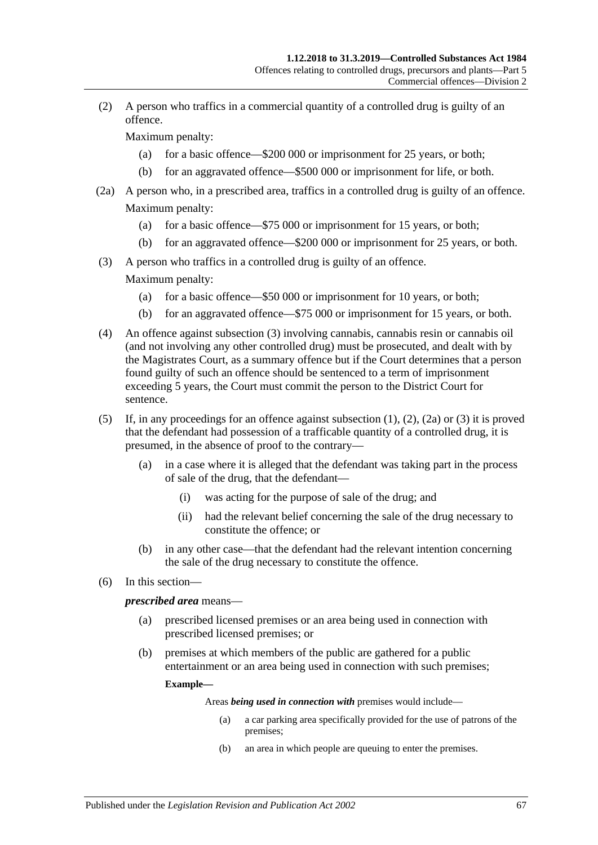<span id="page-66-1"></span>(2) A person who traffics in a commercial quantity of a controlled drug is guilty of an offence.

Maximum penalty:

- (a) for a basic offence—\$200 000 or imprisonment for 25 years, or both;
- (b) for an aggravated offence—\$500 000 or imprisonment for life, or both.
- <span id="page-66-2"></span>(2a) A person who, in a prescribed area, traffics in a controlled drug is guilty of an offence. Maximum penalty:
	- (a) for a basic offence—\$75 000 or imprisonment for 15 years, or both;
	- (b) for an aggravated offence—\$200 000 or imprisonment for 25 years, or both.
- <span id="page-66-0"></span>(3) A person who traffics in a controlled drug is guilty of an offence.

Maximum penalty:

- (a) for a basic offence—\$50 000 or imprisonment for 10 years, or both;
- (b) for an aggravated offence—\$75 000 or imprisonment for 15 years, or both.
- (4) An offence against [subsection](#page-66-0) (3) involving cannabis, cannabis resin or cannabis oil (and not involving any other controlled drug) must be prosecuted, and dealt with by the Magistrates Court, as a summary offence but if the Court determines that a person found guilty of such an offence should be sentenced to a term of imprisonment exceeding 5 years, the Court must commit the person to the District Court for sentence.
- (5) If, in any proceedings for an offence against [subsection](#page-65-2) (1), [\(2\),](#page-66-1) [\(2a\)](#page-66-2) or [\(3\)](#page-66-0) it is proved that the defendant had possession of a trafficable quantity of a controlled drug, it is presumed, in the absence of proof to the contrary—
	- (a) in a case where it is alleged that the defendant was taking part in the process of sale of the drug, that the defendant—
		- (i) was acting for the purpose of sale of the drug; and
		- (ii) had the relevant belief concerning the sale of the drug necessary to constitute the offence; or
	- (b) in any other case—that the defendant had the relevant intention concerning the sale of the drug necessary to constitute the offence.
- (6) In this section—

#### *prescribed area* means—

- (a) prescribed licensed premises or an area being used in connection with prescribed licensed premises; or
- (b) premises at which members of the public are gathered for a public entertainment or an area being used in connection with such premises;

#### **Example—**

Areas *being used in connection with* premises would include—

- (a) a car parking area specifically provided for the use of patrons of the premises;
- (b) an area in which people are queuing to enter the premises.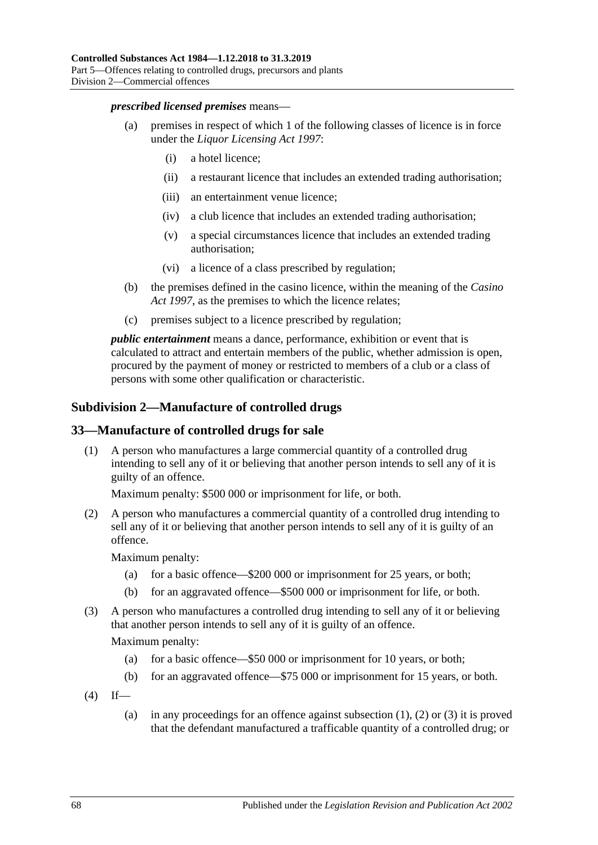#### *prescribed licensed premises* means—

- (a) premises in respect of which 1 of the following classes of licence is in force under the *[Liquor Licensing Act](http://www.legislation.sa.gov.au/index.aspx?action=legref&type=act&legtitle=Liquor%20Licensing%20Act%201997) 1997*:
	- (i) a hotel licence;
	- (ii) a restaurant licence that includes an extended trading authorisation;
	- (iii) an entertainment venue licence;
	- (iv) a club licence that includes an extended trading authorisation;
	- (v) a special circumstances licence that includes an extended trading authorisation;
	- (vi) a licence of a class prescribed by regulation;
- (b) the premises defined in the casino licence, within the meaning of the *[Casino](http://www.legislation.sa.gov.au/index.aspx?action=legref&type=act&legtitle=Casino%20Act%201997)  Act [1997](http://www.legislation.sa.gov.au/index.aspx?action=legref&type=act&legtitle=Casino%20Act%201997)*, as the premises to which the licence relates;
- (c) premises subject to a licence prescribed by regulation;

*public entertainment* means a dance, performance, exhibition or event that is calculated to attract and entertain members of the public, whether admission is open, procured by the payment of money or restricted to members of a club or a class of persons with some other qualification or characteristic.

## **Subdivision 2—Manufacture of controlled drugs**

#### <span id="page-67-0"></span>**33—Manufacture of controlled drugs for sale**

(1) A person who manufactures a large commercial quantity of a controlled drug intending to sell any of it or believing that another person intends to sell any of it is guilty of an offence.

Maximum penalty: \$500 000 or imprisonment for life, or both.

<span id="page-67-1"></span>(2) A person who manufactures a commercial quantity of a controlled drug intending to sell any of it or believing that another person intends to sell any of it is guilty of an offence.

Maximum penalty:

- (a) for a basic offence—\$200 000 or imprisonment for 25 years, or both;
- (b) for an aggravated offence—\$500 000 or imprisonment for life, or both.
- <span id="page-67-2"></span>(3) A person who manufactures a controlled drug intending to sell any of it or believing that another person intends to sell any of it is guilty of an offence.

Maximum penalty:

- (a) for a basic offence—\$50 000 or imprisonment for 10 years, or both;
- (b) for an aggravated offence—\$75 000 or imprisonment for 15 years, or both.
- $(4)$  If
	- (a) in any proceedings for an offence against [subsection](#page-67-0)  $(1)$ ,  $(2)$  or  $(3)$  it is proved that the defendant manufactured a trafficable quantity of a controlled drug; or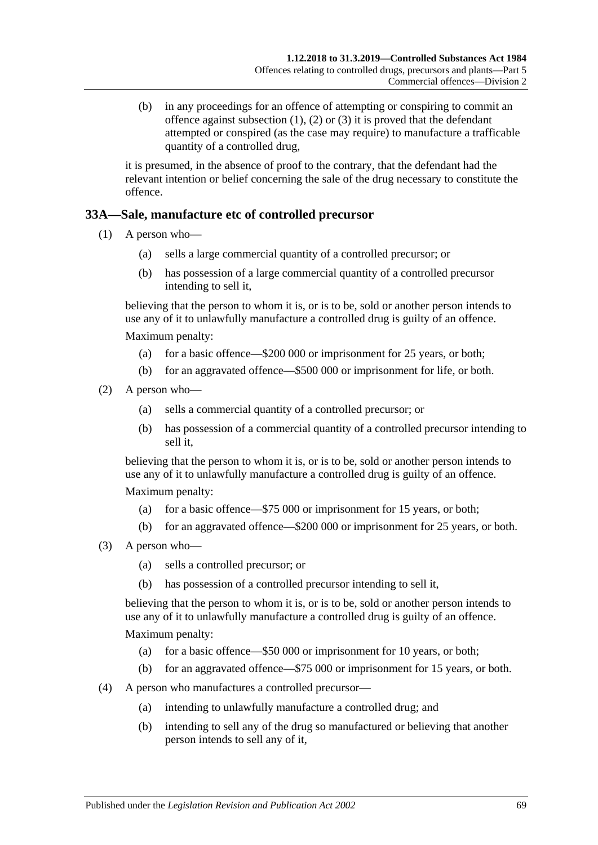(b) in any proceedings for an offence of attempting or conspiring to commit an offence against [subsection](#page-67-0)  $(1)$ ,  $(2)$  or  $(3)$  it is proved that the defendant attempted or conspired (as the case may require) to manufacture a trafficable quantity of a controlled drug,

it is presumed, in the absence of proof to the contrary, that the defendant had the relevant intention or belief concerning the sale of the drug necessary to constitute the offence.

## **33A—Sale, manufacture etc of controlled precursor**

- (1) A person who—
	- (a) sells a large commercial quantity of a controlled precursor; or
	- (b) has possession of a large commercial quantity of a controlled precursor intending to sell it,

believing that the person to whom it is, or is to be, sold or another person intends to use any of it to unlawfully manufacture a controlled drug is guilty of an offence. Maximum penalty:

- (a) for a basic offence—\$200 000 or imprisonment for 25 years, or both;
- (b) for an aggravated offence—\$500 000 or imprisonment for life, or both.
- (2) A person who—
	- (a) sells a commercial quantity of a controlled precursor; or
	- (b) has possession of a commercial quantity of a controlled precursor intending to sell it,

believing that the person to whom it is, or is to be, sold or another person intends to use any of it to unlawfully manufacture a controlled drug is guilty of an offence.

Maximum penalty:

- (a) for a basic offence—\$75 000 or imprisonment for 15 years, or both;
- (b) for an aggravated offence—\$200 000 or imprisonment for 25 years, or both.
- (3) A person who—
	- (a) sells a controlled precursor; or
	- (b) has possession of a controlled precursor intending to sell it,

believing that the person to whom it is, or is to be, sold or another person intends to use any of it to unlawfully manufacture a controlled drug is guilty of an offence.

Maximum penalty:

- (a) for a basic offence—\$50 000 or imprisonment for 10 years, or both;
- (b) for an aggravated offence—\$75 000 or imprisonment for 15 years, or both.
- (4) A person who manufactures a controlled precursor—
	- (a) intending to unlawfully manufacture a controlled drug; and
	- (b) intending to sell any of the drug so manufactured or believing that another person intends to sell any of it,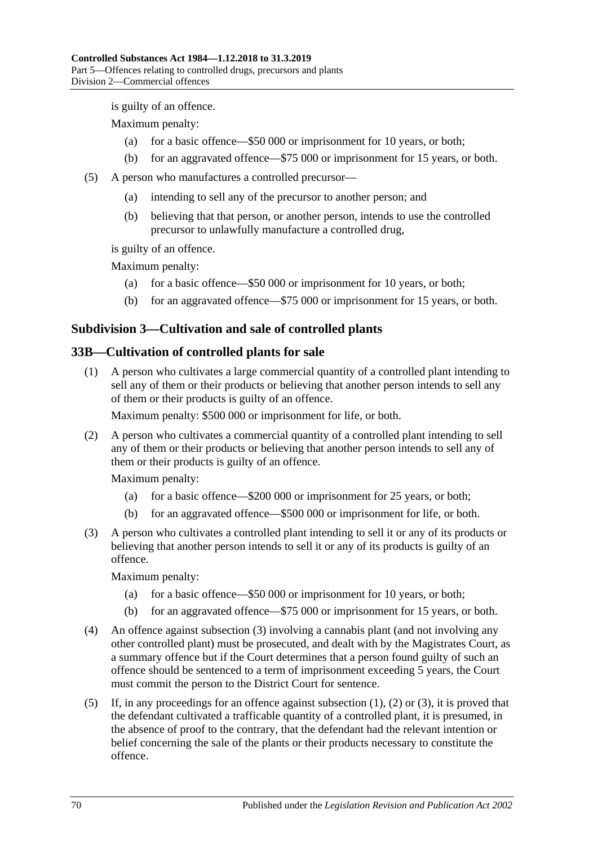is guilty of an offence.

Maximum penalty:

- (a) for a basic offence—\$50 000 or imprisonment for 10 years, or both;
- (b) for an aggravated offence—\$75 000 or imprisonment for 15 years, or both.
- (5) A person who manufactures a controlled precursor—
	- (a) intending to sell any of the precursor to another person; and
	- (b) believing that that person, or another person, intends to use the controlled precursor to unlawfully manufacture a controlled drug,

is guilty of an offence.

Maximum penalty:

- (a) for a basic offence—\$50 000 or imprisonment for 10 years, or both;
- (b) for an aggravated offence—\$75 000 or imprisonment for 15 years, or both.

## **Subdivision 3—Cultivation and sale of controlled plants**

#### <span id="page-69-1"></span>**33B—Cultivation of controlled plants for sale**

(1) A person who cultivates a large commercial quantity of a controlled plant intending to sell any of them or their products or believing that another person intends to sell any of them or their products is guilty of an offence.

Maximum penalty: \$500 000 or imprisonment for life, or both.

<span id="page-69-2"></span>(2) A person who cultivates a commercial quantity of a controlled plant intending to sell any of them or their products or believing that another person intends to sell any of them or their products is guilty of an offence.

Maximum penalty:

- (a) for a basic offence—\$200 000 or imprisonment for 25 years, or both;
- (b) for an aggravated offence—\$500 000 or imprisonment for life, or both.
- <span id="page-69-0"></span>(3) A person who cultivates a controlled plant intending to sell it or any of its products or believing that another person intends to sell it or any of its products is guilty of an offence.

Maximum penalty:

- (a) for a basic offence—\$50 000 or imprisonment for 10 years, or both;
- (b) for an aggravated offence—\$75 000 or imprisonment for 15 years, or both.
- (4) An offence against [subsection](#page-69-0) (3) involving a cannabis plant (and not involving any other controlled plant) must be prosecuted, and dealt with by the Magistrates Court, as a summary offence but if the Court determines that a person found guilty of such an offence should be sentenced to a term of imprisonment exceeding 5 years, the Court must commit the person to the District Court for sentence.
- (5) If, in any proceedings for an offence against [subsection](#page-69-1) (1), [\(2\)](#page-69-2) or [\(3\),](#page-69-0) it is proved that the defendant cultivated a trafficable quantity of a controlled plant, it is presumed, in the absence of proof to the contrary, that the defendant had the relevant intention or belief concerning the sale of the plants or their products necessary to constitute the offence.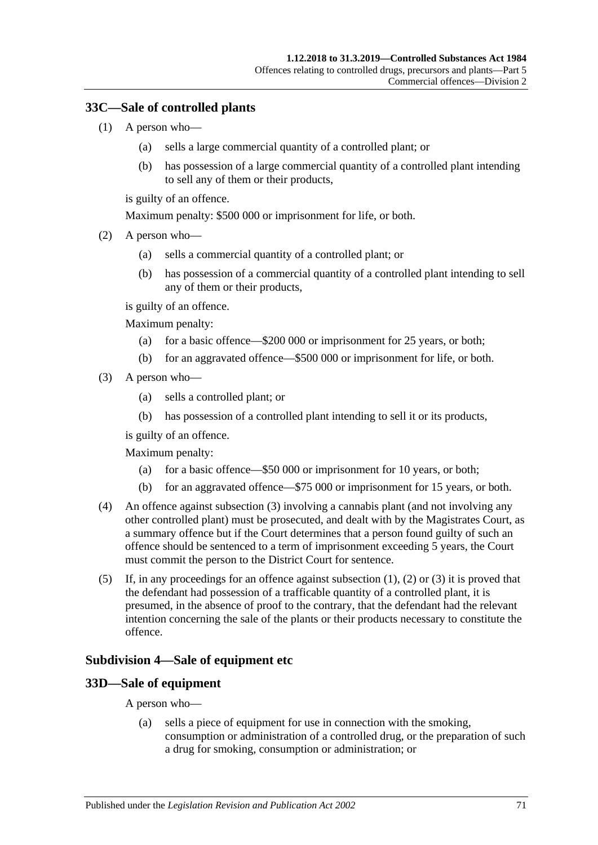## <span id="page-70-1"></span>**33C—Sale of controlled plants**

- (1) A person who—
	- (a) sells a large commercial quantity of a controlled plant; or
	- (b) has possession of a large commercial quantity of a controlled plant intending to sell any of them or their products,

is guilty of an offence.

Maximum penalty: \$500 000 or imprisonment for life, or both.

- <span id="page-70-2"></span>(2) A person who—
	- (a) sells a commercial quantity of a controlled plant; or
	- (b) has possession of a commercial quantity of a controlled plant intending to sell any of them or their products,

is guilty of an offence.

Maximum penalty:

- (a) for a basic offence—\$200 000 or imprisonment for 25 years, or both;
- (b) for an aggravated offence—\$500 000 or imprisonment for life, or both.
- <span id="page-70-0"></span>(3) A person who—
	- (a) sells a controlled plant; or
	- (b) has possession of a controlled plant intending to sell it or its products,

is guilty of an offence.

Maximum penalty:

- (a) for a basic offence—\$50 000 or imprisonment for 10 years, or both;
- (b) for an aggravated offence—\$75 000 or imprisonment for 15 years, or both.
- (4) An offence against [subsection](#page-70-0) (3) involving a cannabis plant (and not involving any other controlled plant) must be prosecuted, and dealt with by the Magistrates Court, as a summary offence but if the Court determines that a person found guilty of such an offence should be sentenced to a term of imprisonment exceeding 5 years, the Court must commit the person to the District Court for sentence.
- (5) If, in any proceedings for an offence against [subsection](#page-70-1) (1), [\(2\)](#page-70-2) or [\(3\)](#page-70-0) it is proved that the defendant had possession of a trafficable quantity of a controlled plant, it is presumed, in the absence of proof to the contrary, that the defendant had the relevant intention concerning the sale of the plants or their products necessary to constitute the offence.

#### **Subdivision 4—Sale of equipment etc**

#### **33D—Sale of equipment**

A person who—

(a) sells a piece of equipment for use in connection with the smoking, consumption or administration of a controlled drug, or the preparation of such a drug for smoking, consumption or administration; or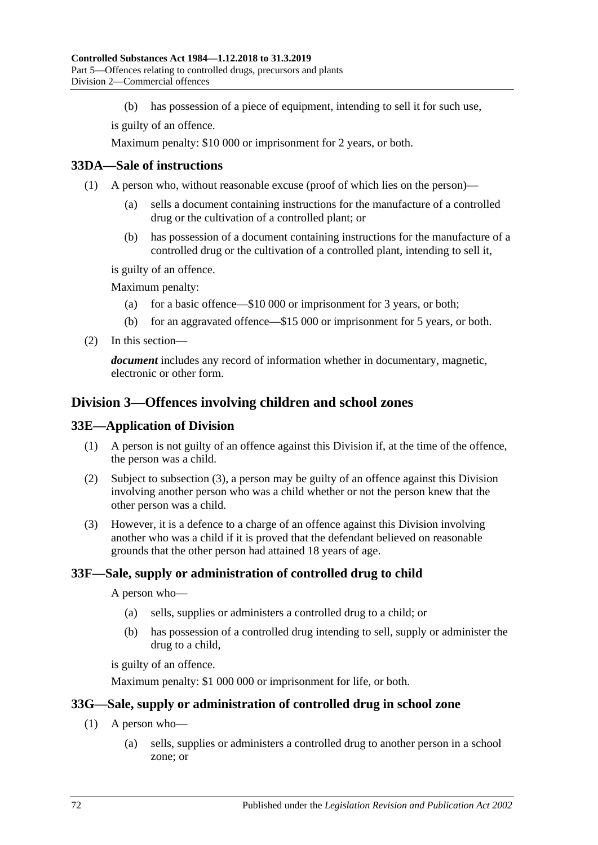(b) has possession of a piece of equipment, intending to sell it for such use,

is guilty of an offence.

Maximum penalty: \$10 000 or imprisonment for 2 years, or both.

## **33DA—Sale of instructions**

- (1) A person who, without reasonable excuse (proof of which lies on the person)—
	- (a) sells a document containing instructions for the manufacture of a controlled drug or the cultivation of a controlled plant; or
	- (b) has possession of a document containing instructions for the manufacture of a controlled drug or the cultivation of a controlled plant, intending to sell it,

is guilty of an offence.

Maximum penalty:

- (a) for a basic offence—\$10 000 or imprisonment for 3 years, or both;
- (b) for an aggravated offence—\$15 000 or imprisonment for 5 years, or both.
- (2) In this section—

*document* includes any record of information whether in documentary, magnetic, electronic or other form.

# **Division 3—Offences involving children and school zones**

#### **33E—Application of Division**

- (1) A person is not guilty of an offence against this Division if, at the time of the offence, the person was a child.
- (2) Subject to [subsection](#page-71-0) (3), a person may be guilty of an offence against this Division involving another person who was a child whether or not the person knew that the other person was a child.
- <span id="page-71-0"></span>(3) However, it is a defence to a charge of an offence against this Division involving another who was a child if it is proved that the defendant believed on reasonable grounds that the other person had attained 18 years of age.

#### **33F—Sale, supply or administration of controlled drug to child**

A person who—

- (a) sells, supplies or administers a controlled drug to a child; or
- (b) has possession of a controlled drug intending to sell, supply or administer the drug to a child,

is guilty of an offence.

Maximum penalty: \$1 000 000 or imprisonment for life, or both.

#### **33G—Sale, supply or administration of controlled drug in school zone**

- (1) A person who—
	- (a) sells, supplies or administers a controlled drug to another person in a school zone; or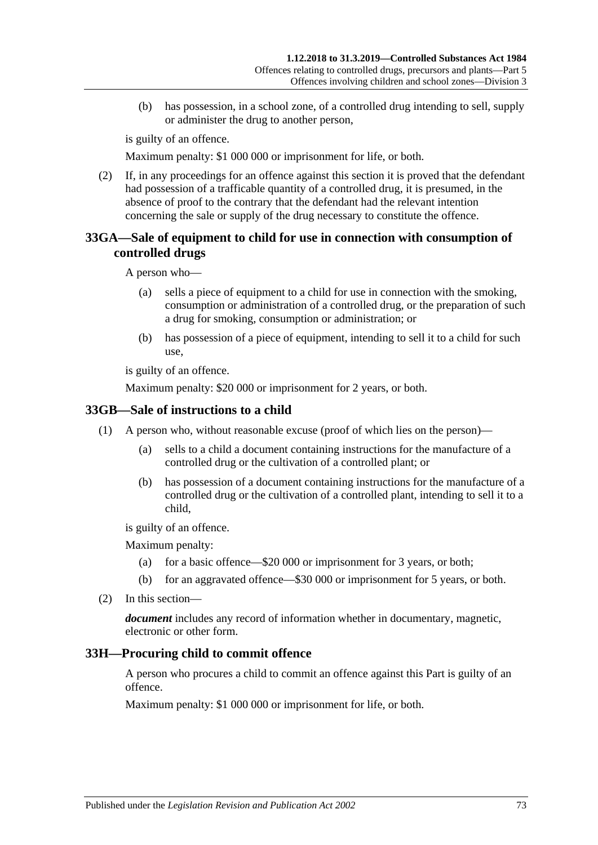(b) has possession, in a school zone, of a controlled drug intending to sell, supply or administer the drug to another person,

is guilty of an offence.

Maximum penalty: \$1 000 000 or imprisonment for life, or both.

(2) If, in any proceedings for an offence against this section it is proved that the defendant had possession of a trafficable quantity of a controlled drug, it is presumed, in the absence of proof to the contrary that the defendant had the relevant intention concerning the sale or supply of the drug necessary to constitute the offence.

#### **33GA—Sale of equipment to child for use in connection with consumption of controlled drugs**

A person who—

- (a) sells a piece of equipment to a child for use in connection with the smoking, consumption or administration of a controlled drug, or the preparation of such a drug for smoking, consumption or administration; or
- (b) has possession of a piece of equipment, intending to sell it to a child for such use,

is guilty of an offence.

Maximum penalty: \$20 000 or imprisonment for 2 years, or both.

#### **33GB—Sale of instructions to a child**

- (1) A person who, without reasonable excuse (proof of which lies on the person)—
	- (a) sells to a child a document containing instructions for the manufacture of a controlled drug or the cultivation of a controlled plant; or
	- (b) has possession of a document containing instructions for the manufacture of a controlled drug or the cultivation of a controlled plant, intending to sell it to a child,

is guilty of an offence.

Maximum penalty:

- (a) for a basic offence—\$20 000 or imprisonment for 3 years, or both;
- (b) for an aggravated offence—\$30 000 or imprisonment for 5 years, or both.
- (2) In this section—

*document* includes any record of information whether in documentary, magnetic, electronic or other form.

#### <span id="page-72-0"></span>**33H—Procuring child to commit offence**

A person who procures a child to commit an offence against this Part is guilty of an offence.

Maximum penalty: \$1 000 000 or imprisonment for life, or both.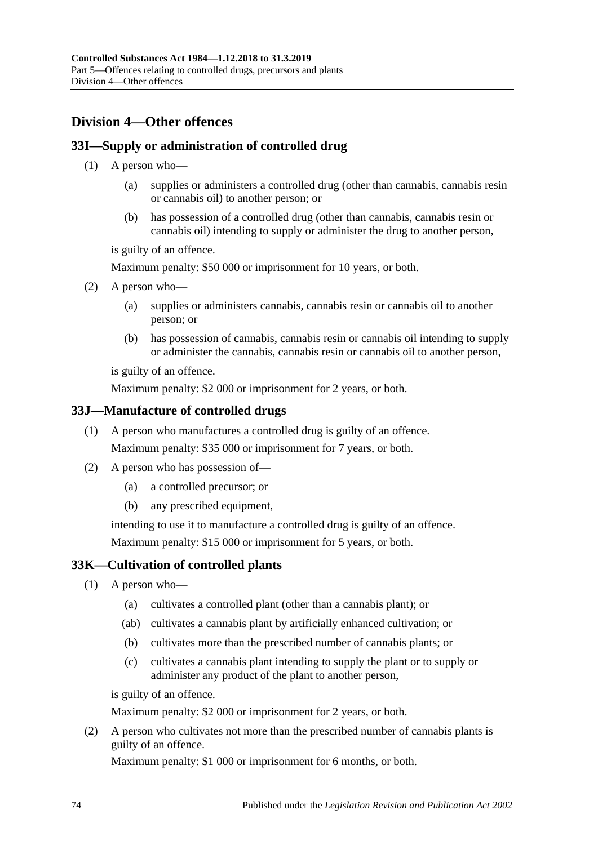# <span id="page-73-1"></span>**Division 4—Other offences**

## <span id="page-73-4"></span>**33I—Supply or administration of controlled drug**

- (1) A person who—
	- (a) supplies or administers a controlled drug (other than cannabis, cannabis resin or cannabis oil) to another person; or
	- (b) has possession of a controlled drug (other than cannabis, cannabis resin or cannabis oil) intending to supply or administer the drug to another person,

is guilty of an offence.

Maximum penalty: \$50 000 or imprisonment for 10 years, or both.

- <span id="page-73-2"></span>(2) A person who—
	- (a) supplies or administers cannabis, cannabis resin or cannabis oil to another person; or
	- (b) has possession of cannabis, cannabis resin or cannabis oil intending to supply or administer the cannabis, cannabis resin or cannabis oil to another person,

is guilty of an offence.

Maximum penalty: \$2 000 or imprisonment for 2 years, or both.

#### **33J—Manufacture of controlled drugs**

- (1) A person who manufactures a controlled drug is guilty of an offence. Maximum penalty: \$35 000 or imprisonment for 7 years, or both.
- (2) A person who has possession of—
	- (a) a controlled precursor; or
	- (b) any prescribed equipment,

intending to use it to manufacture a controlled drug is guilty of an offence. Maximum penalty: \$15 000 or imprisonment for 5 years, or both.

#### <span id="page-73-3"></span>**33K—Cultivation of controlled plants**

- (1) A person who—
	- (a) cultivates a controlled plant (other than a cannabis plant); or
	- (ab) cultivates a cannabis plant by artificially enhanced cultivation; or
	- (b) cultivates more than the prescribed number of cannabis plants; or
	- (c) cultivates a cannabis plant intending to supply the plant or to supply or administer any product of the plant to another person,

is guilty of an offence.

Maximum penalty: \$2 000 or imprisonment for 2 years, or both.

<span id="page-73-0"></span>(2) A person who cultivates not more than the prescribed number of cannabis plants is guilty of an offence.

Maximum penalty: \$1 000 or imprisonment for 6 months, or both.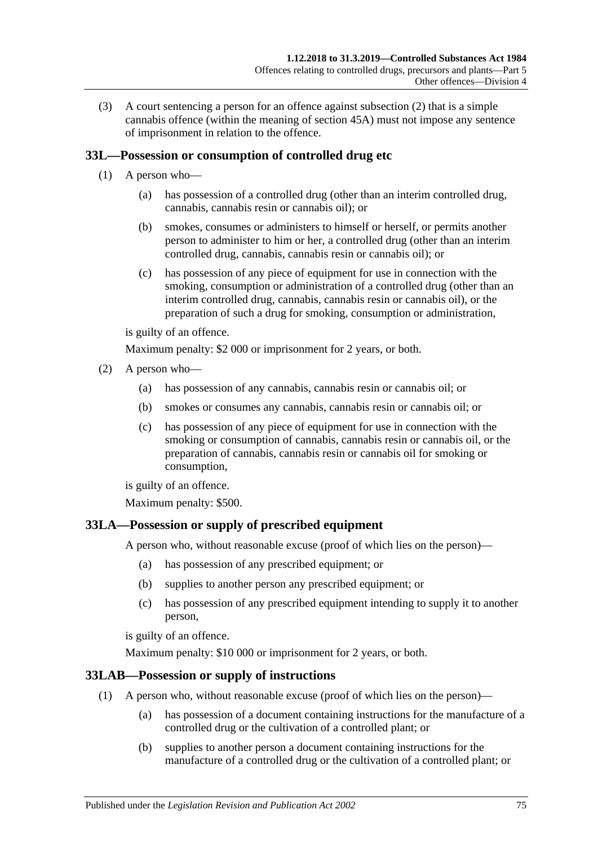(3) A court sentencing a person for an offence against [subsection](#page-73-0) (2) that is a simple cannabis offence (within the meaning of [section](#page-87-0) 45A) must not impose any sentence of imprisonment in relation to the offence.

## <span id="page-74-0"></span>**33L—Possession or consumption of controlled drug etc**

- (1) A person who—
	- (a) has possession of a controlled drug (other than an interim controlled drug, cannabis, cannabis resin or cannabis oil); or
	- (b) smokes, consumes or administers to himself or herself, or permits another person to administer to him or her, a controlled drug (other than an interim controlled drug, cannabis, cannabis resin or cannabis oil); or
	- (c) has possession of any piece of equipment for use in connection with the smoking, consumption or administration of a controlled drug (other than an interim controlled drug, cannabis, cannabis resin or cannabis oil), or the preparation of such a drug for smoking, consumption or administration,

is guilty of an offence.

Maximum penalty: \$2 000 or imprisonment for 2 years, or both.

- <span id="page-74-3"></span><span id="page-74-2"></span><span id="page-74-1"></span>(2) A person who—
	- (a) has possession of any cannabis, cannabis resin or cannabis oil; or
	- (b) smokes or consumes any cannabis, cannabis resin or cannabis oil; or
	- (c) has possession of any piece of equipment for use in connection with the smoking or consumption of cannabis, cannabis resin or cannabis oil, or the preparation of cannabis, cannabis resin or cannabis oil for smoking or consumption,

is guilty of an offence.

Maximum penalty: \$500.

#### <span id="page-74-4"></span>**33LA—Possession or supply of prescribed equipment**

A person who, without reasonable excuse (proof of which lies on the person)—

- (a) has possession of any prescribed equipment; or
- (b) supplies to another person any prescribed equipment; or
- (c) has possession of any prescribed equipment intending to supply it to another person,

is guilty of an offence.

Maximum penalty: \$10 000 or imprisonment for 2 years, or both.

#### **33LAB—Possession or supply of instructions**

- (1) A person who, without reasonable excuse (proof of which lies on the person)—
	- (a) has possession of a document containing instructions for the manufacture of a controlled drug or the cultivation of a controlled plant; or
	- (b) supplies to another person a document containing instructions for the manufacture of a controlled drug or the cultivation of a controlled plant; or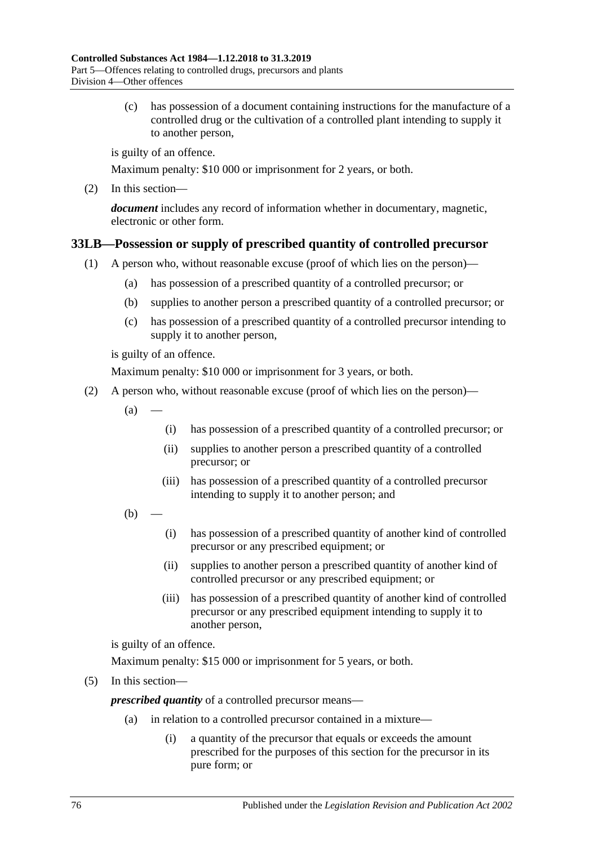(c) has possession of a document containing instructions for the manufacture of a controlled drug or the cultivation of a controlled plant intending to supply it to another person,

is guilty of an offence.

Maximum penalty: \$10 000 or imprisonment for 2 years, or both.

(2) In this section—

*document* includes any record of information whether in documentary, magnetic, electronic or other form.

## <span id="page-75-0"></span>**33LB—Possession or supply of prescribed quantity of controlled precursor**

- (1) A person who, without reasonable excuse (proof of which lies on the person)—
	- (a) has possession of a prescribed quantity of a controlled precursor; or
	- (b) supplies to another person a prescribed quantity of a controlled precursor; or
	- (c) has possession of a prescribed quantity of a controlled precursor intending to supply it to another person,

is guilty of an offence.

Maximum penalty: \$10 000 or imprisonment for 3 years, or both.

- (2) A person who, without reasonable excuse (proof of which lies on the person)—
	- $(a)$ 
		- (i) has possession of a prescribed quantity of a controlled precursor; or
		- (ii) supplies to another person a prescribed quantity of a controlled precursor; or
		- (iii) has possession of a prescribed quantity of a controlled precursor intending to supply it to another person; and
	- $(b)$ 
		- (i) has possession of a prescribed quantity of another kind of controlled precursor or any prescribed equipment; or
		- (ii) supplies to another person a prescribed quantity of another kind of controlled precursor or any prescribed equipment; or
		- (iii) has possession of a prescribed quantity of another kind of controlled precursor or any prescribed equipment intending to supply it to another person,

is guilty of an offence.

Maximum penalty: \$15 000 or imprisonment for 5 years, or both.

(5) In this section—

*prescribed quantity* of a controlled precursor means—

- (a) in relation to a controlled precursor contained in a mixture—
	- (i) a quantity of the precursor that equals or exceeds the amount prescribed for the purposes of this section for the precursor in its pure form; or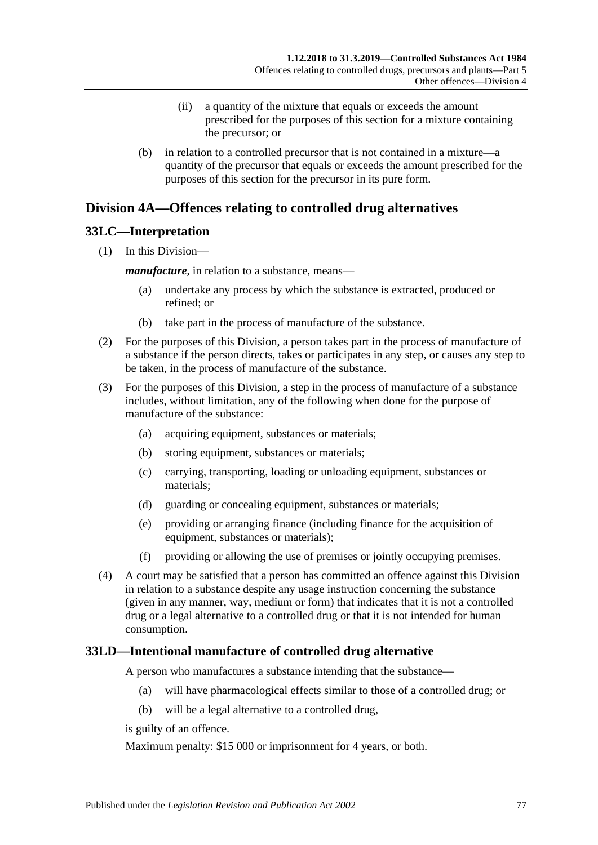- (ii) a quantity of the mixture that equals or exceeds the amount prescribed for the purposes of this section for a mixture containing the precursor; or
- (b) in relation to a controlled precursor that is not contained in a mixture—a quantity of the precursor that equals or exceeds the amount prescribed for the purposes of this section for the precursor in its pure form.

## <span id="page-76-1"></span>**Division 4A—Offences relating to controlled drug alternatives**

#### **33LC—Interpretation**

(1) In this Division—

*manufacture*, in relation to a substance, means—

- (a) undertake any process by which the substance is extracted, produced or refined; or
- (b) take part in the process of manufacture of the substance.
- (2) For the purposes of this Division, a person takes part in the process of manufacture of a substance if the person directs, takes or participates in any step, or causes any step to be taken, in the process of manufacture of the substance.
- (3) For the purposes of this Division, a step in the process of manufacture of a substance includes, without limitation, any of the following when done for the purpose of manufacture of the substance:
	- (a) acquiring equipment, substances or materials;
	- (b) storing equipment, substances or materials;
	- (c) carrying, transporting, loading or unloading equipment, substances or materials;
	- (d) guarding or concealing equipment, substances or materials;
	- (e) providing or arranging finance (including finance for the acquisition of equipment, substances or materials);
	- (f) providing or allowing the use of premises or jointly occupying premises.
- (4) A court may be satisfied that a person has committed an offence against this Division in relation to a substance despite any usage instruction concerning the substance (given in any manner, way, medium or form) that indicates that it is not a controlled drug or a legal alternative to a controlled drug or that it is not intended for human consumption.

## <span id="page-76-0"></span>**33LD—Intentional manufacture of controlled drug alternative**

A person who manufactures a substance intending that the substance—

- (a) will have pharmacological effects similar to those of a controlled drug; or
- (b) will be a legal alternative to a controlled drug,

is guilty of an offence.

Maximum penalty: \$15 000 or imprisonment for 4 years, or both.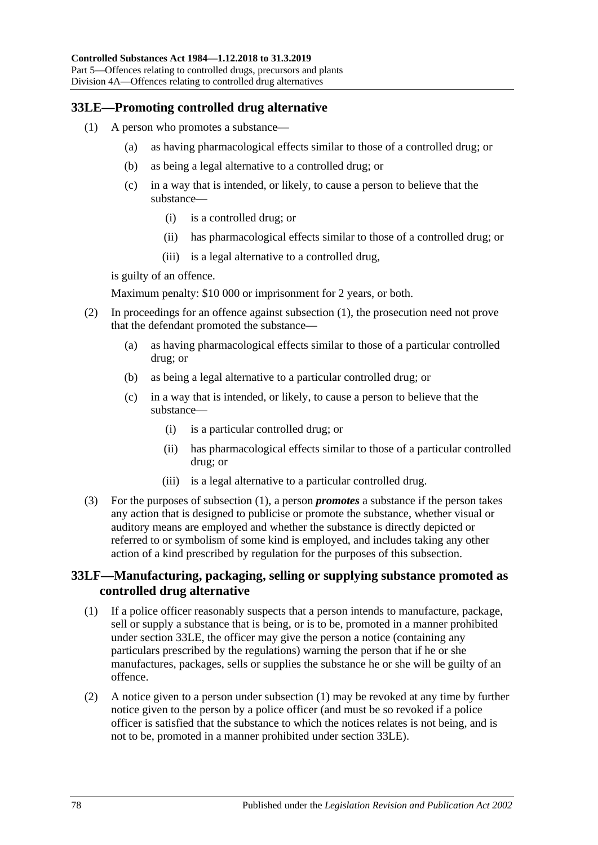#### <span id="page-77-1"></span><span id="page-77-0"></span>**33LE—Promoting controlled drug alternative**

- (1) A person who promotes a substance—
	- (a) as having pharmacological effects similar to those of a controlled drug; or
	- (b) as being a legal alternative to a controlled drug; or
	- (c) in a way that is intended, or likely, to cause a person to believe that the substance—
		- (i) is a controlled drug; or
		- (ii) has pharmacological effects similar to those of a controlled drug; or
		- (iii) is a legal alternative to a controlled drug,

is guilty of an offence.

Maximum penalty: \$10 000 or imprisonment for 2 years, or both.

- (2) In proceedings for an offence against [subsection](#page-77-0) (1), the prosecution need not prove that the defendant promoted the substance—
	- (a) as having pharmacological effects similar to those of a particular controlled drug; or
	- (b) as being a legal alternative to a particular controlled drug; or
	- (c) in a way that is intended, or likely, to cause a person to believe that the substance—
		- (i) is a particular controlled drug; or
		- (ii) has pharmacological effects similar to those of a particular controlled drug; or
		- (iii) is a legal alternative to a particular controlled drug.
- (3) For the purposes of [subsection](#page-77-0) (1), a person *promotes* a substance if the person takes any action that is designed to publicise or promote the substance, whether visual or auditory means are employed and whether the substance is directly depicted or referred to or symbolism of some kind is employed, and includes taking any other action of a kind prescribed by regulation for the purposes of this subsection.

#### **33LF—Manufacturing, packaging, selling or supplying substance promoted as controlled drug alternative**

- <span id="page-77-2"></span>(1) If a police officer reasonably suspects that a person intends to manufacture, package, sell or supply a substance that is being, or is to be, promoted in a manner prohibited under [section](#page-77-1) 33LE, the officer may give the person a notice (containing any particulars prescribed by the regulations) warning the person that if he or she manufactures, packages, sells or supplies the substance he or she will be guilty of an offence.
- <span id="page-77-3"></span>(2) A notice given to a person under [subsection](#page-77-2) (1) may be revoked at any time by further notice given to the person by a police officer (and must be so revoked if a police officer is satisfied that the substance to which the notices relates is not being, and is not to be, promoted in a manner prohibited under [section](#page-77-1) 33LE).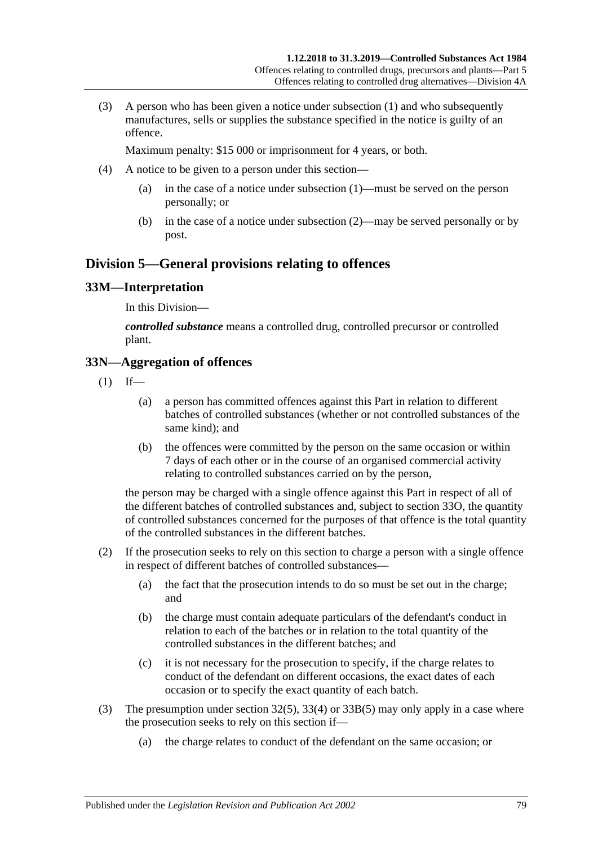(3) A person who has been given a notice under [subsection](#page-77-2) (1) and who subsequently manufactures, sells or supplies the substance specified in the notice is guilty of an offence.

Maximum penalty: \$15 000 or imprisonment for 4 years, or both.

- (4) A notice to be given to a person under this section—
	- (a) in the case of a notice under [subsection](#page-77-2) (1)—must be served on the person personally; or
	- (b) in the case of a notice under [subsection](#page-77-3) (2)—may be served personally or by post.

## **Division 5—General provisions relating to offences**

#### **33M—Interpretation**

In this Division—

*controlled substance* means a controlled drug, controlled precursor or controlled plant.

#### **33N—Aggregation of offences**

- $(1)$  If—
	- (a) a person has committed offences against this Part in relation to different batches of controlled substances (whether or not controlled substances of the same kind); and
	- (b) the offences were committed by the person on the same occasion or within 7 days of each other or in the course of an organised commercial activity relating to controlled substances carried on by the person,

the person may be charged with a single offence against this Part in respect of all of the different batches of controlled substances and, subject to [section](#page-79-0) 33O, the quantity of controlled substances concerned for the purposes of that offence is the total quantity of the controlled substances in the different batches.

- (2) If the prosecution seeks to rely on this section to charge a person with a single offence in respect of different batches of controlled substances—
	- (a) the fact that the prosecution intends to do so must be set out in the charge; and
	- (b) the charge must contain adequate particulars of the defendant's conduct in relation to each of the batches or in relation to the total quantity of the controlled substances in the different batches; and
	- (c) it is not necessary for the prosecution to specify, if the charge relates to conduct of the defendant on different occasions, the exact dates of each occasion or to specify the exact quantity of each batch.
- (3) The presumption under [section](#page-66-0) 32(5), [33\(4\)](#page-67-0) or [33B\(5\)](#page-69-0) may only apply in a case where the prosecution seeks to rely on this section if—
	- (a) the charge relates to conduct of the defendant on the same occasion; or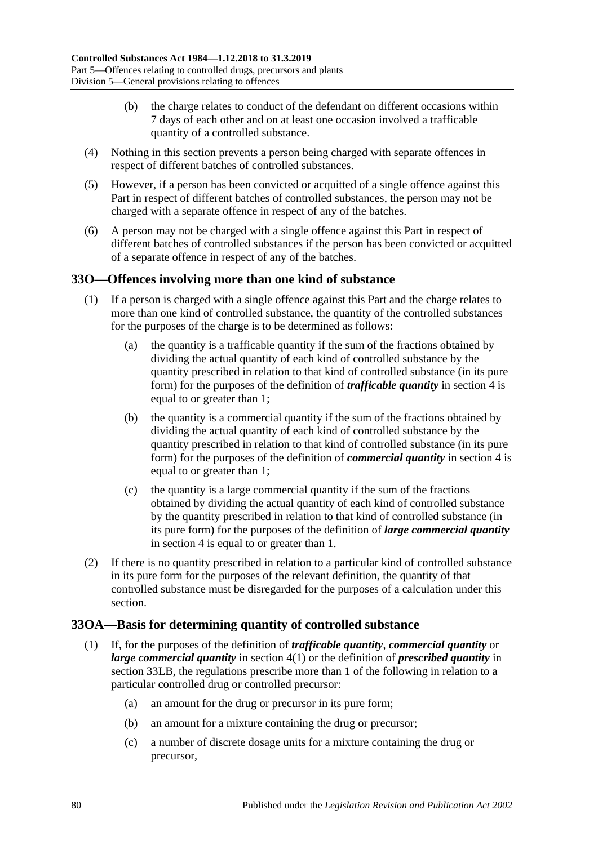- (b) the charge relates to conduct of the defendant on different occasions within 7 days of each other and on at least one occasion involved a trafficable quantity of a controlled substance.
- (4) Nothing in this section prevents a person being charged with separate offences in respect of different batches of controlled substances.
- (5) However, if a person has been convicted or acquitted of a single offence against this Part in respect of different batches of controlled substances, the person may not be charged with a separate offence in respect of any of the batches.
- (6) A person may not be charged with a single offence against this Part in respect of different batches of controlled substances if the person has been convicted or acquitted of a separate offence in respect of any of the batches.

#### <span id="page-79-0"></span>**33O—Offences involving more than one kind of substance**

- (1) If a person is charged with a single offence against this Part and the charge relates to more than one kind of controlled substance, the quantity of the controlled substances for the purposes of the charge is to be determined as follows:
	- (a) the quantity is a trafficable quantity if the sum of the fractions obtained by dividing the actual quantity of each kind of controlled substance by the quantity prescribed in relation to that kind of controlled substance (in its pure form) for the purposes of the definition of *trafficable quantity* in [section](#page-5-0) 4 is equal to or greater than 1;
	- (b) the quantity is a commercial quantity if the sum of the fractions obtained by dividing the actual quantity of each kind of controlled substance by the quantity prescribed in relation to that kind of controlled substance (in its pure form) for the purposes of the definition of *commercial quantity* in [section](#page-5-0) 4 is equal to or greater than 1;
	- (c) the quantity is a large commercial quantity if the sum of the fractions obtained by dividing the actual quantity of each kind of controlled substance by the quantity prescribed in relation to that kind of controlled substance (in its pure form) for the purposes of the definition of *large commercial quantity* in [section](#page-5-0) 4 is equal to or greater than 1.
- (2) If there is no quantity prescribed in relation to a particular kind of controlled substance in its pure form for the purposes of the relevant definition, the quantity of that controlled substance must be disregarded for the purposes of a calculation under this section.

#### **33OA—Basis for determining quantity of controlled substance**

- (1) If, for the purposes of the definition of *trafficable quantity*, *commercial quantity* or *large commercial quantity* in [section](#page-5-1) 4(1) or the definition of *prescribed quantity* in [section](#page-75-0) 33LB, the regulations prescribe more than 1 of the following in relation to a particular controlled drug or controlled precursor:
	- (a) an amount for the drug or precursor in its pure form;
	- (b) an amount for a mixture containing the drug or precursor;
	- (c) a number of discrete dosage units for a mixture containing the drug or precursor,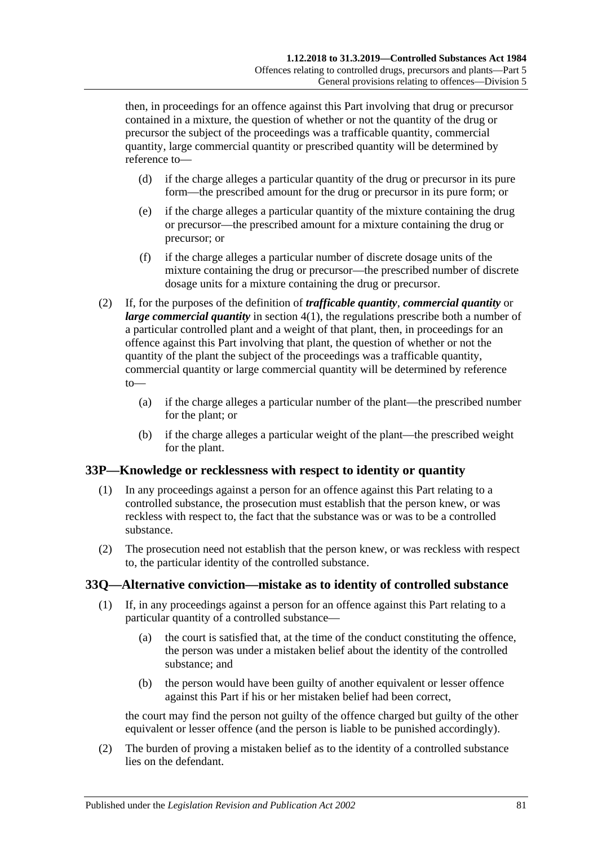then, in proceedings for an offence against this Part involving that drug or precursor contained in a mixture, the question of whether or not the quantity of the drug or precursor the subject of the proceedings was a trafficable quantity, commercial quantity, large commercial quantity or prescribed quantity will be determined by reference to—

- (d) if the charge alleges a particular quantity of the drug or precursor in its pure form—the prescribed amount for the drug or precursor in its pure form; or
- (e) if the charge alleges a particular quantity of the mixture containing the drug or precursor—the prescribed amount for a mixture containing the drug or precursor; or
- (f) if the charge alleges a particular number of discrete dosage units of the mixture containing the drug or precursor—the prescribed number of discrete dosage units for a mixture containing the drug or precursor.
- (2) If, for the purposes of the definition of *trafficable quantity*, *commercial quantity* or *large commercial quantity* in [section](#page-5-1) 4(1), the regulations prescribe both a number of a particular controlled plant and a weight of that plant, then, in proceedings for an offence against this Part involving that plant, the question of whether or not the quantity of the plant the subject of the proceedings was a trafficable quantity, commercial quantity or large commercial quantity will be determined by reference to—
	- (a) if the charge alleges a particular number of the plant—the prescribed number for the plant; or
	- (b) if the charge alleges a particular weight of the plant—the prescribed weight for the plant.

#### **33P—Knowledge or recklessness with respect to identity or quantity**

- (1) In any proceedings against a person for an offence against this Part relating to a controlled substance, the prosecution must establish that the person knew, or was reckless with respect to, the fact that the substance was or was to be a controlled substance.
- (2) The prosecution need not establish that the person knew, or was reckless with respect to, the particular identity of the controlled substance.

## **33Q—Alternative conviction—mistake as to identity of controlled substance**

- (1) If, in any proceedings against a person for an offence against this Part relating to a particular quantity of a controlled substance—
	- (a) the court is satisfied that, at the time of the conduct constituting the offence, the person was under a mistaken belief about the identity of the controlled substance; and
	- (b) the person would have been guilty of another equivalent or lesser offence against this Part if his or her mistaken belief had been correct,

the court may find the person not guilty of the offence charged but guilty of the other equivalent or lesser offence (and the person is liable to be punished accordingly).

(2) The burden of proving a mistaken belief as to the identity of a controlled substance lies on the defendant.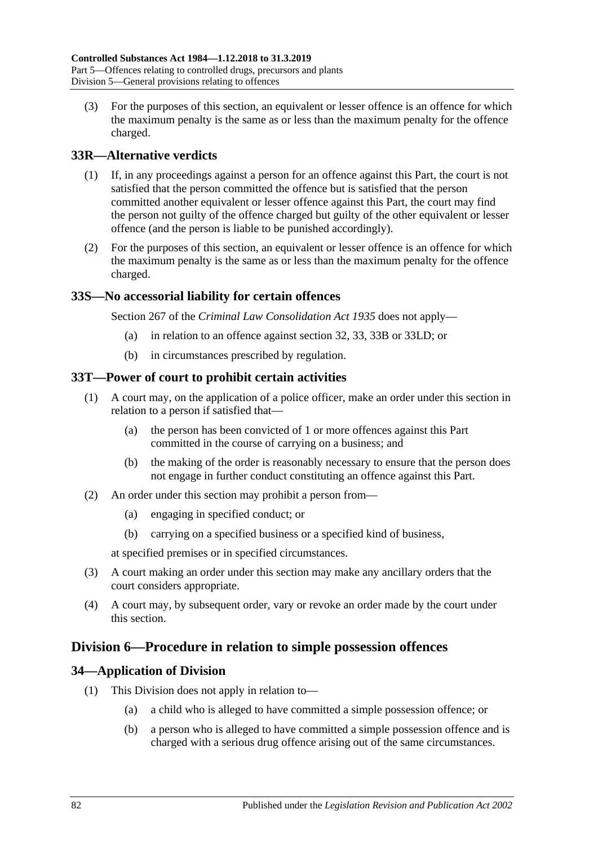(3) For the purposes of this section, an equivalent or lesser offence is an offence for which the maximum penalty is the same as or less than the maximum penalty for the offence charged.

## **33R—Alternative verdicts**

- (1) If, in any proceedings against a person for an offence against this Part, the court is not satisfied that the person committed the offence but is satisfied that the person committed another equivalent or lesser offence against this Part, the court may find the person not guilty of the offence charged but guilty of the other equivalent or lesser offence (and the person is liable to be punished accordingly).
- (2) For the purposes of this section, an equivalent or lesser offence is an offence for which the maximum penalty is the same as or less than the maximum penalty for the offence charged.

#### **33S—No accessorial liability for certain offences**

Section 267 of the *[Criminal Law Consolidation Act](http://www.legislation.sa.gov.au/index.aspx?action=legref&type=act&legtitle=Criminal%20Law%20Consolidation%20Act%201935) 1935* does not apply—

- (a) in relation to an offence against [section](#page-65-0) 32, [33,](#page-67-1) [33B](#page-69-1) or [33LD;](#page-76-0) or
- (b) in circumstances prescribed by regulation.

#### **33T—Power of court to prohibit certain activities**

- (1) A court may, on the application of a police officer, make an order under this section in relation to a person if satisfied that—
	- (a) the person has been convicted of 1 or more offences against this Part committed in the course of carrying on a business; and
	- (b) the making of the order is reasonably necessary to ensure that the person does not engage in further conduct constituting an offence against this Part.
- (2) An order under this section may prohibit a person from—
	- (a) engaging in specified conduct; or
	- (b) carrying on a specified business or a specified kind of business,

at specified premises or in specified circumstances.

- (3) A court making an order under this section may make any ancillary orders that the court considers appropriate.
- (4) A court may, by subsequent order, vary or revoke an order made by the court under this section.

## **Division 6—Procedure in relation to simple possession offences**

#### **34—Application of Division**

- (1) This Division does not apply in relation to—
	- (a) a child who is alleged to have committed a simple possession offence; or
	- (b) a person who is alleged to have committed a simple possession offence and is charged with a serious drug offence arising out of the same circumstances.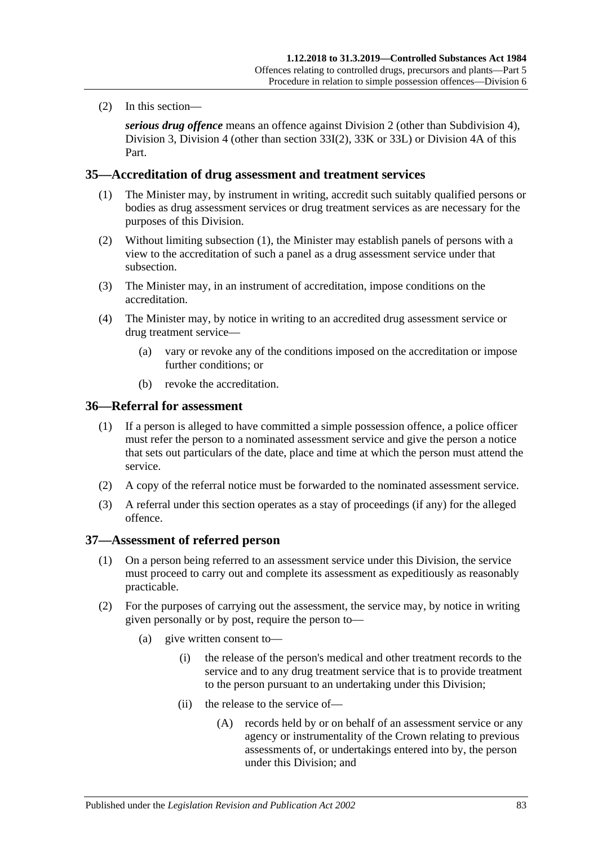(2) In this section—

*serious drug offence* means an offence against [Division 2](#page-65-1) (other than [Subdivision 4\)](#page-70-0), [Division 3,](#page-71-0) [Division 4](#page-73-1) (other than [section](#page-73-2) 33I(2), [33K](#page-73-3) or [33L\)](#page-74-0) or [Division 4A](#page-76-1) of this Part.

#### <span id="page-82-0"></span>**35—Accreditation of drug assessment and treatment services**

- (1) The Minister may, by instrument in writing, accredit such suitably qualified persons or bodies as drug assessment services or drug treatment services as are necessary for the purposes of this Division.
- (2) Without limiting [subsection](#page-82-0) (1), the Minister may establish panels of persons with a view to the accreditation of such a panel as a drug assessment service under that subsection.
- (3) The Minister may, in an instrument of accreditation, impose conditions on the accreditation.
- (4) The Minister may, by notice in writing to an accredited drug assessment service or drug treatment service—
	- (a) vary or revoke any of the conditions imposed on the accreditation or impose further conditions; or
	- (b) revoke the accreditation.

#### **36—Referral for assessment**

- (1) If a person is alleged to have committed a simple possession offence, a police officer must refer the person to a nominated assessment service and give the person a notice that sets out particulars of the date, place and time at which the person must attend the service.
- (2) A copy of the referral notice must be forwarded to the nominated assessment service.
- (3) A referral under this section operates as a stay of proceedings (if any) for the alleged offence.

#### **37—Assessment of referred person**

- (1) On a person being referred to an assessment service under this Division, the service must proceed to carry out and complete its assessment as expeditiously as reasonably practicable.
- (2) For the purposes of carrying out the assessment, the service may, by notice in writing given personally or by post, require the person to—
	- (a) give written consent to—
		- (i) the release of the person's medical and other treatment records to the service and to any drug treatment service that is to provide treatment to the person pursuant to an undertaking under this Division;
		- (ii) the release to the service of—
			- (A) records held by or on behalf of an assessment service or any agency or instrumentality of the Crown relating to previous assessments of, or undertakings entered into by, the person under this Division; and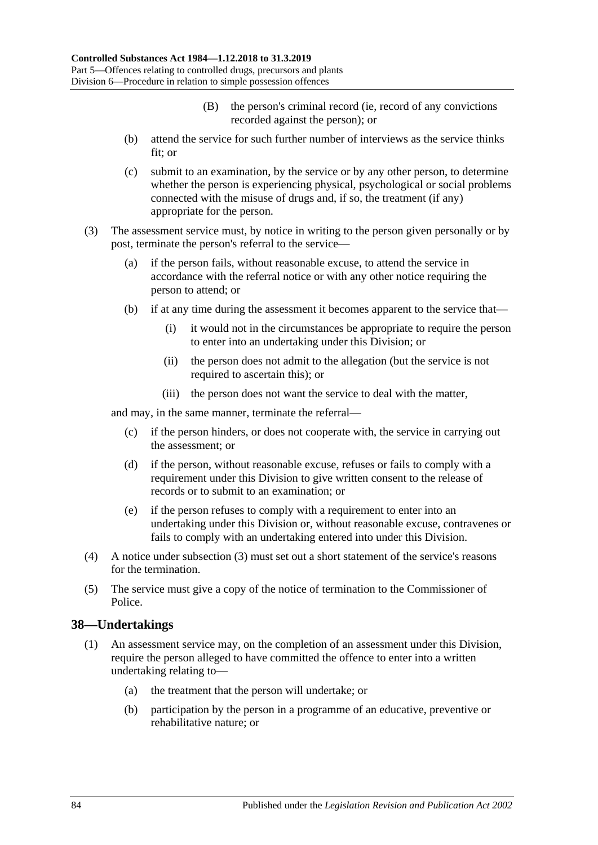- (B) the person's criminal record (ie, record of any convictions recorded against the person); or
- (b) attend the service for such further number of interviews as the service thinks fit; or
- (c) submit to an examination, by the service or by any other person, to determine whether the person is experiencing physical, psychological or social problems connected with the misuse of drugs and, if so, the treatment (if any) appropriate for the person.
- <span id="page-83-0"></span>(3) The assessment service must, by notice in writing to the person given personally or by post, terminate the person's referral to the service—
	- (a) if the person fails, without reasonable excuse, to attend the service in accordance with the referral notice or with any other notice requiring the person to attend; or
	- (b) if at any time during the assessment it becomes apparent to the service that—
		- (i) it would not in the circumstances be appropriate to require the person to enter into an undertaking under this Division; or
		- (ii) the person does not admit to the allegation (but the service is not required to ascertain this); or
		- (iii) the person does not want the service to deal with the matter,

and may, in the same manner, terminate the referral—

- (c) if the person hinders, or does not cooperate with, the service in carrying out the assessment; or
- (d) if the person, without reasonable excuse, refuses or fails to comply with a requirement under this Division to give written consent to the release of records or to submit to an examination; or
- (e) if the person refuses to comply with a requirement to enter into an undertaking under this Division or, without reasonable excuse, contravenes or fails to comply with an undertaking entered into under this Division.
- (4) A notice under [subsection](#page-83-0) (3) must set out a short statement of the service's reasons for the termination.
- (5) The service must give a copy of the notice of termination to the Commissioner of Police.

#### **38—Undertakings**

- (1) An assessment service may, on the completion of an assessment under this Division, require the person alleged to have committed the offence to enter into a written undertaking relating to—
	- (a) the treatment that the person will undertake; or
	- (b) participation by the person in a programme of an educative, preventive or rehabilitative nature; or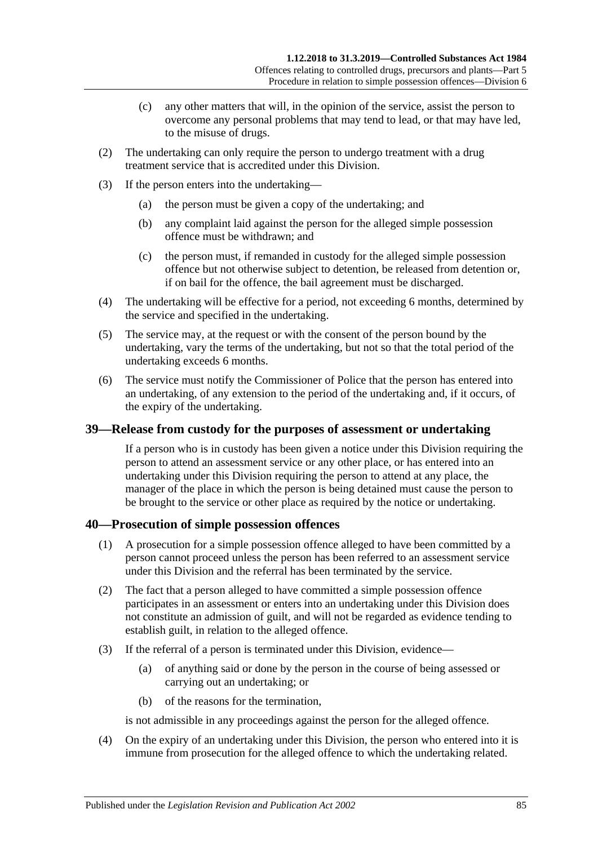- (c) any other matters that will, in the opinion of the service, assist the person to overcome any personal problems that may tend to lead, or that may have led, to the misuse of drugs.
- (2) The undertaking can only require the person to undergo treatment with a drug treatment service that is accredited under this Division.
- (3) If the person enters into the undertaking—
	- (a) the person must be given a copy of the undertaking; and
	- (b) any complaint laid against the person for the alleged simple possession offence must be withdrawn; and
	- (c) the person must, if remanded in custody for the alleged simple possession offence but not otherwise subject to detention, be released from detention or, if on bail for the offence, the bail agreement must be discharged.
- (4) The undertaking will be effective for a period, not exceeding 6 months, determined by the service and specified in the undertaking.
- (5) The service may, at the request or with the consent of the person bound by the undertaking, vary the terms of the undertaking, but not so that the total period of the undertaking exceeds 6 months.
- (6) The service must notify the Commissioner of Police that the person has entered into an undertaking, of any extension to the period of the undertaking and, if it occurs, of the expiry of the undertaking.

#### **39—Release from custody for the purposes of assessment or undertaking**

If a person who is in custody has been given a notice under this Division requiring the person to attend an assessment service or any other place, or has entered into an undertaking under this Division requiring the person to attend at any place, the manager of the place in which the person is being detained must cause the person to be brought to the service or other place as required by the notice or undertaking.

#### **40—Prosecution of simple possession offences**

- (1) A prosecution for a simple possession offence alleged to have been committed by a person cannot proceed unless the person has been referred to an assessment service under this Division and the referral has been terminated by the service.
- (2) The fact that a person alleged to have committed a simple possession offence participates in an assessment or enters into an undertaking under this Division does not constitute an admission of guilt, and will not be regarded as evidence tending to establish guilt, in relation to the alleged offence.
- (3) If the referral of a person is terminated under this Division, evidence—
	- (a) of anything said or done by the person in the course of being assessed or carrying out an undertaking; or
	- (b) of the reasons for the termination,

is not admissible in any proceedings against the person for the alleged offence.

(4) On the expiry of an undertaking under this Division, the person who entered into it is immune from prosecution for the alleged offence to which the undertaking related.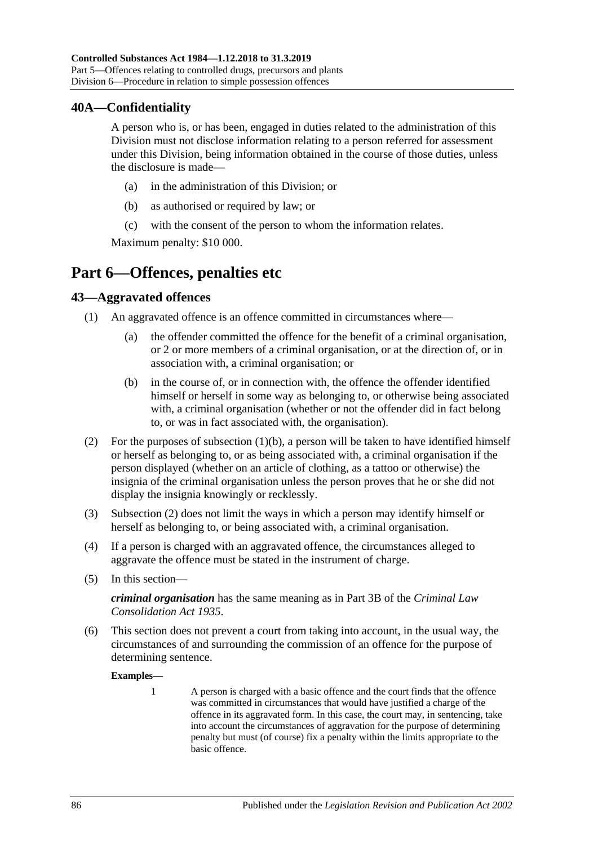#### **40A—Confidentiality**

A person who is, or has been, engaged in duties related to the administration of this Division must not disclose information relating to a person referred for assessment under this Division, being information obtained in the course of those duties, unless the disclosure is made—

- (a) in the administration of this Division; or
- (b) as authorised or required by law; or
- (c) with the consent of the person to whom the information relates.

Maximum penalty: \$10 000.

# **Part 6—Offences, penalties etc**

#### **43—Aggravated offences**

- <span id="page-85-0"></span>(1) An aggravated offence is an offence committed in circumstances where—
	- (a) the offender committed the offence for the benefit of a criminal organisation, or 2 or more members of a criminal organisation, or at the direction of, or in association with, a criminal organisation; or
	- (b) in the course of, or in connection with, the offence the offender identified himself or herself in some way as belonging to, or otherwise being associated with, a criminal organisation (whether or not the offender did in fact belong to, or was in fact associated with, the organisation).
- <span id="page-85-1"></span>(2) For the purposes of [subsection](#page-85-0)  $(1)(b)$ , a person will be taken to have identified himself or herself as belonging to, or as being associated with, a criminal organisation if the person displayed (whether on an article of clothing, as a tattoo or otherwise) the insignia of the criminal organisation unless the person proves that he or she did not display the insignia knowingly or recklessly.
- (3) [Subsection](#page-85-1) (2) does not limit the ways in which a person may identify himself or herself as belonging to, or being associated with, a criminal organisation.
- (4) If a person is charged with an aggravated offence, the circumstances alleged to aggravate the offence must be stated in the instrument of charge.
- (5) In this section—

*criminal organisation* has the same meaning as in Part 3B of the *[Criminal Law](http://www.legislation.sa.gov.au/index.aspx?action=legref&type=act&legtitle=Criminal%20Law%20Consolidation%20Act%201935)  [Consolidation Act](http://www.legislation.sa.gov.au/index.aspx?action=legref&type=act&legtitle=Criminal%20Law%20Consolidation%20Act%201935) 1935*.

(6) This section does not prevent a court from taking into account, in the usual way, the circumstances of and surrounding the commission of an offence for the purpose of determining sentence.

**Examples—**

1 A person is charged with a basic offence and the court finds that the offence was committed in circumstances that would have justified a charge of the offence in its aggravated form. In this case, the court may, in sentencing, take into account the circumstances of aggravation for the purpose of determining penalty but must (of course) fix a penalty within the limits appropriate to the basic offence.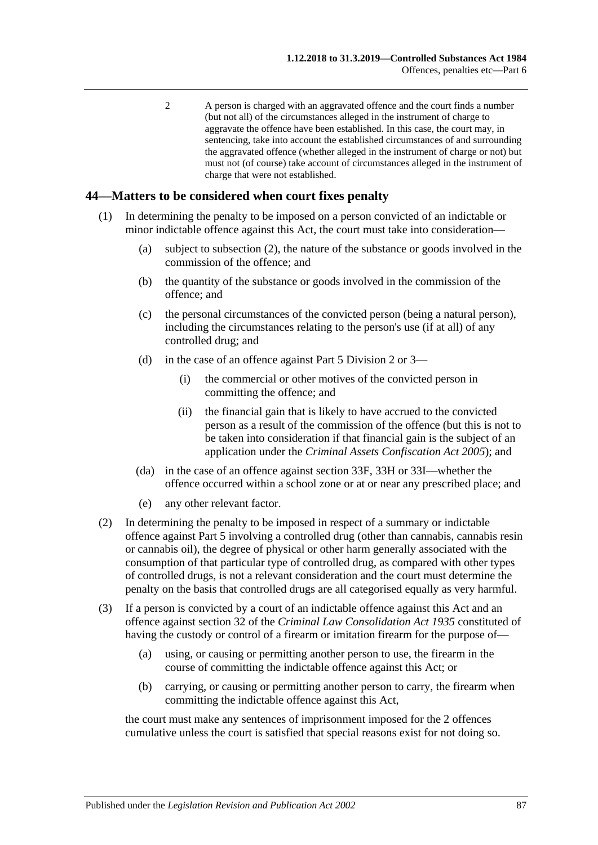2 A person is charged with an aggravated offence and the court finds a number (but not all) of the circumstances alleged in the instrument of charge to aggravate the offence have been established. In this case, the court may, in sentencing, take into account the established circumstances of and surrounding the aggravated offence (whether alleged in the instrument of charge or not) but must not (of course) take account of circumstances alleged in the instrument of charge that were not established.

#### **44—Matters to be considered when court fixes penalty**

- (1) In determining the penalty to be imposed on a person convicted of an indictable or minor indictable offence against this Act, the court must take into consideration—
	- (a) subject to [subsection](#page-86-0) (2), the nature of the substance or goods involved in the commission of the offence; and
	- (b) the quantity of the substance or goods involved in the commission of the offence; and
	- (c) the personal circumstances of the convicted person (being a natural person), including the circumstances relating to the person's use (if at all) of any controlled drug; and
	- (d) in the case of an offence against [Part 5 Division 2](#page-65-1) or [3—](#page-71-0)
		- (i) the commercial or other motives of the convicted person in committing the offence; and
		- (ii) the financial gain that is likely to have accrued to the convicted person as a result of the commission of the offence (but this is not to be taken into consideration if that financial gain is the subject of an application under the *[Criminal Assets Confiscation Act](http://www.legislation.sa.gov.au/index.aspx?action=legref&type=act&legtitle=Criminal%20Assets%20Confiscation%20Act%202005) 2005*); and
	- (da) in the case of an offence against [section](#page-71-1) 33F, [33H](#page-72-0) or [33I—](#page-73-4)whether the offence occurred within a school zone or at or near any prescribed place; and
	- (e) any other relevant factor.
- <span id="page-86-0"></span>(2) In determining the penalty to be imposed in respect of a summary or indictable offence against [Part 5](#page-63-0) involving a controlled drug (other than cannabis, cannabis resin or cannabis oil), the degree of physical or other harm generally associated with the consumption of that particular type of controlled drug, as compared with other types of controlled drugs, is not a relevant consideration and the court must determine the penalty on the basis that controlled drugs are all categorised equally as very harmful.
- (3) If a person is convicted by a court of an indictable offence against this Act and an offence against section 32 of the *[Criminal Law Consolidation Act](http://www.legislation.sa.gov.au/index.aspx?action=legref&type=act&legtitle=Criminal%20Law%20Consolidation%20Act%201935) 1935* constituted of having the custody or control of a firearm or imitation firearm for the purpose of—
	- (a) using, or causing or permitting another person to use, the firearm in the course of committing the indictable offence against this Act; or
	- (b) carrying, or causing or permitting another person to carry, the firearm when committing the indictable offence against this Act,

the court must make any sentences of imprisonment imposed for the 2 offences cumulative unless the court is satisfied that special reasons exist for not doing so.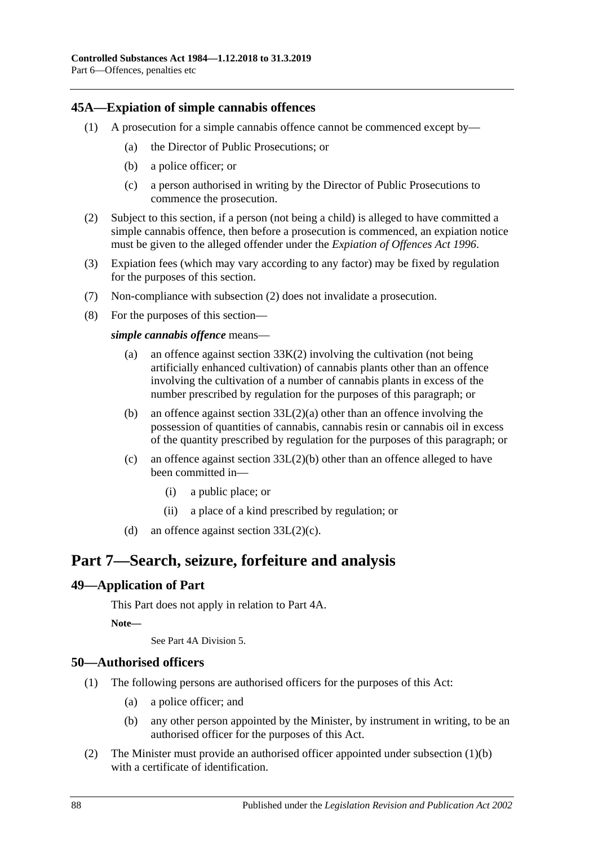#### <span id="page-87-0"></span>**45A—Expiation of simple cannabis offences**

- (1) A prosecution for a simple cannabis offence cannot be commenced except by—
	- (a) the Director of Public Prosecutions; or
	- (b) a police officer; or
	- (c) a person authorised in writing by the Director of Public Prosecutions to commence the prosecution.
- <span id="page-87-1"></span>(2) Subject to this section, if a person (not being a child) is alleged to have committed a simple cannabis offence, then before a prosecution is commenced, an expiation notice must be given to the alleged offender under the *[Expiation of Offences Act](http://www.legislation.sa.gov.au/index.aspx?action=legref&type=act&legtitle=Expiation%20of%20Offences%20Act%201996) 1996*.
- (3) Expiation fees (which may vary according to any factor) may be fixed by regulation for the purposes of this section.
- (7) Non-compliance with [subsection](#page-87-1) (2) does not invalidate a prosecution.
- (8) For the purposes of this section—

*simple cannabis offence* means—

- (a) an offence against [section](#page-73-0) 33K(2) involving the cultivation (not being artificially enhanced cultivation) of cannabis plants other than an offence involving the cultivation of a number of cannabis plants in excess of the number prescribed by regulation for the purposes of this paragraph; or
- (b) an offence against section [33L\(2\)\(a\)](#page-74-1) other than an offence involving the possession of quantities of cannabis, cannabis resin or cannabis oil in excess of the quantity prescribed by regulation for the purposes of this paragraph; or
- (c) an offence against section [33L\(2\)\(b\)](#page-74-2) other than an offence alleged to have been committed in—
	- (i) a public place; or
	- (ii) a place of a kind prescribed by regulation; or
- (d) an offence against section  $33L(2)(c)$ .

# **Part 7—Search, seizure, forfeiture and analysis**

#### **49—Application of Part**

This Part does not apply in relation to Part 4A.

**Note—**

See Part 4A Division 5.

#### **50—Authorised officers**

- <span id="page-87-2"></span>(1) The following persons are authorised officers for the purposes of this Act:
	- (a) a police officer; and
	- (b) any other person appointed by the Minister, by instrument in writing, to be an authorised officer for the purposes of this Act.
- (2) The Minister must provide an authorised officer appointed under [subsection](#page-87-2) (1)(b) with a certificate of identification.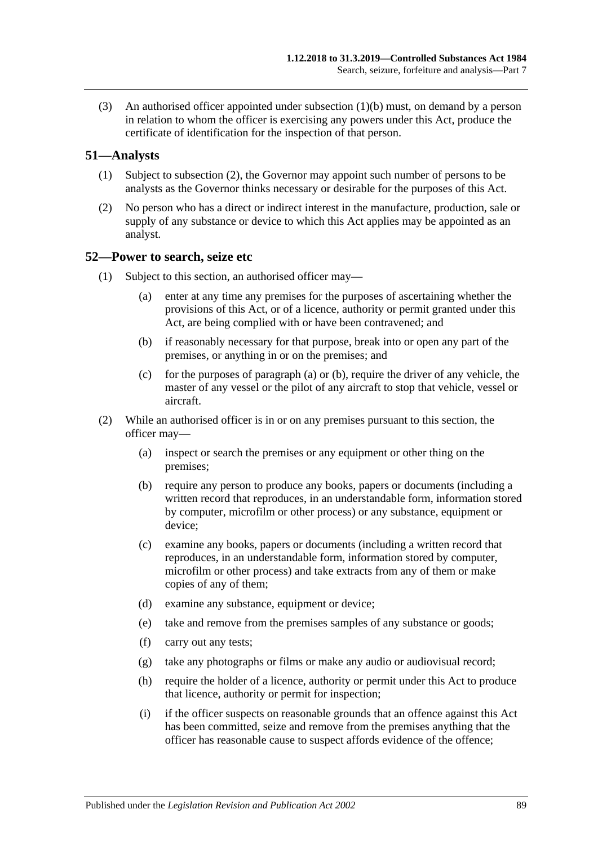(3) An authorised officer appointed under [subsection](#page-87-2) (1)(b) must, on demand by a person in relation to whom the officer is exercising any powers under this Act, produce the certificate of identification for the inspection of that person.

#### **51—Analysts**

- (1) Subject to [subsection](#page-88-0) (2), the Governor may appoint such number of persons to be analysts as the Governor thinks necessary or desirable for the purposes of this Act.
- <span id="page-88-0"></span>(2) No person who has a direct or indirect interest in the manufacture, production, sale or supply of any substance or device to which this Act applies may be appointed as an analyst.

#### <span id="page-88-3"></span>**52—Power to search, seize etc**

- <span id="page-88-2"></span><span id="page-88-1"></span>(1) Subject to this section, an authorised officer may—
	- (a) enter at any time any premises for the purposes of ascertaining whether the provisions of this Act, or of a licence, authority or permit granted under this Act, are being complied with or have been contravened; and
	- (b) if reasonably necessary for that purpose, break into or open any part of the premises, or anything in or on the premises; and
	- (c) for the purposes of [paragraph](#page-88-1) (a) or [\(b\),](#page-88-2) require the driver of any vehicle, the master of any vessel or the pilot of any aircraft to stop that vehicle, vessel or aircraft.
- (2) While an authorised officer is in or on any premises pursuant to this section, the officer may—
	- (a) inspect or search the premises or any equipment or other thing on the premises;
	- (b) require any person to produce any books, papers or documents (including a written record that reproduces, in an understandable form, information stored by computer, microfilm or other process) or any substance, equipment or device:
	- (c) examine any books, papers or documents (including a written record that reproduces, in an understandable form, information stored by computer, microfilm or other process) and take extracts from any of them or make copies of any of them;
	- (d) examine any substance, equipment or device;
	- (e) take and remove from the premises samples of any substance or goods;
	- (f) carry out any tests;
	- (g) take any photographs or films or make any audio or audiovisual record;
	- (h) require the holder of a licence, authority or permit under this Act to produce that licence, authority or permit for inspection;
	- (i) if the officer suspects on reasonable grounds that an offence against this Act has been committed, seize and remove from the premises anything that the officer has reasonable cause to suspect affords evidence of the offence;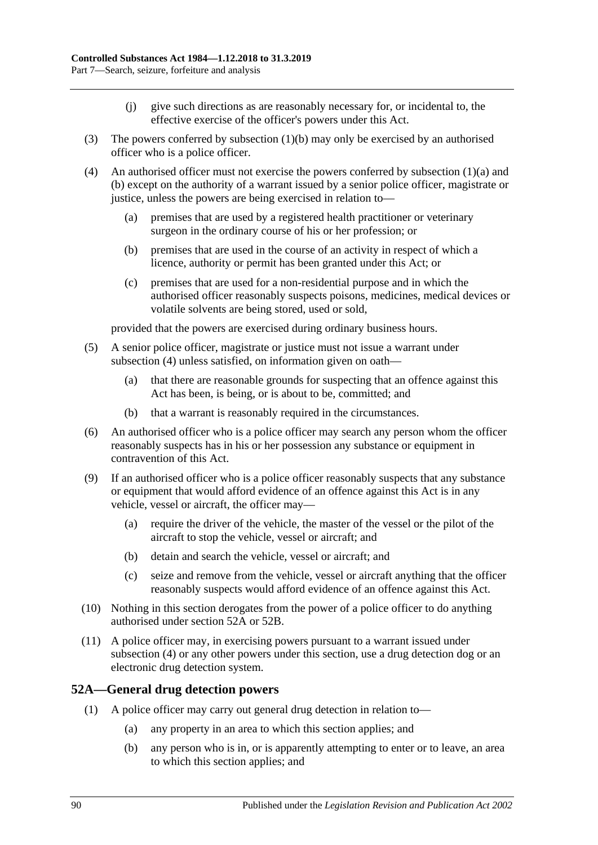- (j) give such directions as are reasonably necessary for, or incidental to, the effective exercise of the officer's powers under this Act.
- (3) The powers conferred by [subsection](#page-88-2) (1)(b) may only be exercised by an authorised officer who is a police officer.
- <span id="page-89-0"></span>(4) An authorised officer must not exercise the powers conferred by [subsection](#page-88-1)  $(1)(a)$  and [\(b\)](#page-88-2) except on the authority of a warrant issued by a senior police officer, magistrate or justice, unless the powers are being exercised in relation to—
	- (a) premises that are used by a registered health practitioner or veterinary surgeon in the ordinary course of his or her profession; or
	- (b) premises that are used in the course of an activity in respect of which a licence, authority or permit has been granted under this Act; or
	- (c) premises that are used for a non-residential purpose and in which the authorised officer reasonably suspects poisons, medicines, medical devices or volatile solvents are being stored, used or sold,

provided that the powers are exercised during ordinary business hours.

- (5) A senior police officer, magistrate or justice must not issue a warrant under [subsection](#page-89-0) (4) unless satisfied, on information given on oath—
	- (a) that there are reasonable grounds for suspecting that an offence against this Act has been, is being, or is about to be, committed; and
	- (b) that a warrant is reasonably required in the circumstances.
- (6) An authorised officer who is a police officer may search any person whom the officer reasonably suspects has in his or her possession any substance or equipment in contravention of this Act.
- (9) If an authorised officer who is a police officer reasonably suspects that any substance or equipment that would afford evidence of an offence against this Act is in any vehicle, vessel or aircraft, the officer may—
	- (a) require the driver of the vehicle, the master of the vessel or the pilot of the aircraft to stop the vehicle, vessel or aircraft; and
	- (b) detain and search the vehicle, vessel or aircraft; and
	- (c) seize and remove from the vehicle, vessel or aircraft anything that the officer reasonably suspects would afford evidence of an offence against this Act.
- (10) Nothing in this section derogates from the power of a police officer to do anything authorised under [section](#page-89-1) 52A or [52B.](#page-91-0)
- (11) A police officer may, in exercising powers pursuant to a warrant issued under [subsection](#page-89-0) (4) or any other powers under this section, use a drug detection dog or an electronic drug detection system.

#### <span id="page-89-1"></span>**52A—General drug detection powers**

- (1) A police officer may carry out general drug detection in relation to—
	- (a) any property in an area to which this section applies; and
	- (b) any person who is in, or is apparently attempting to enter or to leave, an area to which this section applies; and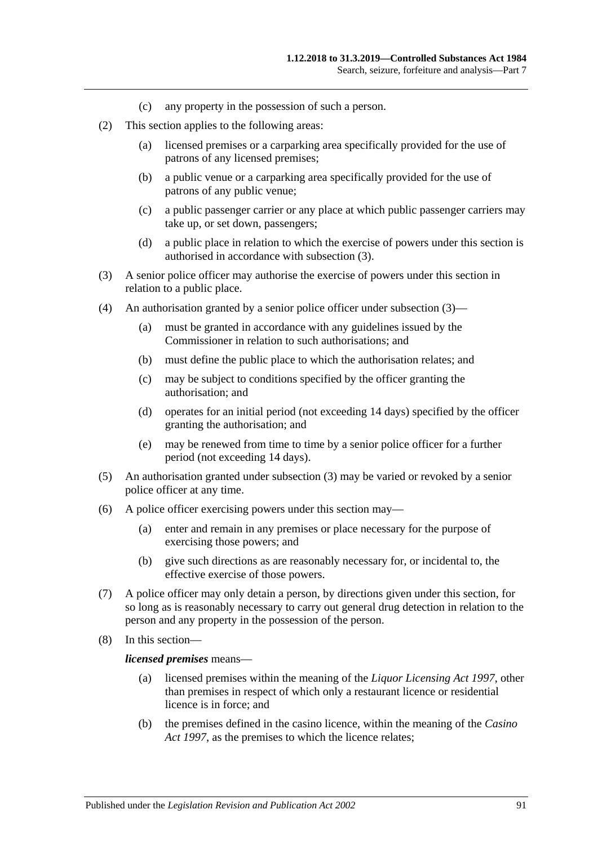- (c) any property in the possession of such a person.
- (2) This section applies to the following areas:
	- (a) licensed premises or a carparking area specifically provided for the use of patrons of any licensed premises;
	- (b) a public venue or a carparking area specifically provided for the use of patrons of any public venue;
	- (c) a public passenger carrier or any place at which public passenger carriers may take up, or set down, passengers;
	- (d) a public place in relation to which the exercise of powers under this section is authorised in accordance with [subsection](#page-90-0) (3).
- <span id="page-90-0"></span>(3) A senior police officer may authorise the exercise of powers under this section in relation to a public place.
- (4) An authorisation granted by a senior police officer under [subsection](#page-90-0) (3)—
	- (a) must be granted in accordance with any guidelines issued by the Commissioner in relation to such authorisations; and
	- (b) must define the public place to which the authorisation relates; and
	- (c) may be subject to conditions specified by the officer granting the authorisation; and
	- (d) operates for an initial period (not exceeding 14 days) specified by the officer granting the authorisation; and
	- (e) may be renewed from time to time by a senior police officer for a further period (not exceeding 14 days).
- (5) An authorisation granted under [subsection](#page-90-0) (3) may be varied or revoked by a senior police officer at any time.
- (6) A police officer exercising powers under this section may—
	- (a) enter and remain in any premises or place necessary for the purpose of exercising those powers; and
	- (b) give such directions as are reasonably necessary for, or incidental to, the effective exercise of those powers.
- (7) A police officer may only detain a person, by directions given under this section, for so long as is reasonably necessary to carry out general drug detection in relation to the person and any property in the possession of the person.
- (8) In this section—

#### *licensed premises* means—

- (a) licensed premises within the meaning of the *[Liquor Licensing Act](http://www.legislation.sa.gov.au/index.aspx?action=legref&type=act&legtitle=Liquor%20Licensing%20Act%201997) 1997*, other than premises in respect of which only a restaurant licence or residential licence is in force; and
- (b) the premises defined in the casino licence, within the meaning of the *[Casino](http://www.legislation.sa.gov.au/index.aspx?action=legref&type=act&legtitle=Casino%20Act%201997)  Act [1997](http://www.legislation.sa.gov.au/index.aspx?action=legref&type=act&legtitle=Casino%20Act%201997)*, as the premises to which the licence relates;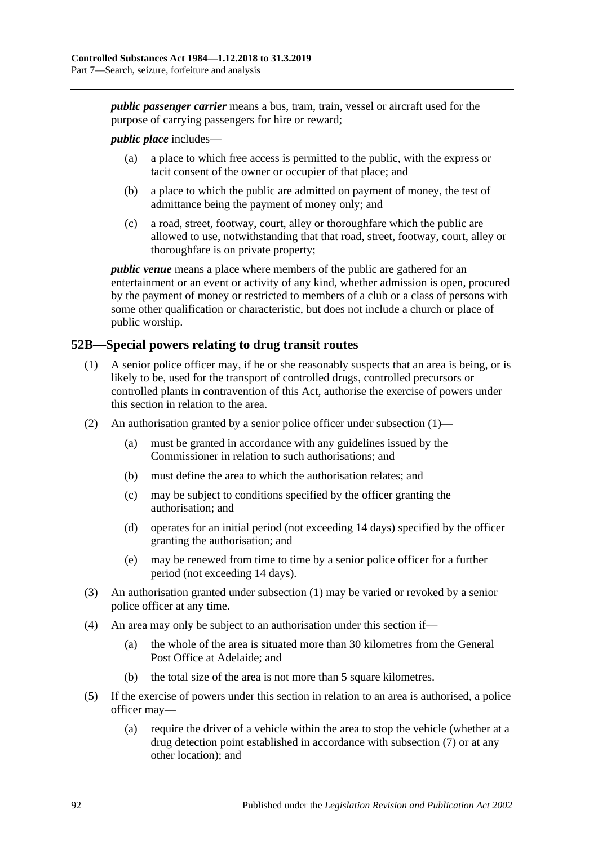*public passenger carrier* means a bus, tram, train, vessel or aircraft used for the purpose of carrying passengers for hire or reward;

#### *public place* includes—

- (a) a place to which free access is permitted to the public, with the express or tacit consent of the owner or occupier of that place; and
- (b) a place to which the public are admitted on payment of money, the test of admittance being the payment of money only; and
- (c) a road, street, footway, court, alley or thoroughfare which the public are allowed to use, notwithstanding that that road, street, footway, court, alley or thoroughfare is on private property;

*public venue* means a place where members of the public are gathered for an entertainment or an event or activity of any kind, whether admission is open, procured by the payment of money or restricted to members of a club or a class of persons with some other qualification or characteristic, but does not include a church or place of public worship.

#### <span id="page-91-1"></span><span id="page-91-0"></span>**52B—Special powers relating to drug transit routes**

- (1) A senior police officer may, if he or she reasonably suspects that an area is being, or is likely to be, used for the transport of controlled drugs, controlled precursors or controlled plants in contravention of this Act, authorise the exercise of powers under this section in relation to the area.
- (2) An authorisation granted by a senior police officer under [subsection](#page-91-1) (1)—
	- (a) must be granted in accordance with any guidelines issued by the Commissioner in relation to such authorisations; and
	- (b) must define the area to which the authorisation relates; and
	- (c) may be subject to conditions specified by the officer granting the authorisation; and
	- (d) operates for an initial period (not exceeding 14 days) specified by the officer granting the authorisation; and
	- (e) may be renewed from time to time by a senior police officer for a further period (not exceeding 14 days).
- (3) An authorisation granted under [subsection](#page-91-1) (1) may be varied or revoked by a senior police officer at any time.
- (4) An area may only be subject to an authorisation under this section if—
	- (a) the whole of the area is situated more than 30 kilometres from the General Post Office at Adelaide; and
	- (b) the total size of the area is not more than 5 square kilometres.
- (5) If the exercise of powers under this section in relation to an area is authorised, a police officer may—
	- (a) require the driver of a vehicle within the area to stop the vehicle (whether at a drug detection point established in accordance with [subsection](#page-92-0) (7) or at any other location); and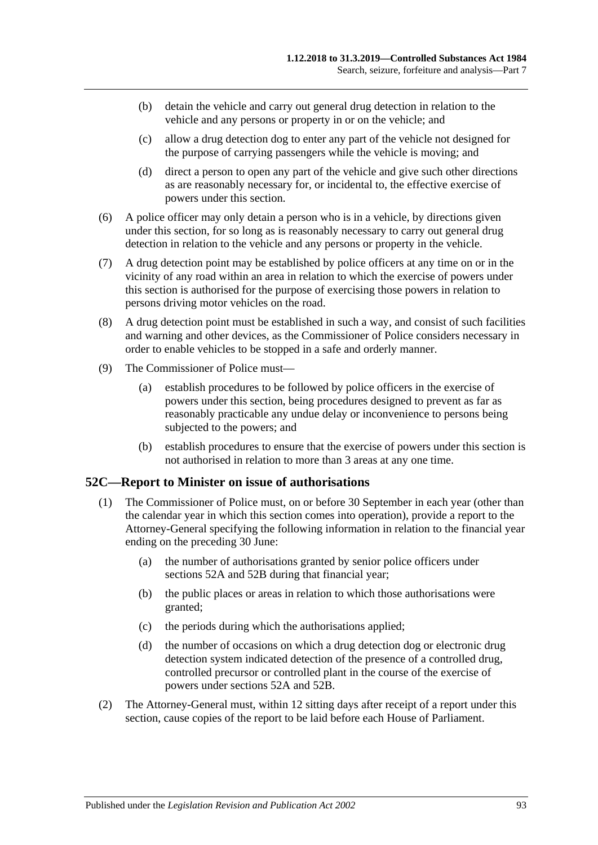- (b) detain the vehicle and carry out general drug detection in relation to the vehicle and any persons or property in or on the vehicle; and
- (c) allow a drug detection dog to enter any part of the vehicle not designed for the purpose of carrying passengers while the vehicle is moving; and
- (d) direct a person to open any part of the vehicle and give such other directions as are reasonably necessary for, or incidental to, the effective exercise of powers under this section.
- (6) A police officer may only detain a person who is in a vehicle, by directions given under this section, for so long as is reasonably necessary to carry out general drug detection in relation to the vehicle and any persons or property in the vehicle.
- <span id="page-92-0"></span>(7) A drug detection point may be established by police officers at any time on or in the vicinity of any road within an area in relation to which the exercise of powers under this section is authorised for the purpose of exercising those powers in relation to persons driving motor vehicles on the road.
- (8) A drug detection point must be established in such a way, and consist of such facilities and warning and other devices, as the Commissioner of Police considers necessary in order to enable vehicles to be stopped in a safe and orderly manner.
- (9) The Commissioner of Police must—
	- (a) establish procedures to be followed by police officers in the exercise of powers under this section, being procedures designed to prevent as far as reasonably practicable any undue delay or inconvenience to persons being subjected to the powers; and
	- (b) establish procedures to ensure that the exercise of powers under this section is not authorised in relation to more than 3 areas at any one time.

#### **52C—Report to Minister on issue of authorisations**

- (1) The Commissioner of Police must, on or before 30 September in each year (other than the calendar year in which this section comes into operation), provide a report to the Attorney-General specifying the following information in relation to the financial year ending on the preceding 30 June:
	- (a) the number of authorisations granted by senior police officers under [sections](#page-89-1) 52A and [52B](#page-91-0) during that financial year;
	- (b) the public places or areas in relation to which those authorisations were granted;
	- (c) the periods during which the authorisations applied;
	- (d) the number of occasions on which a drug detection dog or electronic drug detection system indicated detection of the presence of a controlled drug, controlled precursor or controlled plant in the course of the exercise of powers under [sections](#page-89-1) 52A and [52B.](#page-91-0)
- (2) The Attorney-General must, within 12 sitting days after receipt of a report under this section, cause copies of the report to be laid before each House of Parliament.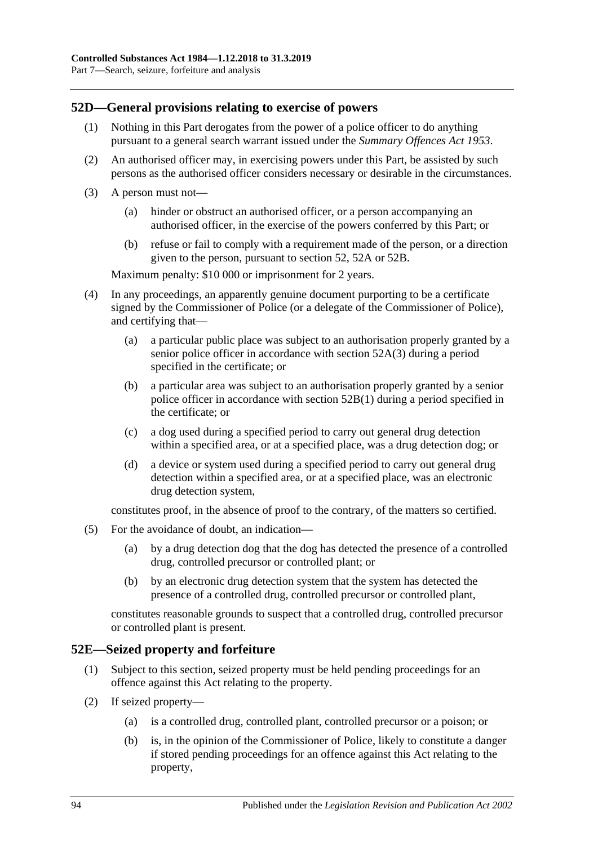#### **52D—General provisions relating to exercise of powers**

- (1) Nothing in this Part derogates from the power of a police officer to do anything pursuant to a general search warrant issued under the *[Summary Offences Act](http://www.legislation.sa.gov.au/index.aspx?action=legref&type=act&legtitle=Summary%20Offences%20Act%201953) 1953*.
- (2) An authorised officer may, in exercising powers under this Part, be assisted by such persons as the authorised officer considers necessary or desirable in the circumstances.
- (3) A person must not—
	- (a) hinder or obstruct an authorised officer, or a person accompanying an authorised officer, in the exercise of the powers conferred by this Part; or
	- (b) refuse or fail to comply with a requirement made of the person, or a direction given to the person, pursuant to [section](#page-88-3) 52, [52A](#page-89-1) or [52B.](#page-91-0)

Maximum penalty: \$10 000 or imprisonment for 2 years.

- (4) In any proceedings, an apparently genuine document purporting to be a certificate signed by the Commissioner of Police (or a delegate of the Commissioner of Police), and certifying that—
	- (a) a particular public place was subject to an authorisation properly granted by a senior police officer in accordance with [section](#page-90-0) 52A(3) during a period specified in the certificate; or
	- (b) a particular area was subject to an authorisation properly granted by a senior police officer in accordance with [section](#page-91-1) 52B(1) during a period specified in the certificate; or
	- (c) a dog used during a specified period to carry out general drug detection within a specified area, or at a specified place, was a drug detection dog; or
	- (d) a device or system used during a specified period to carry out general drug detection within a specified area, or at a specified place, was an electronic drug detection system,

constitutes proof, in the absence of proof to the contrary, of the matters so certified.

- (5) For the avoidance of doubt, an indication—
	- (a) by a drug detection dog that the dog has detected the presence of a controlled drug, controlled precursor or controlled plant; or
	- (b) by an electronic drug detection system that the system has detected the presence of a controlled drug, controlled precursor or controlled plant,

constitutes reasonable grounds to suspect that a controlled drug, controlled precursor or controlled plant is present.

#### **52E—Seized property and forfeiture**

- (1) Subject to this section, seized property must be held pending proceedings for an offence against this Act relating to the property.
- <span id="page-93-0"></span>(2) If seized property—
	- (a) is a controlled drug, controlled plant, controlled precursor or a poison; or
	- (b) is, in the opinion of the Commissioner of Police, likely to constitute a danger if stored pending proceedings for an offence against this Act relating to the property,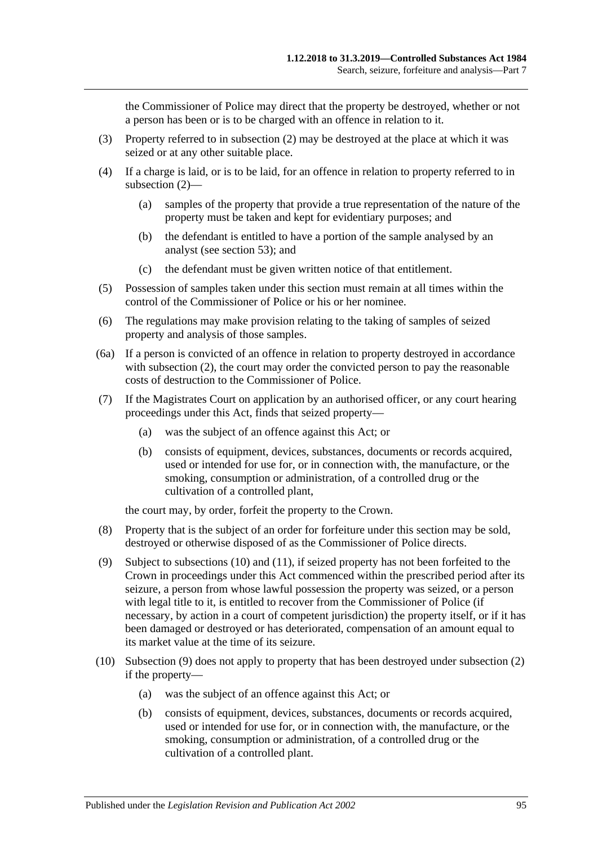the Commissioner of Police may direct that the property be destroyed, whether or not a person has been or is to be charged with an offence in relation to it.

- (3) Property referred to in [subsection](#page-93-0) (2) may be destroyed at the place at which it was seized or at any other suitable place.
- (4) If a charge is laid, or is to be laid, for an offence in relation to property referred to in [subsection](#page-93-0) (2)—
	- (a) samples of the property that provide a true representation of the nature of the property must be taken and kept for evidentiary purposes; and
	- (b) the defendant is entitled to have a portion of the sample analysed by an analyst (see [section](#page-95-0) 53); and
	- (c) the defendant must be given written notice of that entitlement.
- (5) Possession of samples taken under this section must remain at all times within the control of the Commissioner of Police or his or her nominee.
- (6) The regulations may make provision relating to the taking of samples of seized property and analysis of those samples.
- (6a) If a person is convicted of an offence in relation to property destroyed in accordance with [subsection](#page-93-0) (2), the court may order the convicted person to pay the reasonable costs of destruction to the Commissioner of Police.
- <span id="page-94-2"></span>(7) If the Magistrates Court on application by an authorised officer, or any court hearing proceedings under this Act, finds that seized property—
	- (a) was the subject of an offence against this Act; or
	- (b) consists of equipment, devices, substances, documents or records acquired, used or intended for use for, or in connection with, the manufacture, or the smoking, consumption or administration, of a controlled drug or the cultivation of a controlled plant,

the court may, by order, forfeit the property to the Crown.

- (8) Property that is the subject of an order for forfeiture under this section may be sold, destroyed or otherwise disposed of as the Commissioner of Police directs.
- <span id="page-94-1"></span>(9) Subject to [subsections](#page-94-0) (10) and [\(11\),](#page-95-1) if seized property has not been forfeited to the Crown in proceedings under this Act commenced within the prescribed period after its seizure, a person from whose lawful possession the property was seized, or a person with legal title to it, is entitled to recover from the Commissioner of Police (if necessary, by action in a court of competent jurisdiction) the property itself, or if it has been damaged or destroyed or has deteriorated, compensation of an amount equal to its market value at the time of its seizure.
- <span id="page-94-0"></span>(10) [Subsection](#page-94-1) (9) does not apply to property that has been destroyed under [subsection](#page-93-0) (2) if the property—
	- (a) was the subject of an offence against this Act; or
	- (b) consists of equipment, devices, substances, documents or records acquired, used or intended for use for, or in connection with, the manufacture, or the smoking, consumption or administration, of a controlled drug or the cultivation of a controlled plant.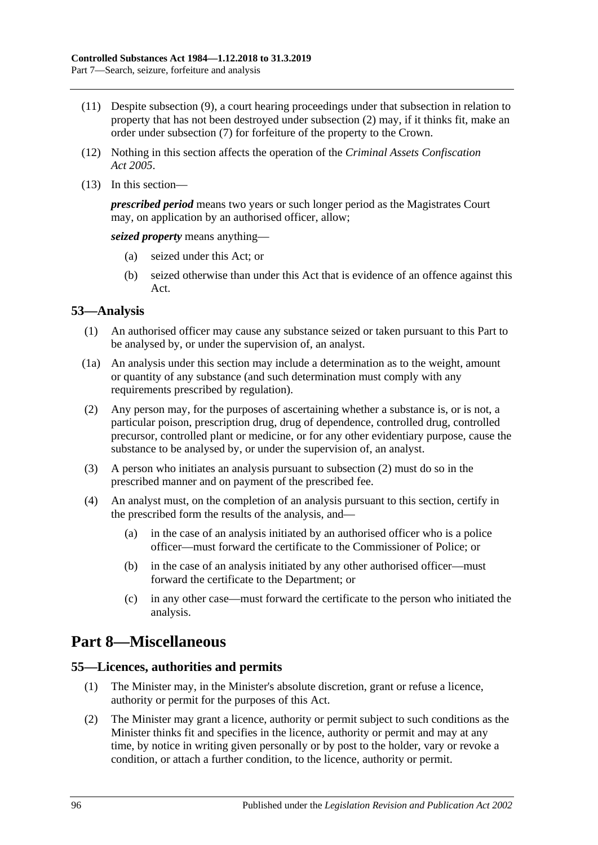- <span id="page-95-1"></span>(11) Despite [subsection](#page-94-1) (9), a court hearing proceedings under that subsection in relation to property that has not been destroyed under [subsection](#page-93-0) (2) may, if it thinks fit, make an order under [subsection](#page-94-2) (7) for forfeiture of the property to the Crown.
- (12) Nothing in this section affects the operation of the *[Criminal Assets Confiscation](http://www.legislation.sa.gov.au/index.aspx?action=legref&type=act&legtitle=Criminal%20Assets%20Confiscation%20Act%202005)  Act [2005](http://www.legislation.sa.gov.au/index.aspx?action=legref&type=act&legtitle=Criminal%20Assets%20Confiscation%20Act%202005)*.
- (13) In this section—

*prescribed period* means two years or such longer period as the Magistrates Court may, on application by an authorised officer, allow;

*seized property* means anything—

- (a) seized under this Act; or
- (b) seized otherwise than under this Act that is evidence of an offence against this Act.

#### <span id="page-95-0"></span>**53—Analysis**

- (1) An authorised officer may cause any substance seized or taken pursuant to this Part to be analysed by, or under the supervision of, an analyst.
- (1a) An analysis under this section may include a determination as to the weight, amount or quantity of any substance (and such determination must comply with any requirements prescribed by regulation).
- <span id="page-95-2"></span>(2) Any person may, for the purposes of ascertaining whether a substance is, or is not, a particular poison, prescription drug, drug of dependence, controlled drug, controlled precursor, controlled plant or medicine, or for any other evidentiary purpose, cause the substance to be analysed by, or under the supervision of, an analyst.
- (3) A person who initiates an analysis pursuant to [subsection](#page-95-2) (2) must do so in the prescribed manner and on payment of the prescribed fee.
- (4) An analyst must, on the completion of an analysis pursuant to this section, certify in the prescribed form the results of the analysis, and—
	- (a) in the case of an analysis initiated by an authorised officer who is a police officer—must forward the certificate to the Commissioner of Police; or
	- (b) in the case of an analysis initiated by any other authorised officer—must forward the certificate to the Department; or
	- (c) in any other case—must forward the certificate to the person who initiated the analysis.

# **Part 8—Miscellaneous**

#### **55—Licences, authorities and permits**

- (1) The Minister may, in the Minister's absolute discretion, grant or refuse a licence, authority or permit for the purposes of this Act.
- (2) The Minister may grant a licence, authority or permit subject to such conditions as the Minister thinks fit and specifies in the licence, authority or permit and may at any time, by notice in writing given personally or by post to the holder, vary or revoke a condition, or attach a further condition, to the licence, authority or permit.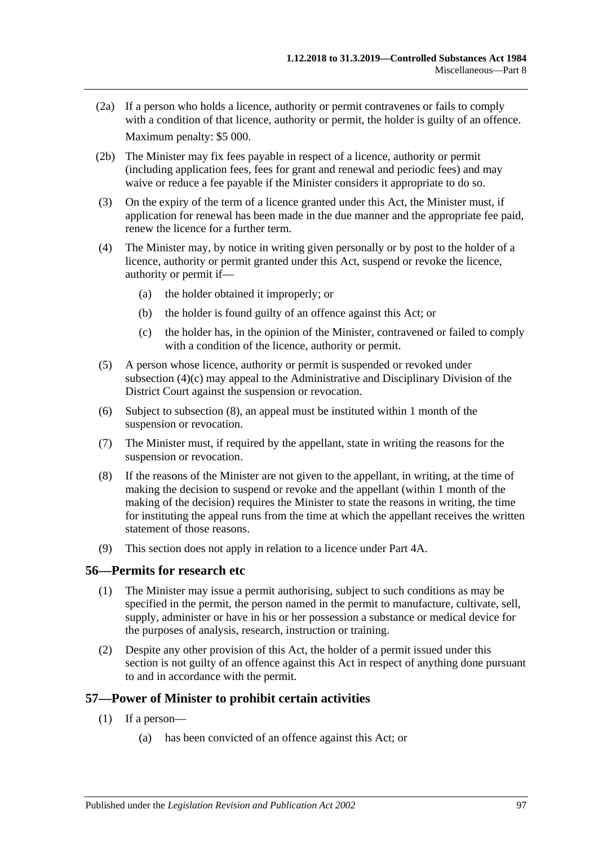- (2a) If a person who holds a licence, authority or permit contravenes or fails to comply with a condition of that licence, authority or permit, the holder is guilty of an offence. Maximum penalty: \$5 000.
- (2b) The Minister may fix fees payable in respect of a licence, authority or permit (including application fees, fees for grant and renewal and periodic fees) and may waive or reduce a fee payable if the Minister considers it appropriate to do so.
- (3) On the expiry of the term of a licence granted under this Act, the Minister must, if application for renewal has been made in the due manner and the appropriate fee paid, renew the licence for a further term.
- (4) The Minister may, by notice in writing given personally or by post to the holder of a licence, authority or permit granted under this Act, suspend or revoke the licence, authority or permit if—
	- (a) the holder obtained it improperly; or
	- (b) the holder is found guilty of an offence against this Act; or
	- (c) the holder has, in the opinion of the Minister, contravened or failed to comply with a condition of the licence, authority or permit.
- <span id="page-96-0"></span>(5) A person whose licence, authority or permit is suspended or revoked under [subsection](#page-96-0) (4)(c) may appeal to the Administrative and Disciplinary Division of the District Court against the suspension or revocation.
- (6) Subject to [subsection](#page-96-1) (8), an appeal must be instituted within 1 month of the suspension or revocation.
- (7) The Minister must, if required by the appellant, state in writing the reasons for the suspension or revocation.
- <span id="page-96-1"></span>(8) If the reasons of the Minister are not given to the appellant, in writing, at the time of making the decision to suspend or revoke and the appellant (within 1 month of the making of the decision) requires the Minister to state the reasons in writing, the time for instituting the appeal runs from the time at which the appellant receives the written statement of those reasons.
- (9) This section does not apply in relation to a licence under Part 4A.

#### **56—Permits for research etc**

- (1) The Minister may issue a permit authorising, subject to such conditions as may be specified in the permit, the person named in the permit to manufacture, cultivate, sell, supply, administer or have in his or her possession a substance or medical device for the purposes of analysis, research, instruction or training.
- (2) Despite any other provision of this Act, the holder of a permit issued under this section is not guilty of an offence against this Act in respect of anything done pursuant to and in accordance with the permit.

#### <span id="page-96-2"></span>**57—Power of Minister to prohibit certain activities**

- (1) If a person—
	- (a) has been convicted of an offence against this Act; or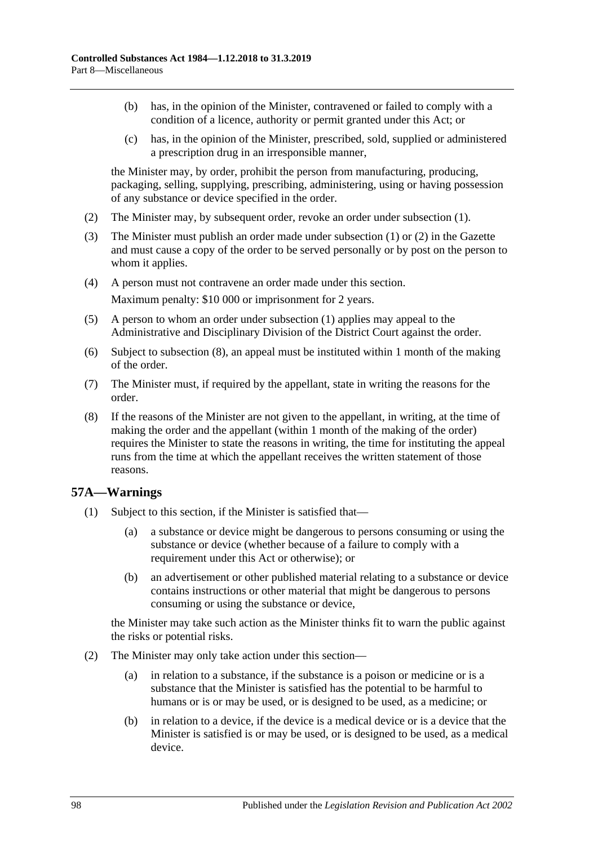- (b) has, in the opinion of the Minister, contravened or failed to comply with a condition of a licence, authority or permit granted under this Act; or
- (c) has, in the opinion of the Minister, prescribed, sold, supplied or administered a prescription drug in an irresponsible manner,

the Minister may, by order, prohibit the person from manufacturing, producing, packaging, selling, supplying, prescribing, administering, using or having possession of any substance or device specified in the order.

- <span id="page-97-0"></span>(2) The Minister may, by subsequent order, revoke an order under [subsection](#page-96-2) (1).
- (3) The Minister must publish an order made under [subsection](#page-96-2) (1) or [\(2\)](#page-97-0) in the Gazette and must cause a copy of the order to be served personally or by post on the person to whom it applies.
- (4) A person must not contravene an order made under this section. Maximum penalty: \$10 000 or imprisonment for 2 years.
- (5) A person to whom an order under [subsection](#page-96-2) (1) applies may appeal to the Administrative and Disciplinary Division of the District Court against the order.
- (6) Subject to [subsection](#page-97-1) (8), an appeal must be instituted within 1 month of the making of the order.
- (7) The Minister must, if required by the appellant, state in writing the reasons for the order.
- <span id="page-97-1"></span>(8) If the reasons of the Minister are not given to the appellant, in writing, at the time of making the order and the appellant (within 1 month of the making of the order) requires the Minister to state the reasons in writing, the time for instituting the appeal runs from the time at which the appellant receives the written statement of those reasons.

#### <span id="page-97-2"></span>**57A—Warnings**

- (1) Subject to this section, if the Minister is satisfied that—
	- (a) a substance or device might be dangerous to persons consuming or using the substance or device (whether because of a failure to comply with a requirement under this Act or otherwise); or
	- (b) an advertisement or other published material relating to a substance or device contains instructions or other material that might be dangerous to persons consuming or using the substance or device,

the Minister may take such action as the Minister thinks fit to warn the public against the risks or potential risks.

- (2) The Minister may only take action under this section—
	- (a) in relation to a substance, if the substance is a poison or medicine or is a substance that the Minister is satisfied has the potential to be harmful to humans or is or may be used, or is designed to be used, as a medicine; or
	- (b) in relation to a device, if the device is a medical device or is a device that the Minister is satisfied is or may be used, or is designed to be used, as a medical device.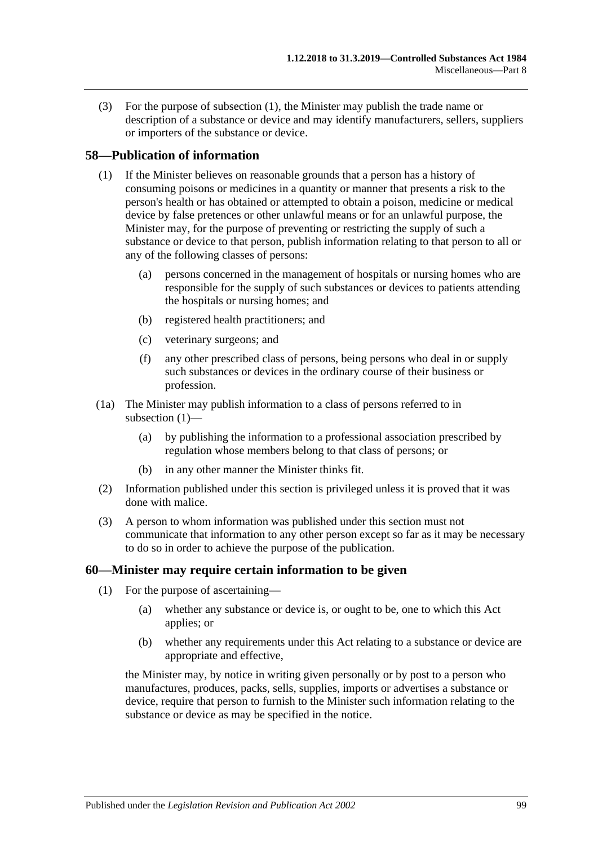(3) For the purpose of [subsection](#page-97-2) (1), the Minister may publish the trade name or description of a substance or device and may identify manufacturers, sellers, suppliers or importers of the substance or device.

#### <span id="page-98-0"></span>**58—Publication of information**

- (1) If the Minister believes on reasonable grounds that a person has a history of consuming poisons or medicines in a quantity or manner that presents a risk to the person's health or has obtained or attempted to obtain a poison, medicine or medical device by false pretences or other unlawful means or for an unlawful purpose, the Minister may, for the purpose of preventing or restricting the supply of such a substance or device to that person, publish information relating to that person to all or any of the following classes of persons:
	- (a) persons concerned in the management of hospitals or nursing homes who are responsible for the supply of such substances or devices to patients attending the hospitals or nursing homes; and
	- (b) registered health practitioners; and
	- (c) veterinary surgeons; and
	- (f) any other prescribed class of persons, being persons who deal in or supply such substances or devices in the ordinary course of their business or profession.
- (1a) The Minister may publish information to a class of persons referred to in [subsection](#page-98-0) (1)—
	- (a) by publishing the information to a professional association prescribed by regulation whose members belong to that class of persons; or
	- (b) in any other manner the Minister thinks fit.
- (2) Information published under this section is privileged unless it is proved that it was done with malice.
- (3) A person to whom information was published under this section must not communicate that information to any other person except so far as it may be necessary to do so in order to achieve the purpose of the publication.

#### **60—Minister may require certain information to be given**

- (1) For the purpose of ascertaining—
	- (a) whether any substance or device is, or ought to be, one to which this Act applies; or
	- (b) whether any requirements under this Act relating to a substance or device are appropriate and effective,

the Minister may, by notice in writing given personally or by post to a person who manufactures, produces, packs, sells, supplies, imports or advertises a substance or device, require that person to furnish to the Minister such information relating to the substance or device as may be specified in the notice.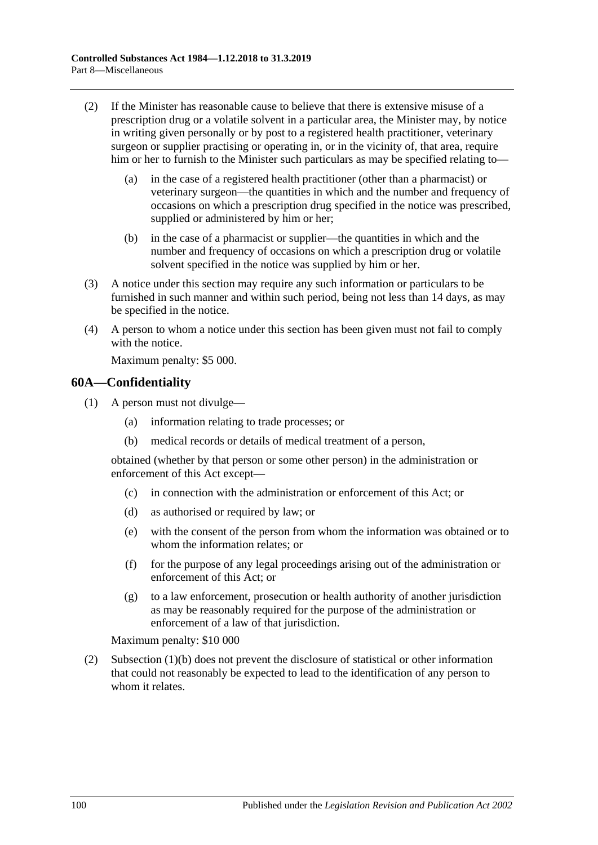- (2) If the Minister has reasonable cause to believe that there is extensive misuse of a prescription drug or a volatile solvent in a particular area, the Minister may, by notice in writing given personally or by post to a registered health practitioner, veterinary surgeon or supplier practising or operating in, or in the vicinity of, that area, require him or her to furnish to the Minister such particulars as may be specified relating to—
	- (a) in the case of a registered health practitioner (other than a pharmacist) or veterinary surgeon—the quantities in which and the number and frequency of occasions on which a prescription drug specified in the notice was prescribed, supplied or administered by him or her;
	- (b) in the case of a pharmacist or supplier—the quantities in which and the number and frequency of occasions on which a prescription drug or volatile solvent specified in the notice was supplied by him or her.
- (3) A notice under this section may require any such information or particulars to be furnished in such manner and within such period, being not less than 14 days, as may be specified in the notice.
- (4) A person to whom a notice under this section has been given must not fail to comply with the notice.

Maximum penalty: \$5 000.

#### **60A—Confidentiality**

- <span id="page-99-0"></span>(1) A person must not divulge—
	- (a) information relating to trade processes; or
	- (b) medical records or details of medical treatment of a person,

obtained (whether by that person or some other person) in the administration or enforcement of this Act except—

- (c) in connection with the administration or enforcement of this Act; or
- (d) as authorised or required by law; or
- (e) with the consent of the person from whom the information was obtained or to whom the information relates; or
- (f) for the purpose of any legal proceedings arising out of the administration or enforcement of this Act; or
- (g) to a law enforcement, prosecution or health authority of another jurisdiction as may be reasonably required for the purpose of the administration or enforcement of a law of that jurisdiction.

Maximum penalty: \$10 000

(2) [Subsection](#page-99-0) (1)(b) does not prevent the disclosure of statistical or other information that could not reasonably be expected to lead to the identification of any person to whom it relates.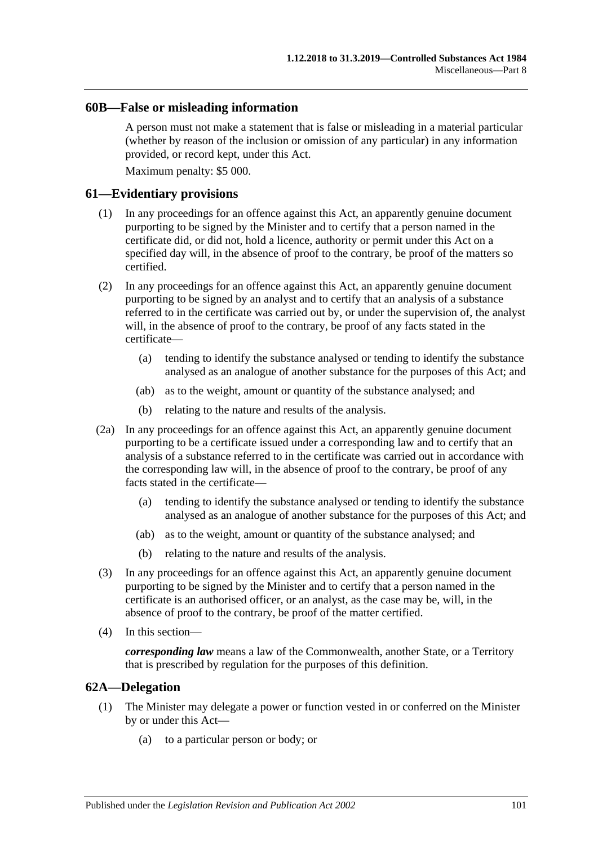#### **60B—False or misleading information**

A person must not make a statement that is false or misleading in a material particular (whether by reason of the inclusion or omission of any particular) in any information provided, or record kept, under this Act.

Maximum penalty: \$5 000.

#### **61—Evidentiary provisions**

- (1) In any proceedings for an offence against this Act, an apparently genuine document purporting to be signed by the Minister and to certify that a person named in the certificate did, or did not, hold a licence, authority or permit under this Act on a specified day will, in the absence of proof to the contrary, be proof of the matters so certified.
- (2) In any proceedings for an offence against this Act, an apparently genuine document purporting to be signed by an analyst and to certify that an analysis of a substance referred to in the certificate was carried out by, or under the supervision of, the analyst will, in the absence of proof to the contrary, be proof of any facts stated in the certificate—
	- (a) tending to identify the substance analysed or tending to identify the substance analysed as an analogue of another substance for the purposes of this Act; and
	- (ab) as to the weight, amount or quantity of the substance analysed; and
	- (b) relating to the nature and results of the analysis.
- (2a) In any proceedings for an offence against this Act, an apparently genuine document purporting to be a certificate issued under a corresponding law and to certify that an analysis of a substance referred to in the certificate was carried out in accordance with the corresponding law will, in the absence of proof to the contrary, be proof of any facts stated in the certificate—
	- (a) tending to identify the substance analysed or tending to identify the substance analysed as an analogue of another substance for the purposes of this Act; and
	- (ab) as to the weight, amount or quantity of the substance analysed; and
	- (b) relating to the nature and results of the analysis.
- (3) In any proceedings for an offence against this Act, an apparently genuine document purporting to be signed by the Minister and to certify that a person named in the certificate is an authorised officer, or an analyst, as the case may be, will, in the absence of proof to the contrary, be proof of the matter certified.
- (4) In this section—

*corresponding law* means a law of the Commonwealth, another State, or a Territory that is prescribed by regulation for the purposes of this definition.

#### **62A—Delegation**

- (1) The Minister may delegate a power or function vested in or conferred on the Minister by or under this Act—
	- (a) to a particular person or body; or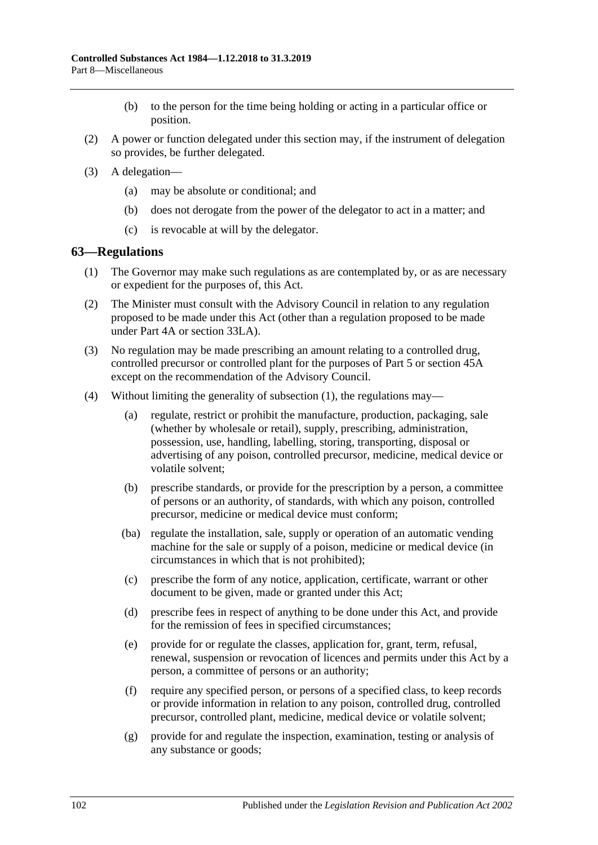- (b) to the person for the time being holding or acting in a particular office or position.
- (2) A power or function delegated under this section may, if the instrument of delegation so provides, be further delegated.
- (3) A delegation—
	- (a) may be absolute or conditional; and
	- (b) does not derogate from the power of the delegator to act in a matter; and
	- (c) is revocable at will by the delegator.

#### <span id="page-101-0"></span>**63—Regulations**

- (1) The Governor may make such regulations as are contemplated by, or as are necessary or expedient for the purposes of, this Act.
- (2) The Minister must consult with the Advisory Council in relation to any regulation proposed to be made under this Act (other than a regulation proposed to be made under [Part 4A](#page-31-0) or [section](#page-74-4) 33LA).
- (3) No regulation may be made prescribing an amount relating to a controlled drug, controlled precursor or controlled plant for the purposes of [Part 5](#page-63-0) or [section](#page-87-0) 45A except on the recommendation of the Advisory Council.
- (4) Without limiting the generality of [subsection](#page-101-0) (1), the regulations may—
	- (a) regulate, restrict or prohibit the manufacture, production, packaging, sale (whether by wholesale or retail), supply, prescribing, administration, possession, use, handling, labelling, storing, transporting, disposal or advertising of any poison, controlled precursor, medicine, medical device or volatile solvent;
	- (b) prescribe standards, or provide for the prescription by a person, a committee of persons or an authority, of standards, with which any poison, controlled precursor, medicine or medical device must conform;
	- (ba) regulate the installation, sale, supply or operation of an automatic vending machine for the sale or supply of a poison, medicine or medical device (in circumstances in which that is not prohibited);
	- (c) prescribe the form of any notice, application, certificate, warrant or other document to be given, made or granted under this Act;
	- (d) prescribe fees in respect of anything to be done under this Act, and provide for the remission of fees in specified circumstances;
	- (e) provide for or regulate the classes, application for, grant, term, refusal, renewal, suspension or revocation of licences and permits under this Act by a person, a committee of persons or an authority;
	- (f) require any specified person, or persons of a specified class, to keep records or provide information in relation to any poison, controlled drug, controlled precursor, controlled plant, medicine, medical device or volatile solvent;
	- (g) provide for and regulate the inspection, examination, testing or analysis of any substance or goods;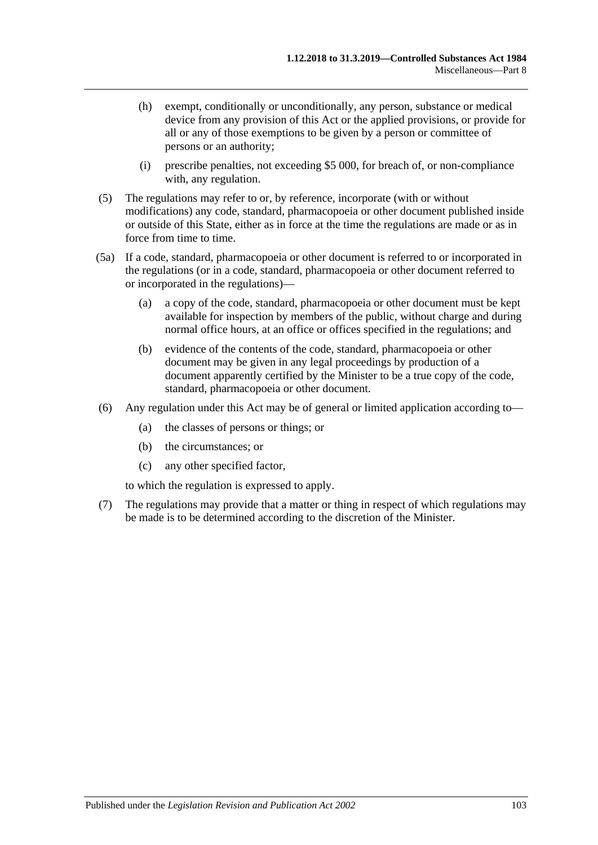- (h) exempt, conditionally or unconditionally, any person, substance or medical device from any provision of this Act or the applied provisions, or provide for all or any of those exemptions to be given by a person or committee of persons or an authority;
- (i) prescribe penalties, not exceeding \$5 000, for breach of, or non-compliance with, any regulation.
- (5) The regulations may refer to or, by reference, incorporate (with or without modifications) any code, standard, pharmacopoeia or other document published inside or outside of this State, either as in force at the time the regulations are made or as in force from time to time.
- (5a) If a code, standard, pharmacopoeia or other document is referred to or incorporated in the regulations (or in a code, standard, pharmacopoeia or other document referred to or incorporated in the regulations)—
	- (a) a copy of the code, standard, pharmacopoeia or other document must be kept available for inspection by members of the public, without charge and during normal office hours, at an office or offices specified in the regulations; and
	- (b) evidence of the contents of the code, standard, pharmacopoeia or other document may be given in any legal proceedings by production of a document apparently certified by the Minister to be a true copy of the code, standard, pharmacopoeia or other document.
- (6) Any regulation under this Act may be of general or limited application according to—
	- (a) the classes of persons or things; or
	- (b) the circumstances; or
	- (c) any other specified factor,

to which the regulation is expressed to apply.

(7) The regulations may provide that a matter or thing in respect of which regulations may be made is to be determined according to the discretion of the Minister.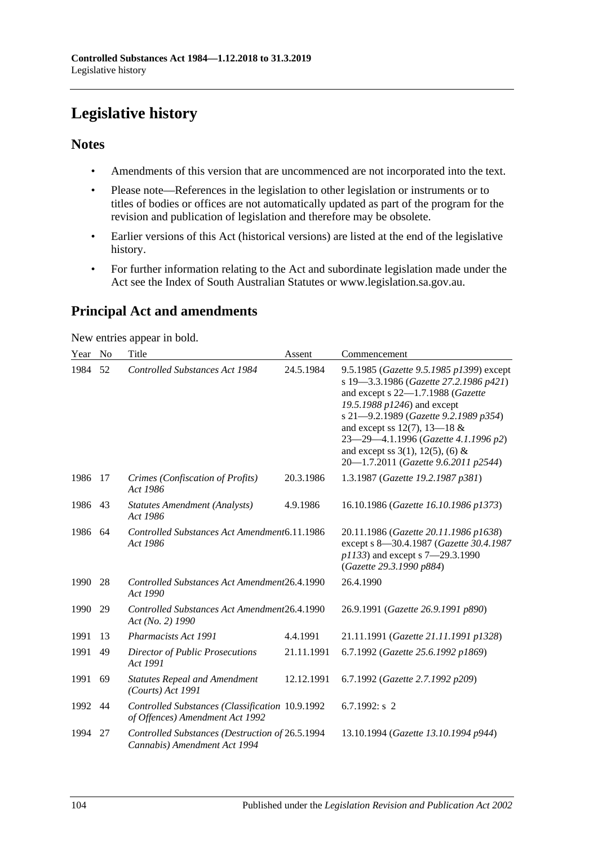# **Legislative history**

#### **Notes**

- Amendments of this version that are uncommenced are not incorporated into the text.
- Please note—References in the legislation to other legislation or instruments or to titles of bodies or offices are not automatically updated as part of the program for the revision and publication of legislation and therefore may be obsolete.
- Earlier versions of this Act (historical versions) are listed at the end of the legislative history.
- For further information relating to the Act and subordinate legislation made under the Act see the Index of South Australian Statutes or www.legislation.sa.gov.au.

# **Principal Act and amendments**

New entries appear in bold.

| Year | N <sub>o</sub> | Title                                                                              | Assent     | Commencement                                                                                                                                                                                                                                                                                                                                                |
|------|----------------|------------------------------------------------------------------------------------|------------|-------------------------------------------------------------------------------------------------------------------------------------------------------------------------------------------------------------------------------------------------------------------------------------------------------------------------------------------------------------|
| 1984 | 52             | <b>Controlled Substances Act 1984</b>                                              | 24.5.1984  | 9.5.1985 (Gazette 9.5.1985 p1399) except<br>s 19-3.3.1986 (Gazette 27.2.1986 p421)<br>and except s 22-1.7.1988 (Gazette<br>19.5.1988 p1246) and except<br>s 21-9.2.1989 (Gazette 9.2.1989 p354)<br>and except ss 12(7), 13–18 $&$<br>23-29-4.1.1996 (Gazette 4.1.1996 p2)<br>and except ss $3(1)$ , $12(5)$ , (6) &<br>20-1.7.2011 (Gazette 9.6.2011 p2544) |
| 1986 | 17             | Crimes (Confiscation of Profits)<br>Act 1986                                       | 20.3.1986  | 1.3.1987 (Gazette 19.2.1987 p381)                                                                                                                                                                                                                                                                                                                           |
| 1986 | 43             | <b>Statutes Amendment (Analysts)</b><br>Act 1986                                   | 4.9.1986   | 16.10.1986 (Gazette 16.10.1986 p1373)                                                                                                                                                                                                                                                                                                                       |
| 1986 | 64             | Controlled Substances Act Amendment6.11.1986<br>Act 1986                           |            | 20.11.1986 (Gazette 20.11.1986 p1638)<br>except s 8-30.4.1987 (Gazette 30.4.1987<br>p1133) and except s 7-29.3.1990<br>(Gazette 29.3.1990 p884)                                                                                                                                                                                                             |
| 1990 | 28             | Controlled Substances Act Amendment26.4.1990<br>Act 1990                           |            | 26.4.1990                                                                                                                                                                                                                                                                                                                                                   |
| 1990 | 29             | Controlled Substances Act Amendment26.4.1990<br>Act (No. 2) 1990                   |            | 26.9.1991 (Gazette 26.9.1991 p890)                                                                                                                                                                                                                                                                                                                          |
| 1991 | 13             | Pharmacists Act 1991                                                               | 4.4.1991   | 21.11.1991 (Gazette 21.11.1991 p1328)                                                                                                                                                                                                                                                                                                                       |
| 1991 | 49             | Director of Public Prosecutions<br>Act 1991                                        | 21.11.1991 | 6.7.1992 (Gazette 25.6.1992 p1869)                                                                                                                                                                                                                                                                                                                          |
| 1991 | 69             | <b>Statutes Repeal and Amendment</b><br>$(Courts)$ Act 1991                        | 12.12.1991 | 6.7.1992 (Gazette 2.7.1992 p209)                                                                                                                                                                                                                                                                                                                            |
| 1992 | 44             | Controlled Substances (Classification 10.9.1992<br>of Offences) Amendment Act 1992 |            | 6.7.1992: $s$ 2                                                                                                                                                                                                                                                                                                                                             |
| 1994 | 27             | Controlled Substances (Destruction of 26.5.1994<br>Cannabis) Amendment Act 1994    |            | 13.10.1994 (Gazette 13.10.1994 p944)                                                                                                                                                                                                                                                                                                                        |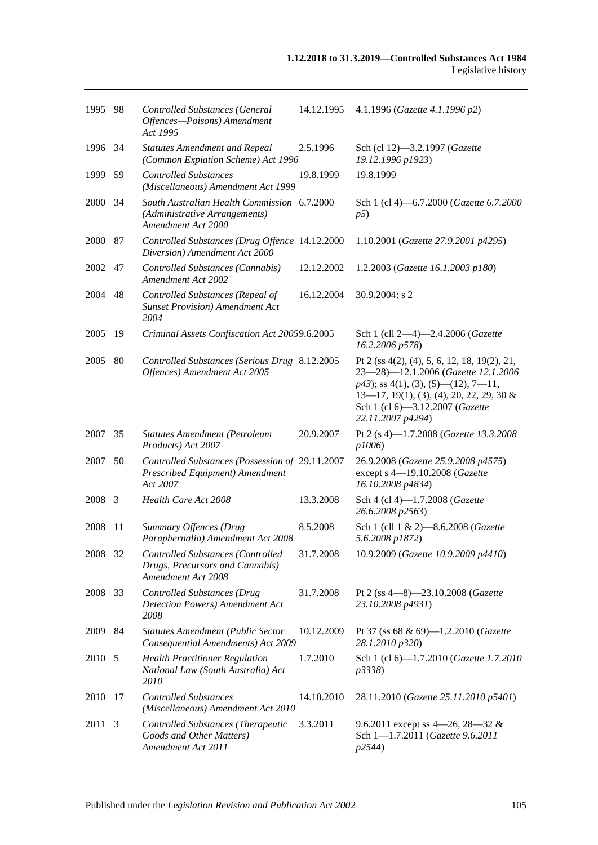| 1995 98 |      | <b>Controlled Substances (General</b><br>Offences-Poisons) Amendment<br>Act 1995                   | 14.12.1995 | 4.1.1996 (Gazette 4.1.1996 p2)                                                                                                                                                                                                      |
|---------|------|----------------------------------------------------------------------------------------------------|------------|-------------------------------------------------------------------------------------------------------------------------------------------------------------------------------------------------------------------------------------|
| 1996 34 |      | <b>Statutes Amendment and Repeal</b><br>(Common Expiation Scheme) Act 1996                         | 2.5.1996   | Sch (cl 12)-3.2.1997 (Gazette<br>19.12.1996 p1923)                                                                                                                                                                                  |
| 1999    | 59   | <b>Controlled Substances</b><br>(Miscellaneous) Amendment Act 1999                                 | 19.8.1999  | 19.8.1999                                                                                                                                                                                                                           |
| 2000 34 |      | South Australian Health Commission 6.7.2000<br>(Administrative Arrangements)<br>Amendment Act 2000 |            | Sch 1 (cl 4)-6.7.2000 (Gazette 6.7.2000<br>p5)                                                                                                                                                                                      |
| 2000    | 87   | Controlled Substances (Drug Offence 14.12.2000<br>Diversion) Amendment Act 2000                    |            | 1.10.2001 (Gazette 27.9.2001 p4295)                                                                                                                                                                                                 |
| 2002    | 47   | Controlled Substances (Cannabis)<br>Amendment Act 2002                                             | 12.12.2002 | 1.2.2003 (Gazette 16.1.2003 p180)                                                                                                                                                                                                   |
| 2004    | 48   | Controlled Substances (Repeal of<br><b>Sunset Provision</b> ) Amendment Act<br>2004                | 16.12.2004 | 30.9.2004: s 2                                                                                                                                                                                                                      |
| 2005    | 19   | Criminal Assets Confiscation Act 20059.6.2005                                                      |            | Sch 1 (cll 2-4)-2.4.2006 (Gazette<br>16.2.2006 p578)                                                                                                                                                                                |
| 2005    | 80   | Controlled Substances (Serious Drug 8.12.2005<br>Offences) Amendment Act 2005                      |            | Pt 2 (ss 4(2), (4), 5, 6, 12, 18, 19(2), 21,<br>23-28)-12.1.2006 (Gazette 12.1.2006<br>$p43$ ; ss 4(1), (3), (5)—(12), 7—11,<br>$13-17$ , 19(1), (3), (4), 20, 22, 29, 30 &<br>Sch 1 (cl 6)-3.12.2007 (Gazette<br>22.11.2007 p4294) |
| 2007    | 35   | Statutes Amendment (Petroleum<br>Products) Act 2007                                                | 20.9.2007  | Pt 2 (s 4)-1.7.2008 (Gazette 13.3.2008<br>p1006)                                                                                                                                                                                    |
| 2007    | 50   | Controlled Substances (Possession of 29.11.2007<br>Prescribed Equipment) Amendment<br>Act 2007     |            | 26.9.2008 (Gazette 25.9.2008 p4575)<br>except s 4-19.10.2008 (Gazette<br>16.10.2008 p4834)                                                                                                                                          |
| 2008    | 3    | Health Care Act 2008                                                                               | 13.3.2008  | Sch 4 (cl 4)-1.7.2008 (Gazette<br>26.6.2008 p2563)                                                                                                                                                                                  |
| 2008    | 11   | Summary Offences (Drug<br>Paraphernalia) Amendment Act 2008                                        | 8.5.2008   | Sch 1 (cll 1 & 2)-8.6.2008 (Gazette<br>5.6.2008 p1872)                                                                                                                                                                              |
| 2008    | - 32 | Controlled Substances (Controlled<br>Drugs, Precursors and Cannabis)<br>Amendment Act 2008         | 31.7.2008  | 10.9.2009 (Gazette 10.9.2009 p4410)                                                                                                                                                                                                 |
| 2008    | 33   | <b>Controlled Substances (Drug</b><br>Detection Powers) Amendment Act<br>2008                      | 31.7.2008  | Pt 2 (ss 4-8)-23.10.2008 (Gazette<br>23.10.2008 p4931)                                                                                                                                                                              |
| 2009    | 84   | <b>Statutes Amendment (Public Sector</b><br>Consequential Amendments) Act 2009                     | 10.12.2009 | Pt 37 (ss 68 & 69)-1.2.2010 (Gazette<br>28.1.2010 p320)                                                                                                                                                                             |
| 2010 5  |      | <b>Health Practitioner Regulation</b><br>National Law (South Australia) Act<br><i>2010</i>         | 1.7.2010   | Sch 1 (cl 6)-1.7.2010 (Gazette 1.7.2010<br>p3338)                                                                                                                                                                                   |
| 2010 17 |      | <b>Controlled Substances</b><br>(Miscellaneous) Amendment Act 2010                                 | 14.10.2010 | 28.11.2010 (Gazette 25.11.2010 p5401)                                                                                                                                                                                               |
| 2011    | 3    | Controlled Substances (Therapeutic<br>Goods and Other Matters)<br>Amendment Act 2011               | 3.3.2011   | 9.6.2011 except ss 4–26, 28–32 &<br>Sch 1-1.7.2011 (Gazette 9.6.2011<br>p2544)                                                                                                                                                      |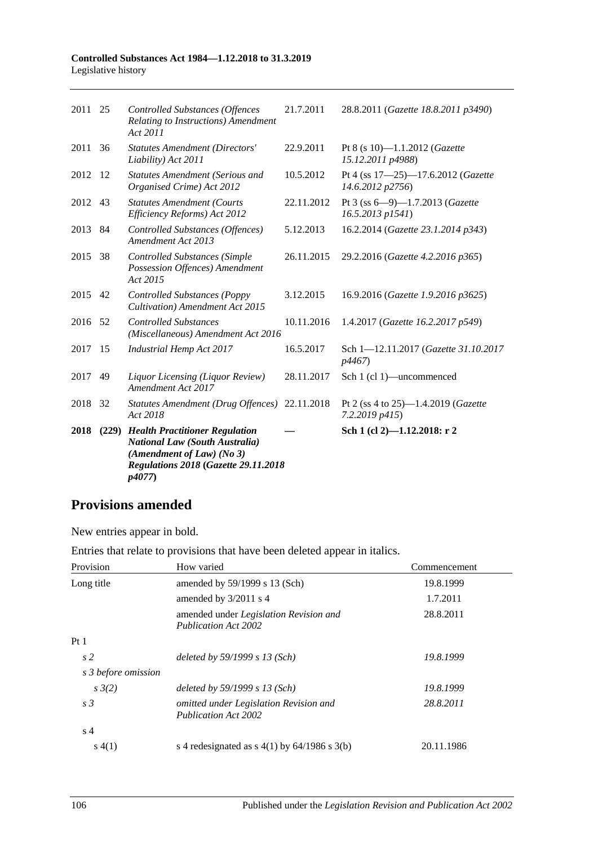#### **Controlled Substances Act 1984—1.12.2018 to 31.3.2019** Legislative history

| 2011    | 25    | <b>Controlled Substances (Offences</b><br>Relating to Instructions) Amendment<br>Act 2011                                                                    | 21.7.2011  | 28.8.2011 (Gazette 18.8.2011 p3490)                           |
|---------|-------|--------------------------------------------------------------------------------------------------------------------------------------------------------------|------------|---------------------------------------------------------------|
| 2011    | 36    | <b>Statutes Amendment (Directors'</b><br>Liability) Act 2011                                                                                                 | 22.9.2011  | Pt 8 (s 10)-1.1.2012 (Gazette<br>15.12.2011 p4988)            |
| 2012    | -12   | <b>Statutes Amendment (Serious and</b><br>Organised Crime) Act 2012                                                                                          | 10.5.2012  | Pt 4 (ss 17-25)-17.6.2012 (Gazette<br>14.6.2012 p2756)        |
| 2012    | 43    | <b>Statutes Amendment (Courts</b><br>Efficiency Reforms) Act 2012                                                                                            | 22.11.2012 | Pt 3 (ss 6-9)-1.7.2013 (Gazette<br>16.5.2013 p1541)           |
| 2013    | -84   | Controlled Substances (Offences)<br>Amendment Act 2013                                                                                                       | 5.12.2013  | 16.2.2014 (Gazette 23.1.2014 p343)                            |
| 2015    | 38    | <b>Controlled Substances (Simple</b><br>Possession Offences) Amendment<br>Act 2015                                                                           | 26.11.2015 | 29.2.2016 (Gazette 4.2.2016 p365)                             |
| 2015    | 42    | <b>Controlled Substances (Poppy</b><br>Cultivation) Amendment Act 2015                                                                                       | 3.12.2015  | 16.9.2016 (Gazette 1.9.2016 p3625)                            |
| 2016 52 |       | <b>Controlled Substances</b><br>(Miscellaneous) Amendment Act 2016                                                                                           | 10.11.2016 | 1.4.2017 (Gazette 16.2.2017 p549)                             |
| 2017    | 15    | <b>Industrial Hemp Act 2017</b>                                                                                                                              | 16.5.2017  | Sch 1-12.11.2017 (Gazette 31.10.2017<br>p4467)                |
| 2017    | 49    | Liquor Licensing (Liquor Review)<br>Amendment Act 2017                                                                                                       | 28.11.2017 | Sch 1 (cl 1)—uncommenced                                      |
| 2018    | 32    | Statutes Amendment (Drug Offences) 22.11.2018<br>Act 2018                                                                                                    |            | Pt 2 (ss 4 to 25)—1.4.2019 ( <i>Gazette</i><br>7.2.2019 p415) |
| 2018    | (229) | <b>Health Practitioner Regulation</b><br><b>National Law (South Australia)</b><br>(Amendment of Law) (No 3)<br>Regulations 2018 (Gazette 29.11.2018<br>p4077 |            | Sch 1 (cl 2)-1.12.2018: r 2                                   |

## **Provisions amended**

New entries appear in bold.

Entries that relate to provisions that have been deleted appear in italics.

| Provision           | How varied                                                            | Commencement |
|---------------------|-----------------------------------------------------------------------|--------------|
| Long title          | amended by $59/1999$ s 13 (Sch)                                       | 19.8.1999    |
|                     | amended by $3/2011$ s 4                                               | 1.7.2011     |
|                     | amended under Legislation Revision and<br><b>Publication Act 2002</b> | 28.8.2011    |
| Pt1                 |                                                                       |              |
| s <sub>2</sub>      | deleted by $59/1999 s 13$ (Sch)                                       | 19.8.1999    |
| s 3 before omission |                                                                       |              |
| $s \frac{3}{2}$     | deleted by $59/1999 s 13$ (Sch)                                       | 19.8.1999    |
| s <sub>3</sub>      | omitted under Legislation Revision and<br><b>Publication Act 2002</b> | 28.8.2011    |
| s <sub>4</sub>      |                                                                       |              |
| s(4(1))             | s 4 redesignated as $s(1)$ by 64/1986 s 3(b)                          | 20.11.1986   |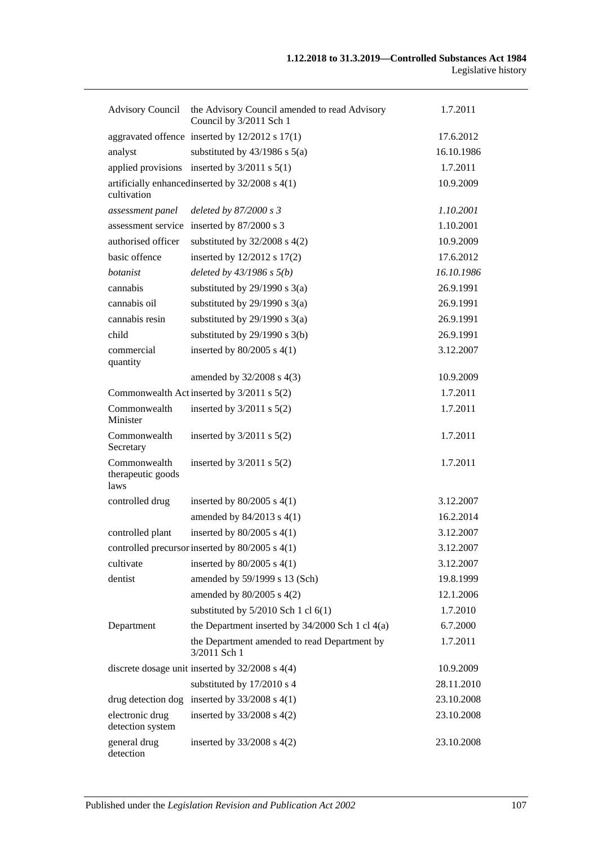| <b>Advisory Council</b>                   | the Advisory Council amended to read Advisory<br>Council by 3/2011 Sch 1 | 1.7.2011   |
|-------------------------------------------|--------------------------------------------------------------------------|------------|
|                                           | aggravated offence inserted by $12/2012$ s $17(1)$                       | 17.6.2012  |
| analyst                                   | substituted by $43/1986$ s $5(a)$                                        | 16.10.1986 |
| applied provisions                        | inserted by $3/2011$ s $5(1)$                                            | 1.7.2011   |
| cultivation                               | artificially enhanced inserted by $32/2008$ s 4(1)                       | 10.9.2009  |
| assessment panel                          | deleted by 87/2000 s 3                                                   | 1.10.2001  |
| assessment service                        | inserted by 87/2000 s 3                                                  | 1.10.2001  |
| authorised officer                        | substituted by $32/2008$ s $4(2)$                                        | 10.9.2009  |
| basic offence                             | inserted by 12/2012 s 17(2)                                              | 17.6.2012  |
| botanist                                  | deleted by $43/1986$ s $5(b)$                                            | 16.10.1986 |
| cannabis                                  | substituted by $29/1990$ s $3(a)$                                        | 26.9.1991  |
| cannabis oil                              | substituted by $29/1990$ s $3(a)$                                        | 26.9.1991  |
| cannabis resin                            | substituted by $29/1990$ s $3(a)$                                        | 26.9.1991  |
| child                                     | substituted by $29/1990$ s $3(b)$                                        | 26.9.1991  |
| commercial<br>quantity                    | inserted by $80/2005$ s $4(1)$                                           | 3.12.2007  |
|                                           | amended by 32/2008 s 4(3)                                                | 10.9.2009  |
|                                           | Commonwealth Act inserted by 3/2011 s 5(2)                               | 1.7.2011   |
| Commonwealth<br>Minister                  | inserted by $3/2011$ s $5(2)$                                            | 1.7.2011   |
| Commonwealth<br>Secretary                 | inserted by $3/2011$ s $5(2)$                                            | 1.7.2011   |
| Commonwealth<br>therapeutic goods<br>laws | inserted by $3/2011$ s $5(2)$                                            | 1.7.2011   |
| controlled drug                           | inserted by $80/2005$ s $4(1)$                                           | 3.12.2007  |
|                                           | amended by 84/2013 s 4(1)                                                | 16.2.2014  |
| controlled plant                          | inserted by $80/2005$ s $4(1)$                                           | 3.12.2007  |
|                                           | controlled precursor inserted by 80/2005 s 4(1)                          | 3.12.2007  |
| cultivate                                 | inserted by $80/2005$ s $4(1)$                                           | 3.12.2007  |
| dentist                                   | amended by 59/1999 s 13 (Sch)                                            | 19.8.1999  |
|                                           | amended by 80/2005 s 4(2)                                                | 12.1.2006  |
|                                           | substituted by $5/2010$ Sch 1 cl $6(1)$                                  | 1.7.2010   |
| Department                                | the Department inserted by $34/2000$ Sch 1 cl $4(a)$                     | 6.7.2000   |
|                                           | the Department amended to read Department by<br>3/2011 Sch 1             | 1.7.2011   |
|                                           | discrete dosage unit inserted by $32/2008$ s $4(4)$                      | 10.9.2009  |
|                                           | substituted by 17/2010 s 4                                               | 28.11.2010 |
|                                           | drug detection dog inserted by $33/2008$ s 4(1)                          | 23.10.2008 |
| electronic drug<br>detection system       | inserted by $33/2008$ s $4(2)$                                           | 23.10.2008 |
| general drug<br>detection                 | inserted by $33/2008$ s $4(2)$                                           | 23.10.2008 |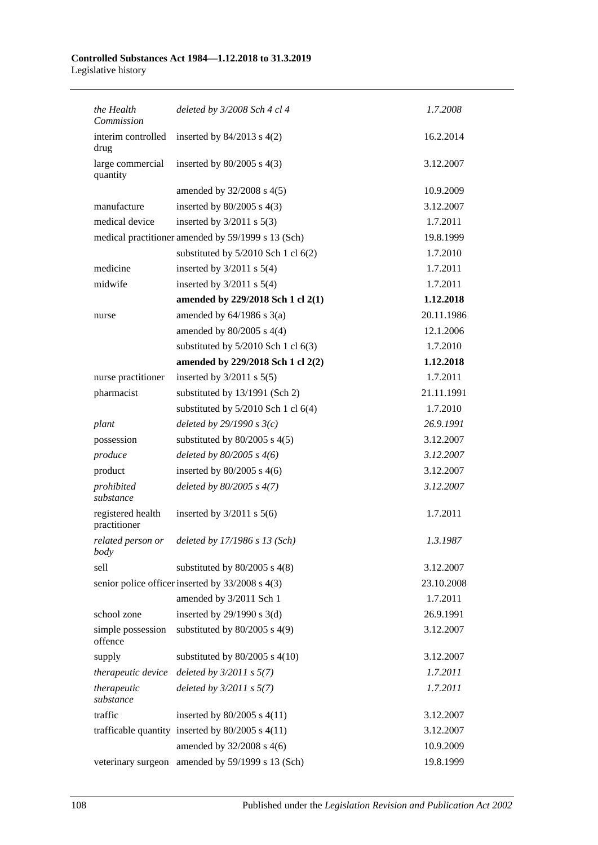#### **Controlled Substances Act 1984—1.12.2018 to 31.3.2019** Legislative history

| the Health<br>Commission          | deleted by 3/2008 Sch 4 cl 4                         | 1.7.2008   |
|-----------------------------------|------------------------------------------------------|------------|
| interim controlled<br>drug        | inserted by $84/2013$ s $4(2)$                       | 16.2.2014  |
| large commercial<br>quantity      | inserted by $80/2005$ s $4(3)$                       | 3.12.2007  |
|                                   | amended by $32/2008$ s $4(5)$                        | 10.9.2009  |
| manufacture                       | inserted by $80/2005$ s $4(3)$                       | 3.12.2007  |
| medical device                    | inserted by $3/2011$ s $5(3)$                        | 1.7.2011   |
|                                   | medical practitioner amended by 59/1999 s 13 (Sch)   | 19.8.1999  |
|                                   | substituted by $5/2010$ Sch 1 cl $6(2)$              | 1.7.2010   |
| medicine                          | inserted by $3/2011$ s $5(4)$                        | 1.7.2011   |
| midwife                           | inserted by $3/2011$ s $5(4)$                        | 1.7.2011   |
|                                   | amended by 229/2018 Sch 1 cl 2(1)                    | 1.12.2018  |
| nurse                             | amended by $64/1986$ s $3(a)$                        | 20.11.1986 |
|                                   | amended by $80/2005$ s $4(4)$                        | 12.1.2006  |
|                                   | substituted by $5/2010$ Sch 1 cl $6(3)$              | 1.7.2010   |
|                                   | amended by 229/2018 Sch 1 cl 2(2)                    | 1.12.2018  |
| nurse practitioner                | inserted by $3/2011$ s $5(5)$                        | 1.7.2011   |
| pharmacist                        | substituted by 13/1991 (Sch 2)                       | 21.11.1991 |
|                                   | substituted by $5/2010$ Sch 1 cl $6(4)$              | 1.7.2010   |
| plant                             | deleted by $29/1990 s 3(c)$                          | 26.9.1991  |
| possession                        | substituted by $80/2005$ s $4(5)$                    | 3.12.2007  |
| produce                           | deleted by $80/2005$ s $4(6)$                        | 3.12.2007  |
| product                           | inserted by $80/2005$ s 4(6)                         | 3.12.2007  |
| prohibited<br>substance           | deleted by $80/2005$ s $4(7)$                        | 3.12.2007  |
| registered health<br>practitioner | inserted by $3/2011$ s $5(6)$                        | 1.7.2011   |
| related person or<br>body         | deleted by 17/1986 s 13 (Sch)                        | 1.3.1987   |
| sell                              | substituted by $80/2005$ s $4(8)$                    | 3.12.2007  |
|                                   | senior police officer inserted by 33/2008 s 4(3)     | 23.10.2008 |
|                                   | amended by 3/2011 Sch 1                              | 1.7.2011   |
| school zone                       | inserted by $29/1990$ s $3(d)$                       | 26.9.1991  |
| simple possession<br>offence      | substituted by $80/2005$ s $4(9)$                    | 3.12.2007  |
| supply                            | substituted by $80/2005$ s $4(10)$                   | 3.12.2007  |
| therapeutic device                | deleted by $3/2011$ s $5(7)$                         | 1.7.2011   |
| therapeutic<br>substance          | deleted by $3/2011 s 5(7)$                           | 1.7.2011   |
| traffic                           | inserted by $80/2005$ s $4(11)$                      | 3.12.2007  |
|                                   | trafficable quantity inserted by $80/2005$ s $4(11)$ | 3.12.2007  |
|                                   | amended by 32/2008 s 4(6)                            | 10.9.2009  |
|                                   | veterinary surgeon amended by 59/1999 s 13 (Sch)     | 19.8.1999  |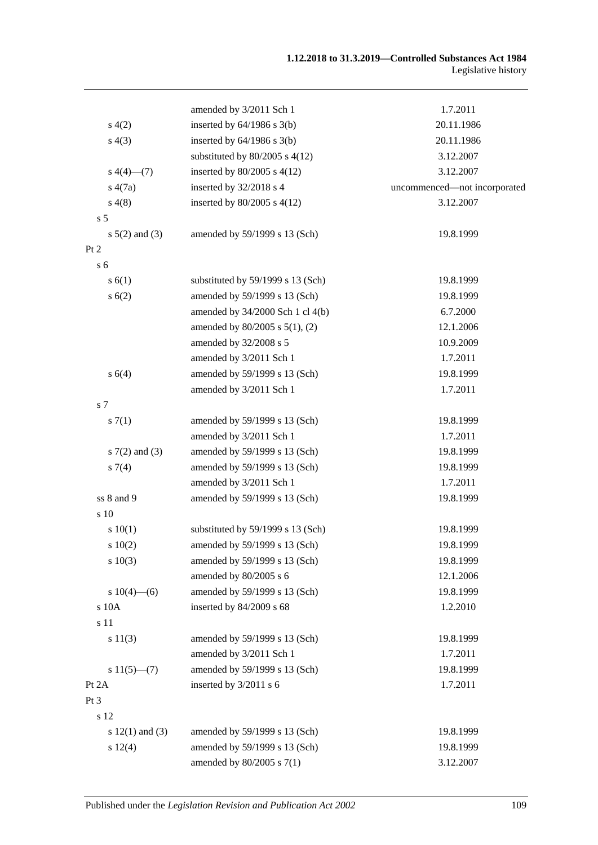|                     | amended by 3/2011 Sch 1              | 1.7.2011                     |
|---------------------|--------------------------------------|------------------------------|
| s(4(2)              | inserted by $64/1986$ s $3(b)$       | 20.11.1986                   |
| s(4(3))             | inserted by $64/1986$ s $3(b)$       | 20.11.1986                   |
|                     | substituted by $80/2005$ s $4(12)$   | 3.12.2007                    |
| $s\ 4(4)$ (7)       | inserted by $80/2005$ s $4(12)$      | 3.12.2007                    |
| s(4(7a))            | inserted by 32/2018 s 4              | uncommenced-not incorporated |
| s(4(8)              | inserted by $80/2005$ s $4(12)$      | 3.12.2007                    |
| s <sub>5</sub>      |                                      |                              |
| $s\ 5(2)$ and (3)   | amended by 59/1999 s 13 (Sch)        | 19.8.1999                    |
| Pt 2                |                                      |                              |
| s <sub>6</sub>      |                                      |                              |
| s(6(1))             | substituted by 59/1999 s 13 (Sch)    | 19.8.1999                    |
| s(6(2))             | amended by 59/1999 s 13 (Sch)        | 19.8.1999                    |
|                     | amended by $34/2000$ Sch 1 cl $4(b)$ | 6.7.2000                     |
|                     | amended by $80/2005$ s $5(1)$ , (2)  | 12.1.2006                    |
|                     | amended by 32/2008 s 5               | 10.9.2009                    |
|                     | amended by 3/2011 Sch 1              | 1.7.2011                     |
| s 6(4)              | amended by 59/1999 s 13 (Sch)        | 19.8.1999                    |
|                     | amended by 3/2011 Sch 1              | 1.7.2011                     |
| s 7                 |                                      |                              |
| s(7(1))             | amended by 59/1999 s 13 (Sch)        | 19.8.1999                    |
|                     | amended by 3/2011 Sch 1              | 1.7.2011                     |
| s $7(2)$ and $(3)$  | amended by 59/1999 s 13 (Sch)        | 19.8.1999                    |
| $s \, 7(4)$         | amended by 59/1999 s 13 (Sch)        | 19.8.1999                    |
|                     | amended by 3/2011 Sch 1              | 1.7.2011                     |
| ss 8 and 9          | amended by 59/1999 s 13 (Sch)        | 19.8.1999                    |
| s 10                |                                      |                              |
| 10(1)               | substituted by 59/1999 s 13 (Sch)    | 19.8.1999                    |
| 10(2)               | amended by 59/1999 s 13 (Sch)        | 19.8.1999                    |
| $s\ 10(3)$          | amended by 59/1999 s 13 (Sch)        | 19.8.1999                    |
|                     | amended by 80/2005 s 6               | 12.1.2006                    |
| s $10(4)$ —(6)      | amended by 59/1999 s 13 (Sch)        | 19.8.1999                    |
| s 10A               | inserted by 84/2009 s 68             | 1.2.2010                     |
| s 11                |                                      |                              |
| s 11(3)             | amended by 59/1999 s 13 (Sch)        | 19.8.1999                    |
|                     | amended by 3/2011 Sch 1              | 1.7.2011                     |
| $s11(5)$ – (7)      | amended by 59/1999 s 13 (Sch)        | 19.8.1999                    |
| Pt 2A               | inserted by 3/2011 s 6               | 1.7.2011                     |
| Pt 3                |                                      |                              |
| s 12                |                                      |                              |
| s $12(1)$ and $(3)$ | amended by 59/1999 s 13 (Sch)        | 19.8.1999                    |
| s 12(4)             | amended by 59/1999 s 13 (Sch)        | 19.8.1999                    |
|                     | amended by 80/2005 s 7(1)            | 3.12.2007                    |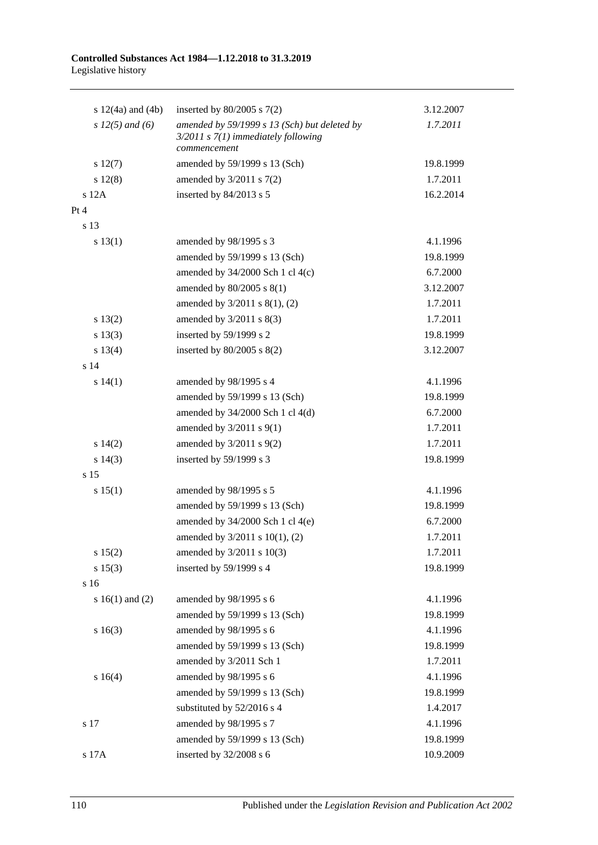#### **Controlled Substances Act 1984—1.12.2018 to 31.3.2019** Legislative history

| s $12(4a)$ and $(4b)$ | inserted by $80/2005$ s $7(2)$                                                          | 3.12.2007 |
|-----------------------|-----------------------------------------------------------------------------------------|-----------|
| s $12(5)$ and (6)     | amended by 59/1999 s 13 (Sch) but deleted by<br>$3/2011$ s $7(1)$ immediately following | 1.7.2011  |
|                       | commencement                                                                            |           |
| $s\ 12(7)$            | amended by 59/1999 s 13 (Sch)                                                           | 19.8.1999 |
| s 12(8)               | amended by $3/2011$ s $7(2)$                                                            | 1.7.2011  |
| $s$ 12A               | inserted by 84/2013 s 5                                                                 | 16.2.2014 |
| Pt 4                  |                                                                                         |           |
| s 13                  |                                                                                         |           |
| s 13(1)               | amended by 98/1995 s 3                                                                  | 4.1.1996  |
|                       | amended by 59/1999 s 13 (Sch)                                                           | 19.8.1999 |
|                       | amended by $34/2000$ Sch 1 cl $4(c)$                                                    | 6.7.2000  |
|                       | amended by $80/2005$ s $8(1)$                                                           | 3.12.2007 |
|                       | amended by 3/2011 s 8(1), (2)                                                           | 1.7.2011  |
| s 13(2)               | amended by $3/2011$ s $8(3)$                                                            | 1.7.2011  |
| s 13(3)               | inserted by 59/1999 s 2                                                                 | 19.8.1999 |
| s 13(4)               | inserted by $80/2005$ s $8(2)$                                                          | 3.12.2007 |
| s 14                  |                                                                                         |           |
| s 14(1)               | amended by 98/1995 s 4                                                                  | 4.1.1996  |
|                       | amended by 59/1999 s 13 (Sch)                                                           | 19.8.1999 |
|                       | amended by $34/2000$ Sch 1 cl $4(d)$                                                    | 6.7.2000  |
|                       | amended by $3/2011$ s $9(1)$                                                            | 1.7.2011  |
| s 14(2)               | amended by $3/2011$ s $9(2)$                                                            | 1.7.2011  |
| s 14(3)               | inserted by 59/1999 s 3                                                                 | 19.8.1999 |
| s 15                  |                                                                                         |           |
| s 15(1)               | amended by 98/1995 s 5                                                                  | 4.1.1996  |
|                       | amended by 59/1999 s 13 (Sch)                                                           | 19.8.1999 |
|                       | amended by $34/2000$ Sch 1 cl 4(e)                                                      | 6.7.2000  |
|                       | amended by 3/2011 s 10(1), (2)                                                          | 1.7.2011  |
| s 15(2)               | amended by 3/2011 s 10(3)                                                               | 1.7.2011  |
| s 15(3)               | inserted by 59/1999 s 4                                                                 | 19.8.1999 |
| s 16                  |                                                                                         |           |
| s $16(1)$ and $(2)$   | amended by 98/1995 s 6                                                                  | 4.1.1996  |
|                       | amended by 59/1999 s 13 (Sch)                                                           | 19.8.1999 |
| s16(3)                | amended by 98/1995 s 6                                                                  | 4.1.1996  |
|                       | amended by 59/1999 s 13 (Sch)                                                           | 19.8.1999 |
|                       | amended by 3/2011 Sch 1                                                                 | 1.7.2011  |
| s 16(4)               | amended by 98/1995 s 6                                                                  | 4.1.1996  |
|                       | amended by 59/1999 s 13 (Sch)                                                           | 19.8.1999 |
|                       | substituted by 52/2016 s 4                                                              | 1.4.2017  |
| s 17                  | amended by 98/1995 s 7                                                                  | 4.1.1996  |
|                       | amended by 59/1999 s 13 (Sch)                                                           | 19.8.1999 |
| s 17A                 | inserted by 32/2008 s 6                                                                 | 10.9.2009 |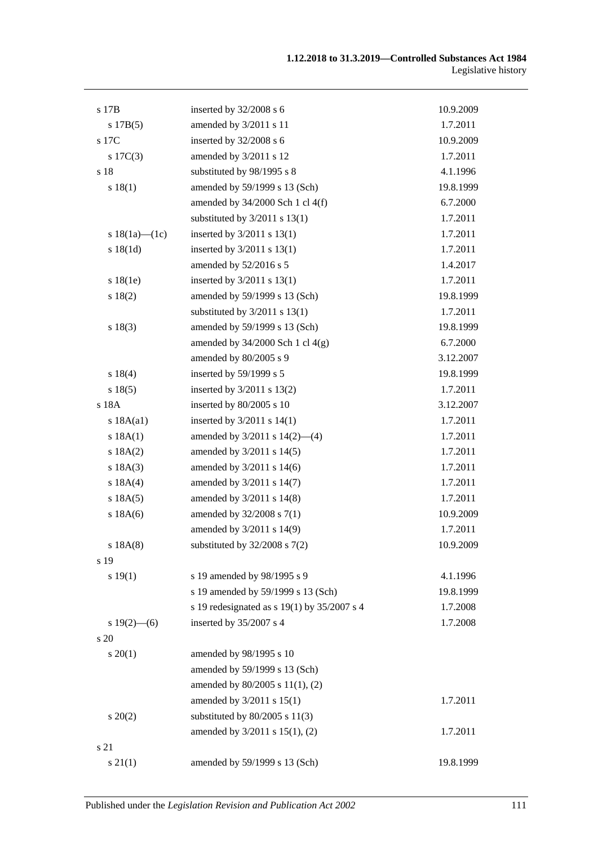| s 17B               | inserted by $32/2008$ s 6                   | 10.9.2009 |
|---------------------|---------------------------------------------|-----------|
| s 17B(5)            | amended by 3/2011 s 11                      | 1.7.2011  |
| s 17C               | inserted by 32/2008 s 6                     | 10.9.2009 |
| $s \ 17C(3)$        | amended by 3/2011 s 12                      | 1.7.2011  |
| s 18                | substituted by 98/1995 s 8                  | 4.1.1996  |
| s 18(1)             | amended by 59/1999 s 13 (Sch)               | 19.8.1999 |
|                     | amended by $34/2000$ Sch 1 cl $4(f)$        | 6.7.2000  |
|                     | substituted by $3/2011$ s $13(1)$           | 1.7.2011  |
| s $18(1a)$ — $(1c)$ | inserted by $3/2011$ s $13(1)$              | 1.7.2011  |
| s 18(1d)            | inserted by $3/2011$ s $13(1)$              | 1.7.2011  |
|                     | amended by 52/2016 s 5                      | 1.4.2017  |
| s 18(1e)            | inserted by $3/2011$ s $13(1)$              | 1.7.2011  |
| s 18(2)             | amended by 59/1999 s 13 (Sch)               | 19.8.1999 |
|                     | substituted by $3/2011$ s $13(1)$           | 1.7.2011  |
| s 18(3)             | amended by 59/1999 s 13 (Sch)               | 19.8.1999 |
|                     | amended by $34/2000$ Sch 1 cl $4(g)$        | 6.7.2000  |
|                     | amended by 80/2005 s 9                      | 3.12.2007 |
| s 18(4)             | inserted by 59/1999 s 5                     | 19.8.1999 |
| s 18(5)             | inserted by $3/2011$ s $13(2)$              | 1.7.2011  |
| s 18A               | inserted by 80/2005 s 10                    | 3.12.2007 |
| s 18A(a1)           | inserted by $3/2011$ s $14(1)$              | 1.7.2011  |
| s 18A(1)            | amended by $3/2011$ s $14(2)$ —(4)          | 1.7.2011  |
| s 18A(2)            | amended by $3/2011$ s $14(5)$               | 1.7.2011  |
| s 18A(3)            | amended by 3/2011 s 14(6)                   | 1.7.2011  |
| s 18A(4)            | amended by 3/2011 s 14(7)                   | 1.7.2011  |
| s 18A(5)            | amended by 3/2011 s 14(8)                   | 1.7.2011  |
| $s$ 18A $(6)$       | amended by 32/2008 s 7(1)                   | 10.9.2009 |
|                     | amended by 3/2011 s 14(9)                   | 1.7.2011  |
| s 18A(8)            | substituted by $32/2008$ s $7(2)$           | 10.9.2009 |
| s 19                |                                             |           |
| s 19(1)             | s 19 amended by 98/1995 s 9                 | 4.1.1996  |
|                     | s 19 amended by 59/1999 s 13 (Sch)          | 19.8.1999 |
|                     | s 19 redesignated as s 19(1) by 35/2007 s 4 | 1.7.2008  |
| s $19(2)$ —(6)      | inserted by 35/2007 s 4                     | 1.7.2008  |
| s 20                |                                             |           |
| $s \ 20(1)$         | amended by 98/1995 s 10                     |           |
|                     | amended by 59/1999 s 13 (Sch)               |           |
|                     | amended by 80/2005 s 11(1), (2)             |           |
|                     | amended by 3/2011 s 15(1)                   | 1.7.2011  |
| $s\,20(2)$          | substituted by $80/2005$ s $11(3)$          |           |
|                     | amended by 3/2011 s 15(1), (2)              | 1.7.2011  |
| s 21                |                                             |           |
| $s \, 21(1)$        | amended by 59/1999 s 13 (Sch)               | 19.8.1999 |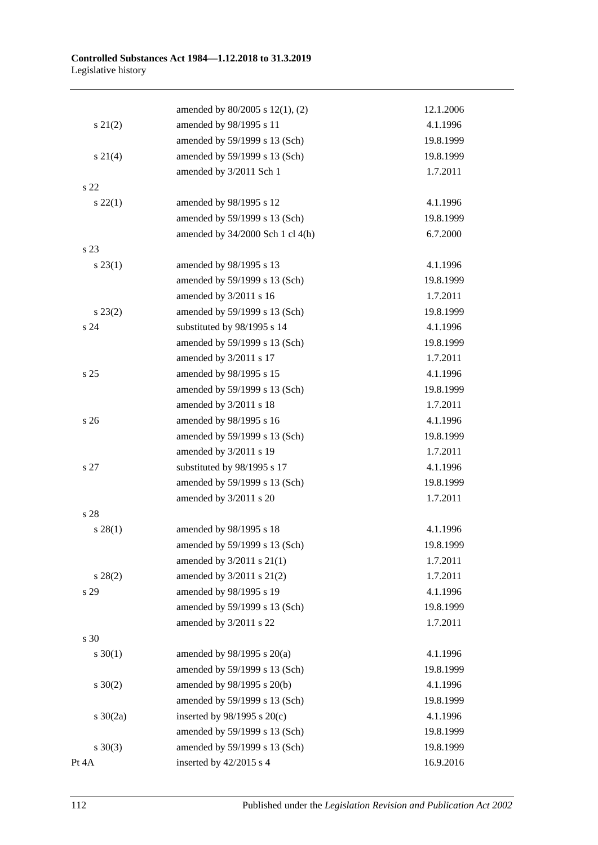|                 | amended by 80/2005 s 12(1), (2)  | 12.1.2006 |
|-----------------|----------------------------------|-----------|
| $s\ 21(2)$      | amended by 98/1995 s 11          | 4.1.1996  |
|                 | amended by 59/1999 s 13 (Sch)    | 19.8.1999 |
| $s \ 21(4)$     | amended by 59/1999 s 13 (Sch)    | 19.8.1999 |
|                 | amended by 3/2011 Sch 1          | 1.7.2011  |
| s 22            |                                  |           |
| $s\,22(1)$      | amended by 98/1995 s 12          | 4.1.1996  |
|                 | amended by 59/1999 s 13 (Sch)    | 19.8.1999 |
|                 | amended by 34/2000 Sch 1 cl 4(h) | 6.7.2000  |
| s 23            |                                  |           |
| $s\,23(1)$      | amended by 98/1995 s 13          | 4.1.1996  |
|                 | amended by 59/1999 s 13 (Sch)    | 19.8.1999 |
|                 | amended by 3/2011 s 16           | 1.7.2011  |
| $s\,23(2)$      | amended by 59/1999 s 13 (Sch)    | 19.8.1999 |
| s <sub>24</sub> | substituted by 98/1995 s 14      | 4.1.1996  |
|                 | amended by 59/1999 s 13 (Sch)    | 19.8.1999 |
|                 | amended by 3/2011 s 17           | 1.7.2011  |
| s 25            | amended by 98/1995 s 15          | 4.1.1996  |
|                 | amended by 59/1999 s 13 (Sch)    | 19.8.1999 |
|                 | amended by 3/2011 s 18           | 1.7.2011  |
| s <sub>26</sub> | amended by 98/1995 s 16          | 4.1.1996  |
|                 | amended by 59/1999 s 13 (Sch)    | 19.8.1999 |
|                 | amended by 3/2011 s 19           | 1.7.2011  |
| s 27            | substituted by 98/1995 s 17      | 4.1.1996  |
|                 | amended by 59/1999 s 13 (Sch)    | 19.8.1999 |
|                 | amended by 3/2011 s 20           | 1.7.2011  |
| s 28            |                                  |           |
| $s\,28(1)$      | amended by 98/1995 s 18          | 4.1.1996  |
|                 | amended by 59/1999 s 13 (Sch)    | 19.8.1999 |
|                 | amended by $3/2011$ s $21(1)$    | 1.7.2011  |
| $s\,28(2)$      | amended by 3/2011 s 21(2)        | 1.7.2011  |
| s 29            | amended by 98/1995 s 19          | 4.1.1996  |
|                 | amended by 59/1999 s 13 (Sch)    | 19.8.1999 |
|                 | amended by 3/2011 s 22           | 1.7.2011  |
| s 30            |                                  |           |
| $s \ 30(1)$     | amended by $98/1995$ s $20(a)$   | 4.1.1996  |
|                 | amended by 59/1999 s 13 (Sch)    | 19.8.1999 |
| $s \ 30(2)$     | amended by 98/1995 s 20(b)       | 4.1.1996  |
|                 | amended by 59/1999 s 13 (Sch)    | 19.8.1999 |
| $s \ 30(2a)$    | inserted by $98/1995$ s $20(c)$  | 4.1.1996  |
|                 | amended by 59/1999 s 13 (Sch)    | 19.8.1999 |
| $s \ 30(3)$     | amended by 59/1999 s 13 (Sch)    | 19.8.1999 |
| Pt 4A           | inserted by 42/2015 s 4          | 16.9.2016 |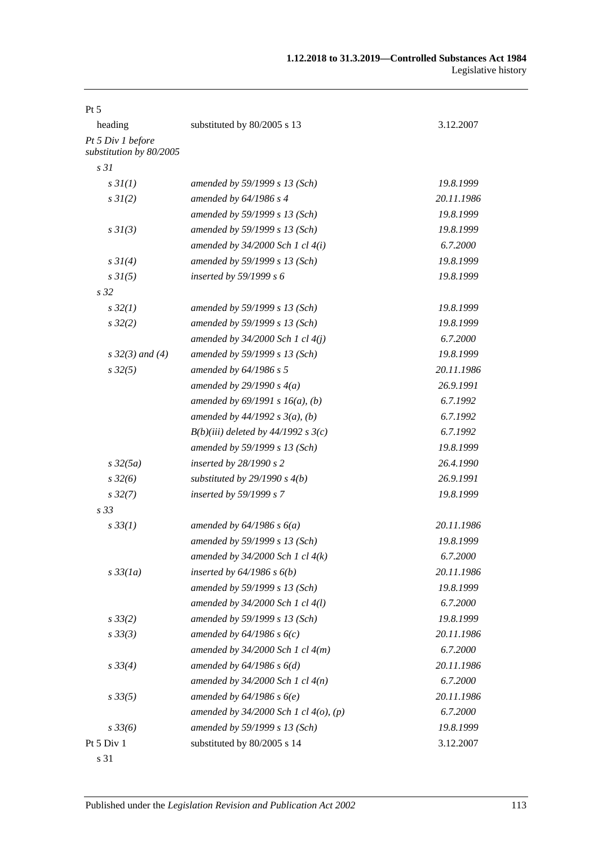| $Pt\,5$                                      |                                            |            |
|----------------------------------------------|--------------------------------------------|------------|
| heading                                      | substituted by 80/2005 s 13                | 3.12.2007  |
| Pt 5 Div 1 before<br>substitution by 80/2005 |                                            |            |
| s <sub>31</sub>                              |                                            |            |
| $s \, 3I(1)$                                 | amended by 59/1999 s 13 (Sch)              | 19.8.1999  |
| $s \, 3I(2)$                                 | amended by $64/1986$ s 4                   | 20.11.1986 |
|                                              | amended by 59/1999 s 13 (Sch)              | 19.8.1999  |
| s3I(3)                                       | amended by 59/1999 s 13 (Sch)              | 19.8.1999  |
|                                              | amended by $34/2000$ Sch 1 cl $4(i)$       | 6.7.2000   |
| $s \, 3I(4)$                                 | amended by 59/1999 s 13 (Sch)              | 19.8.1999  |
| $s \, 3I(5)$                                 | inserted by $59/1999 s 6$                  | 19.8.1999  |
| s <sub>32</sub>                              |                                            |            |
| $s\,32(1)$                                   | amended by 59/1999 s 13 (Sch)              | 19.8.1999  |
| $s\,32(2)$                                   | amended by 59/1999 s 13 (Sch)              | 19.8.1999  |
|                                              | amended by $34/2000$ Sch 1 cl $4(j)$       | 6.7.2000   |
| $s \, 32(3)$ and (4)                         | amended by 59/1999 s 13 (Sch)              | 19.8.1999  |
| $s\,32(5)$                                   | amended by $64/1986 s 5$                   | 20.11.1986 |
|                                              | amended by $29/1990 s 4(a)$                | 26.9.1991  |
|                                              | amended by $69/1991 s 16(a)$ , (b)         | 6.7.1992   |
|                                              | amended by $44/1992 s 3(a), (b)$           | 6.7.1992   |
|                                              | $B(b)(iii)$ deleted by 44/1992 s 3(c)      | 6.7.1992   |
|                                              | amended by 59/1999 s 13 (Sch)              | 19.8.1999  |
| $s\,32(5a)$                                  | inserted by $28/1990 s 2$                  | 26.4.1990  |
| $s\,32(6)$                                   | substituted by $29/1990 s 4(b)$            | 26.9.1991  |
| $s\,32(7)$                                   | inserted by 59/1999 s 7                    | 19.8.1999  |
| s <sub>33</sub>                              |                                            |            |
| $s\,33(1)$                                   | amended by $64/1986 s 6(a)$                | 20.11.1986 |
|                                              | amended by 59/1999 s 13 (Sch)              | 19.8.1999  |
|                                              | amended by $34/2000$ Sch 1 cl $4(k)$       | 6.7.2000   |
| $s\,33(1a)$                                  | inserted by $64/1986$ s $6(b)$             | 20.11.1986 |
|                                              | amended by 59/1999 s 13 (Sch)              | 19.8.1999  |
|                                              | amended by 34/2000 Sch 1 cl 4(l)           | 6.7.2000   |
| $s\,33(2)$                                   | amended by 59/1999 s 13 (Sch)              | 19.8.1999  |
| $s \, 33(3)$                                 | amended by $64/1986 s 6(c)$                | 20.11.1986 |
|                                              | amended by $34/2000$ Sch 1 cl $4(m)$       | 6.7.2000   |
| $s \, 33(4)$                                 | amended by $64/1986 s 6(d)$                | 20.11.1986 |
|                                              | amended by $34/2000$ Sch 1 cl $4(n)$       | 6.7.2000   |
| $s\,33(5)$                                   | amended by $64/1986 s 6(e)$                | 20.11.1986 |
|                                              | amended by $34/2000$ Sch 1 cl $4(o)$ , (p) | 6.7.2000   |
| $s\,33(6)$                                   | amended by 59/1999 s 13 (Sch)              | 19.8.1999  |
| Pt 5 Div 1                                   | substituted by 80/2005 s 14                | 3.12.2007  |
| s 31                                         |                                            |            |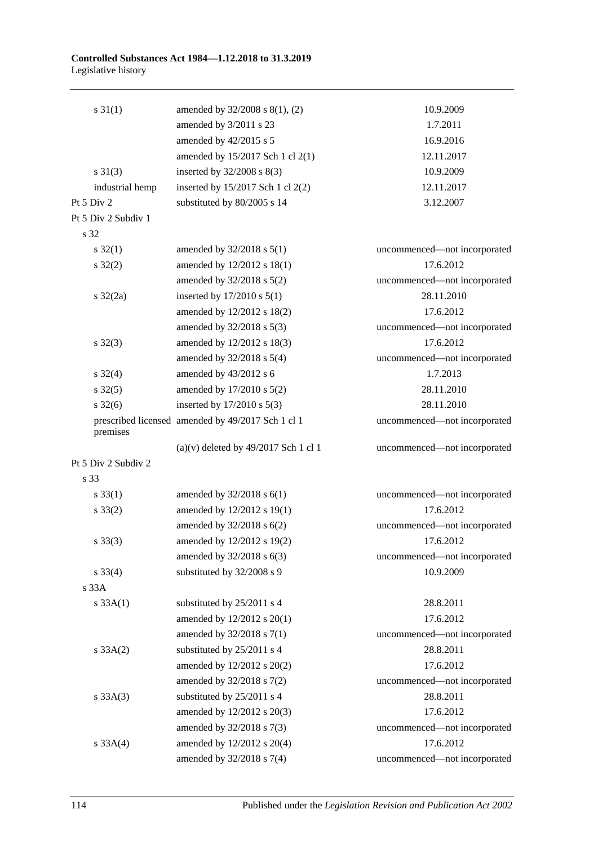#### **Controlled Substances Act 1984—1.12.2018 to 31.3.2019** Legislative history

| $s \, 31(1)$          | amended by 32/2008 s 8(1), (2)                    | 10.9.2009                    |
|-----------------------|---------------------------------------------------|------------------------------|
|                       | amended by 3/2011 s 23                            | 1.7.2011                     |
|                       | amended by 42/2015 s 5                            | 16.9.2016                    |
|                       | amended by 15/2017 Sch 1 cl 2(1)                  | 12.11.2017                   |
| $s \ 31(3)$           | inserted by $32/2008$ s $8(3)$                    | 10.9.2009                    |
| industrial hemp       | inserted by 15/2017 Sch 1 cl 2(2)                 | 12.11.2017                   |
| Pt $5 \mathrm{Div} 2$ | substituted by 80/2005 s 14                       | 3.12.2007                    |
| Pt 5 Div 2 Subdiv 1   |                                                   |                              |
| s 32                  |                                                   |                              |
| $s \, 32(1)$          | amended by $32/2018$ s $5(1)$                     | uncommenced-not incorporated |
| $s \, 32(2)$          | amended by 12/2012 s 18(1)                        | 17.6.2012                    |
|                       | amended by 32/2018 s 5(2)                         | uncommenced-not incorporated |
| $s \frac{32}{2a}$     | inserted by $17/2010$ s $5(1)$                    | 28.11.2010                   |
|                       | amended by 12/2012 s 18(2)                        | 17.6.2012                    |
|                       | amended by 32/2018 s 5(3)                         | uncommenced-not incorporated |
| $s \, 32(3)$          | amended by 12/2012 s 18(3)                        | 17.6.2012                    |
|                       | amended by $32/2018$ s $5(4)$                     | uncommenced-not incorporated |
| $s \, 32(4)$          | amended by 43/2012 s 6                            | 1.7.2013                     |
| $s \, 32(5)$          | amended by 17/2010 s 5(2)                         | 28.11.2010                   |
| $s \frac{32(6)}{2}$   | inserted by $17/2010$ s $5(3)$                    | 28.11.2010                   |
|                       | prescribed licensed amended by 49/2017 Sch 1 cl 1 | uncommenced-not incorporated |
| premises              |                                                   |                              |
|                       | $(a)(v)$ deleted by 49/2017 Sch 1 cl 1            | uncommenced-not incorporated |
| Pt 5 Div 2 Subdiv 2   |                                                   |                              |
| s 33                  |                                                   |                              |
| $s \, 33(1)$          | amended by $32/2018$ s $6(1)$                     | uncommenced-not incorporated |
| $s \, 33(2)$          | amended by 12/2012 s 19(1)                        | 17.6.2012                    |
|                       | amended by 32/2018 s 6(2)                         | uncommenced-not incorporated |
| $s \, 33(3)$          | amended by 12/2012 s 19(2)                        | 17.6.2012                    |
|                       | amended by $32/2018$ s $6(3)$                     | uncommenced-not incorporated |
| $s \, 33(4)$          | substituted by 32/2008 s 9                        | 10.9.2009                    |
| s 33A                 |                                                   |                              |
| s 33A(1)              | substituted by 25/2011 s 4                        | 28.8.2011                    |
|                       | amended by 12/2012 s 20(1)                        | 17.6.2012                    |
|                       | amended by $32/2018$ s $7(1)$                     | uncommenced-not incorporated |
| $s \, 33A(2)$         | substituted by 25/2011 s 4                        | 28.8.2011                    |
|                       | amended by 12/2012 s 20(2)                        | 17.6.2012                    |
|                       | amended by 32/2018 s 7(2)                         | uncommenced-not incorporated |
| $s \, 33A(3)$         | substituted by 25/2011 s 4                        | 28.8.2011                    |
|                       | amended by 12/2012 s 20(3)                        | 17.6.2012                    |
|                       | amended by 32/2018 s 7(3)                         | uncommenced-not incorporated |
| s 33A(4)              | amended by 12/2012 s 20(4)                        | 17.6.2012                    |
|                       | amended by 32/2018 s 7(4)                         | uncommenced-not incorporated |

114 Published under the *Legislation Revision and Publication Act 2002*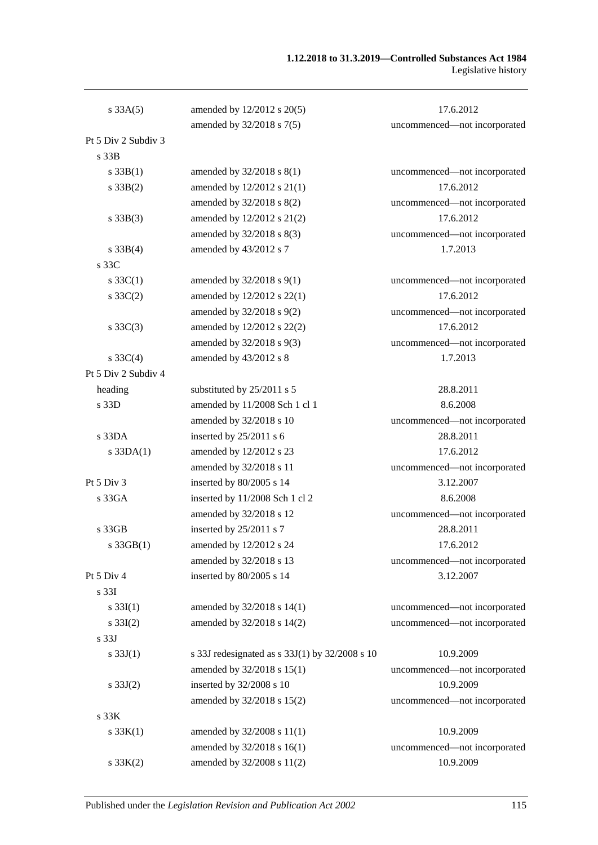| s 33A(5)            | amended by 12/2012 s 20(5)                     | 17.6.2012                    |
|---------------------|------------------------------------------------|------------------------------|
|                     | amended by 32/2018 s 7(5)                      | uncommenced-not incorporated |
| Pt 5 Div 2 Subdiv 3 |                                                |                              |
| s 33B               |                                                |                              |
| $s \, 33B(1)$       | amended by 32/2018 s 8(1)                      | uncommenced-not incorporated |
| $s \, 33B(2)$       | amended by 12/2012 s 21(1)                     | 17.6.2012                    |
|                     | amended by 32/2018 s 8(2)                      | uncommenced-not incorporated |
| $s \, 33B(3)$       | amended by 12/2012 s 21(2)                     | 17.6.2012                    |
|                     | amended by 32/2018 s 8(3)                      | uncommenced-not incorporated |
| $s \, 33B(4)$       | amended by 43/2012 s 7                         | 1.7.2013                     |
| s 33C               |                                                |                              |
| $s \, 33C(1)$       | amended by $32/2018$ s $9(1)$                  | uncommenced-not incorporated |
| $s \, 33C(2)$       | amended by 12/2012 s 22(1)                     | 17.6.2012                    |
|                     | amended by 32/2018 s 9(2)                      | uncommenced-not incorporated |
| $s \, 33C(3)$       | amended by 12/2012 s 22(2)                     | 17.6.2012                    |
|                     | amended by 32/2018 s 9(3)                      | uncommenced-not incorporated |
| $s \, 33C(4)$       | amended by 43/2012 s 8                         | 1.7.2013                     |
| Pt 5 Div 2 Subdiv 4 |                                                |                              |
| heading             | substituted by 25/2011 s 5                     | 28.8.2011                    |
| s 33D               | amended by 11/2008 Sch 1 cl 1                  | 8.6.2008                     |
|                     | amended by 32/2018 s 10                        | uncommenced-not incorporated |
| s 33DA              | inserted by 25/2011 s 6                        | 28.8.2011                    |
| $s$ 33DA $(1)$      | amended by 12/2012 s 23                        | 17.6.2012                    |
|                     | amended by 32/2018 s 11                        | uncommenced-not incorporated |
| Pt 5 Div 3          | inserted by 80/2005 s 14                       | 3.12.2007                    |
| s33GA               | inserted by 11/2008 Sch 1 cl 2                 | 8.6.2008                     |
|                     | amended by 32/2018 s 12                        | uncommenced-not incorporated |
| s 33GB              | inserted by 25/2011 s 7                        | 28.8.2011                    |
| s 33GB(1)           | amended by 12/2012 s 24                        | 17.6.2012                    |
|                     | amended by 32/2018 s 13                        | uncommenced-not incorporated |
| Pt 5 Div 4          | inserted by 80/2005 s 14                       | 3.12.2007                    |
| s 33I               |                                                |                              |
| $s \, 33I(1)$       | amended by 32/2018 s 14(1)                     | uncommenced-not incorporated |
| $s \, 33I(2)$       | amended by 32/2018 s 14(2)                     | uncommenced-not incorporated |
| s <sub>33J</sub>    |                                                |                              |
| s $33J(1)$          | s 33J redesignated as s 33J(1) by 32/2008 s 10 | 10.9.2009                    |
|                     | amended by 32/2018 s 15(1)                     | uncommenced-not incorporated |
| s $33J(2)$          | inserted by 32/2008 s 10                       | 10.9.2009                    |
|                     | amended by 32/2018 s 15(2)                     | uncommenced-not incorporated |
| s 33K               |                                                |                              |
| s $33K(1)$          | amended by 32/2008 s 11(1)                     | 10.9.2009                    |
|                     | amended by 32/2018 s 16(1)                     | uncommenced-not incorporated |
| $s \, 33K(2)$       | amended by 32/2008 s 11(2)                     | 10.9.2009                    |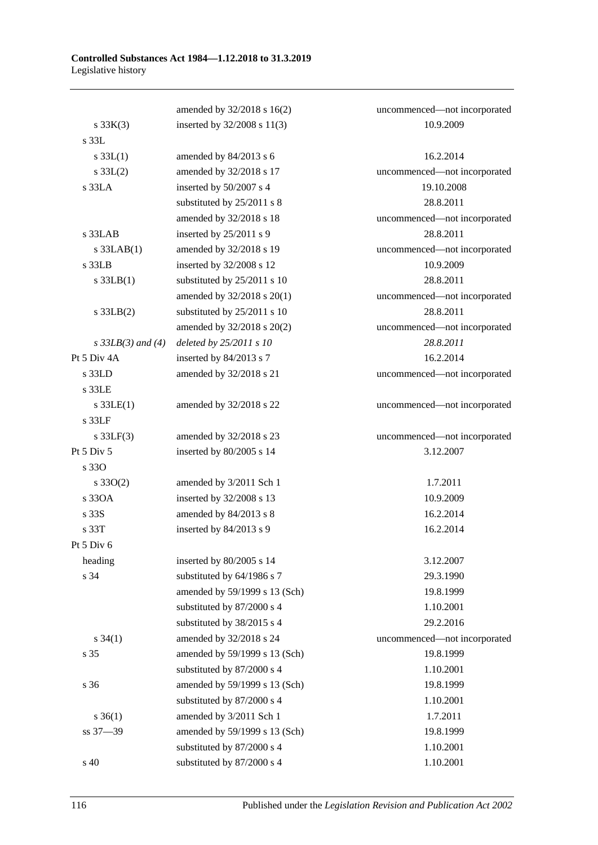|                     | amended by 32/2018 s 16(2)    | uncommenced-not incorporated |
|---------------------|-------------------------------|------------------------------|
| $s \, 33K(3)$       | inserted by 32/2008 s 11(3)   | 10.9.2009                    |
| $s$ 33L             |                               |                              |
| $s \, 33L(1)$       | amended by 84/2013 s 6        | 16.2.2014                    |
| $s \, 33L(2)$       | amended by 32/2018 s 17       | uncommenced-not incorporated |
| $s$ 33LA            | inserted by 50/2007 s 4       | 19.10.2008                   |
|                     | substituted by 25/2011 s 8    | 28.8.2011                    |
|                     | amended by 32/2018 s 18       | uncommenced-not incorporated |
| s 33LAB             | inserted by 25/2011 s 9       | 28.8.2011                    |
| $s$ 33LAB $(1)$     | amended by 32/2018 s 19       | uncommenced-not incorporated |
| $s$ 33LB            | inserted by 32/2008 s 12      | 10.9.2009                    |
| $s$ 33LB $(1)$      | substituted by 25/2011 s 10   | 28.8.2011                    |
|                     | amended by 32/2018 s 20(1)    | uncommenced-not incorporated |
| $s$ 33LB $(2)$      | substituted by 25/2011 s 10   | 28.8.2011                    |
|                     | amended by 32/2018 s 20(2)    | uncommenced-not incorporated |
| $s$ 33LB(3) and (4) | deleted by 25/2011 s 10       | 28.8.2011                    |
| Pt 5 Div 4A         | inserted by 84/2013 s 7       | 16.2.2014                    |
| $s$ 33LD            | amended by 32/2018 s 21       | uncommenced-not incorporated |
| s 33LE              |                               |                              |
| $s$ 33LE(1)         | amended by 32/2018 s 22       | uncommenced-not incorporated |
| $s$ 33 $LF$         |                               |                              |
| $s$ 33LF(3)         | amended by 32/2018 s 23       | uncommenced-not incorporated |
| Pt 5 Div 5          | inserted by 80/2005 s 14      | 3.12.2007                    |
| s 330               |                               |                              |
| $s \, 33O(2)$       | amended by 3/2011 Sch 1       | 1.7.2011                     |
| s 330A              | inserted by 32/2008 s 13      | 10.9.2009                    |
| s 33S               | amended by 84/2013 s 8        | 16.2.2014                    |
| s 33T               | inserted by 84/2013 s 9       | 16.2.2014                    |
| Pt 5 Div 6          |                               |                              |
| heading             | inserted by 80/2005 s 14      | 3.12.2007                    |
| s 34                | substituted by 64/1986 s 7    | 29.3.1990                    |
|                     | amended by 59/1999 s 13 (Sch) | 19.8.1999                    |
|                     | substituted by 87/2000 s 4    | 1.10.2001                    |
|                     | substituted by 38/2015 s 4    | 29.2.2016                    |
| $s \, 34(1)$        | amended by 32/2018 s 24       | uncommenced-not incorporated |
| s 35                | amended by 59/1999 s 13 (Sch) | 19.8.1999                    |
|                     | substituted by 87/2000 s 4    | 1.10.2001                    |
| s 36                | amended by 59/1999 s 13 (Sch) | 19.8.1999                    |
|                     | substituted by 87/2000 s 4    | 1.10.2001                    |
| $s \; 36(1)$        | amended by 3/2011 Sch 1       | 1.7.2011                     |
| ss 37-39            | amended by 59/1999 s 13 (Sch) | 19.8.1999                    |
|                     | substituted by 87/2000 s 4    | 1.10.2001                    |
| s 40                | substituted by 87/2000 s 4    | 1.10.2001                    |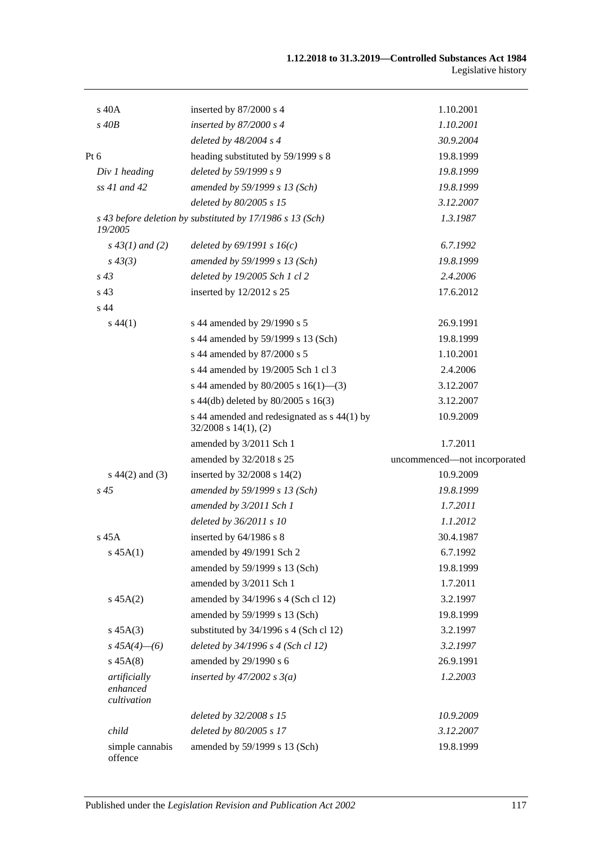| s 40A                                   | inserted by 87/2000 s 4                                                  | 1.10.2001                    |
|-----------------------------------------|--------------------------------------------------------------------------|------------------------------|
| $s$ 40 $B$                              | inserted by $87/2000 s 4$                                                | 1.10.2001                    |
|                                         | deleted by $48/2004$ s 4                                                 | 30.9.2004                    |
| Pt 6                                    | heading substituted by 59/1999 s 8                                       | 19.8.1999                    |
| Div 1 heading                           | deleted by 59/1999 s 9                                                   | 19.8.1999                    |
| $ss$ 41 and 42                          | amended by 59/1999 s 13 (Sch)                                            | 19.8.1999                    |
|                                         | deleted by 80/2005 s 15                                                  | 3.12.2007                    |
| 19/2005                                 | s 43 before deletion by substituted by 17/1986 s 13 (Sch)                | 1.3.1987                     |
| $s\,43(1)$ and (2)                      | deleted by $69/1991 s 16(c)$                                             | 6.7.1992                     |
| $s\,43(3)$                              | amended by 59/1999 s 13 (Sch)                                            | 19.8.1999                    |
| $s\,43$                                 | deleted by 19/2005 Sch 1 cl 2                                            | 2.4.2006                     |
| s 43                                    | inserted by $12/2012$ s 25                                               | 17.6.2012                    |
| s 44                                    |                                                                          |                              |
| $s\,44(1)$                              | s 44 amended by 29/1990 s 5                                              | 26.9.1991                    |
|                                         | s 44 amended by 59/1999 s 13 (Sch)                                       | 19.8.1999                    |
|                                         | s 44 amended by 87/2000 s 5                                              | 1.10.2001                    |
|                                         | s 44 amended by 19/2005 Sch 1 cl 3                                       | 2.4.2006                     |
|                                         | s 44 amended by 80/2005 s 16(1)–(3)                                      | 3.12.2007                    |
|                                         | s 44(db) deleted by 80/2005 s 16(3)                                      | 3.12.2007                    |
|                                         | s 44 amended and redesignated as s 44(1) by<br>$32/2008$ s $14(1)$ , (2) | 10.9.2009                    |
|                                         | amended by 3/2011 Sch 1                                                  | 1.7.2011                     |
|                                         | amended by 32/2018 s 25                                                  | uncommenced-not incorporated |
| $s\ 44(2)$ and (3)                      | inserted by $32/2008$ s $14(2)$                                          | 10.9.2009                    |
| $s\,45$                                 | amended by 59/1999 s 13 (Sch)                                            | 19.8.1999                    |
|                                         | amended by 3/2011 Sch 1                                                  | 1.7.2011                     |
|                                         | deleted by 36/2011 s 10                                                  | 1.1.2012                     |
| $s$ 45 $A$                              | inserted by 64/1986 s 8                                                  | 30.4.1987                    |
| s 45A(1)                                | amended by 49/1991 Sch 2                                                 | 6.7.1992                     |
|                                         | amended by 59/1999 s 13 (Sch)                                            | 19.8.1999                    |
|                                         | amended by 3/2011 Sch 1                                                  | 1.7.2011                     |
| $s\,45A(2)$                             | amended by 34/1996 s 4 (Sch cl 12)                                       | 3.2.1997                     |
|                                         | amended by 59/1999 s 13 (Sch)                                            | 19.8.1999                    |
| $s\,45A(3)$                             | substituted by 34/1996 s 4 (Sch cl 12)                                   | 3.2.1997                     |
| $s\,45A(4)$ - (6)                       | deleted by 34/1996 s 4 (Sch cl 12)                                       | 3.2.1997                     |
| $s\,45A(8)$                             | amended by 29/1990 s 6                                                   | 26.9.1991                    |
| artificially<br>enhanced<br>cultivation | inserted by $47/2002 s 3(a)$                                             | 1.2.2003                     |
|                                         | deleted by 32/2008 s 15                                                  | 10.9.2009                    |
| child                                   | deleted by 80/2005 s 17                                                  | 3.12.2007                    |
| simple cannabis<br>offence              | amended by 59/1999 s 13 (Sch)                                            | 19.8.1999                    |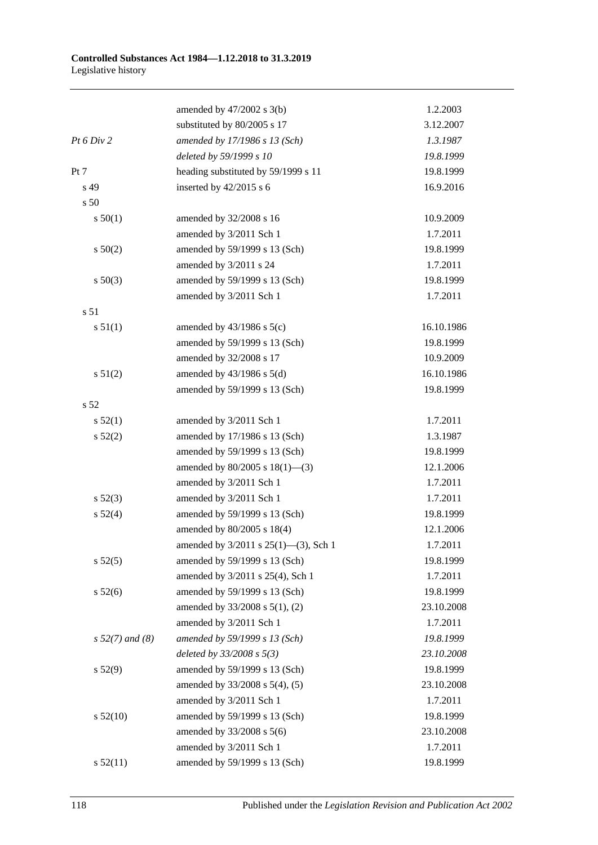|                   | amended by $47/2002$ s 3(b)          | 1.2.2003   |
|-------------------|--------------------------------------|------------|
|                   | substituted by 80/2005 s 17          | 3.12.2007  |
| Pt 6 Div 2        | amended by 17/1986 s 13 (Sch)        | 1.3.1987   |
|                   | deleted by 59/1999 s 10              | 19.8.1999  |
| Pt 7              | heading substituted by 59/1999 s 11  | 19.8.1999  |
| s 49              | inserted by $42/2015$ s 6            | 16.9.2016  |
| s 50              |                                      |            |
| s 50(1)           | amended by 32/2008 s 16              | 10.9.2009  |
|                   | amended by 3/2011 Sch 1              | 1.7.2011   |
| s 50(2)           | amended by 59/1999 s 13 (Sch)        | 19.8.1999  |
|                   | amended by 3/2011 s 24               | 1.7.2011   |
| $s\ 50(3)$        | amended by 59/1999 s 13 (Sch)        | 19.8.1999  |
|                   | amended by 3/2011 Sch 1              | 1.7.2011   |
| s <sub>51</sub>   |                                      |            |
| s 51(1)           | amended by $43/1986$ s $5(c)$        | 16.10.1986 |
|                   | amended by 59/1999 s 13 (Sch)        | 19.8.1999  |
|                   | amended by 32/2008 s 17              | 10.9.2009  |
| s 51(2)           | amended by $43/1986$ s $5(d)$        | 16.10.1986 |
|                   | amended by 59/1999 s 13 (Sch)        | 19.8.1999  |
| s 52              |                                      |            |
| s 52(1)           | amended by 3/2011 Sch 1              | 1.7.2011   |
| s 52(2)           | amended by 17/1986 s 13 (Sch)        | 1.3.1987   |
|                   | amended by 59/1999 s 13 (Sch)        | 19.8.1999  |
|                   | amended by $80/2005$ s $18(1)$ —(3)  | 12.1.2006  |
|                   | amended by 3/2011 Sch 1              | 1.7.2011   |
| $s\,52(3)$        | amended by 3/2011 Sch 1              | 1.7.2011   |
| s 52(4)           | amended by 59/1999 s 13 (Sch)        | 19.8.1999  |
|                   | amended by 80/2005 s 18(4)           | 12.1.2006  |
|                   | amended by 3/2011 s 25(1)-(3), Sch 1 | 1.7.2011   |
| s 52(5)           | amended by 59/1999 s 13 (Sch)        | 19.8.1999  |
|                   | amended by 3/2011 s 25(4), Sch 1     | 1.7.2011   |
| $s\,52(6)$        | amended by 59/1999 s 13 (Sch)        | 19.8.1999  |
|                   | amended by 33/2008 s 5(1), (2)       | 23.10.2008 |
|                   | amended by 3/2011 Sch 1              | 1.7.2011   |
| $s 52(7)$ and (8) | amended by 59/1999 s 13 (Sch)        | 19.8.1999  |
|                   | deleted by $33/2008 s 5(3)$          | 23.10.2008 |
| s 52(9)           | amended by 59/1999 s 13 (Sch)        | 19.8.1999  |
|                   | amended by 33/2008 s 5(4), (5)       | 23.10.2008 |
|                   | amended by 3/2011 Sch 1              | 1.7.2011   |
| $s\,52(10)$       | amended by 59/1999 s 13 (Sch)        | 19.8.1999  |
|                   | amended by 33/2008 s 5(6)            | 23.10.2008 |
|                   | amended by 3/2011 Sch 1              | 1.7.2011   |
| s 52(11)          | amended by 59/1999 s 13 (Sch)        | 19.8.1999  |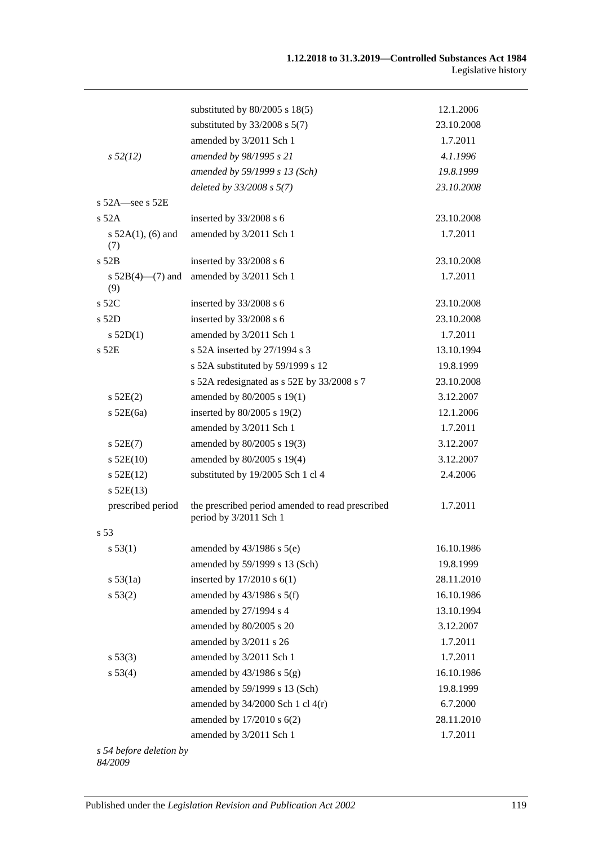|                               | substituted by $80/2005$ s $18(5)$                                         | 12.1.2006  |
|-------------------------------|----------------------------------------------------------------------------|------------|
|                               | substituted by $33/2008$ s $5(7)$                                          | 23.10.2008 |
|                               | amended by 3/2011 Sch 1                                                    | 1.7.2011   |
| $s\,52(12)$                   | amended by 98/1995 s 21                                                    | 4.1.1996   |
|                               | amended by 59/1999 s 13 (Sch)                                              | 19.8.1999  |
|                               | deleted by 33/2008 s 5(7)                                                  | 23.10.2008 |
| s $52A$ -see s $52E$          |                                                                            |            |
| $s$ 52A                       | inserted by 33/2008 s 6                                                    | 23.10.2008 |
| s $52A(1)$ , (6) and<br>(7)   | amended by 3/2011 Sch 1                                                    | 1.7.2011   |
| $s$ 52B                       | inserted by 33/2008 s 6                                                    | 23.10.2008 |
| s $52B(4)$ — $(7)$ and<br>(9) | amended by 3/2011 Sch 1                                                    | 1.7.2011   |
| s 52C                         | inserted by 33/2008 s 6                                                    | 23.10.2008 |
| $s$ 52D                       | inserted by 33/2008 s 6                                                    | 23.10.2008 |
| s 52D(1)                      | amended by 3/2011 Sch 1                                                    | 1.7.2011   |
| s 52E                         | s 52A inserted by 27/1994 s 3                                              | 13.10.1994 |
|                               | s 52A substituted by 59/1999 s 12                                          | 19.8.1999  |
|                               | s 52A redesignated as s 52E by 33/2008 s 7                                 | 23.10.2008 |
| s 52E(2)                      | amended by 80/2005 s 19(1)                                                 | 3.12.2007  |
| $s$ 52E(6a)                   | inserted by 80/2005 s 19(2)                                                | 12.1.2006  |
|                               | amended by 3/2011 Sch 1                                                    | 1.7.2011   |
| $s$ 52E(7)                    | amended by 80/2005 s 19(3)                                                 | 3.12.2007  |
| $s$ 52E(10)                   | amended by 80/2005 s 19(4)                                                 | 3.12.2007  |
| $s$ 52E(12)                   | substituted by 19/2005 Sch 1 cl 4                                          | 2.4.2006   |
| $s$ 52E(13)                   |                                                                            |            |
| prescribed period             | the prescribed period amended to read prescribed<br>period by 3/2011 Sch 1 | 1.7.2011   |
| s 53                          |                                                                            |            |
| s 53(1)                       | amended by $43/1986$ s $5(e)$                                              | 16.10.1986 |
|                               | amended by 59/1999 s 13 (Sch)                                              | 19.8.1999  |
| s 53(1a)                      | inserted by $17/2010$ s $6(1)$                                             | 28.11.2010 |
| s 53(2)                       | amended by $43/1986$ s $5(f)$                                              | 16.10.1986 |
|                               | amended by 27/1994 s 4                                                     | 13.10.1994 |
|                               | amended by 80/2005 s 20                                                    | 3.12.2007  |
|                               | amended by 3/2011 s 26                                                     | 1.7.2011   |
| s 53(3)                       | amended by 3/2011 Sch 1                                                    | 1.7.2011   |
| s 53(4)                       | amended by $43/1986$ s $5(g)$                                              | 16.10.1986 |
|                               | amended by 59/1999 s 13 (Sch)                                              | 19.8.1999  |
|                               | amended by $34/2000$ Sch 1 cl $4(r)$                                       | 6.7.2000   |
|                               | amended by 17/2010 s 6(2)                                                  | 28.11.2010 |
|                               | amended by 3/2011 Sch 1                                                    | 1.7.2011   |

*s 54 before deletion by 84/2009*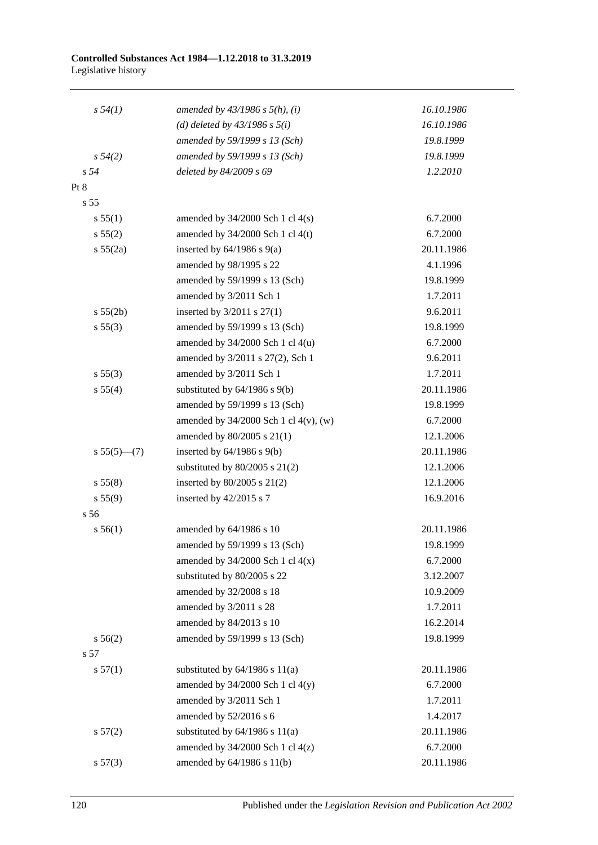#### **Controlled Substances Act 1984—1.12.2018 to 31.3.2019** Legislative history

| s 54(1)         | amended by $43/1986$ s $5(h)$ , (i)        | 16.10.1986 |
|-----------------|--------------------------------------------|------------|
|                 | (d) deleted by $43/1986$ s $5(i)$          | 16.10.1986 |
|                 | amended by 59/1999 s 13 (Sch)              | 19.8.1999  |
| $s\,54(2)$      | amended by 59/1999 s 13 (Sch)              | 19.8.1999  |
| s <sub>54</sub> | deleted by 84/2009 s 69                    | 1.2.2010   |
| Pt 8            |                                            |            |
| s <sub>55</sub> |                                            |            |
| s 55(1)         | amended by $34/2000$ Sch 1 cl $4(s)$       | 6.7.2000   |
| s 55(2)         | amended by $34/2000$ Sch 1 cl 4(t)         | 6.7.2000   |
| s 55(2a)        | inserted by $64/1986$ s $9(a)$             | 20.11.1986 |
|                 | amended by 98/1995 s 22                    | 4.1.1996   |
|                 | amended by 59/1999 s 13 (Sch)              | 19.8.1999  |
|                 | amended by 3/2011 Sch 1                    | 1.7.2011   |
| s 55(2b)        | inserted by $3/2011$ s $27(1)$             | 9.6.2011   |
| s 55(3)         | amended by 59/1999 s 13 (Sch)              | 19.8.1999  |
|                 | amended by 34/2000 Sch 1 cl 4(u)           | 6.7.2000   |
|                 | amended by 3/2011 s 27(2), Sch 1           | 9.6.2011   |
| s 55(3)         | amended by 3/2011 Sch 1                    | 1.7.2011   |
| s 55(4)         | substituted by $64/1986$ s $9(b)$          | 20.11.1986 |
|                 | amended by 59/1999 s 13 (Sch)              | 19.8.1999  |
|                 | amended by $34/2000$ Sch 1 cl $4(v)$ , (w) | 6.7.2000   |
|                 | amended by $80/2005$ s $21(1)$             | 12.1.2006  |
| $s 55(5)$ (7)   | inserted by $64/1986$ s $9(b)$             | 20.11.1986 |
|                 | substituted by $80/2005$ s $21(2)$         | 12.1.2006  |
| s 55(8)         | inserted by $80/2005$ s $21(2)$            | 12.1.2006  |
| s 55(9)         | inserted by $42/2015$ s 7                  | 16.9.2016  |
| s 56            |                                            |            |
| s 56(1)         | amended by 64/1986 s 10                    | 20.11.1986 |
|                 | amended by $59/1999$ s 13 (Sch)            | 19.8.1999  |
|                 | amended by $34/2000$ Sch 1 cl $4(x)$       | 6.7.2000   |
|                 | substituted by 80/2005 s 22                | 3.12.2007  |
|                 | amended by 32/2008 s 18                    | 10.9.2009  |
|                 | amended by 3/2011 s 28                     | 1.7.2011   |
|                 | amended by 84/2013 s 10                    | 16.2.2014  |
| s 56(2)         | amended by 59/1999 s 13 (Sch)              | 19.8.1999  |
| s 57            |                                            |            |
| s 57(1)         | substituted by $64/1986$ s $11(a)$         | 20.11.1986 |
|                 | amended by $34/2000$ Sch 1 cl $4(y)$       | 6.7.2000   |
|                 | amended by 3/2011 Sch 1                    | 1.7.2011   |
|                 | amended by 52/2016 s 6                     | 1.4.2017   |
| s 57(2)         | substituted by $64/1986$ s $11(a)$         | 20.11.1986 |
|                 | amended by $34/2000$ Sch 1 cl $4(z)$       | 6.7.2000   |
| s 57(3)         | amended by 64/1986 s 11(b)                 | 20.11.1986 |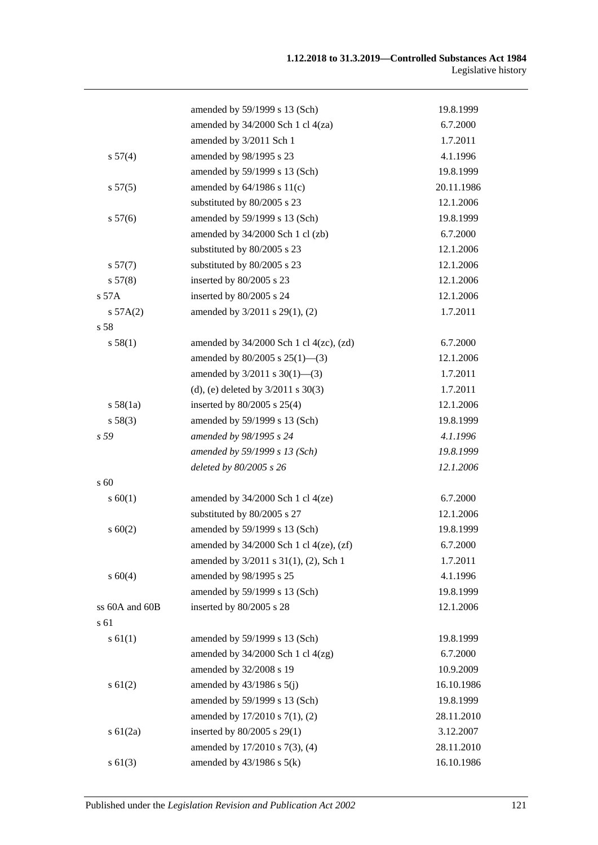|                 | amended by 59/1999 s 13 (Sch)                  | 19.8.1999  |
|-----------------|------------------------------------------------|------------|
|                 | amended by 34/2000 Sch 1 cl 4(za)              | 6.7.2000   |
|                 | amended by 3/2011 Sch 1                        | 1.7.2011   |
| s 57(4)         | amended by 98/1995 s 23                        | 4.1.1996   |
|                 | amended by 59/1999 s 13 (Sch)                  | 19.8.1999  |
| s 57(5)         | amended by $64/1986$ s $11(c)$                 | 20.11.1986 |
|                 | substituted by 80/2005 s 23                    | 12.1.2006  |
| s 57(6)         | amended by 59/1999 s 13 (Sch)                  | 19.8.1999  |
|                 | amended by 34/2000 Sch 1 cl (zb)               | 6.7.2000   |
|                 | substituted by 80/2005 s 23                    | 12.1.2006  |
| s 57(7)         | substituted by 80/2005 s 23                    | 12.1.2006  |
| s 57(8)         | inserted by 80/2005 s 23                       | 12.1.2006  |
| $s$ 57 $A$      | inserted by 80/2005 s 24                       | 12.1.2006  |
| s 57A(2)        | amended by 3/2011 s 29(1), (2)                 | 1.7.2011   |
| s 58            |                                                |            |
| s 58(1)         | amended by $34/2000$ Sch 1 cl $4(zc)$ , $(zd)$ | 6.7.2000   |
|                 | amended by $80/2005$ s $25(1)$ —(3)            | 12.1.2006  |
|                 | amended by $3/2011$ s $30(1)$ —(3)             | 1.7.2011   |
|                 | (d), (e) deleted by $3/2011$ s $30(3)$         | 1.7.2011   |
| s 58(1a)        | inserted by $80/2005$ s $25(4)$                | 12.1.2006  |
| s 58(3)         | amended by 59/1999 s 13 (Sch)                  | 19.8.1999  |
| s <sub>59</sub> | amended by 98/1995 s 24                        | 4.1.1996   |
|                 | amended by 59/1999 s 13 (Sch)                  | 19.8.1999  |
|                 | deleted by 80/2005 s 26                        | 12.1.2006  |
| s 60            |                                                |            |
| s 60(1)         | amended by $34/2000$ Sch 1 cl $4(ze)$          | 6.7.2000   |
|                 | substituted by 80/2005 s 27                    | 12.1.2006  |
| $s \ 60(2)$     | amended by 59/1999 s 13 (Sch)                  | 19.8.1999  |
|                 | amended by $34/2000$ Sch 1 cl $4(ze)$ , $(zf)$ | 6.7.2000   |
|                 | amended by 3/2011 s 31(1), (2), Sch 1          | 1.7.2011   |
| $s\ 60(4)$      | amended by 98/1995 s 25                        | 4.1.1996   |
|                 | amended by 59/1999 s 13 (Sch)                  | 19.8.1999  |
| ss 60A and 60B  | inserted by 80/2005 s 28                       | 12.1.2006  |
| s 61            |                                                |            |
| $s \, 61(1)$    | amended by 59/1999 s 13 (Sch)                  | 19.8.1999  |
|                 | amended by $34/2000$ Sch 1 cl $4(zg)$          | 6.7.2000   |
|                 | amended by 32/2008 s 19                        | 10.9.2009  |
| $s \, 61(2)$    | amended by $43/1986$ s $5(j)$                  | 16.10.1986 |
|                 | amended by 59/1999 s 13 (Sch)                  | 19.8.1999  |
|                 | amended by 17/2010 s 7(1), (2)                 | 28.11.2010 |
| $s \, 61(2a)$   | inserted by 80/2005 s 29(1)                    | 3.12.2007  |
|                 | amended by 17/2010 s 7(3), (4)                 | 28.11.2010 |
| $s \ 61(3)$     | amended by $43/1986$ s $5(k)$                  | 16.10.1986 |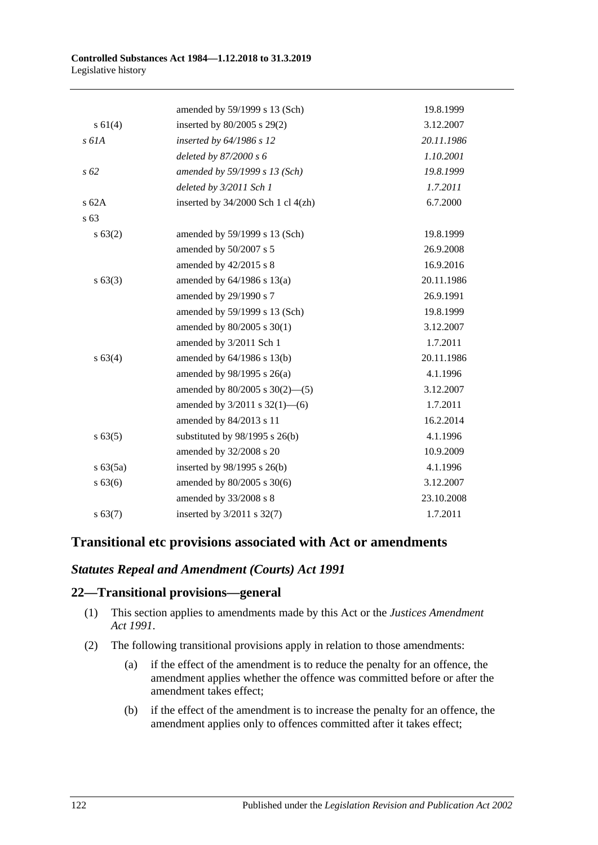|          | amended by 59/1999 s 13 (Sch)       | 19.8.1999  |
|----------|-------------------------------------|------------|
| s 61(4)  | inserted by 80/2005 s 29(2)         | 3.12.2007  |
| $s$ 61A  | inserted by 64/1986 s 12            | 20.11.1986 |
|          | deleted by 87/2000 s 6              | 1.10.2001  |
| s 62     | amended by 59/1999 s 13 (Sch)       | 19.8.1999  |
|          | deleted by 3/2011 Sch 1             | 1.7.2011   |
| $s$ 62A  | inserted by 34/2000 Sch 1 cl 4(zh)  | 6.7.2000   |
| s 63     |                                     |            |
| s 63(2)  | amended by 59/1999 s 13 (Sch)       | 19.8.1999  |
|          | amended by 50/2007 s 5              | 26.9.2008  |
|          | amended by 42/2015 s 8              | 16.9.2016  |
| s 63(3)  | amended by $64/1986$ s $13(a)$      | 20.11.1986 |
|          | amended by 29/1990 s 7              | 26.9.1991  |
|          | amended by 59/1999 s 13 (Sch)       | 19.8.1999  |
|          | amended by 80/2005 s 30(1)          | 3.12.2007  |
|          | amended by 3/2011 Sch 1             | 1.7.2011   |
| s 63(4)  | amended by 64/1986 s 13(b)          | 20.11.1986 |
|          | amended by $98/1995$ s $26(a)$      | 4.1.1996   |
|          | amended by $80/2005$ s $30(2)$ —(5) | 3.12.2007  |
|          | amended by $3/2011$ s $32(1)$ —(6)  | 1.7.2011   |
|          | amended by 84/2013 s 11             | 16.2.2014  |
| s 63(5)  | substituted by $98/1995$ s $26(b)$  | 4.1.1996   |
|          | amended by 32/2008 s 20             | 10.9.2009  |
| s 63(5a) | inserted by $98/1995$ s $26(b)$     | 4.1.1996   |
| s 63(6)  | amended by 80/2005 s 30(6)          | 3.12.2007  |
|          | amended by 33/2008 s 8              | 23.10.2008 |
| s 63(7)  | inserted by 3/2011 s 32(7)          | 1.7.2011   |

## **Transitional etc provisions associated with Act or amendments**

## *Statutes Repeal and Amendment (Courts) Act 1991*

## **22—Transitional provisions—general**

- (1) This section applies to amendments made by this Act or the *[Justices Amendment](http://www.legislation.sa.gov.au/index.aspx?action=legref&type=act&legtitle=Justices%20Amendment%20Act%201991)  Act [1991](http://www.legislation.sa.gov.au/index.aspx?action=legref&type=act&legtitle=Justices%20Amendment%20Act%201991)*.
- (2) The following transitional provisions apply in relation to those amendments:
	- (a) if the effect of the amendment is to reduce the penalty for an offence, the amendment applies whether the offence was committed before or after the amendment takes effect;
	- (b) if the effect of the amendment is to increase the penalty for an offence, the amendment applies only to offences committed after it takes effect;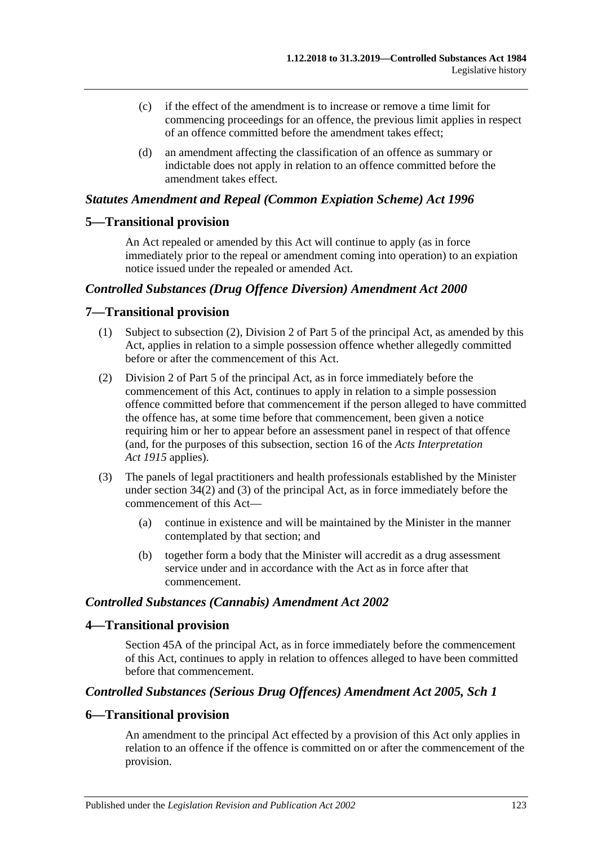- (c) if the effect of the amendment is to increase or remove a time limit for commencing proceedings for an offence, the previous limit applies in respect of an offence committed before the amendment takes effect;
- (d) an amendment affecting the classification of an offence as summary or indictable does not apply in relation to an offence committed before the amendment takes effect.

## *Statutes Amendment and Repeal (Common Expiation Scheme) Act 1996*

## **5—Transitional provision**

An Act repealed or amended by this Act will continue to apply (as in force immediately prior to the repeal or amendment coming into operation) to an expiation notice issued under the repealed or amended Act.

## *Controlled Substances (Drug Offence Diversion) Amendment Act 2000*

## **7—Transitional provision**

- (1) Subject to subsection (2), Division 2 of Part 5 of the principal Act, as amended by this Act, applies in relation to a simple possession offence whether allegedly committed before or after the commencement of this Act.
- (2) Division 2 of Part 5 of the principal Act, as in force immediately before the commencement of this Act, continues to apply in relation to a simple possession offence committed before that commencement if the person alleged to have committed the offence has, at some time before that commencement, been given a notice requiring him or her to appear before an assessment panel in respect of that offence (and, for the purposes of this subsection, section 16 of the *[Acts Interpretation](http://www.legislation.sa.gov.au/index.aspx?action=legref&type=act&legtitle=Acts%20Interpretation%20Act%201915)  Act [1915](http://www.legislation.sa.gov.au/index.aspx?action=legref&type=act&legtitle=Acts%20Interpretation%20Act%201915)* applies).
- (3) The panels of legal practitioners and health professionals established by the Minister under section 34(2) and (3) of the principal Act, as in force immediately before the commencement of this Act—
	- (a) continue in existence and will be maintained by the Minister in the manner contemplated by that section; and
	- (b) together form a body that the Minister will accredit as a drug assessment service under and in accordance with the Act as in force after that commencement.

## *Controlled Substances (Cannabis) Amendment Act 2002*

## **4—Transitional provision**

Section 45A of the principal Act, as in force immediately before the commencement of this Act, continues to apply in relation to offences alleged to have been committed before that commencement.

## *Controlled Substances (Serious Drug Offences) Amendment Act 2005, Sch 1*

## **6—Transitional provision**

An amendment to the principal Act effected by a provision of this Act only applies in relation to an offence if the offence is committed on or after the commencement of the provision.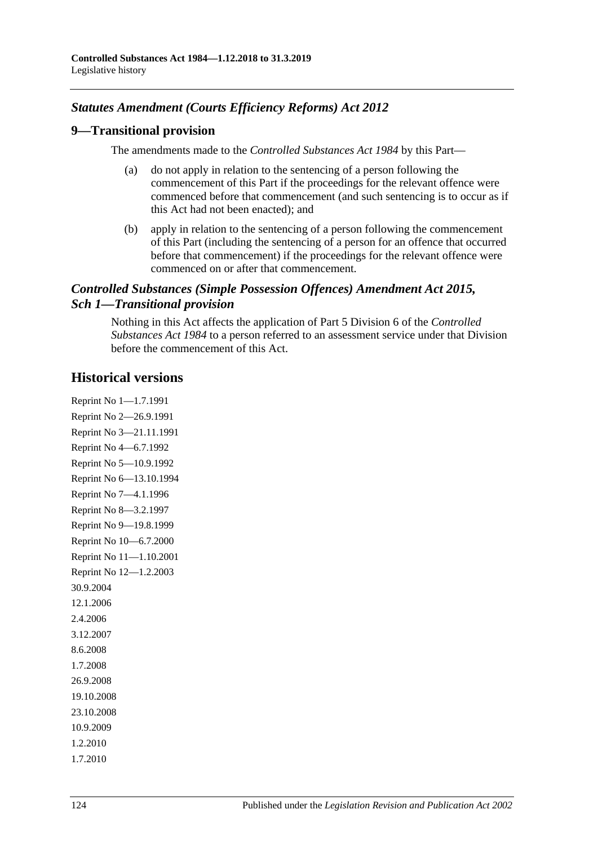## *Statutes Amendment (Courts Efficiency Reforms) Act 2012*

## **9—Transitional provision**

The amendments made to the *[Controlled Substances Act](http://www.legislation.sa.gov.au/index.aspx?action=legref&type=act&legtitle=Controlled%20Substances%20Act%201984) 1984* by this Part—

- (a) do not apply in relation to the sentencing of a person following the commencement of this Part if the proceedings for the relevant offence were commenced before that commencement (and such sentencing is to occur as if this Act had not been enacted); and
- (b) apply in relation to the sentencing of a person following the commencement of this Part (including the sentencing of a person for an offence that occurred before that commencement) if the proceedings for the relevant offence were commenced on or after that commencement.

## *Controlled Substances (Simple Possession Offences) Amendment Act 2015, Sch 1—Transitional provision*

Nothing in this Act affects the application of Part 5 Division 6 of the *[Controlled](http://www.legislation.sa.gov.au/index.aspx?action=legref&type=act&legtitle=Controlled%20Substances%20Act%201984)  [Substances Act](http://www.legislation.sa.gov.au/index.aspx?action=legref&type=act&legtitle=Controlled%20Substances%20Act%201984) 1984* to a person referred to an assessment service under that Division before the commencement of this Act.

# **Historical versions**

Reprint No 1—1.7.1991 Reprint No 2—26.9.1991 Reprint No 3—21.11.1991 Reprint No 4—6.7.1992 Reprint No 5—10.9.1992 Reprint No 6—13.10.1994 Reprint No 7—4.1.1996 Reprint No 8—3.2.1997 Reprint No 9—19.8.1999 Reprint No 10—6.7.2000 Reprint No 11—1.10.2001 Reprint No 12—1.2.2003 30.9.2004 12.1.2006 2.4.2006 3.12.2007 8.6.2008 1.7.2008 26.9.2008 19.10.2008 23.10.2008 10.9.2009 1.2.2010 1.7.2010